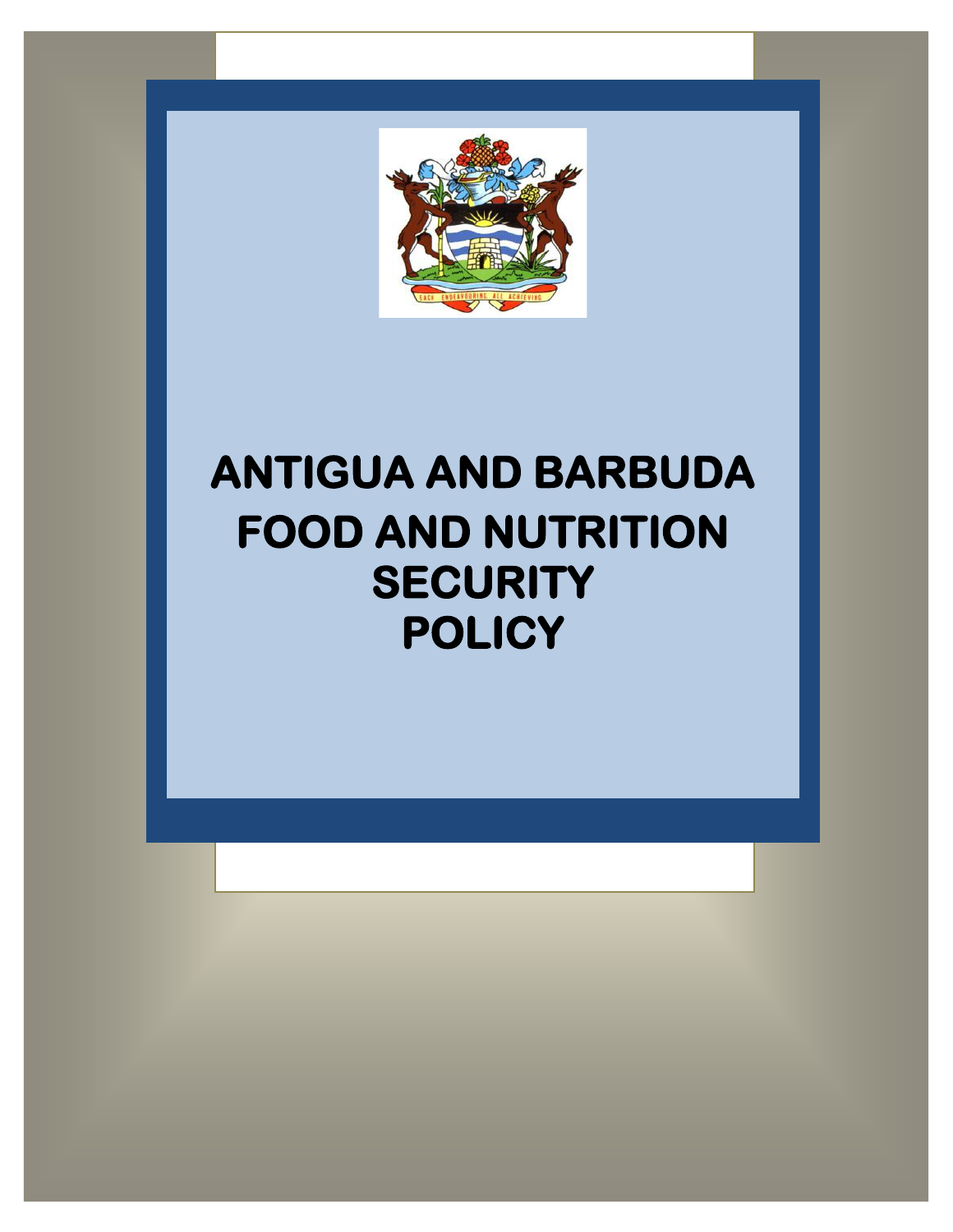

# **ANTIGUA AND BARBUDA FOOD AND NUTRITION SECURITY POLICY**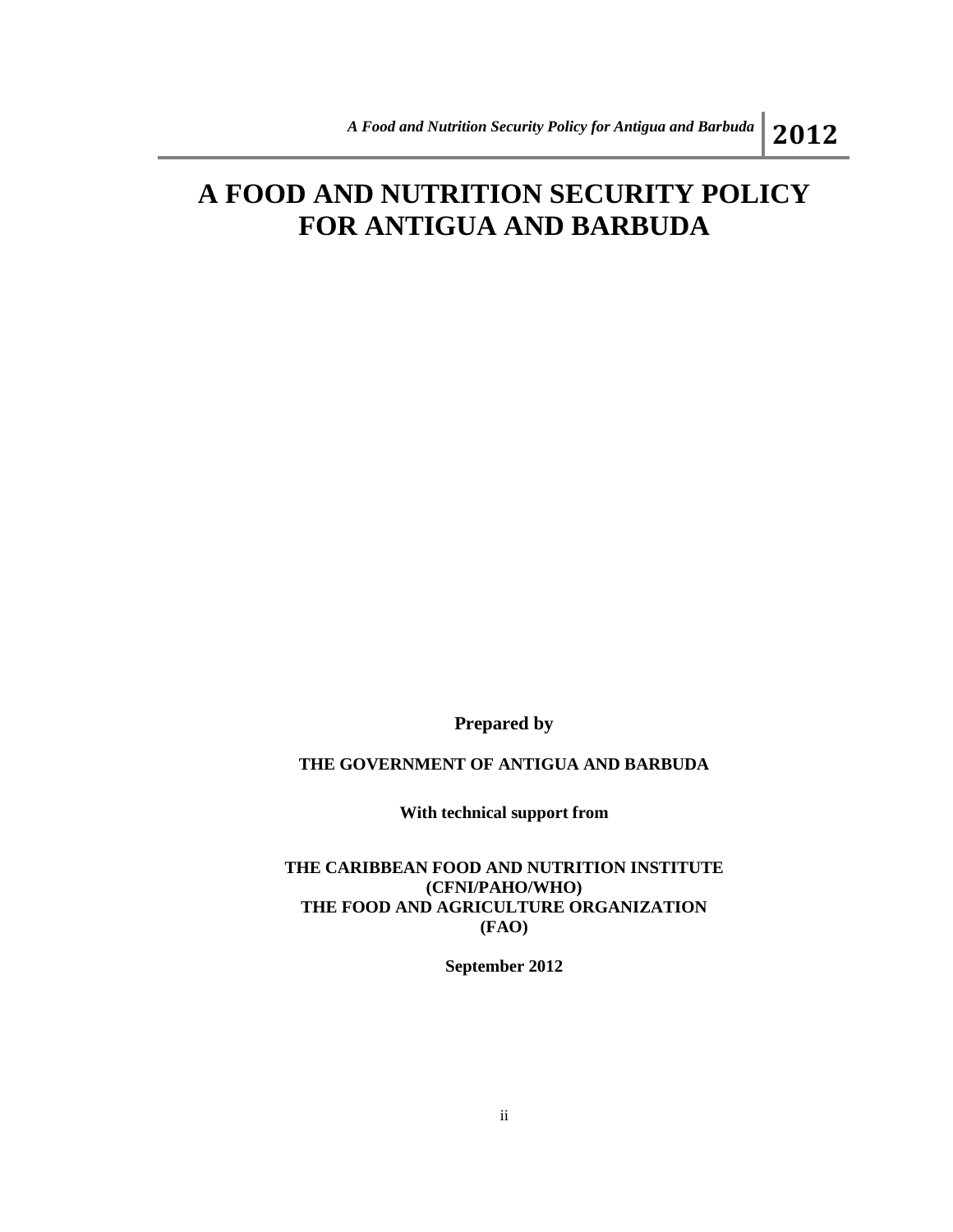## **A FOOD AND NUTRITION SECURITY POLICY FOR ANTIGUA AND BARBUDA**

**Prepared by**

#### **THE GOVERNMENT OF ANTIGUA AND BARBUDA**

**With technical support from**

**THE CARIBBEAN FOOD AND NUTRITION INSTITUTE (CFNI/PAHO/WHO) THE FOOD AND AGRICULTURE ORGANIZATION (FAO)**

**September 2012**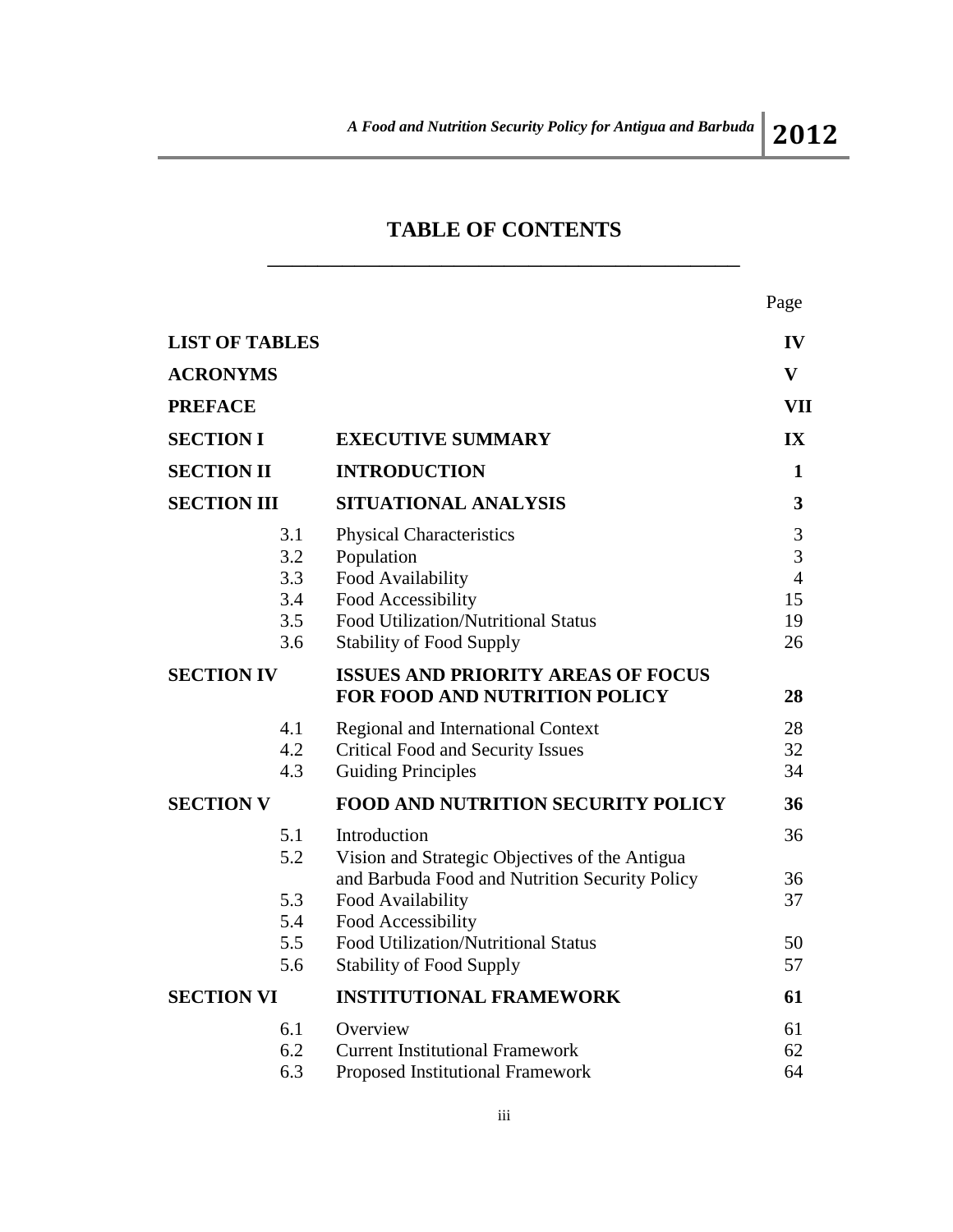## **TABLE OF CONTENTS** \_\_\_\_\_\_\_\_\_\_\_\_\_\_\_\_\_\_\_\_\_\_\_\_\_\_\_\_\_\_\_\_\_\_\_\_\_\_

Page

| <b>LIST OF TABLES</b>                  |                                                                                                                                                                    | $\mathbf{IV}$                              |
|----------------------------------------|--------------------------------------------------------------------------------------------------------------------------------------------------------------------|--------------------------------------------|
| <b>ACRONYMS</b>                        |                                                                                                                                                                    | $\mathbf{V}$                               |
| <b>PREFACE</b>                         |                                                                                                                                                                    | VII                                        |
| <b>SECTION I</b>                       | <b>EXECUTIVE SUMMARY</b>                                                                                                                                           | $\mathbf{IX}$                              |
| <b>SECTION II</b>                      | <b>INTRODUCTION</b>                                                                                                                                                | $\mathbf{1}$                               |
| <b>SECTION III</b>                     | SITUATIONAL ANALYSIS                                                                                                                                               | 3                                          |
| 3.1<br>3.2<br>3.3<br>3.4<br>3.5<br>3.6 | <b>Physical Characteristics</b><br>Population<br>Food Availability<br>Food Accessibility<br>Food Utilization/Nutritional Status<br><b>Stability of Food Supply</b> | 3<br>3<br>$\overline{4}$<br>15<br>19<br>26 |
| <b>SECTION IV</b>                      | <b>ISSUES AND PRIORITY AREAS OF FOCUS</b><br>FOR FOOD AND NUTRITION POLICY                                                                                         | 28                                         |
| 4.1<br>4.2<br>4.3                      | Regional and International Context<br><b>Critical Food and Security Issues</b><br><b>Guiding Principles</b>                                                        | 28<br>32<br>34                             |
| <b>SECTION V</b>                       | <b>FOOD AND NUTRITION SECURITY POLICY</b>                                                                                                                          | 36                                         |
| 5.1<br>5.2                             | Introduction<br>Vision and Strategic Objectives of the Antigua                                                                                                     | 36                                         |
| 5.3<br>5.4                             | and Barbuda Food and Nutrition Security Policy<br>Food Availability<br>Food Accessibility                                                                          | 36<br>37                                   |
| 5.5<br>5.6                             | Food Utilization/Nutritional Status<br><b>Stability of Food Supply</b>                                                                                             | 50<br>57                                   |
| <b>SECTION VI</b>                      | <b>INSTITUTIONAL FRAMEWORK</b>                                                                                                                                     | 61                                         |
| 6.1<br>6.2<br>6.3                      | Overview<br><b>Current Institutional Framework</b><br>Proposed Institutional Framework                                                                             | 61<br>62<br>64                             |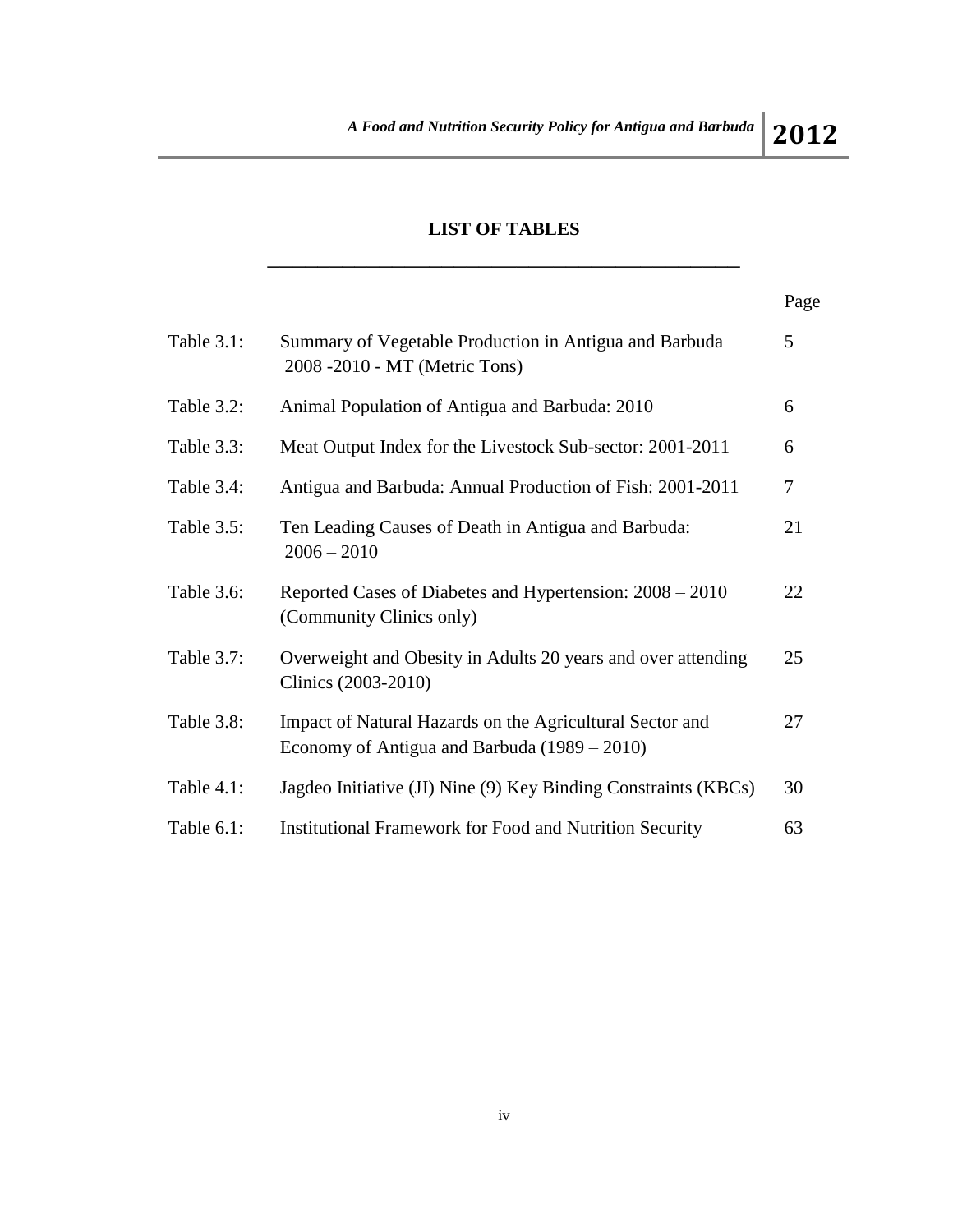## **LIST OF TABLES** \_\_\_\_\_\_\_\_\_\_\_\_\_\_\_\_\_\_\_\_\_\_\_\_\_\_\_\_\_\_\_\_\_\_\_\_\_\_

|            |                                                                                                            | Page |
|------------|------------------------------------------------------------------------------------------------------------|------|
| Table 3.1: | Summary of Vegetable Production in Antigua and Barbuda<br>2008 -2010 - MT (Metric Tons)                    | 5    |
| Table 3.2: | Animal Population of Antigua and Barbuda: 2010                                                             | 6    |
| Table 3.3: | Meat Output Index for the Livestock Sub-sector: 2001-2011                                                  | 6    |
| Table 3.4: | Antigua and Barbuda: Annual Production of Fish: 2001-2011                                                  | 7    |
| Table 3.5: | Ten Leading Causes of Death in Antigua and Barbuda:<br>$2006 - 2010$                                       | 21   |
| Table 3.6: | Reported Cases of Diabetes and Hypertension: 2008 – 2010<br>(Community Clinics only)                       | 22   |
| Table 3.7: | Overweight and Obesity in Adults 20 years and over attending<br>Clinics (2003-2010)                        | 25   |
| Table 3.8: | Impact of Natural Hazards on the Agricultural Sector and<br>Economy of Antigua and Barbuda $(1989 - 2010)$ | 27   |
| Table 4.1: | Jagdeo Initiative (JI) Nine (9) Key Binding Constraints (KBCs)                                             | 30   |
| Table 6.1: | <b>Institutional Framework for Food and Nutrition Security</b>                                             | 63   |
|            |                                                                                                            |      |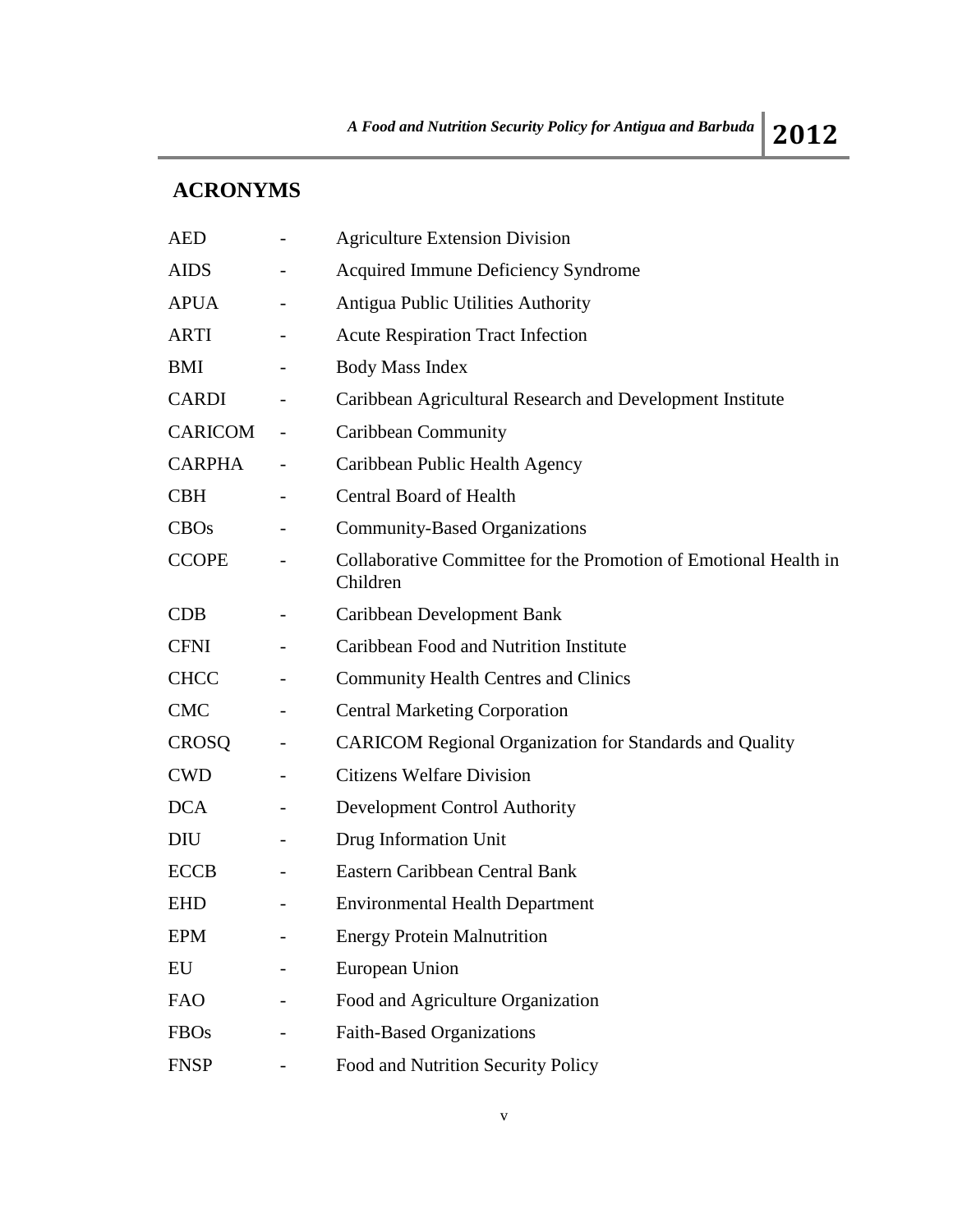## **ACRONYMS**

| <b>AED</b>    |                          | <b>Agriculture Extension Division</b>                                        |
|---------------|--------------------------|------------------------------------------------------------------------------|
| <b>AIDS</b>   |                          | <b>Acquired Immune Deficiency Syndrome</b>                                   |
| <b>APUA</b>   |                          | Antigua Public Utilities Authority                                           |
| ARTI          | $\qquad \qquad -$        | <b>Acute Respiration Tract Infection</b>                                     |
| <b>BMI</b>    |                          | <b>Body Mass Index</b>                                                       |
| <b>CARDI</b>  |                          | Caribbean Agricultural Research and Development Institute                    |
| CARICOM       |                          | Caribbean Community                                                          |
| <b>CARPHA</b> |                          | Caribbean Public Health Agency                                               |
| <b>CBH</b>    | $\qquad \qquad -$        | <b>Central Board of Health</b>                                               |
| CBOs          |                          | <b>Community-Based Organizations</b>                                         |
| <b>CCOPE</b>  |                          | Collaborative Committee for the Promotion of Emotional Health in<br>Children |
| <b>CDB</b>    |                          | Caribbean Development Bank                                                   |
| <b>CFNI</b>   |                          | Caribbean Food and Nutrition Institute                                       |
| <b>CHCC</b>   | $\overline{\phantom{0}}$ | <b>Community Health Centres and Clinics</b>                                  |
| <b>CMC</b>    |                          | <b>Central Marketing Corporation</b>                                         |
| <b>CROSQ</b>  |                          | <b>CARICOM Regional Organization for Standards and Quality</b>               |
| <b>CWD</b>    | $\overline{\phantom{0}}$ | <b>Citizens Welfare Division</b>                                             |
| <b>DCA</b>    |                          | <b>Development Control Authority</b>                                         |
| DIU           |                          | Drug Information Unit                                                        |
| <b>ECCB</b>   |                          | Eastern Caribbean Central Bank                                               |
| <b>EHD</b>    |                          | <b>Environmental Health Department</b>                                       |
| <b>EPM</b>    |                          | <b>Energy Protein Malnutrition</b>                                           |
| EU            |                          | European Union                                                               |
| <b>FAO</b>    |                          | Food and Agriculture Organization                                            |
| <b>FBOs</b>   |                          | <b>Faith-Based Organizations</b>                                             |
| <b>FNSP</b>   |                          | Food and Nutrition Security Policy                                           |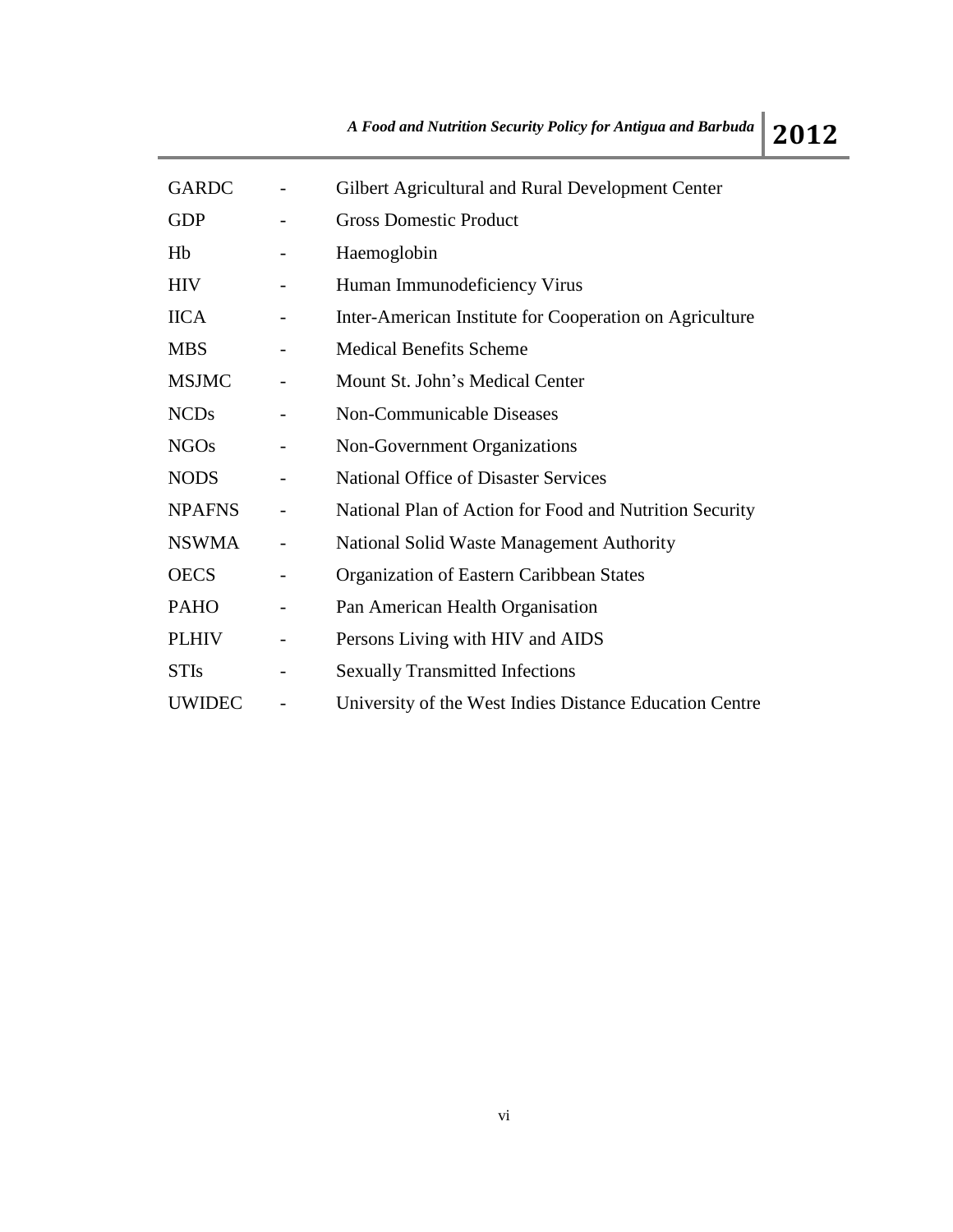| <b>GARDC</b>  |                          | Gilbert Agricultural and Rural Development Center       |
|---------------|--------------------------|---------------------------------------------------------|
| <b>GDP</b>    |                          | <b>Gross Domestic Product</b>                           |
| Hb            |                          | Haemoglobin                                             |
| <b>HIV</b>    |                          | Human Immunodeficiency Virus                            |
| <b>IICA</b>   |                          | Inter-American Institute for Cooperation on Agriculture |
| <b>MBS</b>    |                          | <b>Medical Benefits Scheme</b>                          |
| <b>MSJMC</b>  |                          | Mount St. John's Medical Center                         |
| <b>NCDs</b>   |                          | Non-Communicable Diseases                               |
| <b>NGOs</b>   | -                        | Non-Government Organizations                            |
| <b>NODS</b>   |                          | <b>National Office of Disaster Services</b>             |
| <b>NPAFNS</b> |                          | National Plan of Action for Food and Nutrition Security |
| <b>NSWMA</b>  |                          | National Solid Waste Management Authority               |
| <b>OECS</b>   |                          | Organization of Eastern Caribbean States                |
| <b>PAHO</b>   | $\overline{\phantom{0}}$ | Pan American Health Organisation                        |
| <b>PLHIV</b>  |                          | Persons Living with HIV and AIDS                        |
| <b>STIs</b>   |                          | <b>Sexually Transmitted Infections</b>                  |
| <b>UWIDEC</b> |                          | University of the West Indies Distance Education Centre |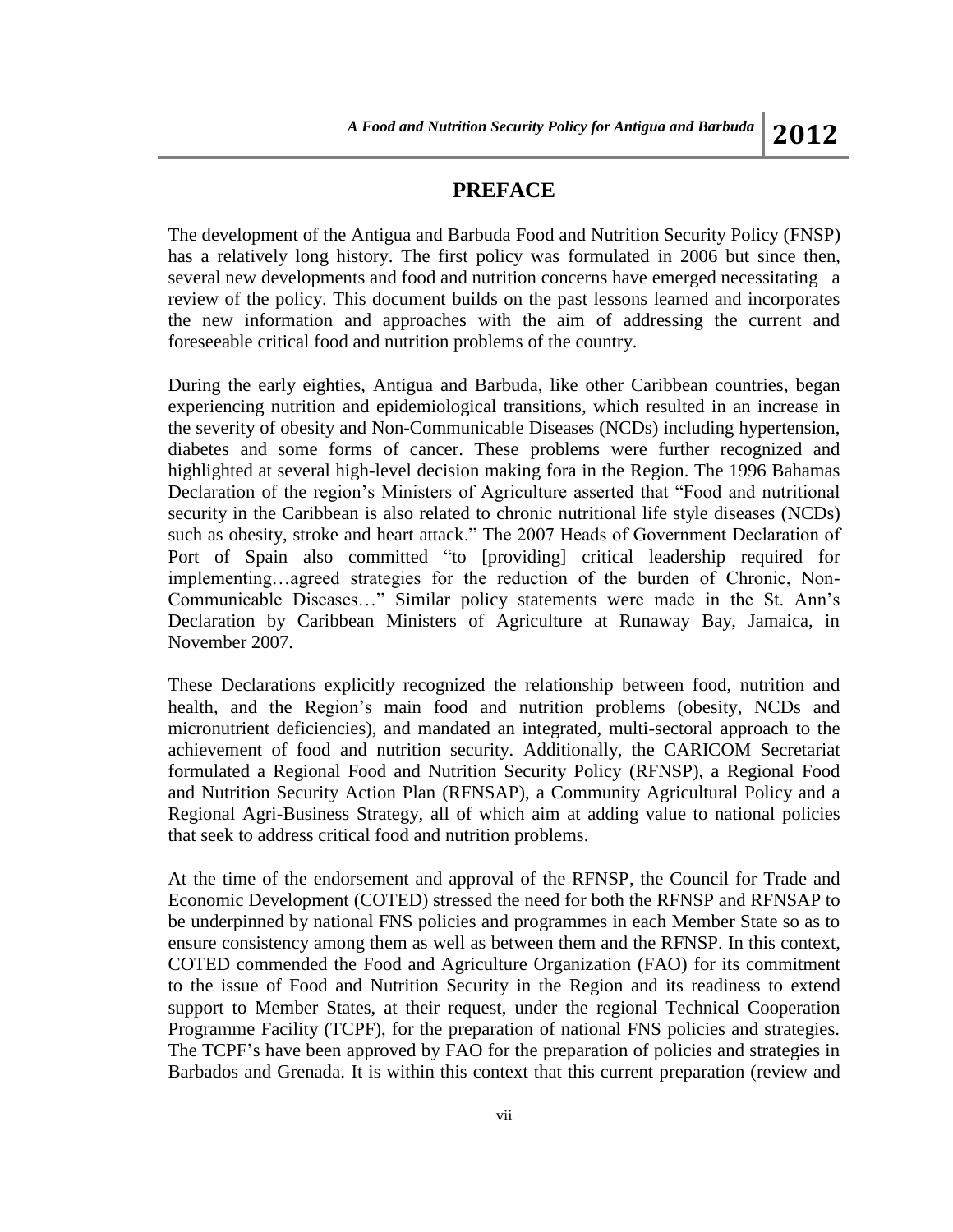### **PREFACE**

The development of the Antigua and Barbuda Food and Nutrition Security Policy (FNSP) has a relatively long history. The first policy was formulated in 2006 but since then, several new developments and food and nutrition concerns have emerged necessitating a review of the policy. This document builds on the past lessons learned and incorporates the new information and approaches with the aim of addressing the current and foreseeable critical food and nutrition problems of the country.

During the early eighties, Antigua and Barbuda, like other Caribbean countries, began experiencing nutrition and epidemiological transitions, which resulted in an increase in the severity of obesity and Non-Communicable Diseases (NCDs) including hypertension, diabetes and some forms of cancer. These problems were further recognized and highlighted at several high-level decision making fora in the Region. The 1996 Bahamas Declaration of the region's Ministers of Agriculture asserted that "Food and nutritional security in the Caribbean is also related to chronic nutritional life style diseases (NCDs) such as obesity, stroke and heart attack." The 2007 Heads of Government Declaration of Port of Spain also committed "to [providing] critical leadership required for implementing…agreed strategies for the reduction of the burden of Chronic, Non-Communicable Diseases…" Similar policy statements were made in the St. Ann's Declaration by Caribbean Ministers of Agriculture at Runaway Bay, Jamaica, in November 2007.

These Declarations explicitly recognized the relationship between food, nutrition and health, and the Region's main food and nutrition problems (obesity, NCDs and micronutrient deficiencies), and mandated an integrated, multi-sectoral approach to the achievement of food and nutrition security. Additionally, the CARICOM Secretariat formulated a Regional Food and Nutrition Security Policy (RFNSP), a Regional Food and Nutrition Security Action Plan (RFNSAP), a Community Agricultural Policy and a Regional Agri-Business Strategy, all of which aim at adding value to national policies that seek to address critical food and nutrition problems.

At the time of the endorsement and approval of the RFNSP, the Council for Trade and Economic Development (COTED) stressed the need for both the RFNSP and RFNSAP to be underpinned by national FNS policies and programmes in each Member State so as to ensure consistency among them as well as between them and the RFNSP. In this context, COTED commended the Food and Agriculture Organization (FAO) for its commitment to the issue of Food and Nutrition Security in the Region and its readiness to extend support to Member States, at their request, under the regional Technical Cooperation Programme Facility (TCPF), for the preparation of national FNS policies and strategies. The TCPF's have been approved by FAO for the preparation of policies and strategies in Barbados and Grenada. It is within this context that this current preparation (review and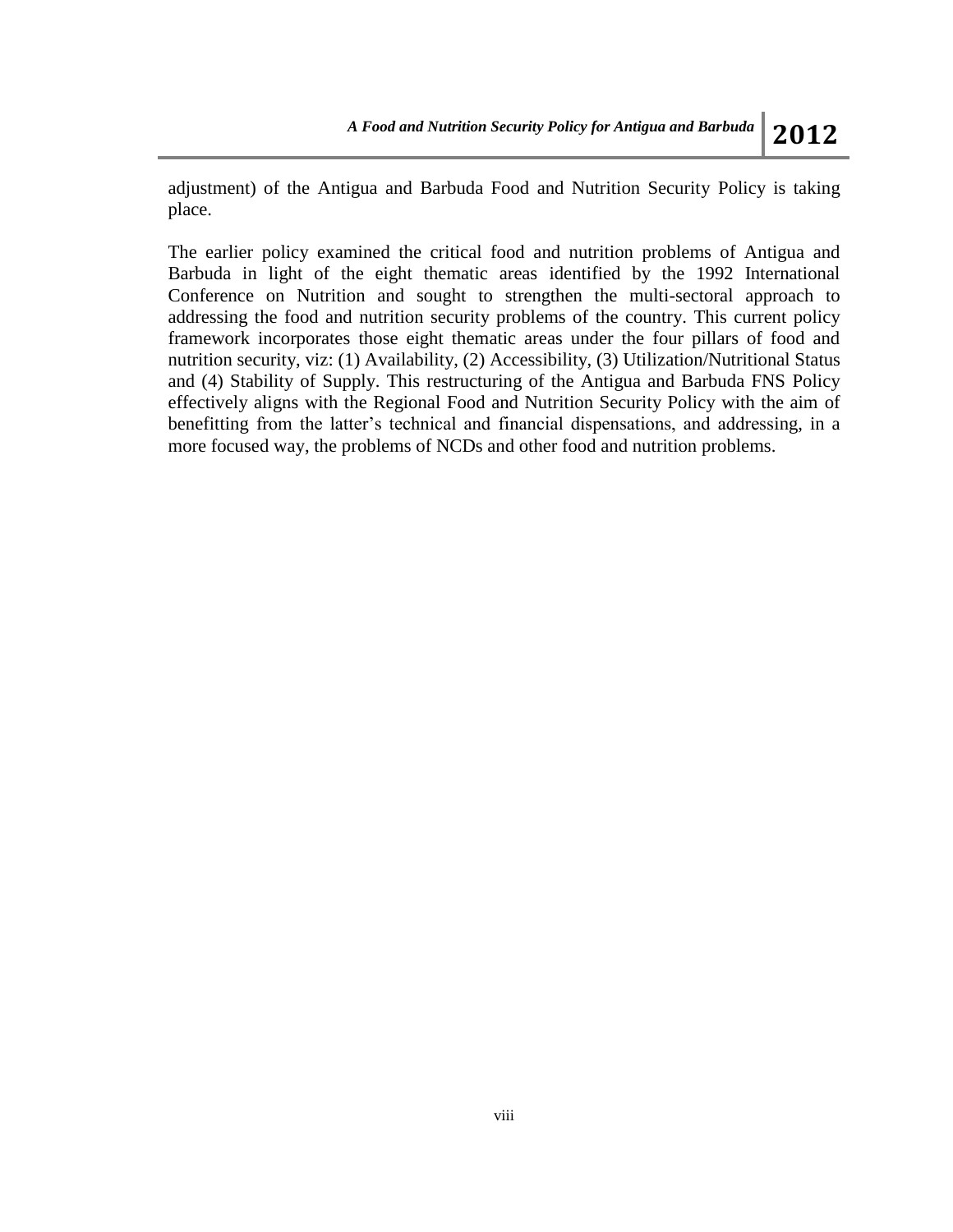adjustment) of the Antigua and Barbuda Food and Nutrition Security Policy is taking place.

The earlier policy examined the critical food and nutrition problems of Antigua and Barbuda in light of the eight thematic areas identified by the 1992 International Conference on Nutrition and sought to strengthen the multi-sectoral approach to addressing the food and nutrition security problems of the country. This current policy framework incorporates those eight thematic areas under the four pillars of food and nutrition security, viz: (1) Availability, (2) Accessibility, (3) Utilization/Nutritional Status and (4) Stability of Supply. This restructuring of the Antigua and Barbuda FNS Policy effectively aligns with the Regional Food and Nutrition Security Policy with the aim of benefitting from the latter's technical and financial dispensations, and addressing, in a more focused way, the problems of NCDs and other food and nutrition problems.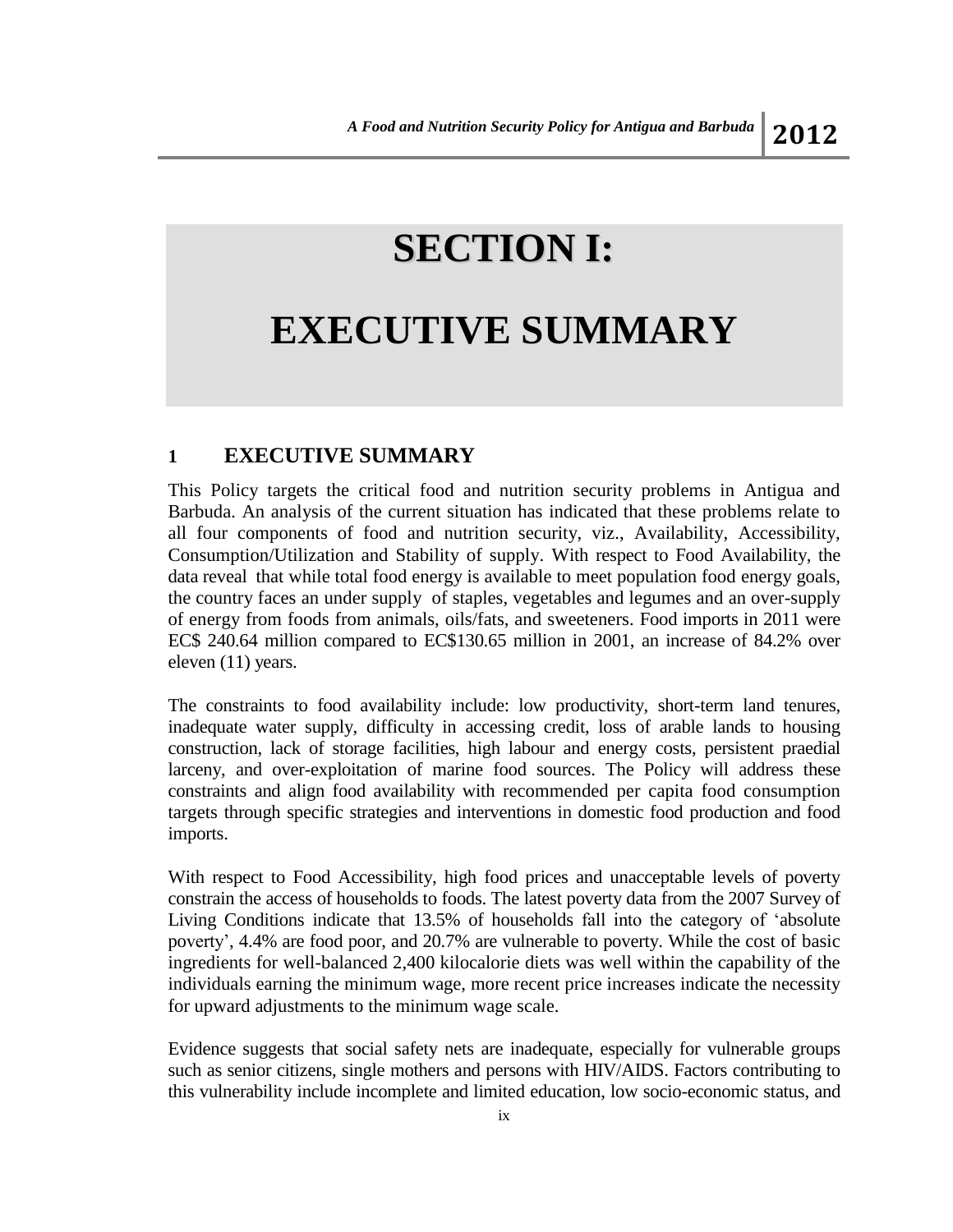## **SECTION I:**

## **EXECUTIVE SUMMARY**

### **1 EXECUTIVE SUMMARY**

This Policy targets the critical food and nutrition security problems in Antigua and Barbuda. An analysis of the current situation has indicated that these problems relate to all four components of food and nutrition security, viz., Availability, Accessibility, Consumption/Utilization and Stability of supply. With respect to Food Availability, the data reveal that while total food energy is available to meet population food energy goals, the country faces an under supply of staples, vegetables and legumes and an over-supply of energy from foods from animals, oils/fats, and sweeteners. Food imports in 2011 were EC\$ 240.64 million compared to EC\$130.65 million in 2001, an increase of 84.2% over eleven (11) years.

The constraints to food availability include: low productivity, short-term land tenures, inadequate water supply, difficulty in accessing credit, loss of arable lands to housing construction, lack of storage facilities, high labour and energy costs, persistent praedial larceny, and over-exploitation of marine food sources. The Policy will address these constraints and align food availability with recommended per capita food consumption targets through specific strategies and interventions in domestic food production and food imports.

With respect to Food Accessibility, high food prices and unacceptable levels of poverty constrain the access of households to foods. The latest poverty data from the 2007 Survey of Living Conditions indicate that 13.5% of households fall into the category of 'absolute poverty', 4.4% are food poor, and 20.7% are vulnerable to poverty. While the cost of basic ingredients for well-balanced 2,400 kilocalorie diets was well within the capability of the individuals earning the minimum wage, more recent price increases indicate the necessity for upward adjustments to the minimum wage scale.

Evidence suggests that social safety nets are inadequate, especially for vulnerable groups such as senior citizens, single mothers and persons with HIV/AIDS. Factors contributing to this vulnerability include incomplete and limited education, low socio-economic status, and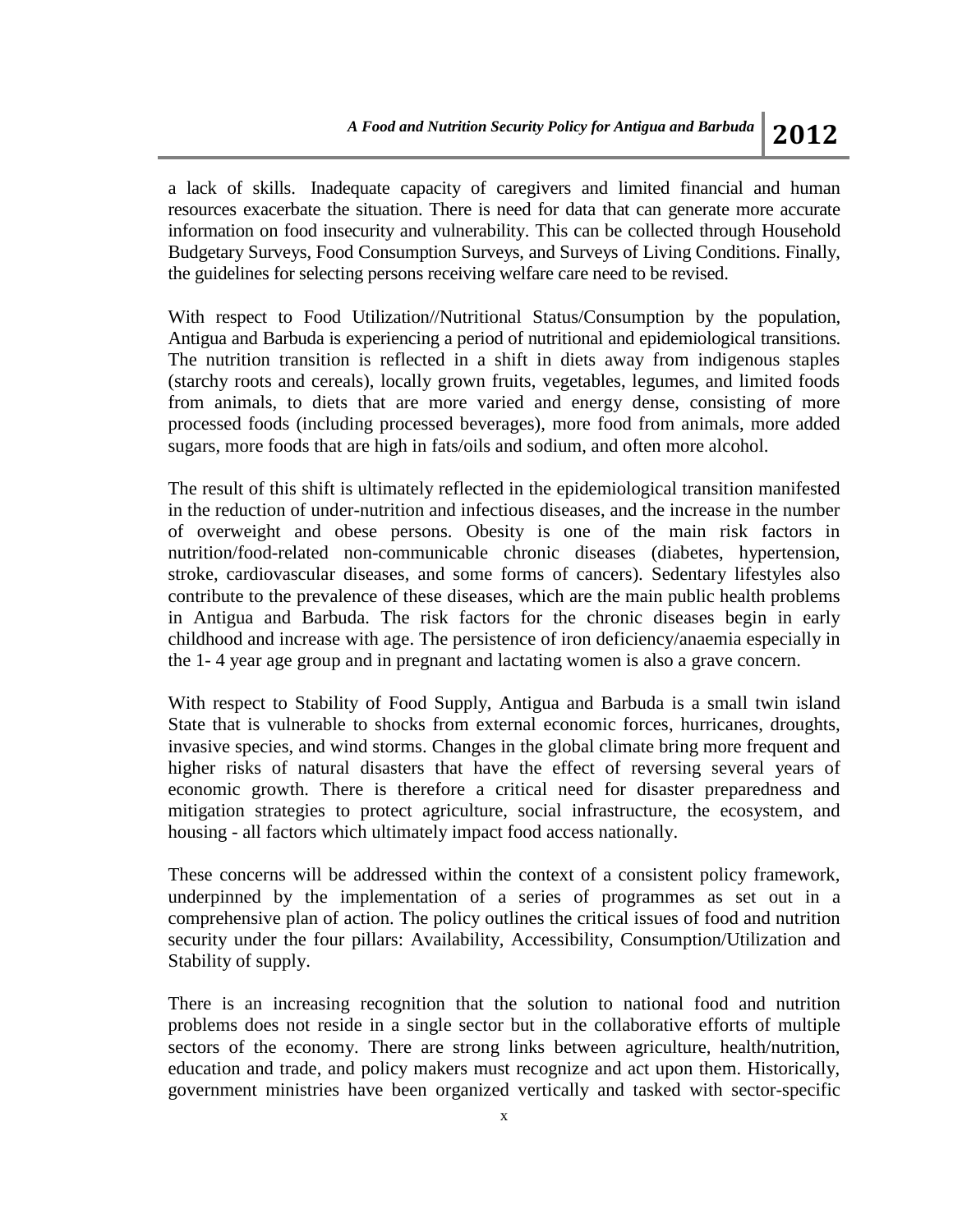a lack of skills. Inadequate capacity of caregivers and limited financial and human resources exacerbate the situation. There is need for data that can generate more accurate information on food insecurity and vulnerability. This can be collected through Household Budgetary Surveys, Food Consumption Surveys, and Surveys of Living Conditions. Finally, the guidelines for selecting persons receiving welfare care need to be revised.

With respect to Food Utilization//Nutritional Status/Consumption by the population, Antigua and Barbuda is experiencing a period of nutritional and epidemiological transitions. The nutrition transition is reflected in a shift in diets away from indigenous staples (starchy roots and cereals), locally grown fruits, vegetables, legumes, and limited foods from animals, to diets that are more varied and energy dense, consisting of more processed foods (including processed beverages), more food from animals, more added sugars, more foods that are high in fats/oils and sodium, and often more alcohol.

The result of this shift is ultimately reflected in the epidemiological transition manifested in the reduction of under-nutrition and infectious diseases, and the increase in the number of overweight and obese persons. Obesity is one of the main risk factors in nutrition/food-related non-communicable chronic diseases (diabetes, hypertension, stroke, cardiovascular diseases, and some forms of cancers). Sedentary lifestyles also contribute to the prevalence of these diseases, which are the main public health problems in Antigua and Barbuda. The risk factors for the chronic diseases begin in early childhood and increase with age. The persistence of iron deficiency/anaemia especially in the 1- 4 year age group and in pregnant and lactating women is also a grave concern.

With respect to Stability of Food Supply, Antigua and Barbuda is a small twin island State that is vulnerable to shocks from external economic forces, hurricanes, droughts, invasive species, and wind storms. Changes in the global climate bring more frequent and higher risks of natural disasters that have the effect of reversing several years of economic growth. There is therefore a critical need for disaster preparedness and mitigation strategies to protect agriculture, social infrastructure, the ecosystem, and housing - all factors which ultimately impact food access nationally.

These concerns will be addressed within the context of a consistent policy framework, underpinned by the implementation of a series of programmes as set out in a comprehensive plan of action. The policy outlines the critical issues of food and nutrition security under the four pillars: Availability, Accessibility, Consumption/Utilization and Stability of supply.

There is an increasing recognition that the solution to national food and nutrition problems does not reside in a single sector but in the collaborative efforts of multiple sectors of the economy. There are strong links between agriculture, health/nutrition, education and trade, and policy makers must recognize and act upon them. Historically, government ministries have been organized vertically and tasked with sector-specific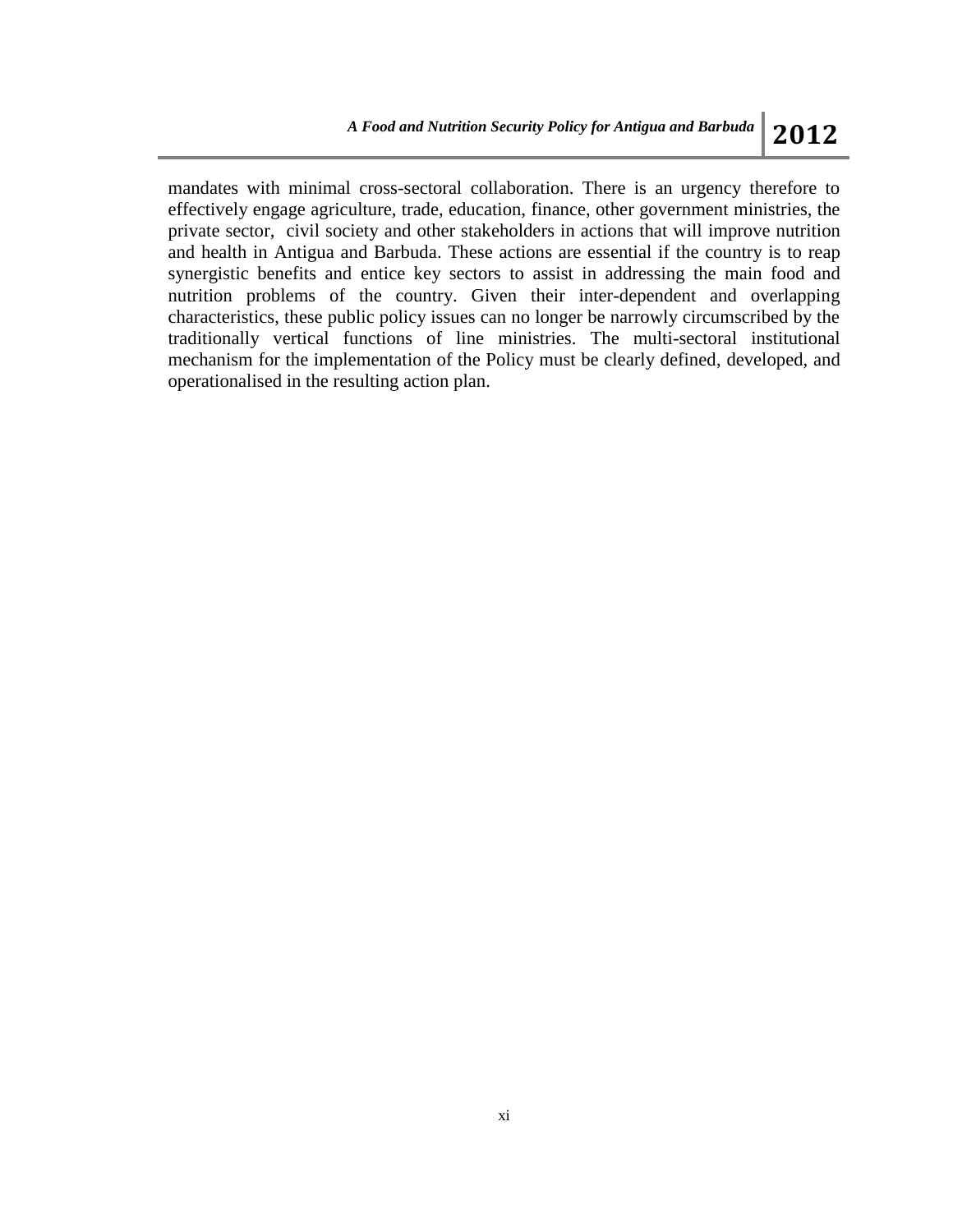mandates with minimal cross-sectoral collaboration. There is an urgency therefore to effectively engage agriculture, trade, education, finance, other government ministries, the private sector, civil society and other stakeholders in actions that will improve nutrition and health in Antigua and Barbuda. These actions are essential if the country is to reap synergistic benefits and entice key sectors to assist in addressing the main food and nutrition problems of the country. Given their inter-dependent and overlapping characteristics, these public policy issues can no longer be narrowly circumscribed by the traditionally vertical functions of line ministries. The multi-sectoral institutional mechanism for the implementation of the Policy must be clearly defined, developed, and operationalised in the resulting action plan.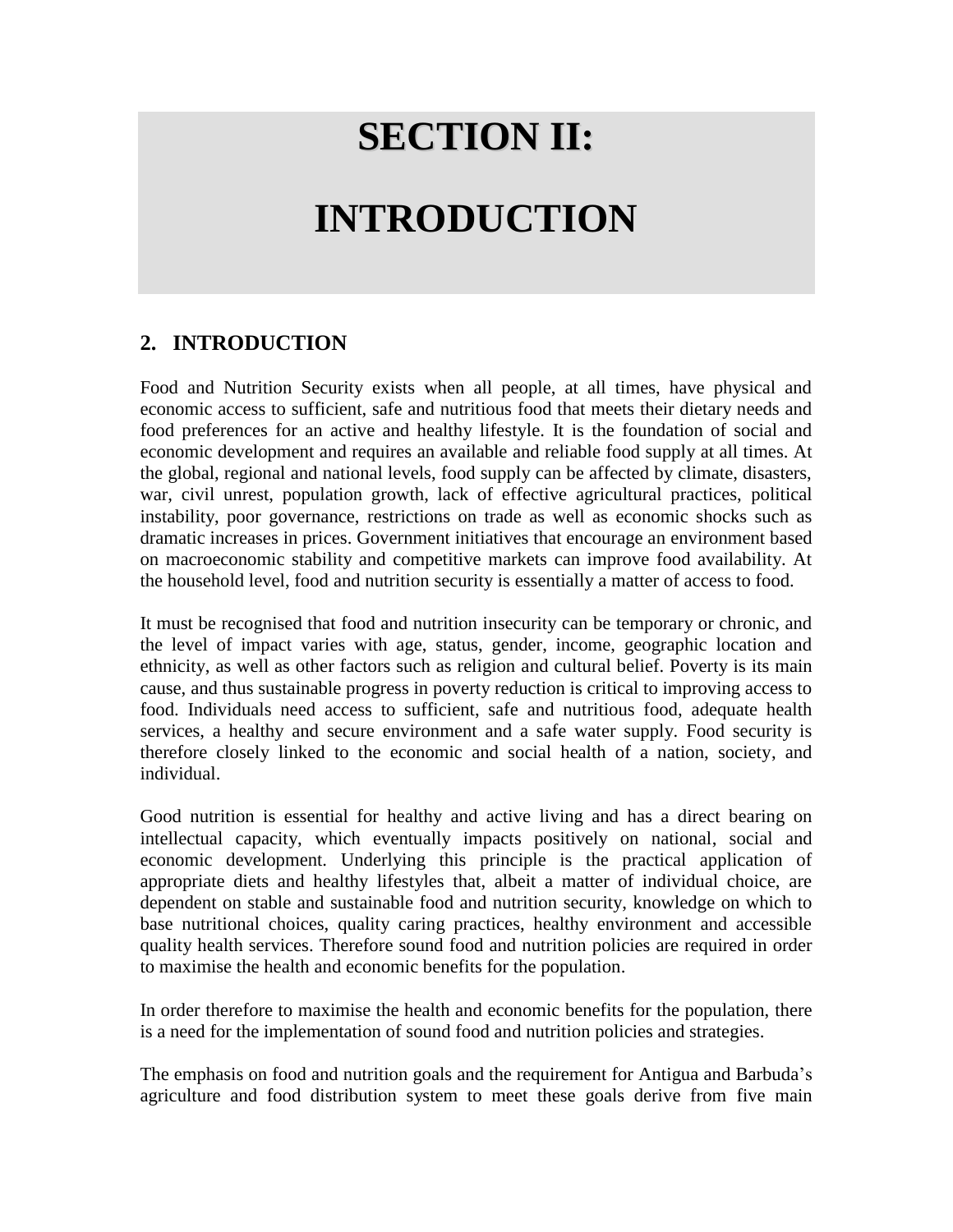# **SECTION II:**

# **INTRODUCTION**

### **2. INTRODUCTION**

Food and Nutrition Security exists when all people, at all times, have physical and economic access to sufficient, safe and nutritious food that meets their dietary needs and food preferences for an active and healthy lifestyle. It is the foundation of social and economic development and requires an available and reliable food supply at all times. At the global, regional and national levels, food supply can be affected by climate, disasters, war, civil unrest, population growth, lack of effective agricultural practices, political instability, poor governance, restrictions on trade as well as economic shocks such as dramatic increases in prices. Government initiatives that encourage an environment based on macroeconomic stability and competitive markets can improve food availability. At the household level, food and nutrition security is essentially a matter of access to food.

It must be recognised that food and nutrition insecurity can be temporary or chronic, and the level of impact varies with age, status, gender, income, geographic location and ethnicity, as well as other factors such as religion and cultural belief. Poverty is its main cause, and thus sustainable progress in poverty reduction is critical to improving access to food. Individuals need access to sufficient, safe and nutritious food, adequate health services, a healthy and secure environment and a safe water supply. Food security is therefore closely linked to the economic and social health of a nation, society, and individual.

Good nutrition is essential for healthy and active living and has a direct bearing on intellectual capacity, which eventually impacts positively on national, social and economic development. Underlying this principle is the practical application of appropriate diets and healthy lifestyles that, albeit a matter of individual choice, are dependent on stable and sustainable food and nutrition security, knowledge on which to base nutritional choices, quality caring practices, healthy environment and accessible quality health services. Therefore sound food and nutrition policies are required in order to maximise the health and economic benefits for the population.

In order therefore to maximise the health and economic benefits for the population, there is a need for the implementation of sound food and nutrition policies and strategies.

The emphasis on food and nutrition goals and the requirement for Antigua and Barbuda's agriculture and food distribution system to meet these goals derive from five main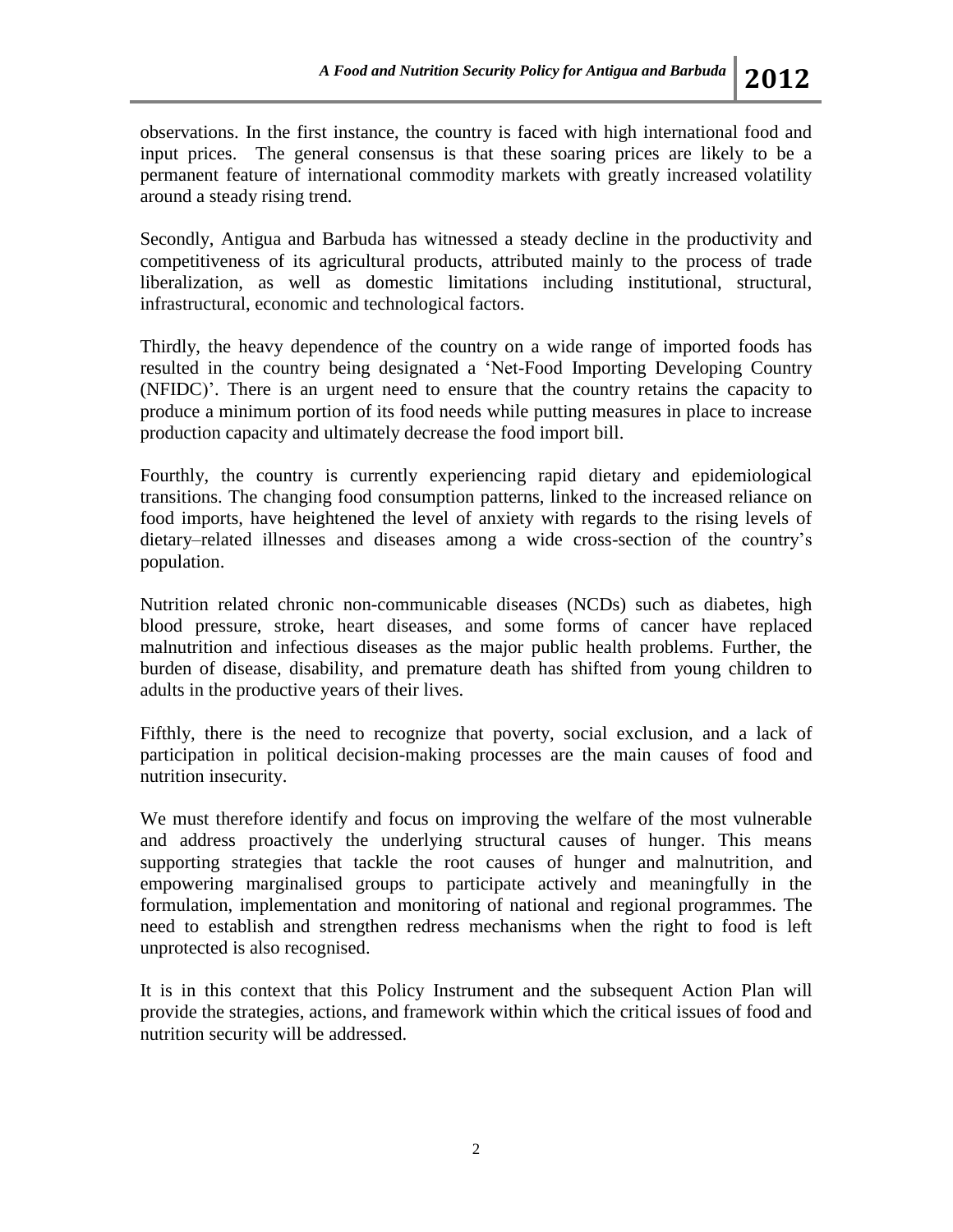observations. In the first instance, the country is faced with high international food and input prices. The general consensus is that these soaring prices are likely to be a permanent feature of international commodity markets with greatly increased volatility around a steady rising trend.

Secondly, Antigua and Barbuda has witnessed a steady decline in the productivity and competitiveness of its agricultural products, attributed mainly to the process of trade liberalization, as well as domestic limitations including institutional, structural, infrastructural, economic and technological factors.

Thirdly, the heavy dependence of the country on a wide range of imported foods has resulted in the country being designated a 'Net-Food Importing Developing Country (NFIDC)'. There is an urgent need to ensure that the country retains the capacity to produce a minimum portion of its food needs while putting measures in place to increase production capacity and ultimately decrease the food import bill.

Fourthly, the country is currently experiencing rapid dietary and epidemiological transitions. The changing food consumption patterns, linked to the increased reliance on food imports, have heightened the level of anxiety with regards to the rising levels of dietary–related illnesses and diseases among a wide cross-section of the country's population.

Nutrition related chronic non-communicable diseases (NCDs) such as diabetes, high blood pressure, stroke, heart diseases, and some forms of cancer have replaced malnutrition and infectious diseases as the major public health problems. Further, the burden of disease, disability, and premature death has shifted from young children to adults in the productive years of their lives.

Fifthly, there is the need to recognize that poverty, social exclusion, and a lack of participation in political decision-making processes are the main causes of food and nutrition insecurity.

We must therefore identify and focus on improving the welfare of the most vulnerable and address proactively the underlying structural causes of hunger. This means supporting strategies that tackle the root causes of hunger and malnutrition, and empowering marginalised groups to participate actively and meaningfully in the formulation, implementation and monitoring of national and regional programmes. The need to establish and strengthen redress mechanisms when the right to food is left unprotected is also recognised.

It is in this context that this Policy Instrument and the subsequent Action Plan will provide the strategies, actions, and framework within which the critical issues of food and nutrition security will be addressed.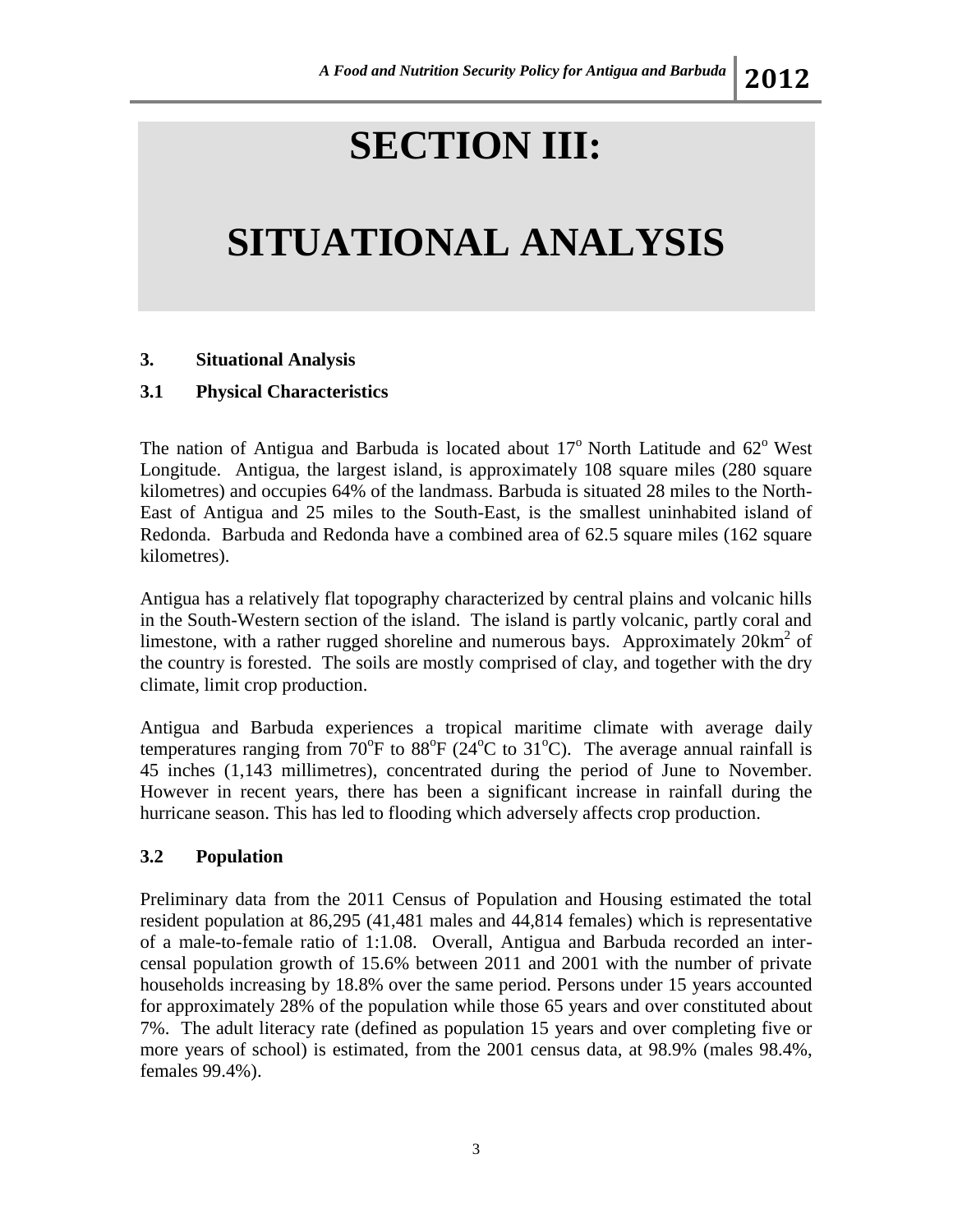# **SECTION III:**

# **SITUATIONAL ANALYSIS**

#### **3. Situational Analysis**

#### **3.1 Physical Characteristics**

The nation of Antigua and Barbuda is located about  $17^{\circ}$  North Latitude and  $62^{\circ}$  West Longitude. Antigua, the largest island, is approximately 108 square miles (280 square kilometres) and occupies 64% of the landmass. Barbuda is situated 28 miles to the North-East of Antigua and 25 miles to the South-East, is the smallest uninhabited island of Redonda. Barbuda and Redonda have a combined area of 62.5 square miles (162 square kilometres).

Antigua has a relatively flat topography characterized by central plains and volcanic hills in the South-Western section of the island. The island is partly volcanic, partly coral and limestone, with a rather rugged shoreline and numerous bays. Approximately 20km<sup>2</sup> of the country is forested. The soils are mostly comprised of clay, and together with the dry climate, limit crop production.

Antigua and Barbuda experiences a tropical maritime climate with average daily temperatures ranging from  $70^{\circ}$ F to  $88^{\circ}$ F ( $24^{\circ}$ C to  $31^{\circ}$ C). The average annual rainfall is 45 inches (1,143 millimetres), concentrated during the period of June to November. However in recent years, there has been a significant increase in rainfall during the hurricane season. This has led to flooding which adversely affects crop production.

#### **3.2 Population**

Preliminary data from the 2011 Census of Population and Housing estimated the total resident population at 86,295 (41,481 males and 44,814 females) which is representative of a male-to-female ratio of 1:1.08. Overall, Antigua and Barbuda recorded an intercensal population growth of 15.6% between 2011 and 2001 with the number of private households increasing by 18.8% over the same period. Persons under 15 years accounted for approximately 28% of the population while those 65 years and over constituted about 7%. The adult literacy rate (defined as population 15 years and over completing five or more years of school) is estimated, from the 2001 census data, at 98.9% (males 98.4%, females 99.4%).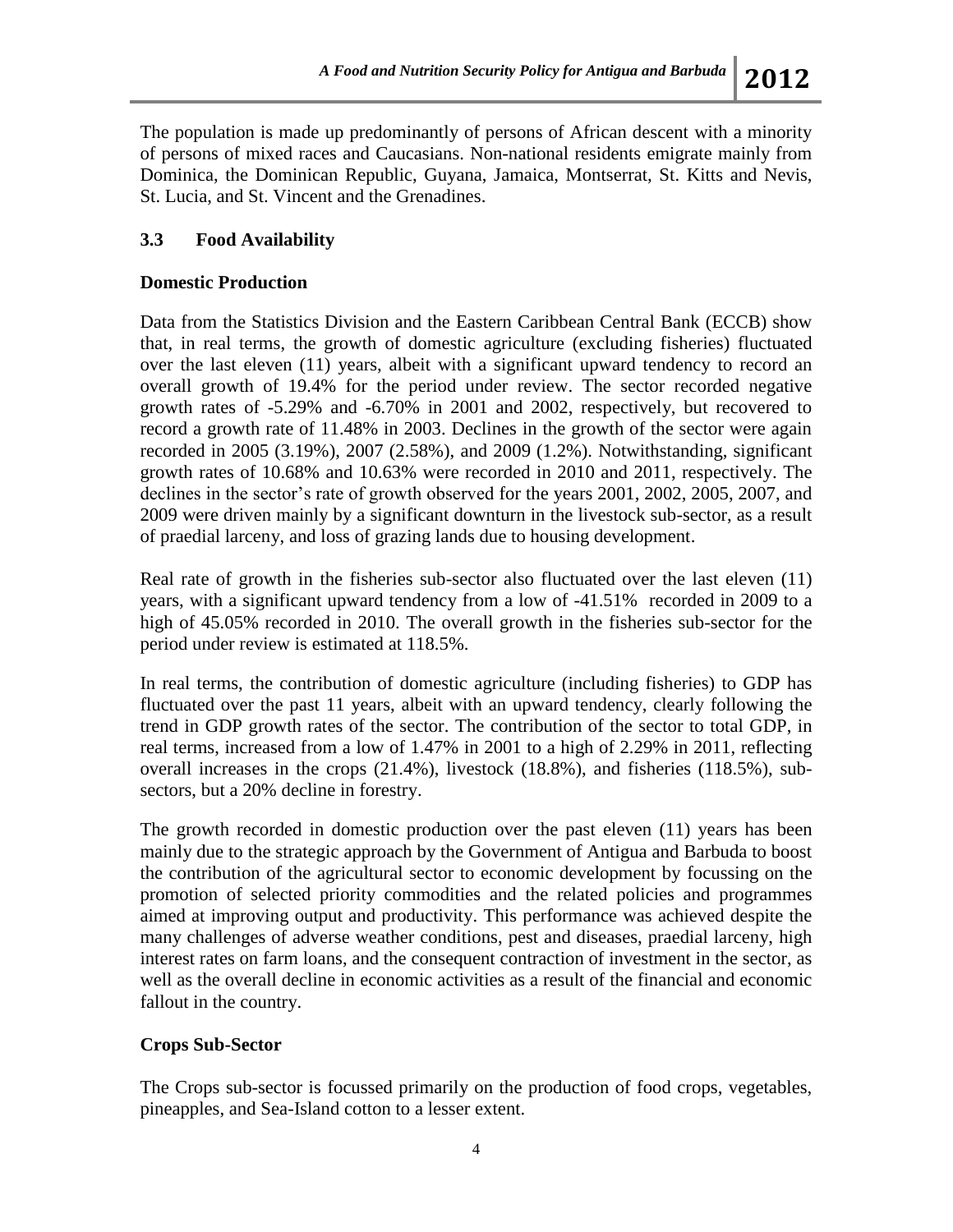The population is made up predominantly of persons of African descent with a minority of persons of mixed races and Caucasians. Non-national residents emigrate mainly from Dominica, the Dominican Republic, Guyana, Jamaica, Montserrat, St. Kitts and Nevis, St. Lucia, and St. Vincent and the Grenadines.

### **3.3 Food Availability**

#### **Domestic Production**

Data from the Statistics Division and the Eastern Caribbean Central Bank (ECCB) show that, in real terms, the growth of domestic agriculture (excluding fisheries) fluctuated over the last eleven (11) years, albeit with a significant upward tendency to record an overall growth of 19.4% for the period under review. The sector recorded negative growth rates of -5.29% and -6.70% in 2001 and 2002, respectively, but recovered to record a growth rate of 11.48% in 2003. Declines in the growth of the sector were again recorded in 2005 (3.19%), 2007 (2.58%), and 2009 (1.2%). Notwithstanding, significant growth rates of 10.68% and 10.63% were recorded in 2010 and 2011, respectively. The declines in the sector's rate of growth observed for the years 2001, 2002, 2005, 2007, and 2009 were driven mainly by a significant downturn in the livestock sub-sector, as a result of praedial larceny, and loss of grazing lands due to housing development.

Real rate of growth in the fisheries sub-sector also fluctuated over the last eleven (11) years, with a significant upward tendency from a low of -41.51% recorded in 2009 to a high of 45.05% recorded in 2010. The overall growth in the fisheries sub-sector for the period under review is estimated at 118.5%.

In real terms, the contribution of domestic agriculture (including fisheries) to GDP has fluctuated over the past 11 years, albeit with an upward tendency, clearly following the trend in GDP growth rates of the sector. The contribution of the sector to total GDP, in real terms, increased from a low of 1.47% in 2001 to a high of 2.29% in 2011, reflecting overall increases in the crops (21.4%), livestock (18.8%), and fisheries (118.5%), subsectors, but a 20% decline in forestry.

The growth recorded in domestic production over the past eleven (11) years has been mainly due to the strategic approach by the Government of Antigua and Barbuda to boost the contribution of the agricultural sector to economic development by focussing on the promotion of selected priority commodities and the related policies and programmes aimed at improving output and productivity. This performance was achieved despite the many challenges of adverse weather conditions, pest and diseases, praedial larceny, high interest rates on farm loans, and the consequent contraction of investment in the sector, as well as the overall decline in economic activities as a result of the financial and economic fallout in the country.

#### **Crops Sub-Sector**

The Crops sub-sector is focussed primarily on the production of food crops, vegetables, pineapples, and Sea-Island cotton to a lesser extent.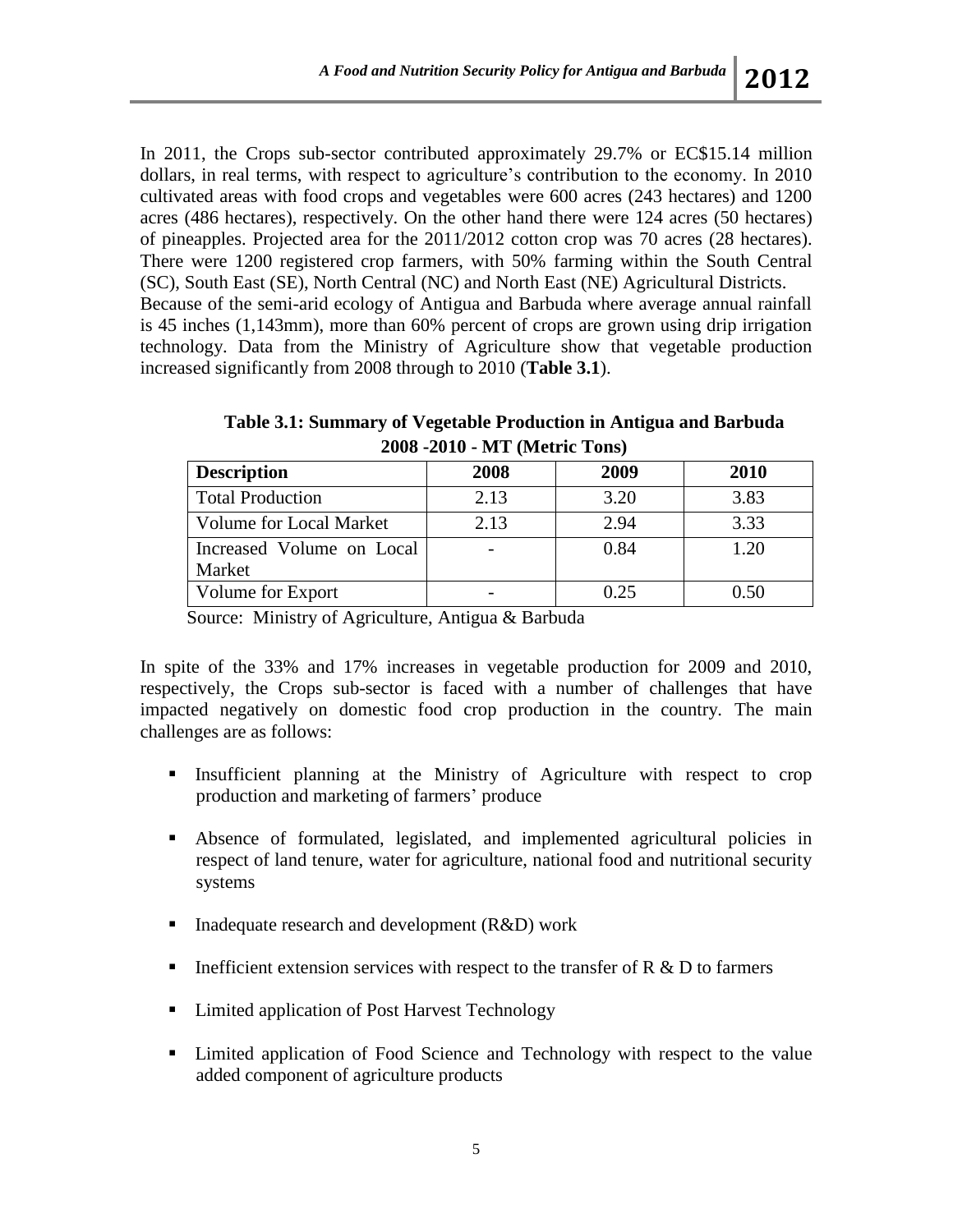In 2011, the Crops sub-sector contributed approximately 29.7% or EC\$15.14 million dollars, in real terms, with respect to agriculture's contribution to the economy. In 2010 cultivated areas with food crops and vegetables were 600 acres (243 hectares) and 1200 acres (486 hectares), respectively. On the other hand there were 124 acres (50 hectares) of pineapples. Projected area for the 2011/2012 cotton crop was 70 acres (28 hectares). There were 1200 registered crop farmers, with 50% farming within the South Central (SC), South East (SE), North Central (NC) and North East (NE) Agricultural Districts. Because of the semi-arid ecology of Antigua and Barbuda where average annual rainfall is 45 inches (1,143mm), more than 60% percent of crops are grown using drip irrigation technology. Data from the Ministry of Agriculture show that vegetable production increased significantly from 2008 through to 2010 (**Table 3.1**).

|                                | $\blacksquare$ |      |      |
|--------------------------------|----------------|------|------|
| <b>Description</b>             | 2008           | 2009 | 2010 |
| <b>Total Production</b>        | 2.13           | 3.20 | 3.83 |
| <b>Volume for Local Market</b> | 2.13           | 2.94 | 3.33 |
| Increased Volume on Local      |                | 0.84 | 1.20 |
| Market                         |                |      |      |
| Volume for Export              |                | 0.25 | 0.50 |

**Table 3.1: Summary of Vegetable Production in Antigua and Barbuda 2008 -2010 - MT (Metric Tons)**

Source: Ministry of Agriculture, Antigua & Barbuda

In spite of the 33% and 17% increases in vegetable production for 2009 and 2010, respectively, the Crops sub-sector is faced with a number of challenges that have impacted negatively on domestic food crop production in the country. The main challenges are as follows:

- Insufficient planning at the Ministry of Agriculture with respect to crop production and marketing of farmers' produce
- Absence of formulated, legislated, and implemented agricultural policies in respect of land tenure, water for agriculture, national food and nutritional security systems
- Inadequate research and development  $(R&D)$  work
- Inefficient extension services with respect to the transfer of  $R \& D$  to farmers
- Limited application of Post Harvest Technology
- Limited application of Food Science and Technology with respect to the value added component of agriculture products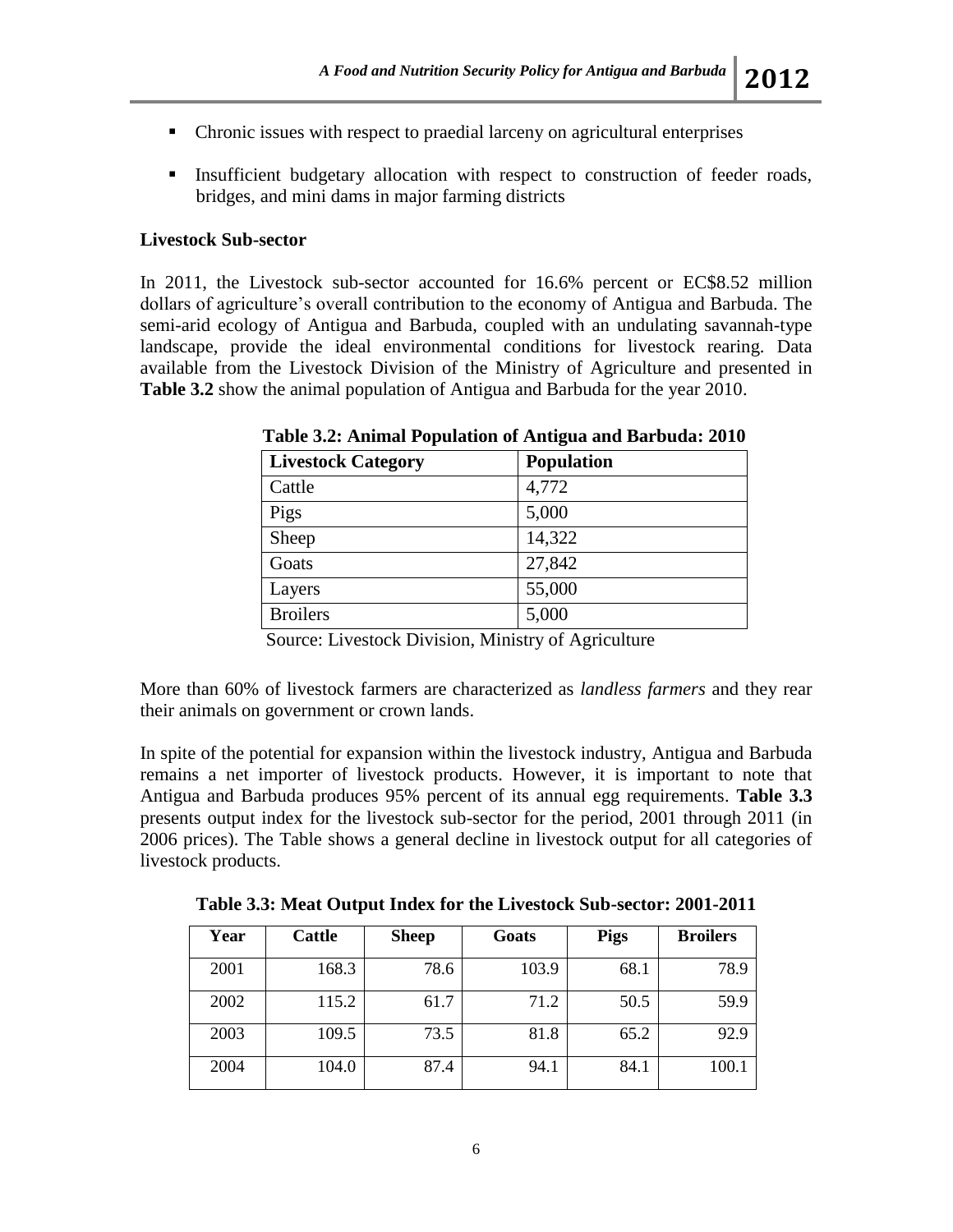- 
- Chronic issues with respect to praedial larceny on agricultural enterprises
- Insufficient budgetary allocation with respect to construction of feeder roads, bridges, and mini dams in major farming districts

### **Livestock Sub-sector**

In 2011, the Livestock sub-sector accounted for 16.6% percent or EC\$8.52 million dollars of agriculture's overall contribution to the economy of Antigua and Barbuda. The semi-arid ecology of Antigua and Barbuda, coupled with an undulating savannah-type landscape, provide the ideal environmental conditions for livestock rearing. Data available from the Livestock Division of the Ministry of Agriculture and presented in **Table 3.2** show the animal population of Antigua and Barbuda for the year 2010.

| <b>Livestock Category</b> | <b>Population</b> |
|---------------------------|-------------------|
| Cattle                    | 4,772             |
| Pigs                      | 5,000             |
| Sheep                     | 14,322            |
| Goats                     | 27,842            |
| Layers                    | 55,000            |
| <b>Broilers</b>           | 5,000             |

**Table 3.2: Animal Population of Antigua and Barbuda: 2010**

Source: Livestock Division, Ministry of Agriculture

More than 60% of livestock farmers are characterized as *landless farmers* and they rear their animals on government or crown lands.

In spite of the potential for expansion within the livestock industry, Antigua and Barbuda remains a net importer of livestock products. However, it is important to note that Antigua and Barbuda produces 95% percent of its annual egg requirements. **Table 3.3** presents output index for the livestock sub-sector for the period, 2001 through 2011 (in 2006 prices). The Table shows a general decline in livestock output for all categories of livestock products.

| Year | <b>Cattle</b> | <b>Sheep</b> | Goats | Pigs | <b>Broilers</b> |
|------|---------------|--------------|-------|------|-----------------|
| 2001 | 168.3         | 78.6         | 103.9 | 68.1 | 78.9            |
| 2002 | 115.2         | 61.7         | 71.2  | 50.5 | 59.9            |
| 2003 | 109.5         | 73.5         | 81.8  | 65.2 | 92.9            |
| 2004 | 104.0         | 87.4         | 94.1  | 84.1 | 100.1           |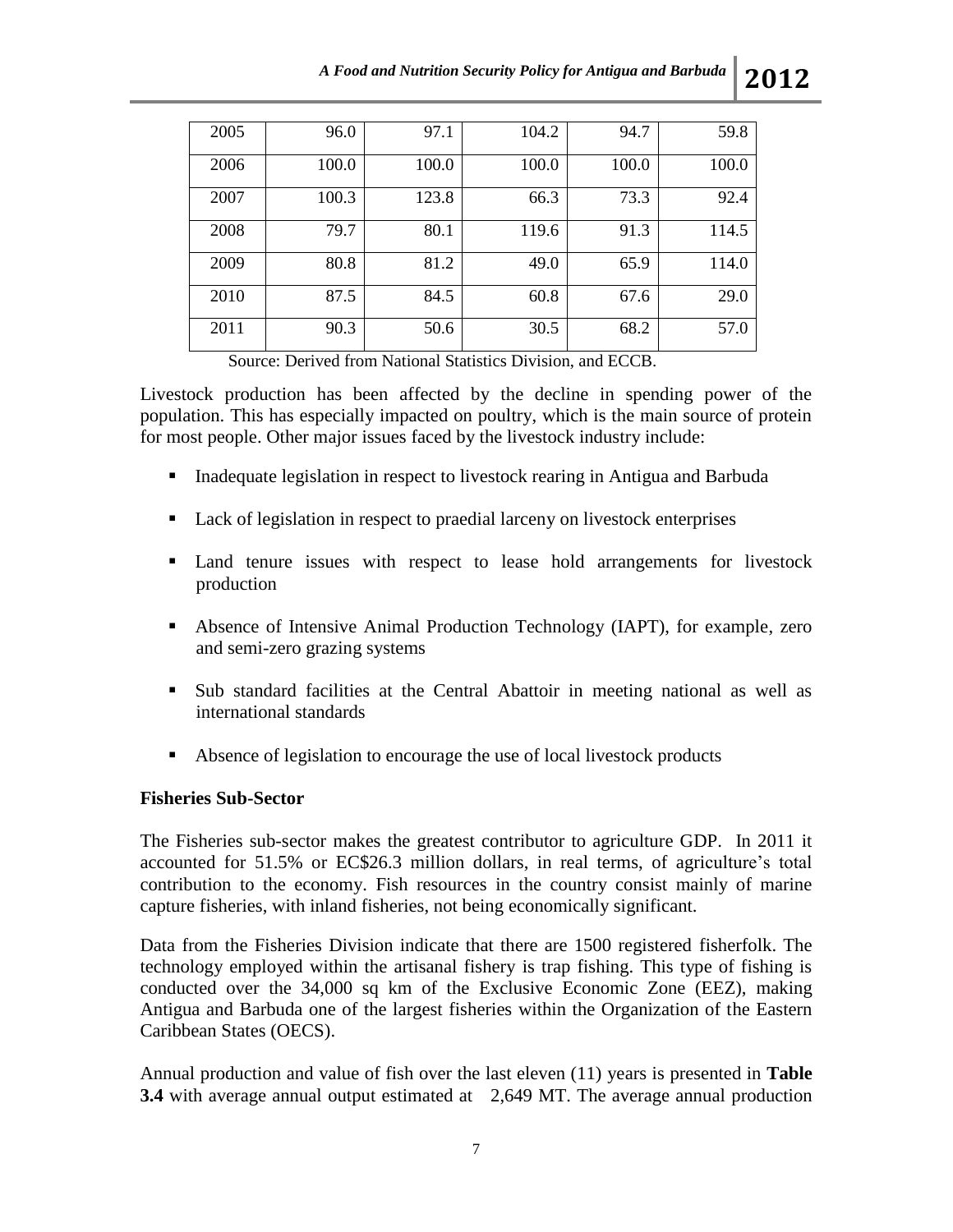| 2005 | 96.0  | 97.1  | 104.2 | 94.7  | 59.8  |
|------|-------|-------|-------|-------|-------|
| 2006 | 100.0 | 100.0 | 100.0 | 100.0 | 100.0 |
| 2007 | 100.3 | 123.8 | 66.3  | 73.3  | 92.4  |
| 2008 | 79.7  | 80.1  | 119.6 | 91.3  | 114.5 |
| 2009 | 80.8  | 81.2  | 49.0  | 65.9  | 114.0 |
| 2010 | 87.5  | 84.5  | 60.8  | 67.6  | 29.0  |
| 2011 | 90.3  | 50.6  | 30.5  | 68.2  | 57.0  |

Source: Derived from National Statistics Division, and ECCB.

Livestock production has been affected by the decline in spending power of the population. This has especially impacted on poultry, which is the main source of protein for most people. Other major issues faced by the livestock industry include:

- **I.** Inadequate legislation in respect to livestock rearing in Antigua and Barbuda
- Lack of legislation in respect to praedial larceny on livestock enterprises
- Land tenure issues with respect to lease hold arrangements for livestock production
- Absence of Intensive Animal Production Technology (IAPT), for example, zero and semi-zero grazing systems
- Sub standard facilities at the Central Abattoir in meeting national as well as international standards
- Absence of legislation to encourage the use of local livestock products

#### **Fisheries Sub-Sector**

The Fisheries sub-sector makes the greatest contributor to agriculture GDP. In 2011 it accounted for 51.5% or EC\$26.3 million dollars, in real terms, of agriculture's total contribution to the economy. Fish resources in the country consist mainly of marine capture fisheries, with inland fisheries, not being economically significant.

Data from the Fisheries Division indicate that there are 1500 registered fisherfolk. The technology employed within the artisanal fishery is trap fishing. This type of fishing is conducted over the 34,000 sq km of the Exclusive Economic Zone (EEZ), making Antigua and Barbuda one of the largest fisheries within the Organization of the Eastern Caribbean States (OECS).

Annual production and value of fish over the last eleven (11) years is presented in **Table 3.4** with average annual output estimated at 2,649 MT. The average annual production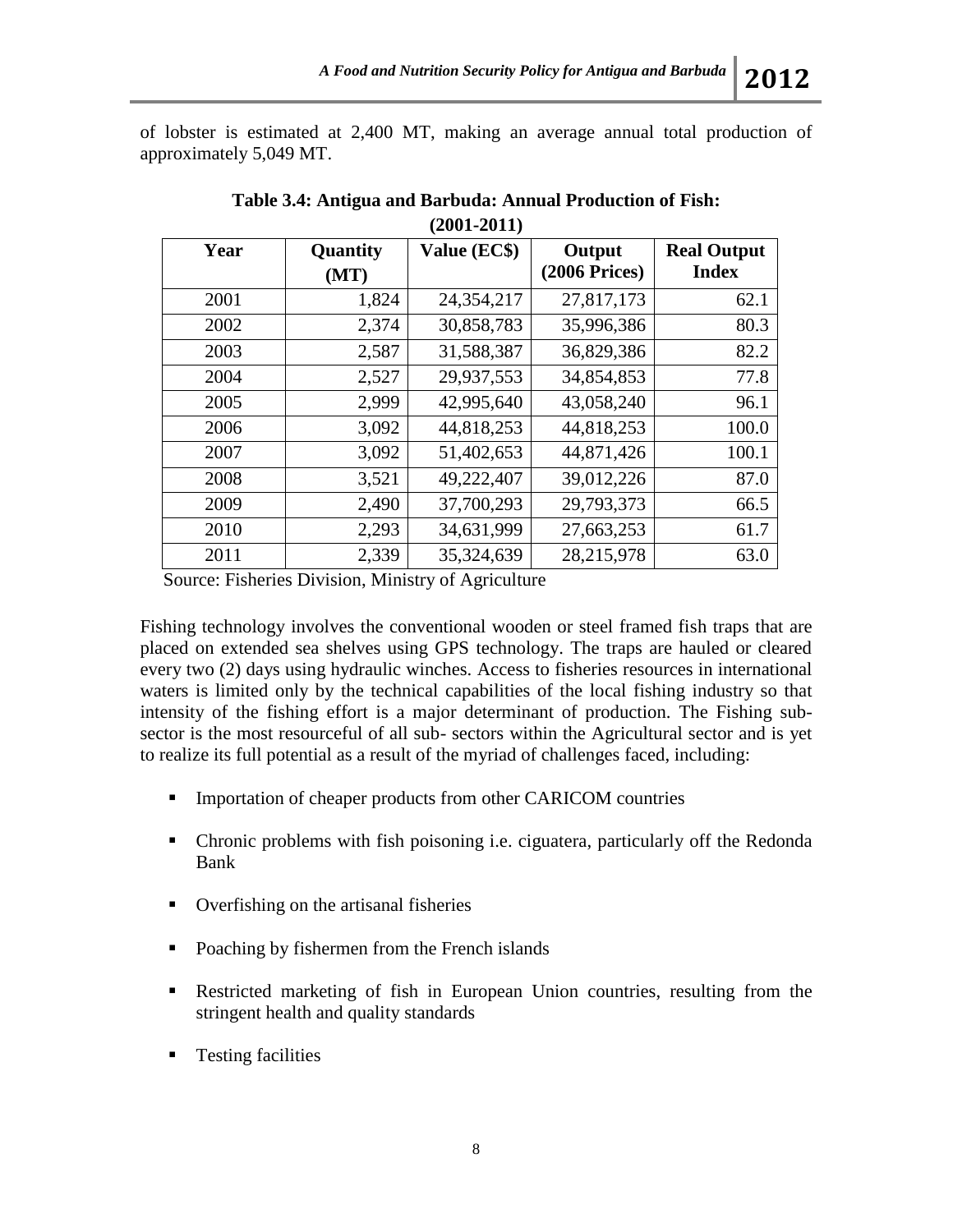of lobster is estimated at 2,400 MT, making an average annual total production of approximately 5,049 MT.

| $\mathbf{V}$ - $\mathbf{V}$ |                  |              |                              |                                    |  |  |
|-----------------------------|------------------|--------------|------------------------------|------------------------------------|--|--|
| Year                        | Quantity<br>(MT) | Value (EC\$) | Output<br>$(2006$ Prices $)$ | <b>Real Output</b><br><b>Index</b> |  |  |
| 2001                        | 1,824            | 24,354,217   | 27,817,173                   | 62.1                               |  |  |
| 2002                        | 2,374            | 30,858,783   | 35,996,386                   | 80.3                               |  |  |
| 2003                        | 2,587            | 31,588,387   | 36,829,386                   | 82.2                               |  |  |
| 2004                        | 2,527            | 29,937,553   | 34,854,853                   | 77.8                               |  |  |
| 2005                        | 2,999            | 42,995,640   | 43,058,240                   | 96.1                               |  |  |
| 2006                        | 3,092            | 44,818,253   | 44,818,253                   | 100.0                              |  |  |
| 2007                        | 3,092            | 51,402,653   | 44,871,426                   | 100.1                              |  |  |
| 2008                        | 3,521            | 49,222,407   | 39,012,226                   | 87.0                               |  |  |
| 2009                        | 2,490            | 37,700,293   | 29,793,373                   | 66.5                               |  |  |
| 2010                        | 2,293            | 34,631,999   | 27,663,253                   | 61.7                               |  |  |
| 2011                        | 2,339            | 35,324,639   | 28,215,978                   | 63.0                               |  |  |

**Table 3.4: Antigua and Barbuda: Annual Production of Fish: (2001-2011)**

Source: Fisheries Division, Ministry of Agriculture

Fishing technology involves the conventional wooden or steel framed fish traps that are placed on extended sea shelves using GPS technology. The traps are hauled or cleared every two (2) days using hydraulic winches. Access to fisheries resources in international waters is limited only by the technical capabilities of the local fishing industry so that intensity of the fishing effort is a major determinant of production. The Fishing subsector is the most resourceful of all sub- sectors within the Agricultural sector and is yet to realize its full potential as a result of the myriad of challenges faced, including:

- **Importation of cheaper products from other CARICOM countries**
- Chronic problems with fish poisoning i.e. ciguatera, particularly off the Redonda Bank
- Overfishing on the artisanal fisheries
- Poaching by fishermen from the French islands
- Restricted marketing of fish in European Union countries, resulting from the stringent health and quality standards
- **Testing facilities**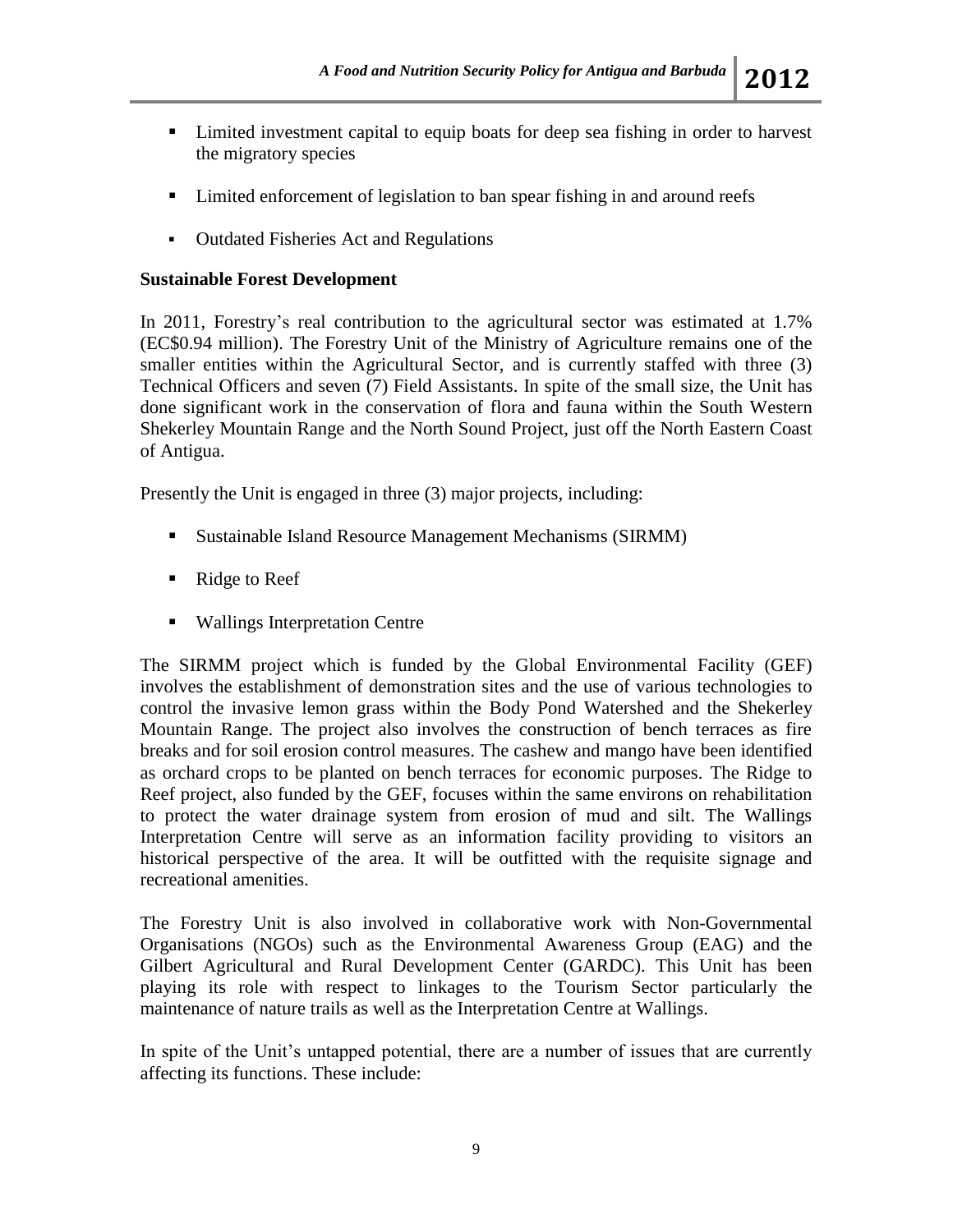### Limited investment capital to equip boats for deep sea fishing in order to harvest the migratory species

- Limited enforcement of legislation to ban spear fishing in and around reefs
- Outdated Fisheries Act and Regulations

#### **Sustainable Forest Development**

In 2011, Forestry's real contribution to the agricultural sector was estimated at 1.7% (EC\$0.94 million). The Forestry Unit of the Ministry of Agriculture remains one of the smaller entities within the Agricultural Sector, and is currently staffed with three (3) Technical Officers and seven (7) Field Assistants. In spite of the small size, the Unit has done significant work in the conservation of flora and fauna within the South Western Shekerley Mountain Range and the North Sound Project, just off the North Eastern Coast of Antigua.

Presently the Unit is engaged in three (3) major projects, including:

- Sustainable Island Resource Management Mechanisms (SIRMM)
- Ridge to Reef
- Wallings Interpretation Centre

The SIRMM project which is funded by the Global Environmental Facility (GEF) involves the establishment of demonstration sites and the use of various technologies to control the invasive lemon grass within the Body Pond Watershed and the Shekerley Mountain Range. The project also involves the construction of bench terraces as fire breaks and for soil erosion control measures. The cashew and mango have been identified as orchard crops to be planted on bench terraces for economic purposes. The Ridge to Reef project, also funded by the GEF, focuses within the same environs on rehabilitation to protect the water drainage system from erosion of mud and silt. The Wallings Interpretation Centre will serve as an information facility providing to visitors an historical perspective of the area. It will be outfitted with the requisite signage and recreational amenities.

The Forestry Unit is also involved in collaborative work with Non-Governmental Organisations (NGOs) such as the Environmental Awareness Group (EAG) and the Gilbert Agricultural and Rural Development Center (GARDC). This Unit has been playing its role with respect to linkages to the Tourism Sector particularly the maintenance of nature trails as well as the Interpretation Centre at Wallings.

In spite of the Unit's untapped potential, there are a number of issues that are currently affecting its functions. These include: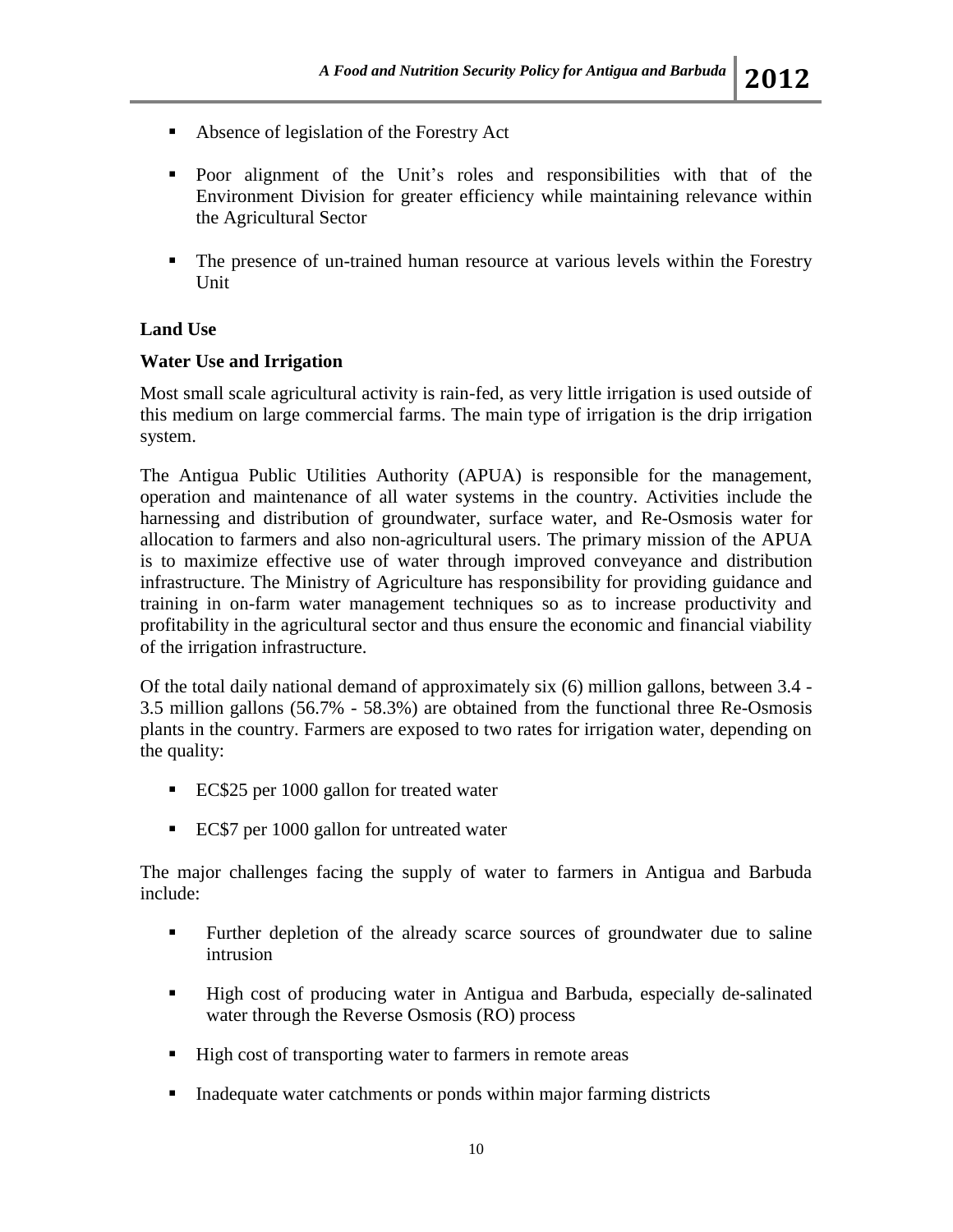- Absence of legislation of the Forestry Act
- Poor alignment of the Unit's roles and responsibilities with that of the Environment Division for greater efficiency while maintaining relevance within the Agricultural Sector
- The presence of un-trained human resource at various levels within the Forestry Unit

### **Land Use**

#### **Water Use and Irrigation**

Most small scale agricultural activity is rain-fed, as very little irrigation is used outside of this medium on large commercial farms. The main type of irrigation is the drip irrigation system.

The Antigua Public Utilities Authority (APUA) is responsible for the management, operation and maintenance of all water systems in the country. Activities include the harnessing and distribution of groundwater, surface water, and Re-Osmosis water for allocation to farmers and also non-agricultural users. The primary mission of the APUA is to maximize effective use of water through improved conveyance and distribution infrastructure. The Ministry of Agriculture has responsibility for providing guidance and training in on-farm water management techniques so as to increase productivity and profitability in the agricultural sector and thus ensure the economic and financial viability of the irrigation infrastructure.

Of the total daily national demand of approximately six (6) million gallons, between 3.4 - 3.5 million gallons (56.7% - 58.3%) are obtained from the functional three Re-Osmosis plants in the country. Farmers are exposed to two rates for irrigation water, depending on the quality:

- EC\$25 per 1000 gallon for treated water
- EC\$7 per 1000 gallon for untreated water

The major challenges facing the supply of water to farmers in Antigua and Barbuda include:

- Further depletion of the already scarce sources of groundwater due to saline intrusion
- High cost of producing water in Antigua and Barbuda, especially de-salinated water through the Reverse Osmosis (RO) process
- High cost of transporting water to farmers in remote areas
- **Inadequate water catchments or ponds within major farming districts**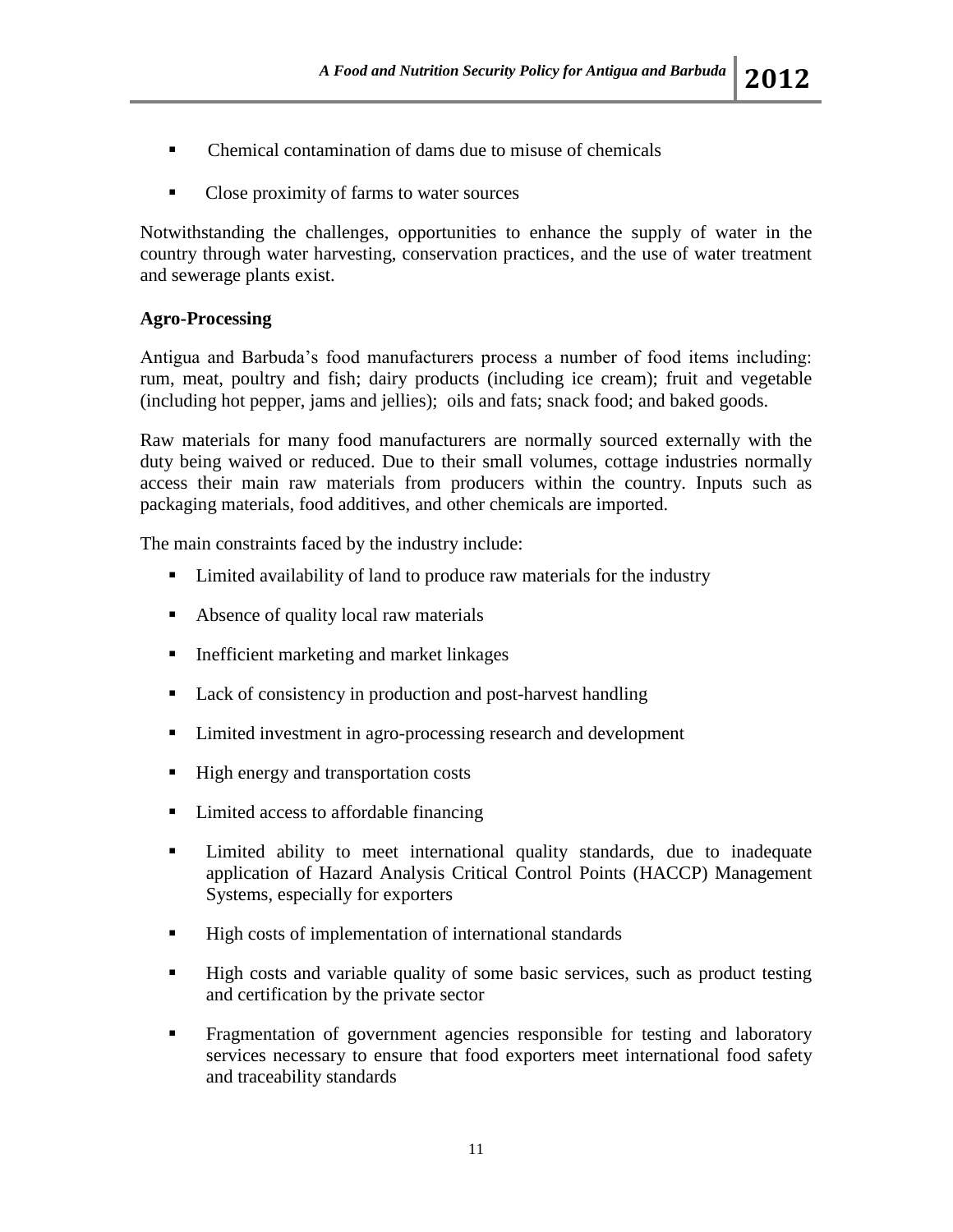- Chemical contamination of dams due to misuse of chemicals
- Close proximity of farms to water sources

Notwithstanding the challenges, opportunities to enhance the supply of water in the country through water harvesting, conservation practices, and the use of water treatment and sewerage plants exist.

#### **Agro-Processing**

Antigua and Barbuda's food manufacturers process a number of food items including: rum, meat, poultry and fish; dairy products (including ice cream); fruit and vegetable (including hot pepper, jams and jellies); oils and fats; snack food; and baked goods.

Raw materials for many food manufacturers are normally sourced externally with the duty being waived or reduced. Due to their small volumes, cottage industries normally access their main raw materials from producers within the country. Inputs such as packaging materials, food additives, and other chemicals are imported.

The main constraints faced by the industry include:

- Limited availability of land to produce raw materials for the industry
- Absence of quality local raw materials
- **Inefficient marketing and market linkages**
- Lack of consistency in production and post-harvest handling
- Limited investment in agro-processing research and development
- High energy and transportation costs
- Limited access to affordable financing
- Limited ability to meet international quality standards, due to inadequate application of Hazard Analysis Critical Control Points (HACCP) Management Systems, especially for exporters
- High costs of implementation of international standards
- High costs and variable quality of some basic services, such as product testing and certification by the private sector
- **Fragmentation of government agencies responsible for testing and laboratory** services necessary to ensure that food exporters meet international food safety and traceability standards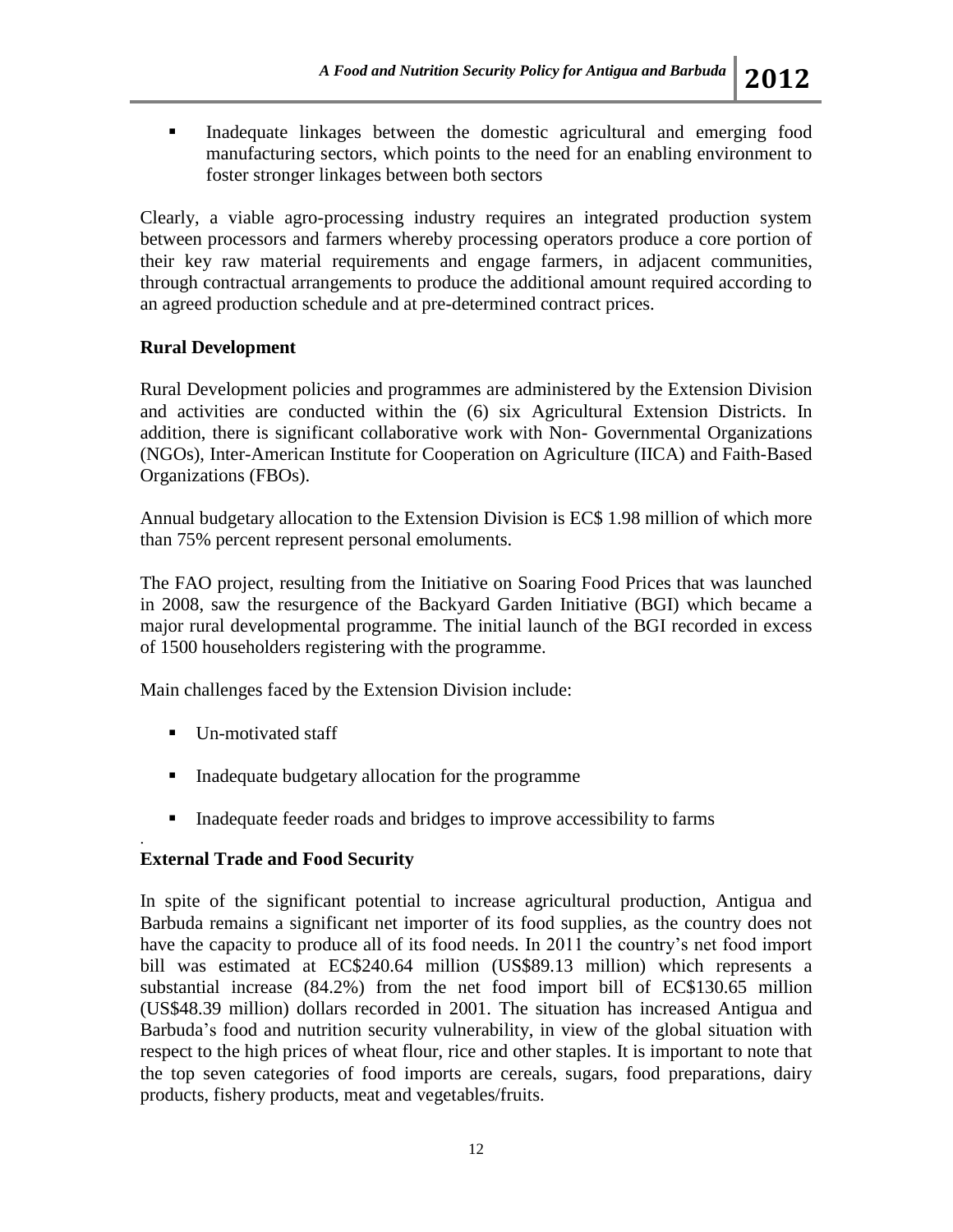Inadequate linkages between the domestic agricultural and emerging food manufacturing sectors, which points to the need for an enabling environment to foster stronger linkages between both sectors

Clearly, a viable agro-processing industry requires an integrated production system between processors and farmers whereby processing operators produce a core portion of their key raw material requirements and engage farmers, in adjacent communities, through contractual arrangements to produce the additional amount required according to an agreed production schedule and at pre-determined contract prices.

### **Rural Development**

Rural Development policies and programmes are administered by the Extension Division and activities are conducted within the (6) six Agricultural Extension Districts. In addition, there is significant collaborative work with Non- Governmental Organizations (NGOs), Inter-American Institute for Cooperation on Agriculture (IICA) and Faith-Based Organizations (FBOs).

Annual budgetary allocation to the Extension Division is EC\$ 1.98 million of which more than 75% percent represent personal emoluments.

The FAO project, resulting from the Initiative on Soaring Food Prices that was launched in 2008, saw the resurgence of the Backyard Garden Initiative (BGI) which became a major rural developmental programme. The initial launch of the BGI recorded in excess of 1500 householders registering with the programme.

Main challenges faced by the Extension Division include:

Un-motivated staff

.

- Inadequate budgetary allocation for the programme
- Inadequate feeder roads and bridges to improve accessibility to farms

#### **External Trade and Food Security**

In spite of the significant potential to increase agricultural production, Antigua and Barbuda remains a significant net importer of its food supplies, as the country does not have the capacity to produce all of its food needs. In 2011 the country's net food import bill was estimated at EC\$240.64 million (US\$89.13 million) which represents a substantial increase (84.2%) from the net food import bill of EC\$130.65 million (US\$48.39 million) dollars recorded in 2001. The situation has increased Antigua and Barbuda's food and nutrition security vulnerability, in view of the global situation with respect to the high prices of wheat flour, rice and other staples. It is important to note that the top seven categories of food imports are cereals, sugars, food preparations, dairy products, fishery products, meat and vegetables/fruits.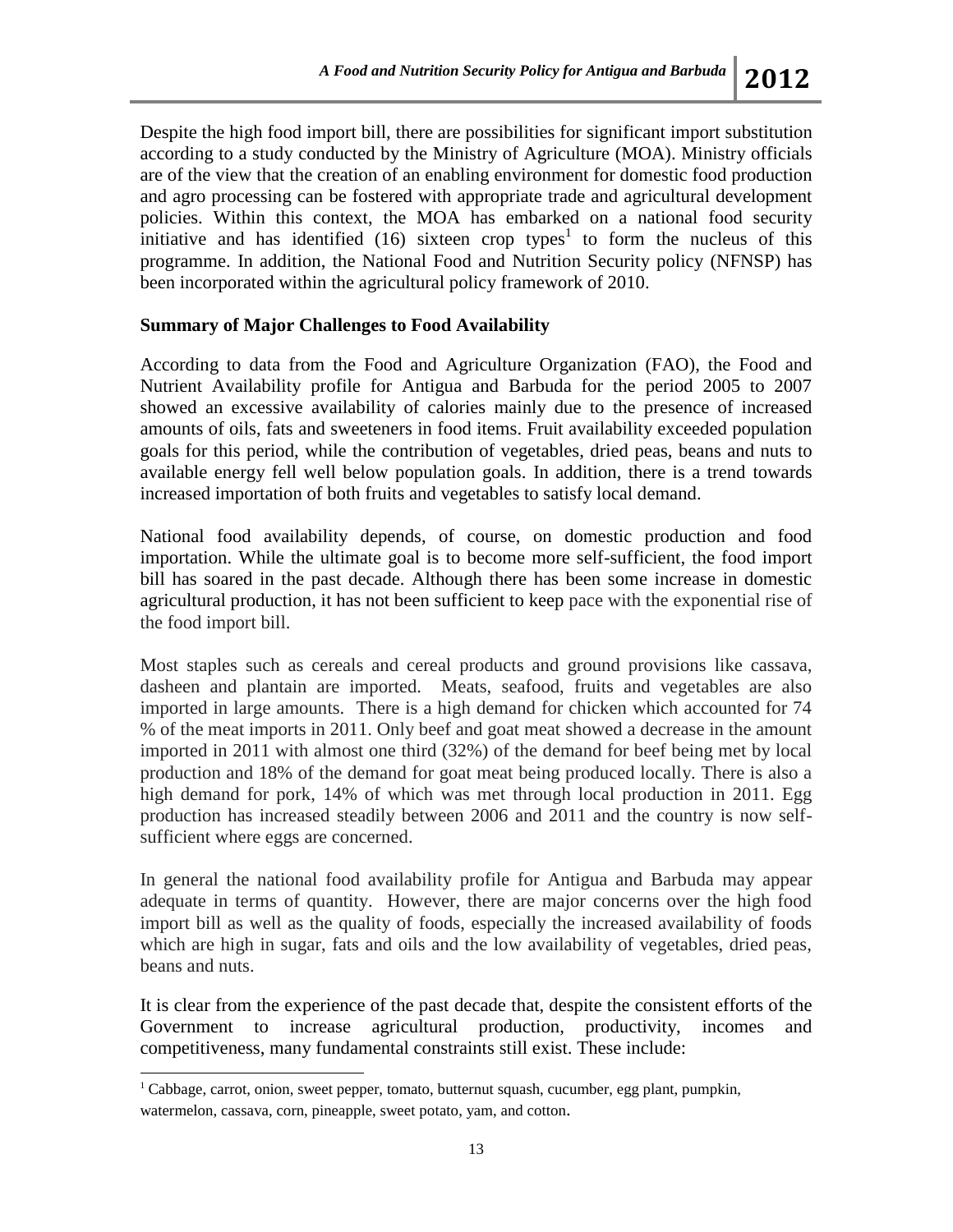Despite the high food import bill, there are possibilities for significant import substitution according to a study conducted by the Ministry of Agriculture (MOA). Ministry officials are of the view that the creation of an enabling environment for domestic food production and agro processing can be fostered with appropriate trade and agricultural development policies. Within this context, the MOA has embarked on a national food security initiative and has identified  $(16)$  sixteen crop types<sup>1</sup> to form the nucleus of this programme. In addition, the National Food and Nutrition Security policy (NFNSP) has been incorporated within the agricultural policy framework of 2010.

#### **Summary of Major Challenges to Food Availability**

According to data from the Food and Agriculture Organization (FAO), the Food and Nutrient Availability profile for Antigua and Barbuda for the period 2005 to 2007 showed an excessive availability of calories mainly due to the presence of increased amounts of oils, fats and sweeteners in food items. Fruit availability exceeded population goals for this period, while the contribution of vegetables, dried peas, beans and nuts to available energy fell well below population goals. In addition, there is a trend towards increased importation of both fruits and vegetables to satisfy local demand.

National food availability depends, of course, on domestic production and food importation. While the ultimate goal is to become more self-sufficient, the food import bill has soared in the past decade. Although there has been some increase in domestic agricultural production, it has not been sufficient to keep pace with the exponential rise of the food import bill.

Most staples such as cereals and cereal products and ground provisions like cassava, dasheen and plantain are imported. Meats, seafood, fruits and vegetables are also imported in large amounts. There is a high demand for chicken which accounted for 74 % of the meat imports in 2011. Only beef and goat meat showed a decrease in the amount imported in 2011 with almost one third (32%) of the demand for beef being met by local production and 18% of the demand for goat meat being produced locally. There is also a high demand for pork, 14% of which was met through local production in 2011. Egg production has increased steadily between 2006 and 2011 and the country is now selfsufficient where eggs are concerned.

In general the national food availability profile for Antigua and Barbuda may appear adequate in terms of quantity. However, there are major concerns over the high food import bill as well as the quality of foods, especially the increased availability of foods which are high in sugar, fats and oils and the low availability of vegetables, dried peas, beans and nuts.

It is clear from the experience of the past decade that, despite the consistent efforts of the Government to increase agricultural production, productivity, incomes and competitiveness, many fundamental constraints still exist. These include:

 $\overline{\phantom{a}}$ 

<sup>&</sup>lt;sup>1</sup> Cabbage, carrot, onion, sweet pepper, tomato, butternut squash, cucumber, egg plant, pumpkin, watermelon, cassava, corn, pineapple, sweet potato, yam, and cotton.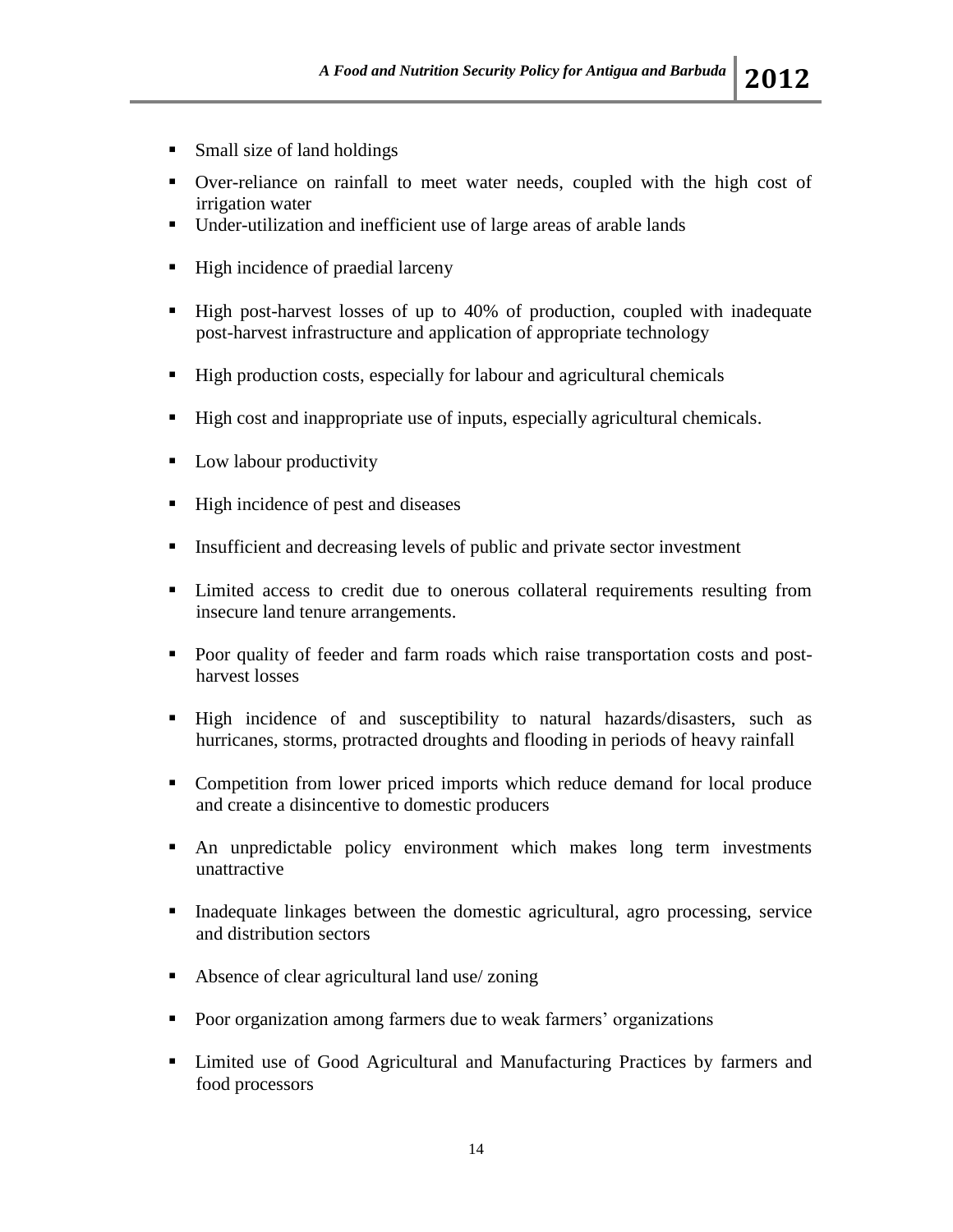- Small size of land holdings
- Over-reliance on rainfall to meet water needs, coupled with the high cost of irrigation water
- Under-utilization and inefficient use of large areas of arable lands
- $\blacksquare$  High incidence of praedial larceny
- High post-harvest losses of up to 40% of production, coupled with inadequate post-harvest infrastructure and application of appropriate technology
- High production costs, especially for labour and agricultural chemicals
- High cost and inappropriate use of inputs, especially agricultural chemicals.
- **Low labour productivity**
- High incidence of pest and diseases
- Insufficient and decreasing levels of public and private sector investment
- Limited access to credit due to onerous collateral requirements resulting from insecure land tenure arrangements.
- Poor quality of feeder and farm roads which raise transportation costs and postharvest losses
- High incidence of and susceptibility to natural hazards/disasters, such as hurricanes, storms, protracted droughts and flooding in periods of heavy rainfall
- Competition from lower priced imports which reduce demand for local produce and create a disincentive to domestic producers
- An unpredictable policy environment which makes long term investments unattractive
- Inadequate linkages between the domestic agricultural, agro processing, service and distribution sectors
- Absence of clear agricultural land use/ zoning
- Poor organization among farmers due to weak farmers' organizations
- Limited use of Good Agricultural and Manufacturing Practices by farmers and food processors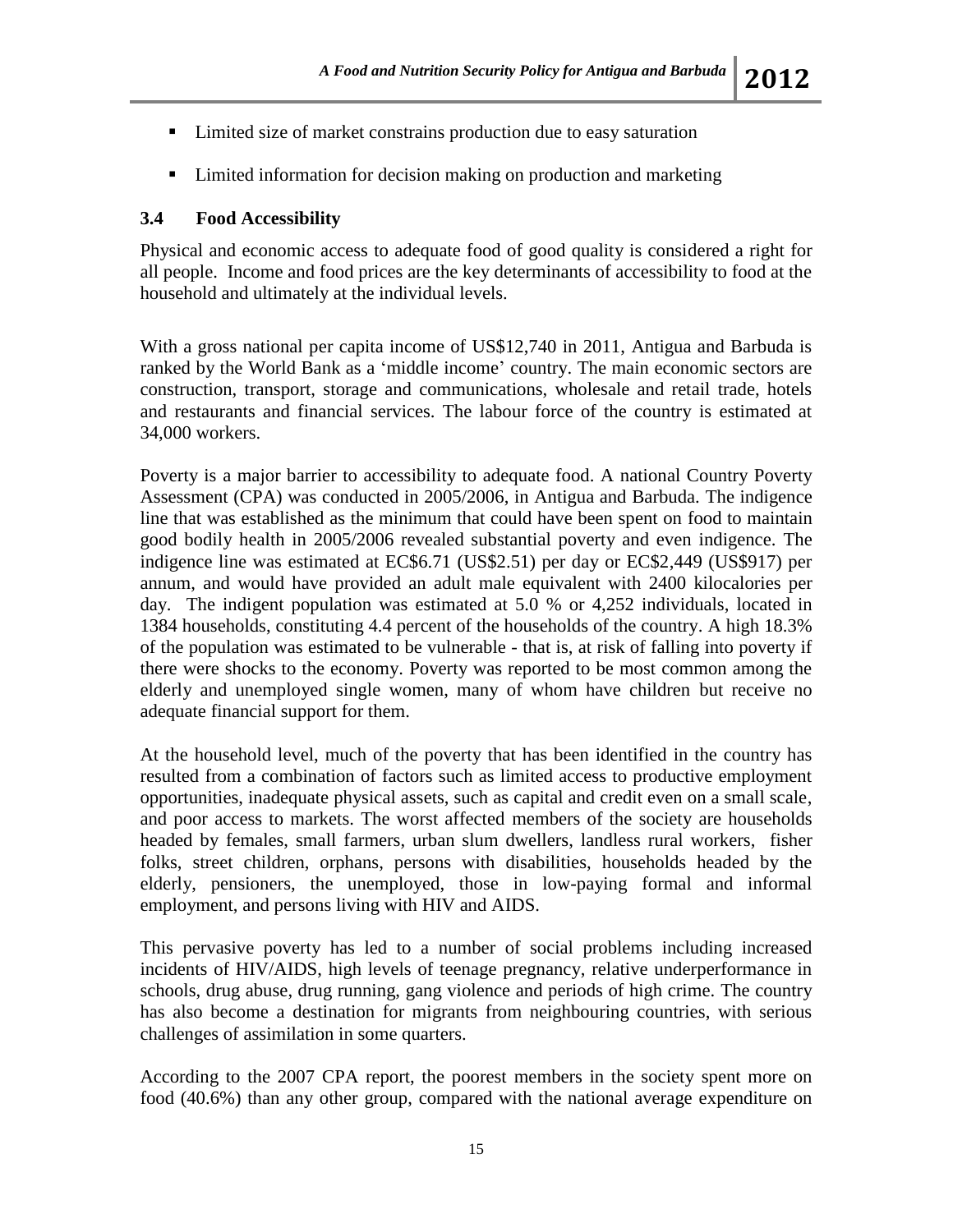- Limited size of market constrains production due to easy saturation
- Limited information for decision making on production and marketing

### **3.4 Food Accessibility**

Physical and economic access to adequate food of good quality is considered a right for all people. Income and food prices are the key determinants of accessibility to food at the household and ultimately at the individual levels.

With a gross national per capita income of US\$12,740 in 2011, Antigua and Barbuda is ranked by the World Bank as a 'middle income' country. The main economic sectors are construction, transport, storage and communications, wholesale and retail trade, hotels and restaurants and financial services. The labour force of the country is estimated at 34,000 workers.

Poverty is a major barrier to accessibility to adequate food. A national Country Poverty Assessment (CPA) was conducted in 2005/2006, in Antigua and Barbuda. The indigence line that was established as the minimum that could have been spent on food to maintain good bodily health in 2005/2006 revealed substantial poverty and even indigence. The indigence line was estimated at EC\$6.71 (US\$2.51) per day or EC\$2,449 (US\$917) per annum, and would have provided an adult male equivalent with 2400 kilocalories per day. The indigent population was estimated at 5.0 % or 4,252 individuals, located in 1384 households, constituting 4.4 percent of the households of the country. A high 18.3% of the population was estimated to be vulnerable - that is, at risk of falling into poverty if there were shocks to the economy. Poverty was reported to be most common among the elderly and unemployed single women, many of whom have children but receive no adequate financial support for them.

At the household level, much of the poverty that has been identified in the country has resulted from a combination of factors such as limited access to productive employment opportunities, inadequate physical assets, such as capital and credit even on a small scale, and poor access to markets. The worst affected members of the society are households headed by females, small farmers, urban slum dwellers, landless rural workers, fisher folks, street children, orphans, persons with disabilities, households headed by the elderly, pensioners, the unemployed, those in low-paying formal and informal employment, and persons living with HIV and AIDS.

This pervasive poverty has led to a number of social problems including increased incidents of HIV/AIDS, high levels of teenage pregnancy, relative underperformance in schools, drug abuse, drug running, gang violence and periods of high crime. The country has also become a destination for migrants from neighbouring countries, with serious challenges of assimilation in some quarters.

According to the 2007 CPA report, the poorest members in the society spent more on food (40.6%) than any other group, compared with the national average expenditure on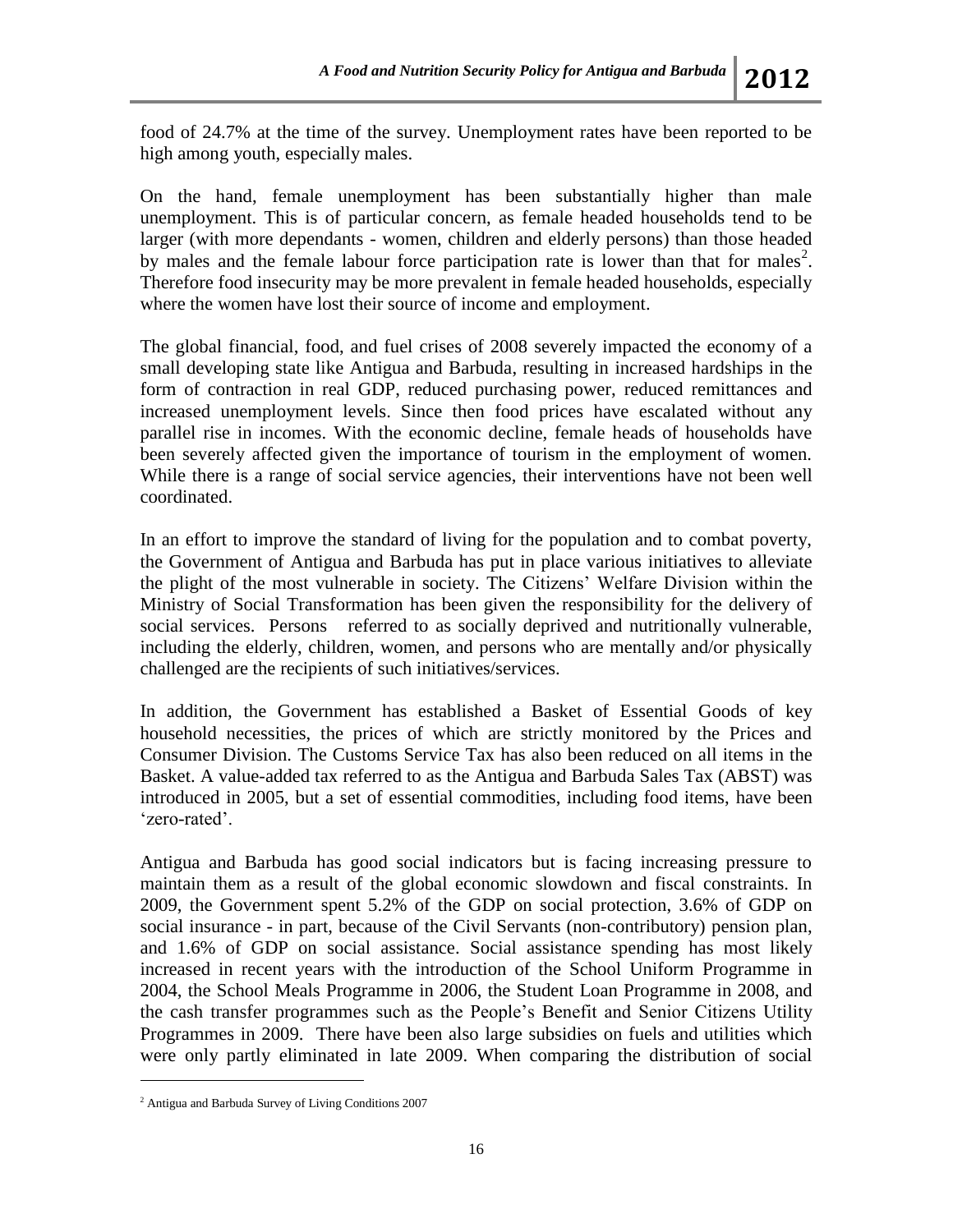food of 24.7% at the time of the survey. Unemployment rates have been reported to be high among youth, especially males.

On the hand, female unemployment has been substantially higher than male unemployment. This is of particular concern, as female headed households tend to be larger (with more dependants - women, children and elderly persons) than those headed by males and the female labour force participation rate is lower than that for males<sup>2</sup>. Therefore food insecurity may be more prevalent in female headed households, especially where the women have lost their source of income and employment.

The global financial, food, and fuel crises of 2008 severely impacted the economy of a small developing state like Antigua and Barbuda, resulting in increased hardships in the form of contraction in real GDP, reduced purchasing power, reduced remittances and increased unemployment levels. Since then food prices have escalated without any parallel rise in incomes. With the economic decline, female heads of households have been severely affected given the importance of tourism in the employment of women. While there is a range of social service agencies, their interventions have not been well coordinated.

In an effort to improve the standard of living for the population and to combat poverty, the Government of Antigua and Barbuda has put in place various initiatives to alleviate the plight of the most vulnerable in society. The Citizens' Welfare Division within the Ministry of Social Transformation has been given the responsibility for the delivery of social services. Persons referred to as socially deprived and nutritionally vulnerable, including the elderly, children, women, and persons who are mentally and/or physically challenged are the recipients of such initiatives/services.

In addition, the Government has established a Basket of Essential Goods of key household necessities, the prices of which are strictly monitored by the Prices and Consumer Division. The Customs Service Tax has also been reduced on all items in the Basket. A value-added tax referred to as the Antigua and Barbuda Sales Tax (ABST) was introduced in 2005, but a set of essential commodities, including food items, have been 'zero-rated'.

Antigua and Barbuda has good social indicators but is facing increasing pressure to maintain them as a result of the global economic slowdown and fiscal constraints. In 2009, the Government spent 5.2% of the GDP on social protection, 3.6% of GDP on social insurance - in part, because of the Civil Servants (non-contributory) pension plan, and 1.6% of GDP on social assistance. Social assistance spending has most likely increased in recent years with the introduction of the School Uniform Programme in 2004, the School Meals Programme in 2006, the Student Loan Programme in 2008, and the cash transfer programmes such as the People's Benefit and Senior Citizens Utility Programmes in 2009. There have been also large subsidies on fuels and utilities which were only partly eliminated in late 2009. When comparing the distribution of social

 $\overline{a}$ 

<sup>2</sup> Antigua and Barbuda Survey of Living Conditions 2007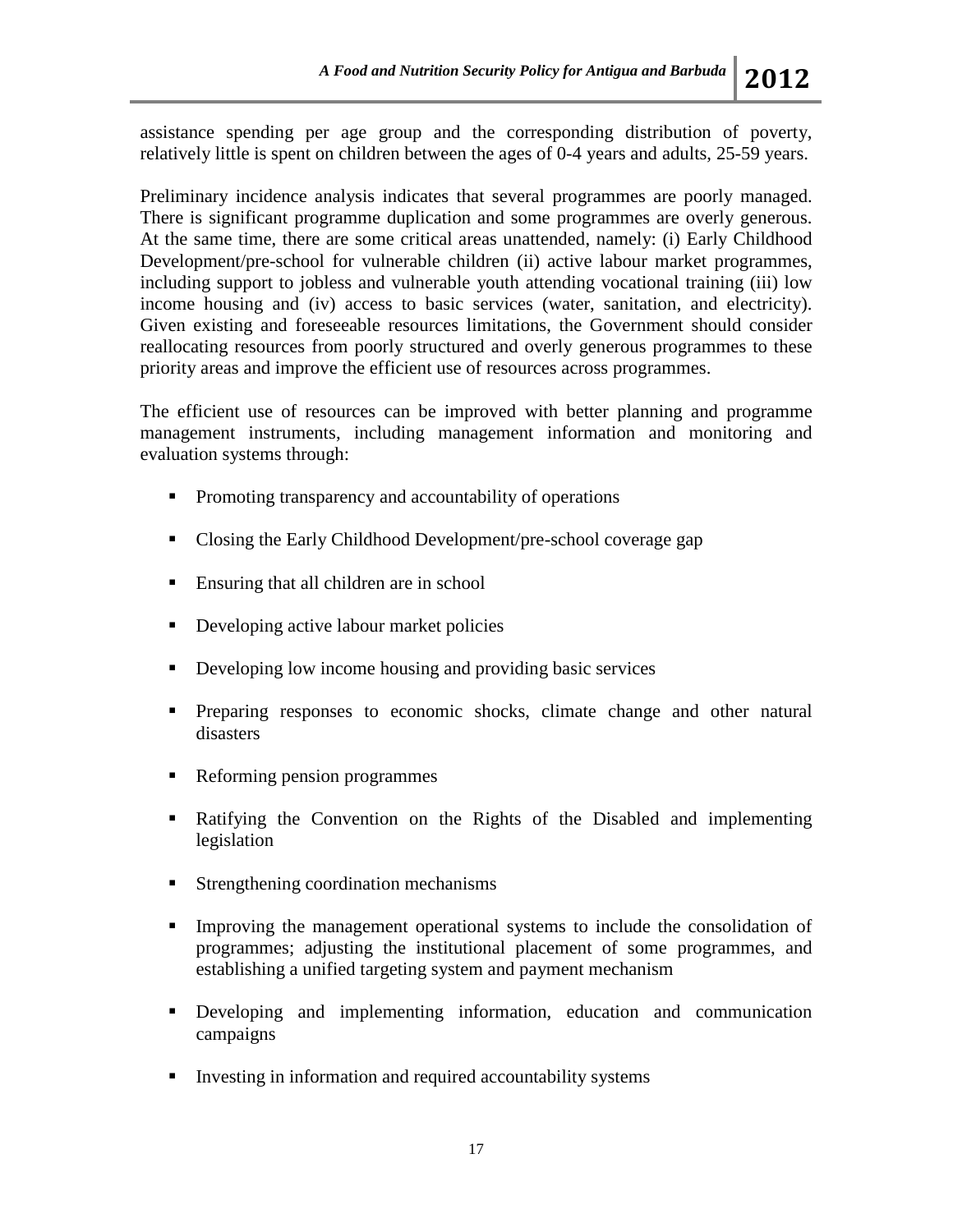assistance spending per age group and the corresponding distribution of poverty, relatively little is spent on children between the ages of 0-4 years and adults, 25-59 years.

Preliminary incidence analysis indicates that several programmes are poorly managed. There is significant programme duplication and some programmes are overly generous. At the same time, there are some critical areas unattended, namely: (i) Early Childhood Development/pre-school for vulnerable children (ii) active labour market programmes, including support to jobless and vulnerable youth attending vocational training (iii) low income housing and (iv) access to basic services (water, sanitation, and electricity). Given existing and foreseeable resources limitations, the Government should consider reallocating resources from poorly structured and overly generous programmes to these priority areas and improve the efficient use of resources across programmes.

The efficient use of resources can be improved with better planning and programme management instruments, including management information and monitoring and evaluation systems through:

- Promoting transparency and accountability of operations
- Closing the Early Childhood Development/pre-school coverage gap
- Ensuring that all children are in school
- Developing active labour market policies
- Developing low income housing and providing basic services
- Preparing responses to economic shocks, climate change and other natural disasters
- Reforming pension programmes
- Ratifying the Convention on the Rights of the Disabled and implementing legislation
- Strengthening coordination mechanisms
- Improving the management operational systems to include the consolidation of programmes; adjusting the institutional placement of some programmes, and establishing a unified targeting system and payment mechanism
- Developing and implementing information, education and communication campaigns
- **Investing in information and required accountability systems**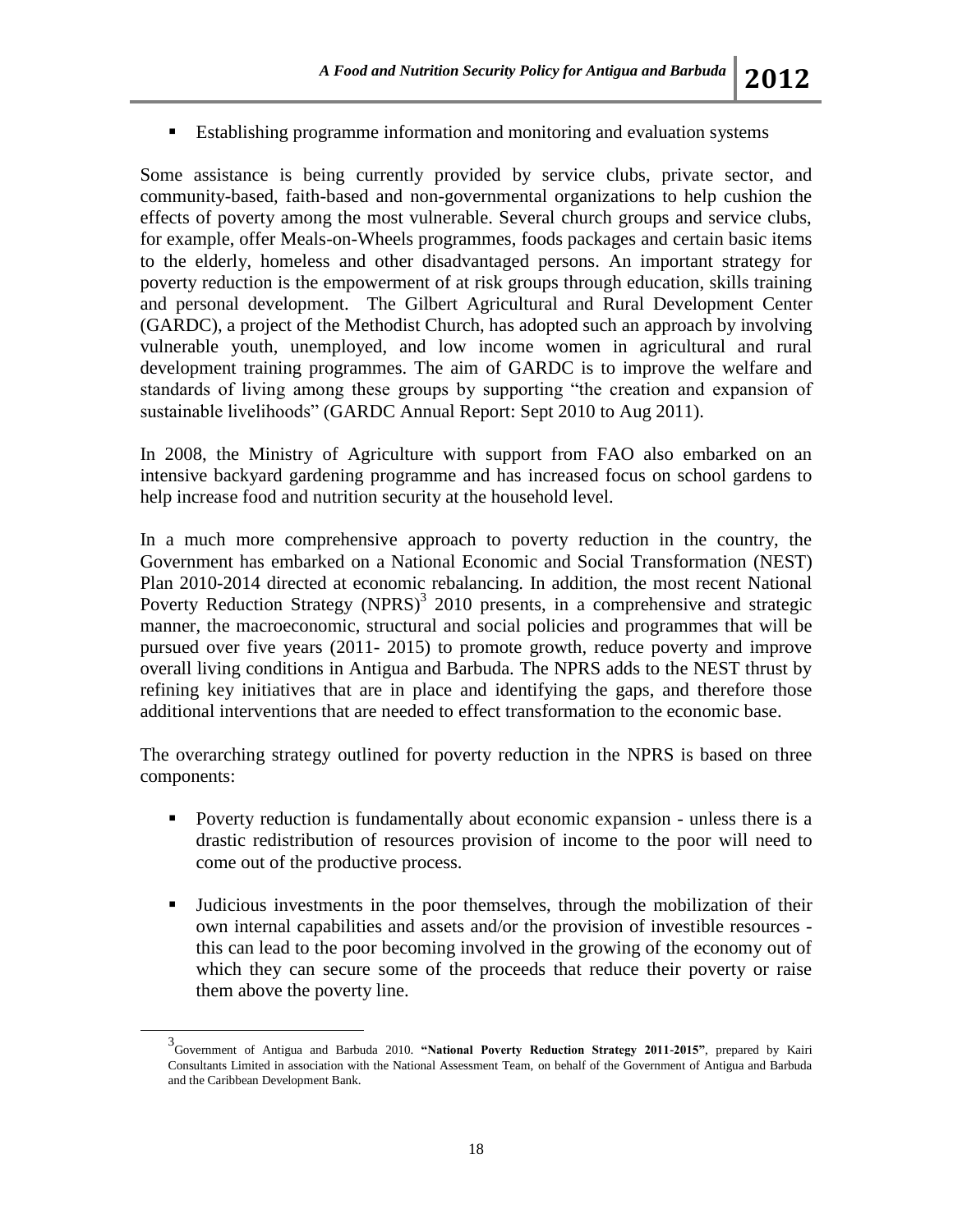Establishing programme information and monitoring and evaluation systems

Some assistance is being currently provided by service clubs, private sector, and community-based, faith-based and non-governmental organizations to help cushion the effects of poverty among the most vulnerable. Several church groups and service clubs, for example, offer Meals-on-Wheels programmes, foods packages and certain basic items to the elderly, homeless and other disadvantaged persons. An important strategy for poverty reduction is the empowerment of at risk groups through education, skills training and personal development. The Gilbert Agricultural and Rural Development Center (GARDC), a project of the Methodist Church, has adopted such an approach by involving vulnerable youth, unemployed, and low income women in agricultural and rural development training programmes. The aim of GARDC is to improve the welfare and standards of living among these groups by supporting "the creation and expansion of sustainable livelihoods" (GARDC Annual Report: Sept 2010 to Aug 2011).

In 2008, the Ministry of Agriculture with support from FAO also embarked on an intensive backyard gardening programme and has increased focus on school gardens to help increase food and nutrition security at the household level.

In a much more comprehensive approach to poverty reduction in the country, the Government has embarked on a National Economic and Social Transformation (NEST) Plan 2010-2014 directed at economic rebalancing. In addition, the most recent National Poverty Reduction Strategy  $(NPRS)^3$  2010 presents, in a comprehensive and strategic manner, the macroeconomic, structural and social policies and programmes that will be pursued over five years (2011- 2015) to promote growth, reduce poverty and improve overall living conditions in Antigua and Barbuda. The NPRS adds to the NEST thrust by refining key initiatives that are in place and identifying the gaps, and therefore those additional interventions that are needed to effect transformation to the economic base.

The overarching strategy outlined for poverty reduction in the NPRS is based on three components:

- **Poverty reduction is fundamentally about economic expansion unless there is a** drastic redistribution of resources provision of income to the poor will need to come out of the productive process.
- Judicious investments in the poor themselves, through the mobilization of their own internal capabilities and assets and/or the provision of investible resources this can lead to the poor becoming involved in the growing of the economy out of which they can secure some of the proceeds that reduce their poverty or raise them above the poverty line.

l

<sup>3</sup> Government of Antigua and Barbuda 2010. **"National Poverty Reduction Strategy 2011-2015"**, prepared by Kairi Consultants Limited in association with the National Assessment Team, on behalf of the Government of Antigua and Barbuda and the Caribbean Development Bank.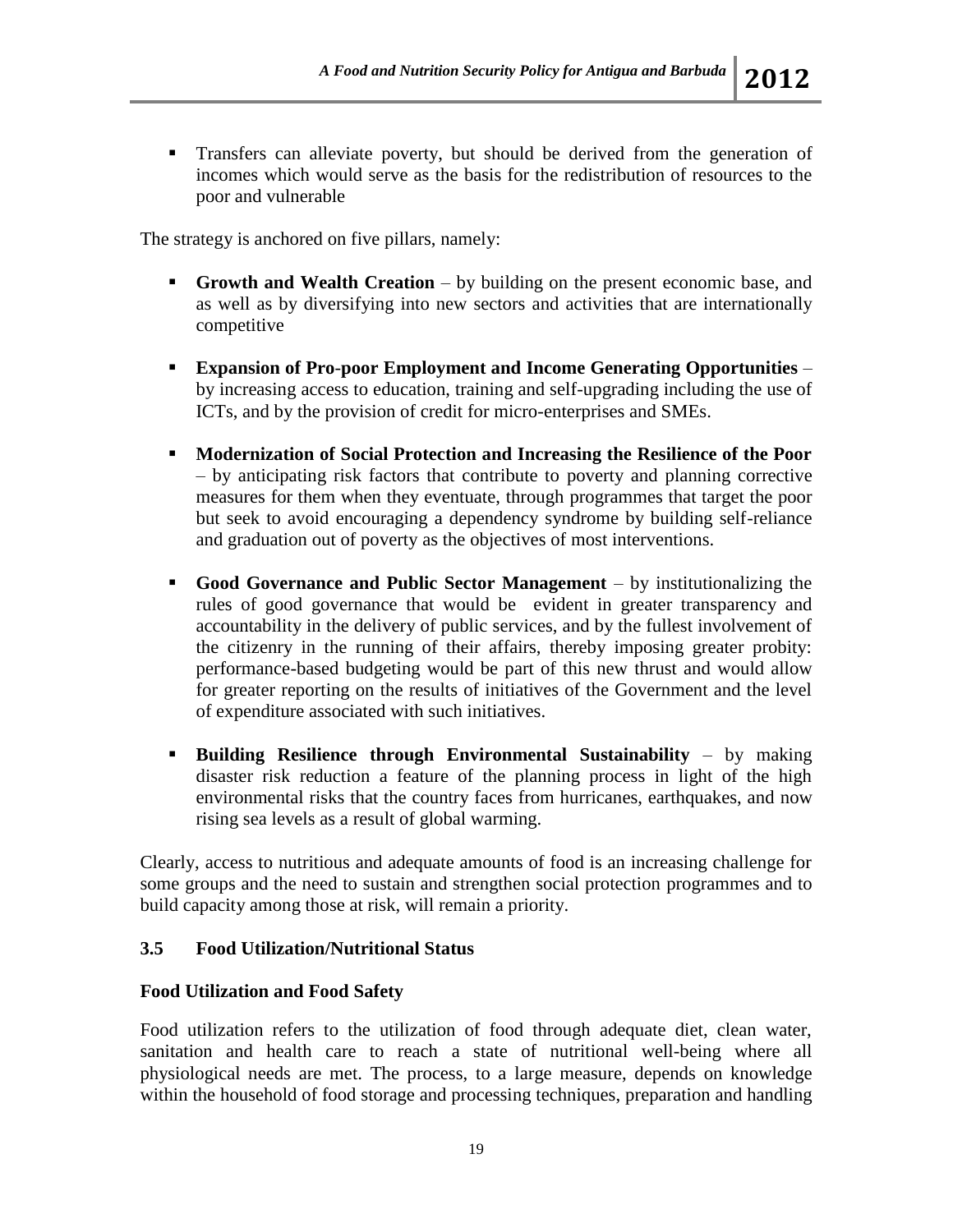Transfers can alleviate poverty, but should be derived from the generation of incomes which would serve as the basis for the redistribution of resources to the poor and vulnerable

The strategy is anchored on five pillars, namely:

- **Growth and Wealth Creation** by building on the present economic base, and as well as by diversifying into new sectors and activities that are internationally competitive
- **Expansion of Pro**-**poor Employment and Income Generating Opportunities** by increasing access to education, training and self-upgrading including the use of ICTs, and by the provision of credit for micro-enterprises and SMEs.
- **Modernization of Social Protection and Increasing the Resilience of the Poor**  – by anticipating risk factors that contribute to poverty and planning corrective measures for them when they eventuate, through programmes that target the poor but seek to avoid encouraging a dependency syndrome by building self-reliance and graduation out of poverty as the objectives of most interventions.
- **Good Governance and Public Sector Management**  by institutionalizing the rules of good governance that would be evident in greater transparency and accountability in the delivery of public services, and by the fullest involvement of the citizenry in the running of their affairs, thereby imposing greater probity: performance-based budgeting would be part of this new thrust and would allow for greater reporting on the results of initiatives of the Government and the level of expenditure associated with such initiatives.
- **Building Resilience through Environmental Sustainability by making** disaster risk reduction a feature of the planning process in light of the high environmental risks that the country faces from hurricanes, earthquakes, and now rising sea levels as a result of global warming.

Clearly, access to nutritious and adequate amounts of food is an increasing challenge for some groups and the need to sustain and strengthen social protection programmes and to build capacity among those at risk, will remain a priority.

### **3.5 Food Utilization/Nutritional Status**

#### **Food Utilization and Food Safety**

Food utilization refers to the utilization of food through adequate diet, clean water, sanitation and health care to reach a state of nutritional well-being where all physiological needs are met. The process, to a large measure, depends on knowledge within the household of food storage and processing techniques, preparation and handling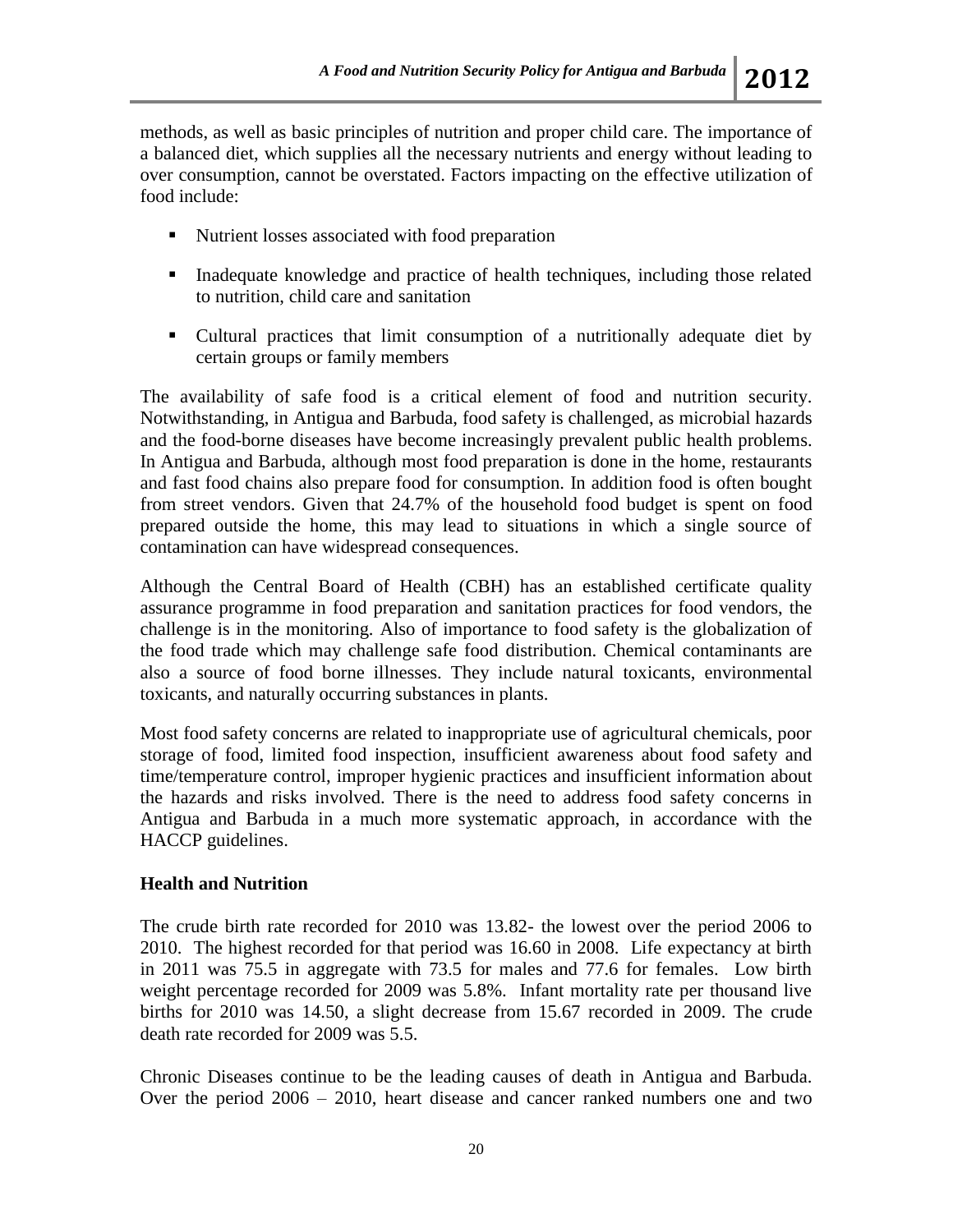methods, as well as basic principles of nutrition and proper child care. The importance of a balanced diet, which supplies all the necessary nutrients and energy without leading to over consumption, cannot be overstated. Factors impacting on the effective utilization of food include:

- Nutrient losses associated with food preparation
- Inadequate knowledge and practice of health techniques, including those related to nutrition, child care and sanitation
- Cultural practices that limit consumption of a nutritionally adequate diet by certain groups or family members

The availability of safe food is a critical element of food and nutrition security. Notwithstanding, in Antigua and Barbuda, food safety is challenged, as microbial hazards and the food-borne diseases have become increasingly prevalent public health problems. In Antigua and Barbuda, although most food preparation is done in the home, restaurants and fast food chains also prepare food for consumption. In addition food is often bought from street vendors. Given that 24.7% of the household food budget is spent on food prepared outside the home, this may lead to situations in which a single source of contamination can have widespread consequences.

Although the Central Board of Health (CBH) has an established certificate quality assurance programme in food preparation and sanitation practices for food vendors, the challenge is in the monitoring. Also of importance to food safety is the globalization of the food trade which may challenge safe food distribution. Chemical contaminants are also a source of food borne illnesses. They include natural toxicants, environmental toxicants, and naturally occurring substances in plants.

Most food safety concerns are related to inappropriate use of agricultural chemicals, poor storage of food, limited food inspection, insufficient awareness about food safety and time/temperature control, improper hygienic practices and insufficient information about the hazards and risks involved. There is the need to address food safety concerns in Antigua and Barbuda in a much more systematic approach, in accordance with the HACCP guidelines.

#### **Health and Nutrition**

The crude birth rate recorded for 2010 was 13.82- the lowest over the period 2006 to 2010. The highest recorded for that period was 16.60 in 2008. Life expectancy at birth in 2011 was 75.5 in aggregate with 73.5 for males and 77.6 for females. Low birth weight percentage recorded for 2009 was 5.8%. Infant mortality rate per thousand live births for 2010 was 14.50, a slight decrease from 15.67 recorded in 2009. The crude death rate recorded for 2009 was 5.5.

Chronic Diseases continue to be the leading causes of death in Antigua and Barbuda. Over the period 2006 – 2010, heart disease and cancer ranked numbers one and two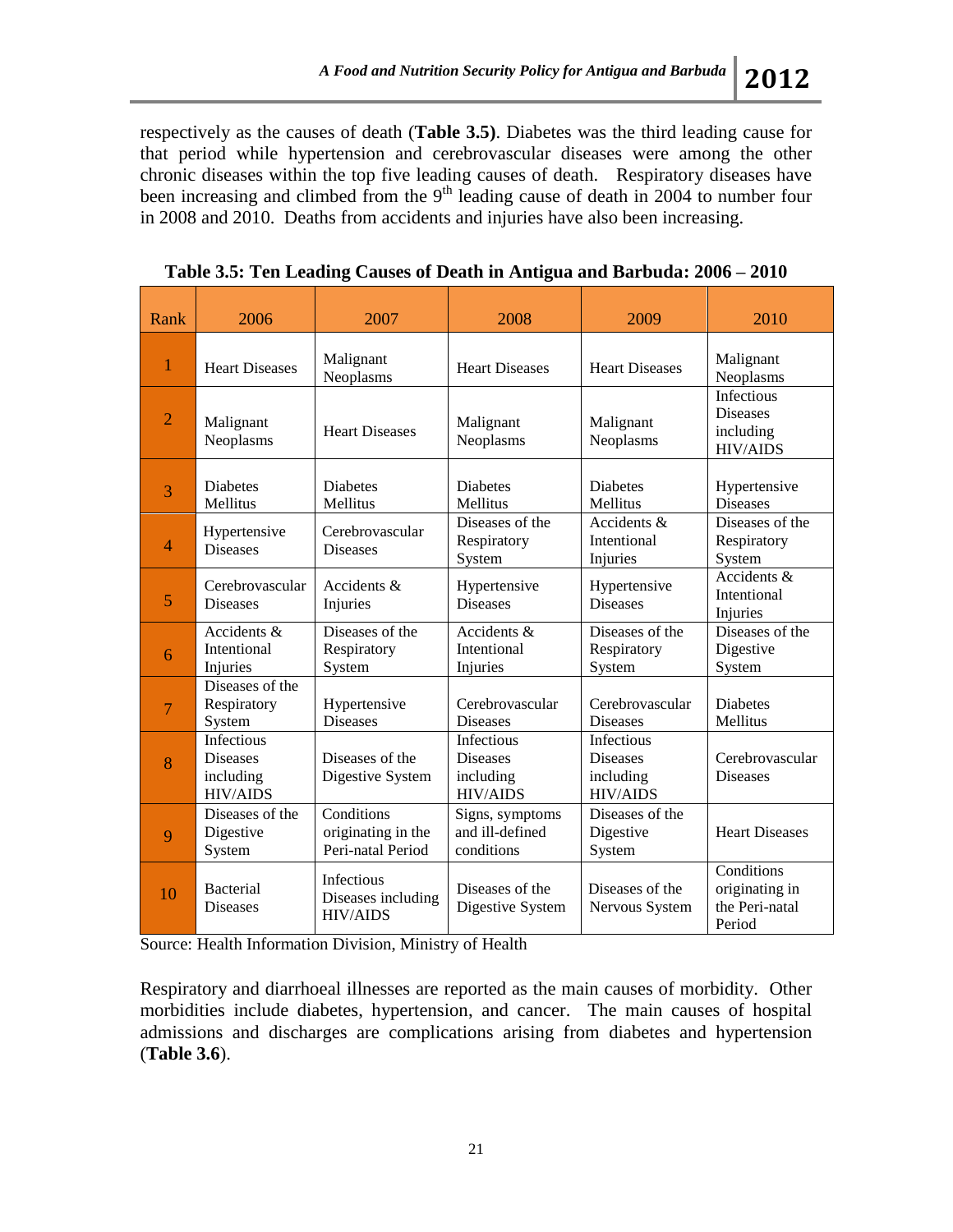respectively as the causes of death (**Table 3.5)**. Diabetes was the third leading cause for that period while hypertension and cerebrovascular diseases were among the other chronic diseases within the top five leading causes of death. Respiratory diseases have been increasing and climbed from the 9<sup>th</sup> leading cause of death in 2004 to number four in 2008 and 2010. Deaths from accidents and injuries have also been increasing.

| Rank           | 2006                                                          | 2007                                                       | 2008                                                          | 2009                                                          | 2010                                                          |
|----------------|---------------------------------------------------------------|------------------------------------------------------------|---------------------------------------------------------------|---------------------------------------------------------------|---------------------------------------------------------------|
| 1              | <b>Heart Diseases</b>                                         | Malignant<br>Neoplasms                                     | <b>Heart Diseases</b>                                         | <b>Heart Diseases</b>                                         | Malignant<br>Neoplasms                                        |
| $\overline{2}$ | Malignant<br>Neoplasms                                        | <b>Heart Diseases</b>                                      | Malignant<br>Neoplasms                                        | Malignant<br>Neoplasms                                        | Infectious<br><b>Diseases</b><br>including<br><b>HIV/AIDS</b> |
| 3              | <b>Diabetes</b><br>Mellitus                                   | <b>Diabetes</b><br>Mellitus                                | <b>Diabetes</b><br><b>Mellitus</b>                            | Diabetes<br><b>Mellitus</b>                                   | Hypertensive<br><b>Diseases</b>                               |
| 4              | Hypertensive<br><b>Diseases</b>                               | Cerebrovascular<br><b>Diseases</b>                         | Diseases of the<br>Respiratory<br>System                      | Accidents &<br>Intentional<br>Injuries                        | Diseases of the<br>Respiratory<br>System                      |
| 5              | Cerebrovascular<br><b>Diseases</b>                            | Accidents &<br>Injuries                                    | Hypertensive<br><b>Diseases</b>                               | Hypertensive<br><b>Diseases</b>                               | Accidents &<br>Intentional<br>Injuries                        |
| 6              | Accidents &<br>Intentional<br>Injuries                        | Diseases of the<br>Respiratory<br>System                   | Accidents &<br>Intentional<br>Injuries                        | Diseases of the<br>Respiratory<br>System                      | Diseases of the<br>Digestive<br>System                        |
| $\overline{7}$ | Diseases of the<br>Respiratory<br>System                      | Hypertensive<br><b>Diseases</b>                            | Cerebrovascular<br><b>Diseases</b>                            | Cerebrovascular<br><b>Diseases</b>                            | <b>Diabetes</b><br>Mellitus                                   |
| 8              | Infectious<br><b>Diseases</b><br>including<br><b>HIV/AIDS</b> | Diseases of the<br>Digestive System                        | Infectious<br><b>Diseases</b><br>including<br><b>HIV/AIDS</b> | Infectious<br><b>Diseases</b><br>including<br><b>HIV/AIDS</b> | Cerebrovascular<br><b>Diseases</b>                            |
| $\mathbf Q$    | Diseases of the<br>Digestive<br>System                        | Conditions<br>originating in the<br>Peri-natal Period      | Signs, symptoms<br>and ill-defined<br>conditions              | Diseases of the<br>Digestive<br>System                        | <b>Heart Diseases</b>                                         |
| 10             | <b>Bacterial</b><br><b>Diseases</b>                           | <b>Infectious</b><br>Diseases including<br><b>HIV/AIDS</b> | Diseases of the<br>Digestive System                           | Diseases of the<br>Nervous System                             | Conditions<br>originating in<br>the Peri-natal<br>Period      |

**Table 3.5: Ten Leading Causes of Death in Antigua and Barbuda: 2006 – 2010**

Source: Health Information Division, Ministry of Health

Respiratory and diarrhoeal illnesses are reported as the main causes of morbidity. Other morbidities include diabetes, hypertension, and cancer. The main causes of hospital admissions and discharges are complications arising from diabetes and hypertension (**Table 3.6**).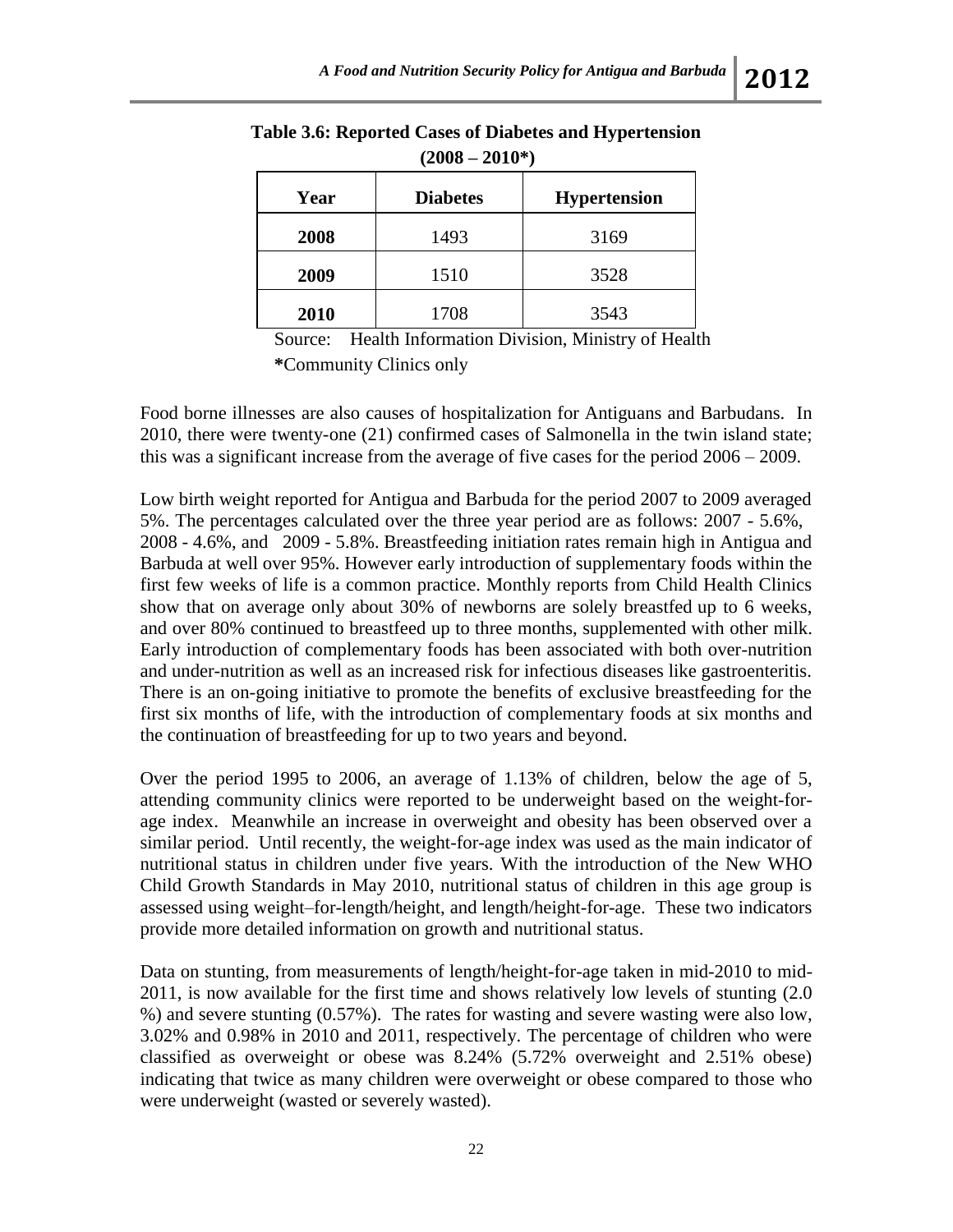| , UVVV UVIV |                 |                     |  |  |
|-------------|-----------------|---------------------|--|--|
| Year        | <b>Diabetes</b> | <b>Hypertension</b> |  |  |
| 2008        | 1493            | 3169                |  |  |
| 2009        | 1510            | 3528                |  |  |
| 2010        | 1708            | 3543                |  |  |

### **Table 3.6: Reported Cases of Diabetes and Hypertension (2008 – 2010\*)**

Source: Health Information Division, Ministry of Health **\***Community Clinics only

Food borne illnesses are also causes of hospitalization for Antiguans and Barbudans. In 2010, there were twenty-one (21) confirmed cases of Salmonella in the twin island state; this was a significant increase from the average of five cases for the period 2006 – 2009.

Low birth weight reported for Antigua and Barbuda for the period 2007 to 2009 averaged 5%. The percentages calculated over the three year period are as follows: 2007 - 5.6%, 2008 - 4.6%, and 2009 - 5.8%. Breastfeeding initiation rates remain high in Antigua and Barbuda at well over 95%. However early introduction of supplementary foods within the first few weeks of life is a common practice. Monthly reports from Child Health Clinics show that on average only about 30% of newborns are solely breastfed up to 6 weeks, and over 80% continued to breastfeed up to three months, supplemented with other milk. Early introduction of complementary foods has been associated with both over-nutrition and under-nutrition as well as an increased risk for infectious diseases like gastroenteritis. There is an on-going initiative to promote the benefits of exclusive breastfeeding for the first six months of life, with the introduction of complementary foods at six months and the continuation of breastfeeding for up to two years and beyond.

Over the period 1995 to 2006, an average of 1.13% of children, below the age of 5, attending community clinics were reported to be underweight based on the weight-forage index. Meanwhile an increase in overweight and obesity has been observed over a similar period. Until recently, the weight-for-age index was used as the main indicator of nutritional status in children under five years. With the introduction of the New WHO Child Growth Standards in May 2010, nutritional status of children in this age group is assessed using weight–for-length/height, and length/height-for-age. These two indicators provide more detailed information on growth and nutritional status.

Data on stunting, from measurements of length/height-for-age taken in mid-2010 to mid-2011, is now available for the first time and shows relatively low levels of stunting (2.0 %) and severe stunting (0.57%). The rates for wasting and severe wasting were also low, 3.02% and 0.98% in 2010 and 2011, respectively. The percentage of children who were classified as overweight or obese was 8.24% (5.72% overweight and 2.51% obese) indicating that twice as many children were overweight or obese compared to those who were underweight (wasted or severely wasted).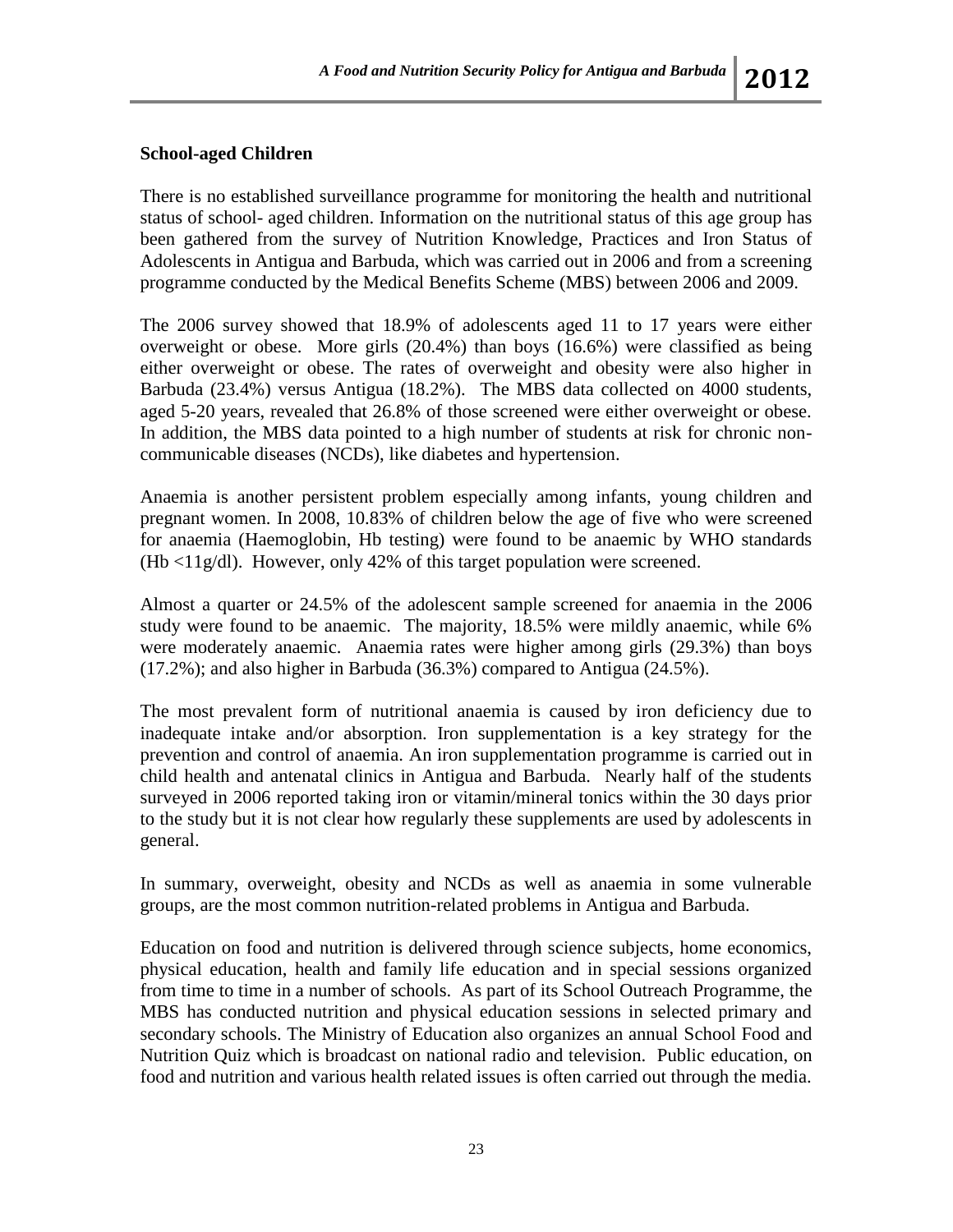### **School-aged Children**

There is no established surveillance programme for monitoring the health and nutritional status of school- aged children. Information on the nutritional status of this age group has been gathered from the survey of Nutrition Knowledge, Practices and Iron Status of Adolescents in Antigua and Barbuda, which was carried out in 2006 and from a screening programme conducted by the Medical Benefits Scheme (MBS) between 2006 and 2009.

The 2006 survey showed that 18.9% of adolescents aged 11 to 17 years were either overweight or obese. More girls (20.4%) than boys (16.6%) were classified as being either overweight or obese. The rates of overweight and obesity were also higher in Barbuda (23.4%) versus Antigua (18.2%). The MBS data collected on 4000 students, aged 5-20 years, revealed that 26.8% of those screened were either overweight or obese. In addition, the MBS data pointed to a high number of students at risk for chronic noncommunicable diseases (NCDs), like diabetes and hypertension.

Anaemia is another persistent problem especially among infants, young children and pregnant women. In 2008, 10.83% of children below the age of five who were screened for anaemia (Haemoglobin, Hb testing) were found to be anaemic by WHO standards  $(Hb \lt 11g/dl)$ . However, only 42% of this target population were screened.

Almost a quarter or 24.5% of the adolescent sample screened for anaemia in the 2006 study were found to be anaemic. The majority, 18.5% were mildly anaemic, while 6% were moderately anaemic. Anaemia rates were higher among girls (29.3%) than boys (17.2%); and also higher in Barbuda (36.3%) compared to Antigua (24.5%).

The most prevalent form of nutritional anaemia is caused by iron deficiency due to inadequate intake and/or absorption. Iron supplementation is a key strategy for the prevention and control of anaemia. An iron supplementation programme is carried out in child health and antenatal clinics in Antigua and Barbuda. Nearly half of the students surveyed in 2006 reported taking iron or vitamin/mineral tonics within the 30 days prior to the study but it is not clear how regularly these supplements are used by adolescents in general.

In summary, overweight, obesity and NCDs as well as anaemia in some vulnerable groups, are the most common nutrition-related problems in Antigua and Barbuda.

Education on food and nutrition is delivered through science subjects, home economics, physical education, health and family life education and in special sessions organized from time to time in a number of schools. As part of its School Outreach Programme, the MBS has conducted nutrition and physical education sessions in selected primary and secondary schools. The Ministry of Education also organizes an annual School Food and Nutrition Quiz which is broadcast on national radio and television. Public education, on food and nutrition and various health related issues is often carried out through the media.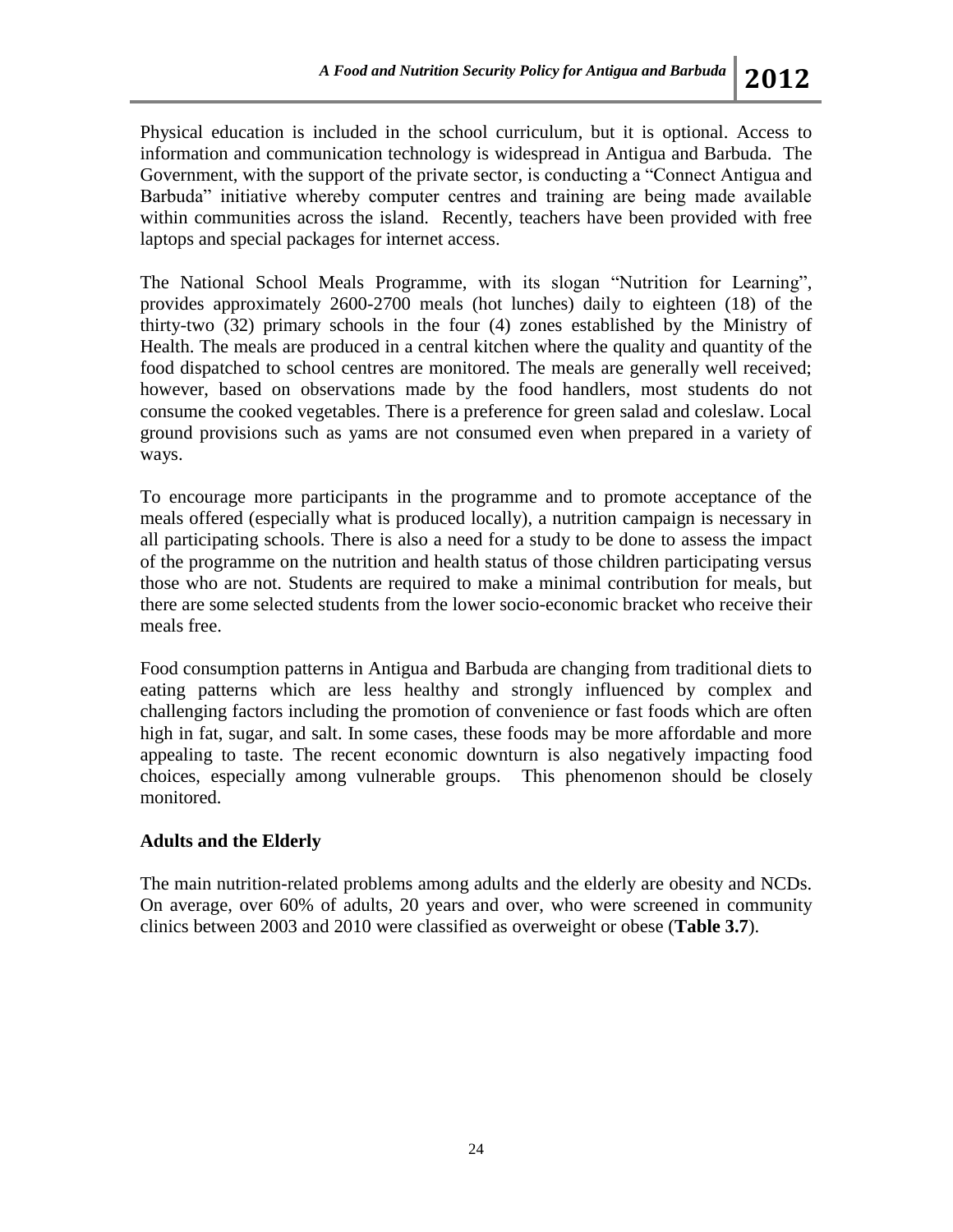Physical education is included in the school curriculum, but it is optional. Access to information and communication technology is widespread in Antigua and Barbuda. The Government, with the support of the private sector, is conducting a "Connect Antigua and Barbuda" initiative whereby computer centres and training are being made available within communities across the island. Recently, teachers have been provided with free laptops and special packages for internet access.

The National School Meals Programme, with its slogan "Nutrition for Learning", provides approximately 2600-2700 meals (hot lunches) daily to eighteen (18) of the thirty-two (32) primary schools in the four (4) zones established by the Ministry of Health. The meals are produced in a central kitchen where the quality and quantity of the food dispatched to school centres are monitored. The meals are generally well received; however, based on observations made by the food handlers, most students do not consume the cooked vegetables. There is a preference for green salad and coleslaw. Local ground provisions such as yams are not consumed even when prepared in a variety of ways.

To encourage more participants in the programme and to promote acceptance of the meals offered (especially what is produced locally), a nutrition campaign is necessary in all participating schools. There is also a need for a study to be done to assess the impact of the programme on the nutrition and health status of those children participating versus those who are not. Students are required to make a minimal contribution for meals, but there are some selected students from the lower socio-economic bracket who receive their meals free.

Food consumption patterns in Antigua and Barbuda are changing from traditional diets to eating patterns which are less healthy and strongly influenced by complex and challenging factors including the promotion of convenience or fast foods which are often high in fat, sugar, and salt. In some cases, these foods may be more affordable and more appealing to taste. The recent economic downturn is also negatively impacting food choices, especially among vulnerable groups. This phenomenon should be closely monitored.

#### **Adults and the Elderly**

The main nutrition-related problems among adults and the elderly are obesity and NCDs. On average, over 60% of adults, 20 years and over, who were screened in community clinics between 2003 and 2010 were classified as overweight or obese (**Table 3.7**).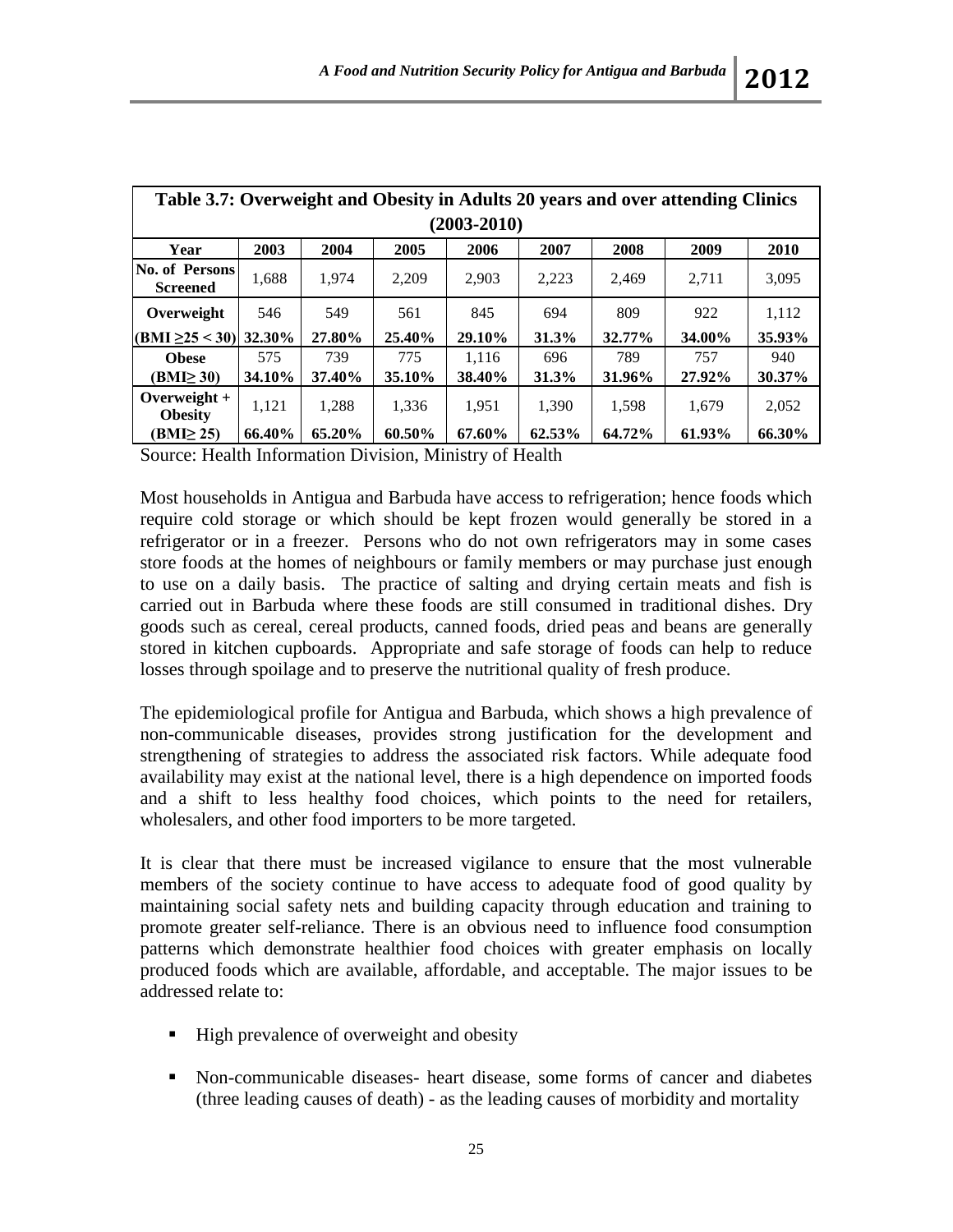| Table 3.7: Overweight and Obesity in Adults 20 years and over attending Clinics |               |               |        |        |        |        |        |        |
|---------------------------------------------------------------------------------|---------------|---------------|--------|--------|--------|--------|--------|--------|
| $(2003 - 2010)$                                                                 |               |               |        |        |        |        |        |        |
| Year                                                                            | 2003          | 2004          | 2005   | 2006   | 2007   | 2008   | 2009   | 2010   |
| <b>No. of Persons</b><br><b>Screened</b>                                        | 1,688         | 1.974         | 2.209  | 2,903  | 2,223  | 2.469  | 2.711  | 3.095  |
| Overweight                                                                      | 546           | 549           | 561    | 845    | 694    | 809    | 922    | 1.112  |
| $(BMI \ge 25 < 30)$ 32.30%                                                      |               | 27.80%        | 25.40% | 29.10% | 31.3%  | 32.77% | 34.00% | 35.93% |
| <b>Obese</b>                                                                    | 575           | 739           | 775    | 1.116  | 696    | 789    | 757    | 940    |
| (BMI <sub>2</sub> 30)                                                           | <b>34.10%</b> | <b>37.40%</b> | 35.10% | 38.40% | 31.3%  | 31.96% | 27.92% | 30.37% |
| Overweight $+$<br><b>Obesity</b>                                                | 1.121         | 1.288         | 1,336  | 1.951  | 1.390  | 1.598  | 1.679  | 2.052  |
| (BMI <sub>25</sub> )                                                            | 66.40%        | 65.20%        | 60.50% | 67.60% | 62.53% | 64.72% | 61.93% | 66.30% |

Source: Health Information Division, Ministry of Health

Most households in Antigua and Barbuda have access to refrigeration; hence foods which require cold storage or which should be kept frozen would generally be stored in a refrigerator or in a freezer. Persons who do not own refrigerators may in some cases store foods at the homes of neighbours or family members or may purchase just enough to use on a daily basis. The practice of salting and drying certain meats and fish is carried out in Barbuda where these foods are still consumed in traditional dishes. Dry goods such as cereal, cereal products, canned foods, dried peas and beans are generally stored in kitchen cupboards. Appropriate and safe storage of foods can help to reduce losses through spoilage and to preserve the nutritional quality of fresh produce.

The epidemiological profile for Antigua and Barbuda, which shows a high prevalence of non-communicable diseases, provides strong justification for the development and strengthening of strategies to address the associated risk factors. While adequate food availability may exist at the national level, there is a high dependence on imported foods and a shift to less healthy food choices, which points to the need for retailers, wholesalers, and other food importers to be more targeted.

It is clear that there must be increased vigilance to ensure that the most vulnerable members of the society continue to have access to adequate food of good quality by maintaining social safety nets and building capacity through education and training to promote greater self-reliance. There is an obvious need to influence food consumption patterns which demonstrate healthier food choices with greater emphasis on locally produced foods which are available, affordable, and acceptable. The major issues to be addressed relate to:

- High prevalence of overweight and obesity
- Non-communicable diseases- heart disease, some forms of cancer and diabetes (three leading causes of death) - as the leading causes of morbidity and mortality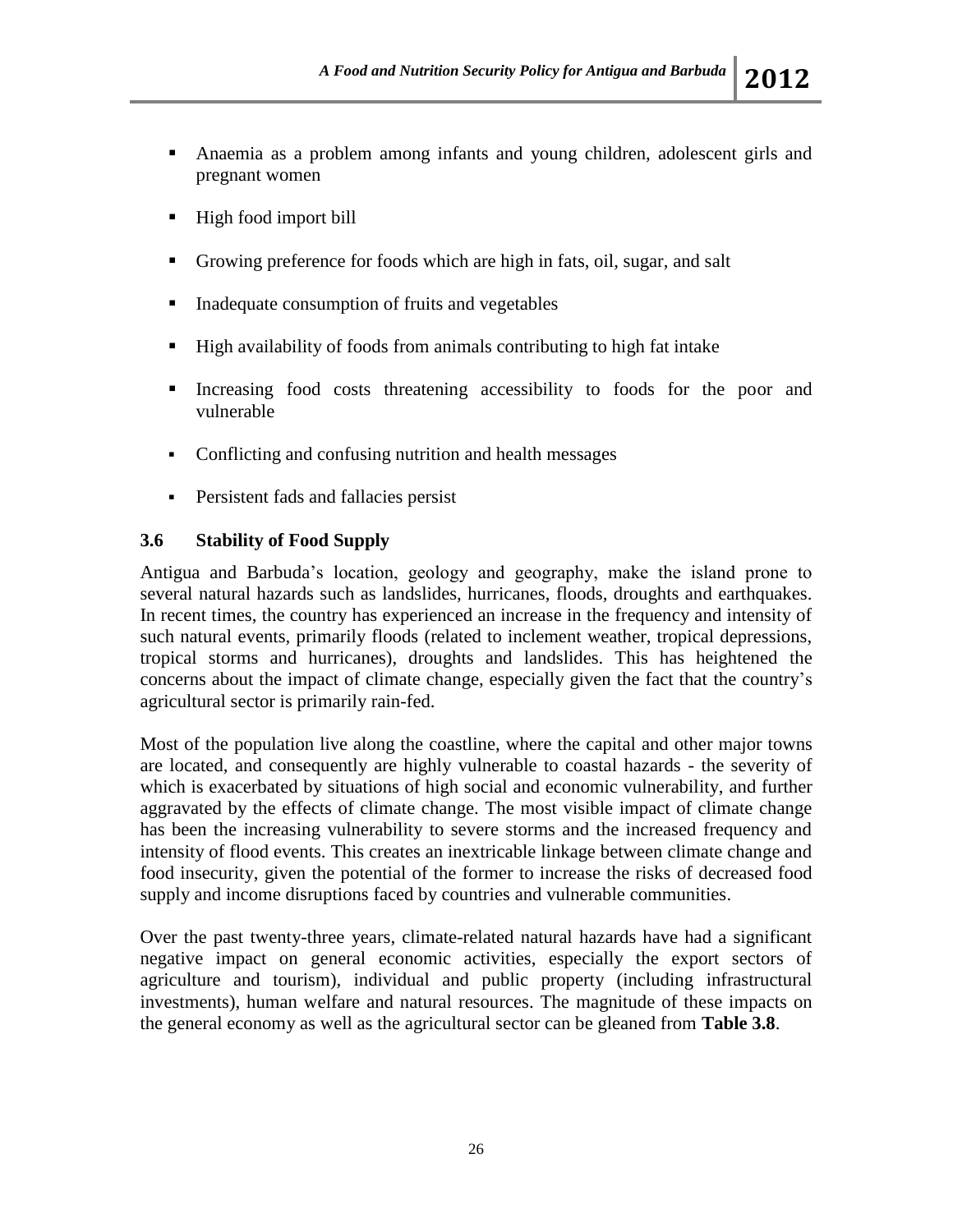- Anaemia as a problem among infants and young children, adolescent girls and pregnant women
- $\blacksquare$  High food import bill
- Growing preference for foods which are high in fats, oil, sugar, and salt
- **Inadequate consumption of fruits and vegetables**
- High availability of foods from animals contributing to high fat intake
- Increasing food costs threatening accessibility to foods for the poor and vulnerable
- Conflicting and confusing nutrition and health messages
- **Persistent fads and fallacies persist**

## **3.6 Stability of Food Supply**

Antigua and Barbuda's location, geology and geography, make the island prone to several natural hazards such as landslides, hurricanes, floods, droughts and earthquakes. In recent times, the country has experienced an increase in the frequency and intensity of such natural events, primarily floods (related to inclement weather, tropical depressions, tropical storms and hurricanes), droughts and landslides. This has heightened the concerns about the impact of climate change, especially given the fact that the country's agricultural sector is primarily rain-fed.

Most of the population live along the coastline, where the capital and other major towns are located, and consequently are highly vulnerable to coastal hazards - the severity of which is exacerbated by situations of high social and economic vulnerability, and further aggravated by the effects of climate change. The most visible impact of climate change has been the increasing vulnerability to severe storms and the increased frequency and intensity of flood events. This creates an inextricable linkage between climate change and food insecurity, given the potential of the former to increase the risks of decreased food supply and income disruptions faced by countries and vulnerable communities.

Over the past twenty-three years, climate-related natural hazards have had a significant negative impact on general economic activities, especially the export sectors of agriculture and tourism), individual and public property (including infrastructural investments), human welfare and natural resources. The magnitude of these impacts on the general economy as well as the agricultural sector can be gleaned from **Table 3.8**.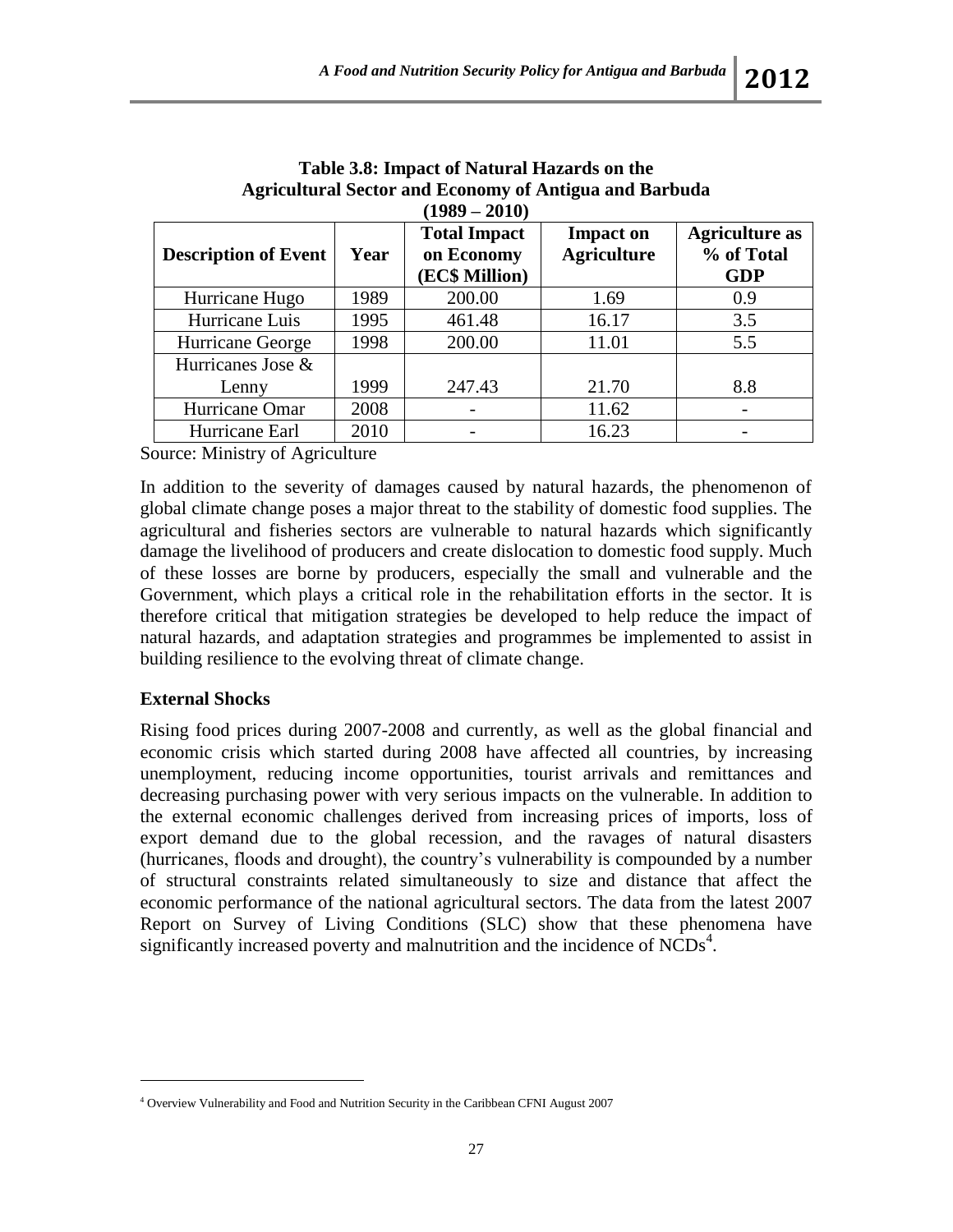| $(1989 - 2010)$             |      |                                                     |                                        |                                                   |  |
|-----------------------------|------|-----------------------------------------------------|----------------------------------------|---------------------------------------------------|--|
| <b>Description of Event</b> | Year | <b>Total Impact</b><br>on Economy<br>(EC\$ Million) | <b>Impact on</b><br><b>Agriculture</b> | <b>Agriculture as</b><br>% of Total<br><b>GDP</b> |  |
| Hurricane Hugo              | 1989 | 200.00                                              | 1.69                                   | 0.9                                               |  |
| Hurricane Luis              | 1995 | 461.48                                              | 16.17                                  | 3.5                                               |  |
| Hurricane George            | 1998 | 200.00                                              | 11.01                                  | 5.5                                               |  |
| Hurricanes Jose &           |      |                                                     |                                        |                                                   |  |
| Lenny                       | 1999 | 247.43                                              | 21.70                                  | 8.8                                               |  |
| Hurricane Omar              | 2008 |                                                     | 11.62                                  | $\overline{\phantom{0}}$                          |  |
| Hurricane Earl              | 2010 |                                                     | 16.23                                  |                                                   |  |

**Table 3.8: Impact of Natural Hazards on the Agricultural Sector and Economy of Antigua and Barbuda**

Source: Ministry of Agriculture

In addition to the severity of damages caused by natural hazards, the phenomenon of global climate change poses a major threat to the stability of domestic food supplies. The agricultural and fisheries sectors are vulnerable to natural hazards which significantly damage the livelihood of producers and create dislocation to domestic food supply. Much of these losses are borne by producers, especially the small and vulnerable and the Government, which plays a critical role in the rehabilitation efforts in the sector. It is therefore critical that mitigation strategies be developed to help reduce the impact of natural hazards, and adaptation strategies and programmes be implemented to assist in building resilience to the evolving threat of climate change.

## **External Shocks**

 $\overline{a}$ 

Rising food prices during 2007-2008 and currently, as well as the global financial and economic crisis which started during 2008 have affected all countries, by increasing unemployment, reducing income opportunities, tourist arrivals and remittances and decreasing purchasing power with very serious impacts on the vulnerable. In addition to the external economic challenges derived from increasing prices of imports, loss of export demand due to the global recession, and the ravages of natural disasters (hurricanes, floods and drought), the country's vulnerability is compounded by a number of structural constraints related simultaneously to size and distance that affect the economic performance of the national agricultural sectors. The data from the latest 2007 Report on Survey of Living Conditions (SLC) show that these phenomena have significantly increased poverty and malnutrition and the incidence of  $\text{NCDs}^4$ .

<sup>4</sup> Overview Vulnerability and Food and Nutrition Security in the Caribbean CFNI August 2007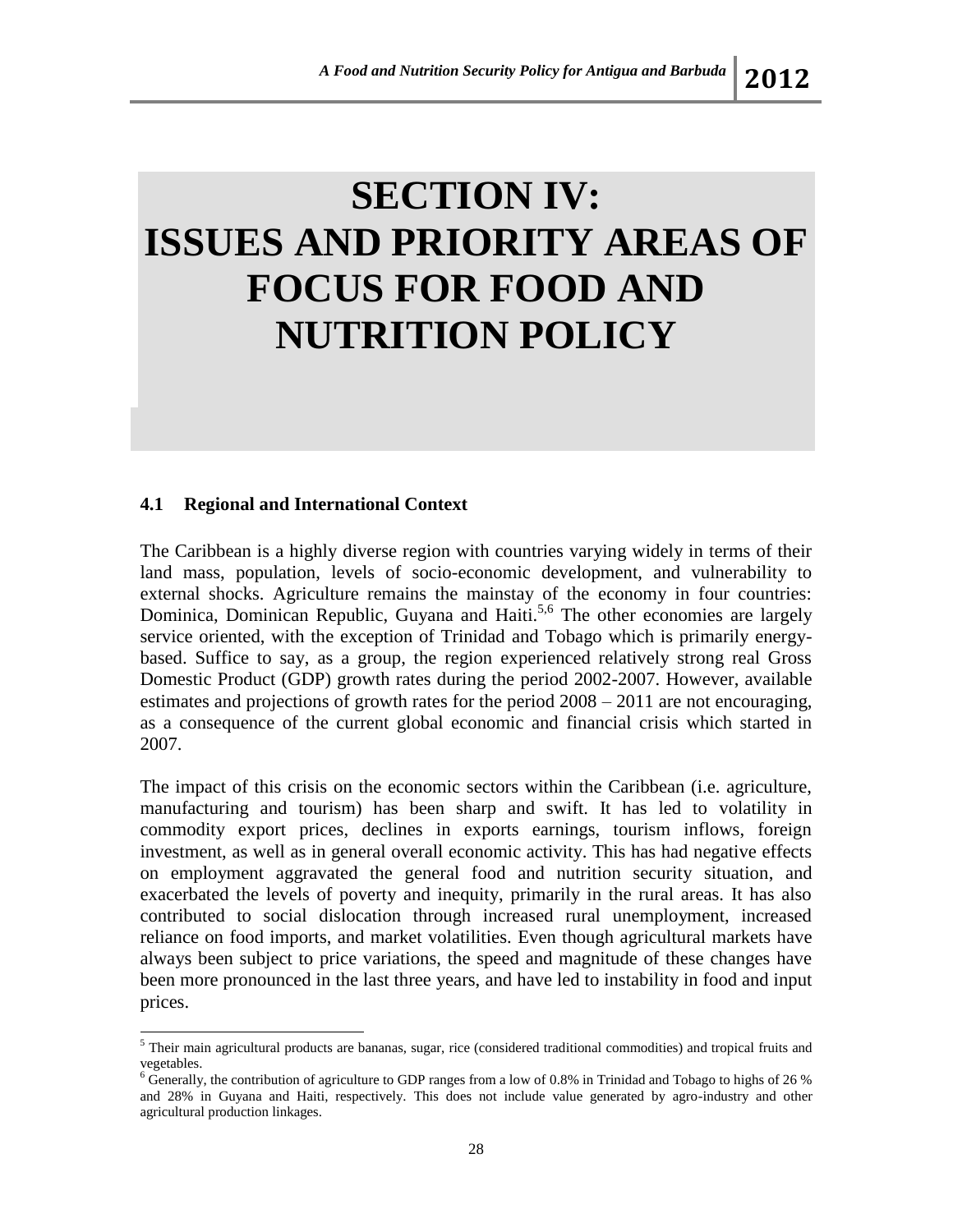# **SECTION IV: ISSUES AND PRIORITY AREAS OF FOCUS FOR FOOD AND NUTRITION POLICY**

# **4.1 Regional and International Context**

l

The Caribbean is a highly diverse region with countries varying widely in terms of their land mass, population, levels of socio-economic development, and vulnerability to external shocks. Agriculture remains the mainstay of the economy in four countries: Dominica, Dominican Republic, Guyana and Haiti.<sup>5,6</sup> The other economies are largely service oriented, with the exception of Trinidad and Tobago which is primarily energybased. Suffice to say, as a group, the region experienced relatively strong real Gross Domestic Product (GDP) growth rates during the period 2002-2007. However, available estimates and projections of growth rates for the period 2008 – 2011 are not encouraging, as a consequence of the current global economic and financial crisis which started in 2007.

The impact of this crisis on the economic sectors within the Caribbean (i.e. agriculture, manufacturing and tourism) has been sharp and swift. It has led to volatility in commodity export prices, declines in exports earnings, tourism inflows, foreign investment, as well as in general overall economic activity. This has had negative effects on employment aggravated the general food and nutrition security situation, and exacerbated the levels of poverty and inequity, primarily in the rural areas. It has also contributed to social dislocation through increased rural unemployment, increased reliance on food imports, and market volatilities. Even though agricultural markets have always been subject to price variations, the speed and magnitude of these changes have been more pronounced in the last three years, and have led to instability in food and input prices.

<sup>5</sup> Their main agricultural products are bananas, sugar, rice (considered traditional commodities) and tropical fruits and vegetables.

<sup>6</sup> Generally, the contribution of agriculture to GDP ranges from a low of 0.8% in Trinidad and Tobago to highs of 26 % and 28% in Guyana and Haiti, respectively. This does not include value generated by agro-industry and other agricultural production linkages.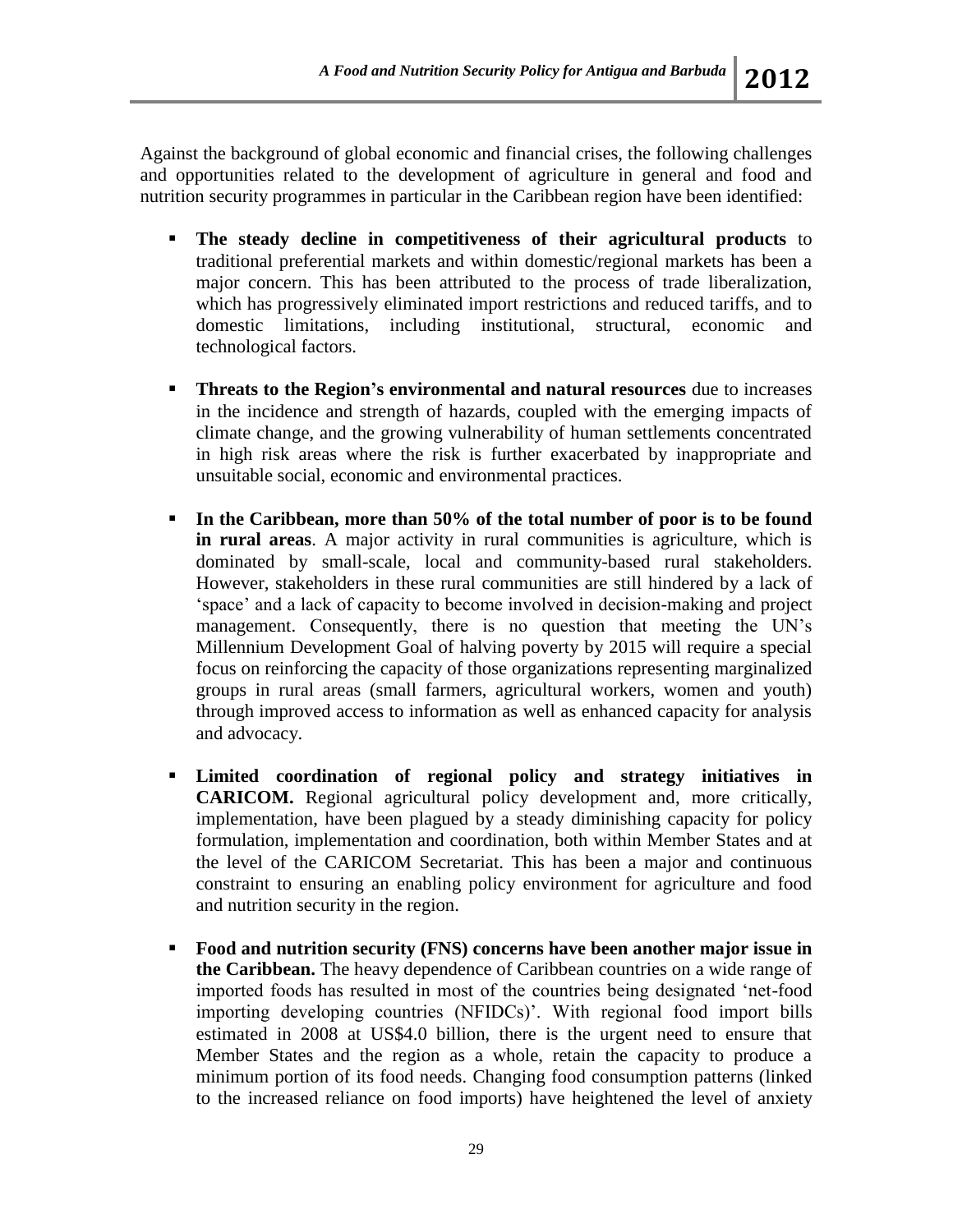Against the background of global economic and financial crises, the following challenges and opportunities related to the development of agriculture in general and food and nutrition security programmes in particular in the Caribbean region have been identified:

- **The steady decline in competitiveness of their agricultural products** to traditional preferential markets and within domestic/regional markets has been a major concern. This has been attributed to the process of trade liberalization, which has progressively eliminated import restrictions and reduced tariffs, and to domestic limitations, including institutional, structural, economic and technological factors.
- **Threats to the Region's environmental and natural resources** due to increases in the incidence and strength of hazards, coupled with the emerging impacts of climate change, and the growing vulnerability of human settlements concentrated in high risk areas where the risk is further exacerbated by inappropriate and unsuitable social, economic and environmental practices.
- **In the Caribbean, more than 50% of the total number of poor is to be found in rural areas**. A major activity in rural communities is agriculture, which is dominated by small-scale, local and community-based rural stakeholders. However, stakeholders in these rural communities are still hindered by a lack of 'space' and a lack of capacity to become involved in decision-making and project management. Consequently, there is no question that meeting the UN's Millennium Development Goal of halving poverty by 2015 will require a special focus on reinforcing the capacity of those organizations representing marginalized groups in rural areas (small farmers, agricultural workers, women and youth) through improved access to information as well as enhanced capacity for analysis and advocacy.
- **Limited coordination of regional policy and strategy initiatives in CARICOM.** Regional agricultural policy development and, more critically, implementation, have been plagued by a steady diminishing capacity for policy formulation, implementation and coordination, both within Member States and at the level of the CARICOM Secretariat. This has been a major and continuous constraint to ensuring an enabling policy environment for agriculture and food and nutrition security in the region.
- **Food and nutrition security (FNS) concerns have been another major issue in the Caribbean.** The heavy dependence of Caribbean countries on a wide range of imported foods has resulted in most of the countries being designated 'net-food importing developing countries (NFIDCs)'. With regional food import bills estimated in 2008 at US\$4.0 billion, there is the urgent need to ensure that Member States and the region as a whole, retain the capacity to produce a minimum portion of its food needs. Changing food consumption patterns (linked to the increased reliance on food imports) have heightened the level of anxiety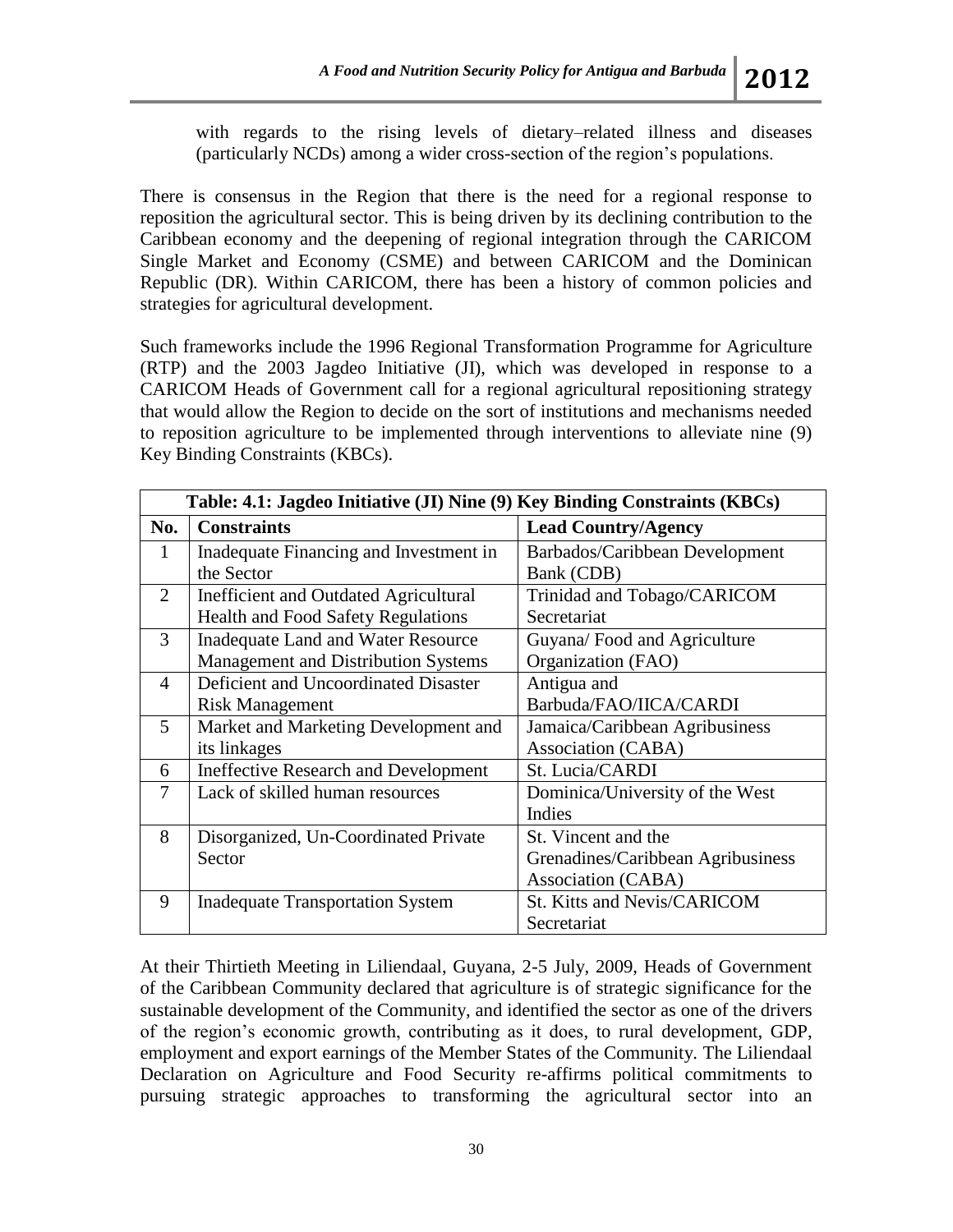with regards to the rising levels of dietary–related illness and diseases (particularly NCDs) among a wider cross-section of the region's populations.

There is consensus in the Region that there is the need for a regional response to reposition the agricultural sector. This is being driven by its declining contribution to the Caribbean economy and the deepening of regional integration through the CARICOM Single Market and Economy (CSME) and between CARICOM and the Dominican Republic (DR)*.* Within CARICOM, there has been a history of common policies and strategies for agricultural development.

Such frameworks include the 1996 Regional Transformation Programme for Agriculture (RTP) and the 2003 Jagdeo Initiative (JI), which was developed in response to a CARICOM Heads of Government call for a regional agricultural repositioning strategy that would allow the Region to decide on the sort of institutions and mechanisms needed to reposition agriculture to be implemented through interventions to alleviate nine (9) Key Binding Constraints (KBCs).

| Table: 4.1: Jagdeo Initiative (JI) Nine (9) Key Binding Constraints (KBCs) |                                             |                                    |  |  |
|----------------------------------------------------------------------------|---------------------------------------------|------------------------------------|--|--|
| No.                                                                        | <b>Constraints</b>                          | <b>Lead Country/Agency</b>         |  |  |
| 1                                                                          | Inadequate Financing and Investment in      | Barbados/Caribbean Development     |  |  |
|                                                                            | the Sector                                  | Bank (CDB)                         |  |  |
| $\overline{2}$                                                             | Inefficient and Outdated Agricultural       | Trinidad and Tobago/CARICOM        |  |  |
|                                                                            | <b>Health and Food Safety Regulations</b>   | Secretariat                        |  |  |
| 3                                                                          | Inadequate Land and Water Resource          | Guyana/Food and Agriculture        |  |  |
|                                                                            | Management and Distribution Systems         | Organization (FAO)                 |  |  |
| 4                                                                          | Deficient and Uncoordinated Disaster        | Antigua and                        |  |  |
|                                                                            | <b>Risk Management</b>                      | Barbuda/FAO/IICA/CARDI             |  |  |
| 5                                                                          | Market and Marketing Development and        | Jamaica/Caribbean Agribusiness     |  |  |
|                                                                            | its linkages                                | Association (CABA)                 |  |  |
| 6                                                                          | <b>Ineffective Research and Development</b> | St. Lucia/CARDI                    |  |  |
| 7                                                                          | Lack of skilled human resources             | Dominica/University of the West    |  |  |
|                                                                            |                                             | Indies                             |  |  |
| 8                                                                          | Disorganized, Un-Coordinated Private        | St. Vincent and the                |  |  |
|                                                                            | Sector                                      | Grenadines/Caribbean Agribusiness  |  |  |
|                                                                            |                                             | Association (CABA)                 |  |  |
| 9                                                                          | <b>Inadequate Transportation System</b>     | <b>St. Kitts and Nevis/CARICOM</b> |  |  |
|                                                                            |                                             | Secretariat                        |  |  |

At their Thirtieth Meeting in Liliendaal, Guyana, 2-5 July, 2009, Heads of Government of the Caribbean Community declared that agriculture is of strategic significance for the sustainable development of the Community, and identified the sector as one of the drivers of the region's economic growth, contributing as it does, to rural development, GDP, employment and export earnings of the Member States of the Community. The Liliendaal Declaration on Agriculture and Food Security re-affirms political commitments to pursuing strategic approaches to transforming the agricultural sector into an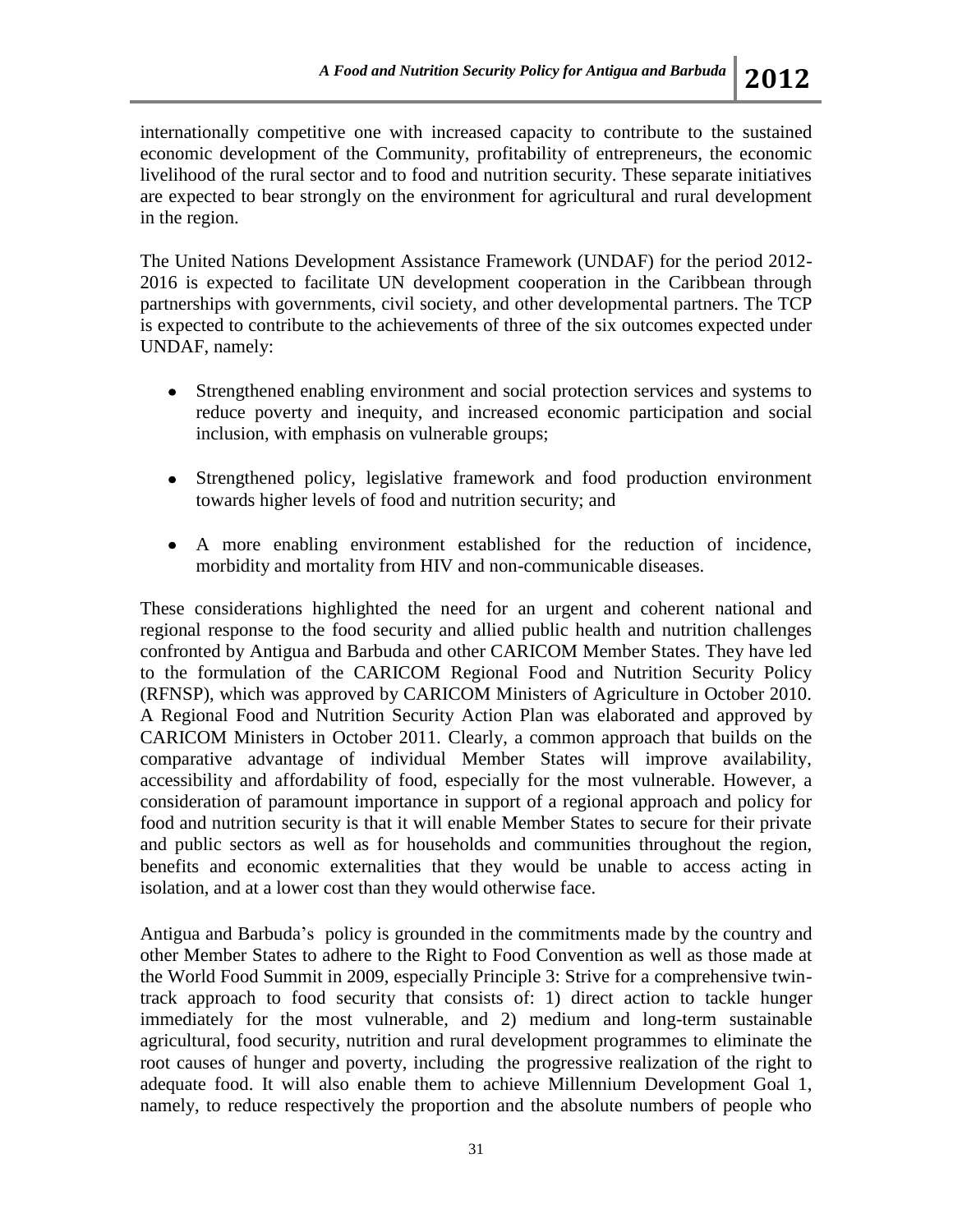internationally competitive one with increased capacity to contribute to the sustained economic development of the Community, profitability of entrepreneurs, the economic livelihood of the rural sector and to food and nutrition security. These separate initiatives are expected to bear strongly on the environment for agricultural and rural development in the region.

The United Nations Development Assistance Framework (UNDAF) for the period 2012- 2016 is expected to facilitate UN development cooperation in the Caribbean through partnerships with governments, civil society, and other developmental partners. The TCP is expected to contribute to the achievements of three of the six outcomes expected under UNDAF, namely:

- Strengthened enabling environment and social protection services and systems to reduce poverty and inequity, and increased economic participation and social inclusion, with emphasis on vulnerable groups;
- Strengthened policy, legislative framework and food production environment towards higher levels of food and nutrition security; and
- A more enabling environment established for the reduction of incidence, morbidity and mortality from HIV and non-communicable diseases.

These considerations highlighted the need for an urgent and coherent national and regional response to the food security and allied public health and nutrition challenges confronted by Antigua and Barbuda and other CARICOM Member States. They have led to the formulation of the CARICOM Regional Food and Nutrition Security Policy (RFNSP), which was approved by CARICOM Ministers of Agriculture in October 2010. A Regional Food and Nutrition Security Action Plan was elaborated and approved by CARICOM Ministers in October 2011. Clearly, a common approach that builds on the comparative advantage of individual Member States will improve availability, accessibility and affordability of food, especially for the most vulnerable. However, a consideration of paramount importance in support of a regional approach and policy for food and nutrition security is that it will enable Member States to secure for their private and public sectors as well as for households and communities throughout the region, benefits and economic externalities that they would be unable to access acting in isolation, and at a lower cost than they would otherwise face.

Antigua and Barbuda's policy is grounded in the commitments made by the country and other Member States to adhere to the Right to Food Convention as well as those made at the World Food Summit in 2009, especially Principle 3: Strive for a comprehensive twintrack approach to food security that consists of: 1) direct action to tackle hunger immediately for the most vulnerable, and 2) medium and long-term sustainable agricultural, food security, nutrition and rural development programmes to eliminate the root causes of hunger and poverty, including the progressive realization of the right to adequate food. It will also enable them to achieve Millennium Development Goal 1, namely, to reduce respectively the proportion and the absolute numbers of people who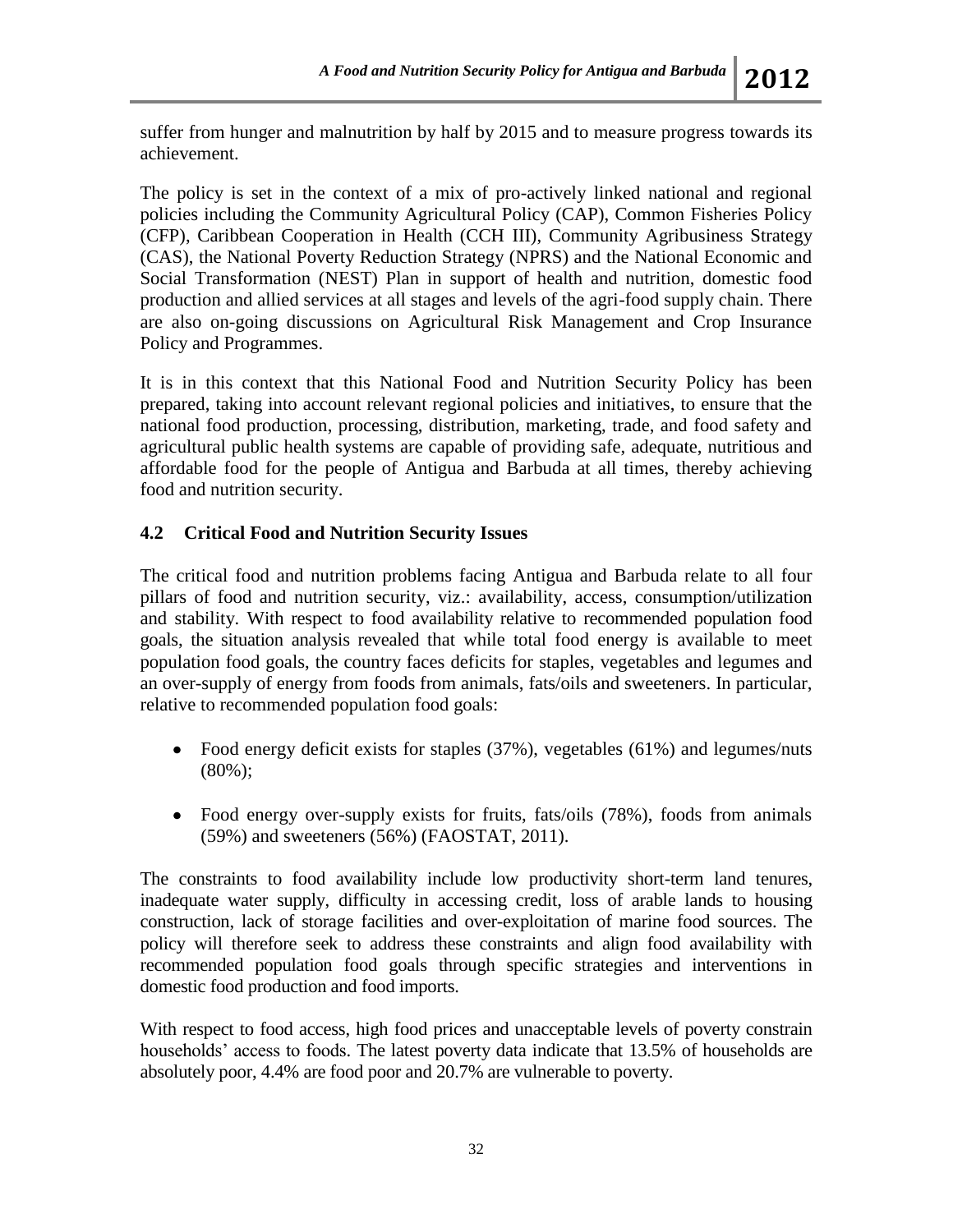suffer from hunger and malnutrition by half by 2015 and to measure progress towards its achievement.

The policy is set in the context of a mix of pro-actively linked national and regional policies including the Community Agricultural Policy (CAP), Common Fisheries Policy (CFP), Caribbean Cooperation in Health (CCH III), Community Agribusiness Strategy (CAS), the National Poverty Reduction Strategy (NPRS) and the National Economic and Social Transformation (NEST) Plan in support of health and nutrition, domestic food production and allied services at all stages and levels of the agri-food supply chain. There are also on-going discussions on Agricultural Risk Management and Crop Insurance Policy and Programmes.

It is in this context that this National Food and Nutrition Security Policy has been prepared, taking into account relevant regional policies and initiatives, to ensure that the national food production, processing, distribution, marketing, trade, and food safety and agricultural public health systems are capable of providing safe, adequate, nutritious and affordable food for the people of Antigua and Barbuda at all times, thereby achieving food and nutrition security.

# **4.2 Critical Food and Nutrition Security Issues**

The critical food and nutrition problems facing Antigua and Barbuda relate to all four pillars of food and nutrition security, viz.: availability, access, consumption/utilization and stability. With respect to food availability relative to recommended population food goals, the situation analysis revealed that while total food energy is available to meet population food goals, the country faces deficits for staples, vegetables and legumes and an over-supply of energy from foods from animals, fats/oils and sweeteners. In particular, relative to recommended population food goals:

- Food energy deficit exists for staples (37%), vegetables (61%) and legumes/nuts (80%);
- Food energy over-supply exists for fruits, fats/oils (78%), foods from animals (59%) and sweeteners (56%) (FAOSTAT, 2011).

The constraints to food availability include low productivity short-term land tenures, inadequate water supply, difficulty in accessing credit, loss of arable lands to housing construction, lack of storage facilities and over-exploitation of marine food sources. The policy will therefore seek to address these constraints and align food availability with recommended population food goals through specific strategies and interventions in domestic food production and food imports.

With respect to food access, high food prices and unacceptable levels of poverty constrain households' access to foods. The latest poverty data indicate that 13.5% of households are absolutely poor, 4.4% are food poor and 20.7% are vulnerable to poverty.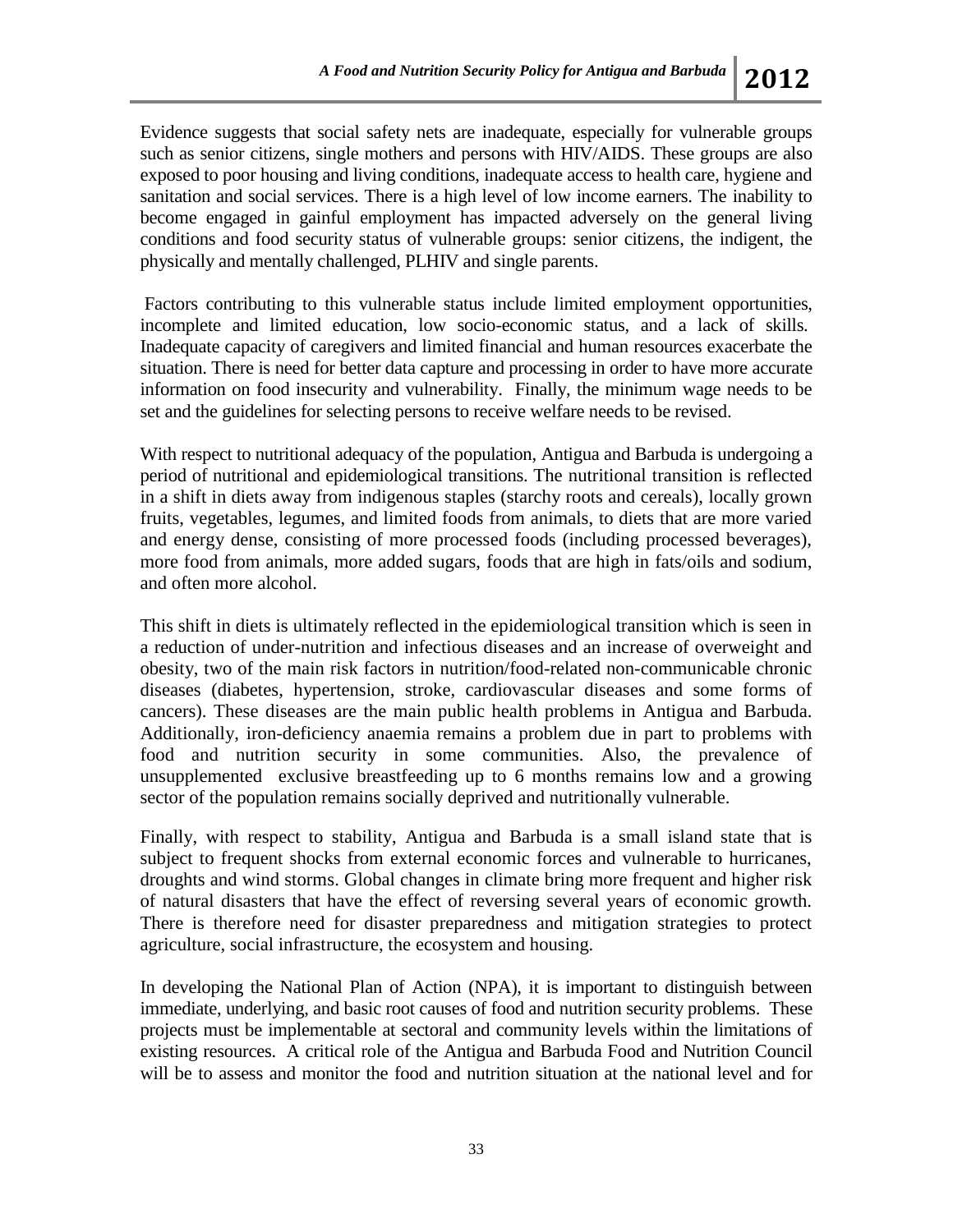Evidence suggests that social safety nets are inadequate, especially for vulnerable groups such as senior citizens, single mothers and persons with HIV/AIDS. These groups are also exposed to poor housing and living conditions, inadequate access to health care, hygiene and sanitation and social services. There is a high level of low income earners. The inability to become engaged in gainful employment has impacted adversely on the general living conditions and food security status of vulnerable groups: senior citizens, the indigent, the physically and mentally challenged, PLHIV and single parents.

Factors contributing to this vulnerable status include limited employment opportunities, incomplete and limited education, low socio-economic status, and a lack of skills. Inadequate capacity of caregivers and limited financial and human resources exacerbate the situation. There is need for better data capture and processing in order to have more accurate information on food insecurity and vulnerability. Finally, the minimum wage needs to be set and the guidelines for selecting persons to receive welfare needs to be revised.

With respect to nutritional adequacy of the population, Antigua and Barbuda is undergoing a period of nutritional and epidemiological transitions. The nutritional transition is reflected in a shift in diets away from indigenous staples (starchy roots and cereals), locally grown fruits, vegetables, legumes, and limited foods from animals, to diets that are more varied and energy dense, consisting of more processed foods (including processed beverages), more food from animals, more added sugars, foods that are high in fats/oils and sodium, and often more alcohol.

This shift in diets is ultimately reflected in the epidemiological transition which is seen in a reduction of under-nutrition and infectious diseases and an increase of overweight and obesity, two of the main risk factors in nutrition/food-related non-communicable chronic diseases (diabetes, hypertension, stroke, cardiovascular diseases and some forms of cancers). These diseases are the main public health problems in Antigua and Barbuda. Additionally, iron-deficiency anaemia remains a problem due in part to problems with food and nutrition security in some communities. Also, the prevalence of unsupplemented exclusive breastfeeding up to 6 months remains low and a growing sector of the population remains socially deprived and nutritionally vulnerable.

Finally, with respect to stability, Antigua and Barbuda is a small island state that is subject to frequent shocks from external economic forces and vulnerable to hurricanes, droughts and wind storms. Global changes in climate bring more frequent and higher risk of natural disasters that have the effect of reversing several years of economic growth. There is therefore need for disaster preparedness and mitigation strategies to protect agriculture, social infrastructure, the ecosystem and housing.

In developing the National Plan of Action (NPA), it is important to distinguish between immediate, underlying, and basic root causes of food and nutrition security problems. These projects must be implementable at sectoral and community levels within the limitations of existing resources. A critical role of the Antigua and Barbuda Food and Nutrition Council will be to assess and monitor the food and nutrition situation at the national level and for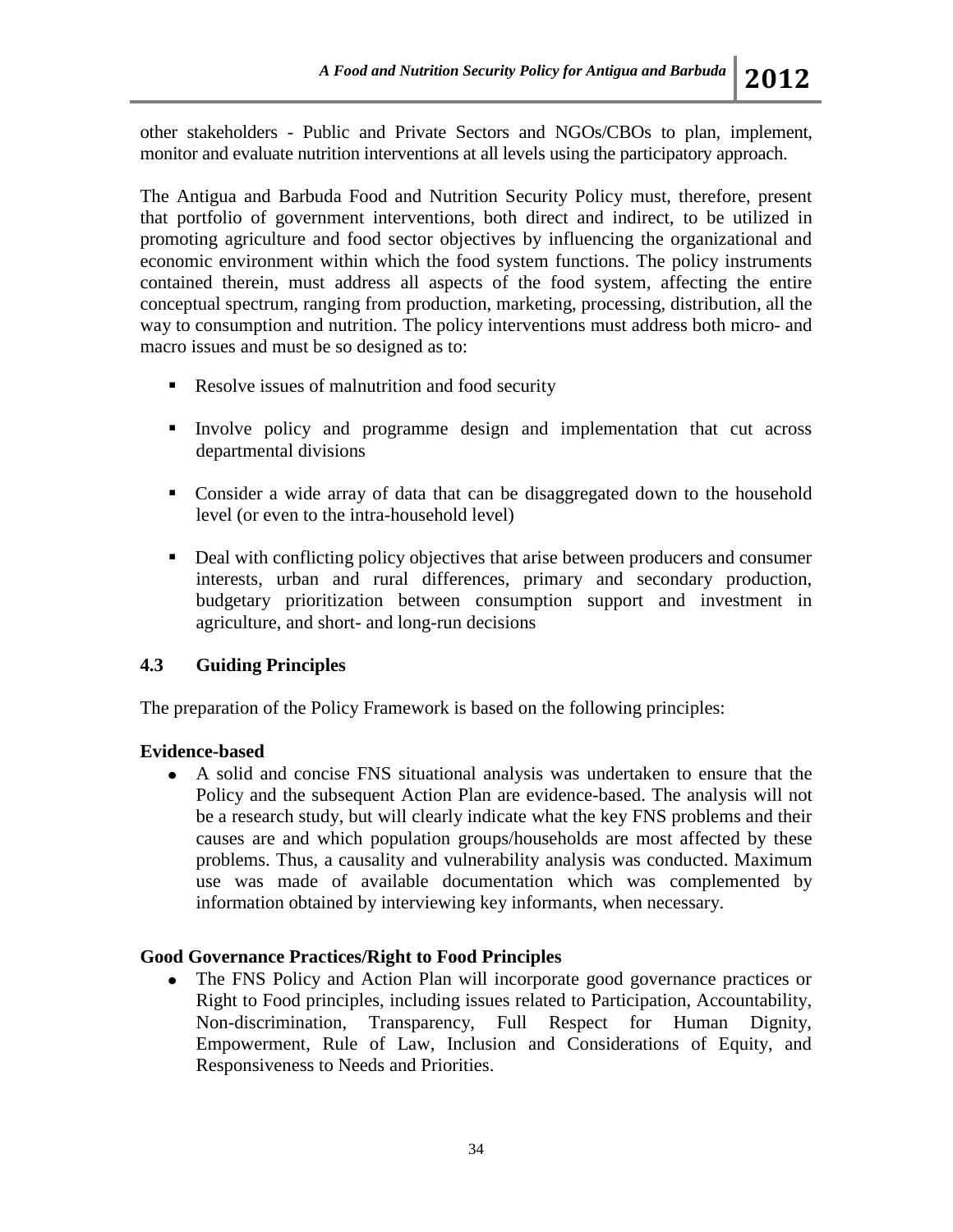other stakeholders - Public and Private Sectors and NGOs/CBOs to plan, implement, monitor and evaluate nutrition interventions at all levels using the participatory approach.

The Antigua and Barbuda Food and Nutrition Security Policy must, therefore, present that portfolio of government interventions, both direct and indirect, to be utilized in promoting agriculture and food sector objectives by influencing the organizational and economic environment within which the food system functions. The policy instruments contained therein, must address all aspects of the food system, affecting the entire conceptual spectrum, ranging from production, marketing, processing, distribution, all the way to consumption and nutrition. The policy interventions must address both micro- and macro issues and must be so designed as to:

- Resolve issues of malnutrition and food security
- Involve policy and programme design and implementation that cut across departmental divisions
- Consider a wide array of data that can be disaggregated down to the household level (or even to the intra-household level)
- Deal with conflicting policy objectives that arise between producers and consumer interests, urban and rural differences, primary and secondary production, budgetary prioritization between consumption support and investment in agriculture, and short- and long-run decisions

# **4.3 Guiding Principles**

The preparation of the Policy Framework is based on the following principles:

# **Evidence-based**

A solid and concise FNS situational analysis was undertaken to ensure that the Policy and the subsequent Action Plan are evidence-based. The analysis will not be a research study, but will clearly indicate what the key FNS problems and their causes are and which population groups/households are most affected by these problems. Thus, a causality and vulnerability analysis was conducted. Maximum use was made of available documentation which was complemented by information obtained by interviewing key informants, when necessary.

# **Good Governance Practices/Right to Food Principles**

The FNS Policy and Action Plan will incorporate good governance practices or  $\bullet$ Right to Food principles, including issues related to Participation, Accountability, Non-discrimination, Transparency, Full Respect for Human Dignity, Empowerment, Rule of Law, Inclusion and Considerations of Equity, and Responsiveness to Needs and Priorities.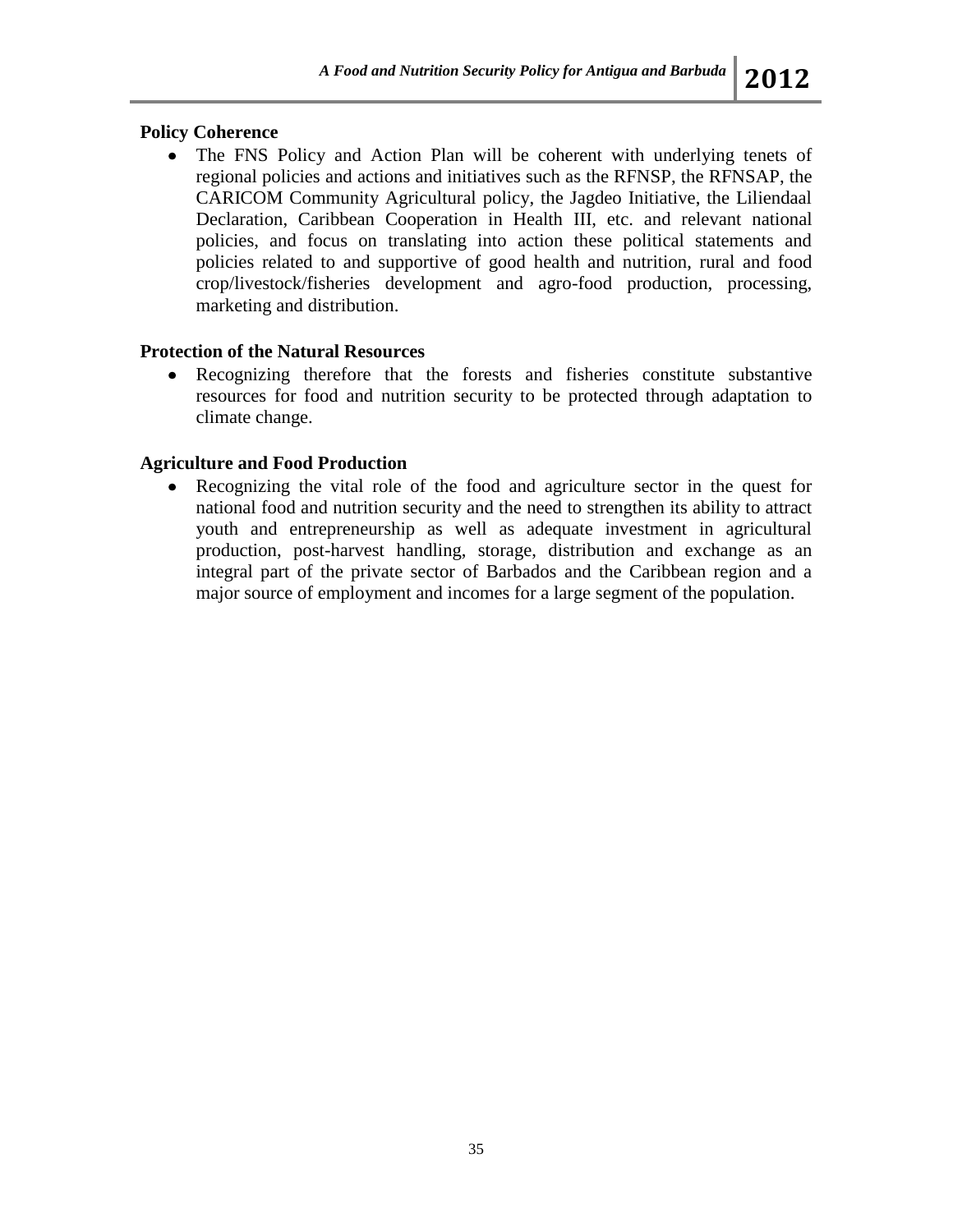# **Policy Coherence**

The FNS Policy and Action Plan will be coherent with underlying tenets of regional policies and actions and initiatives such as the RFNSP, the RFNSAP, the CARICOM Community Agricultural policy, the Jagdeo Initiative, the Liliendaal Declaration, Caribbean Cooperation in Health III, etc. and relevant national policies, and focus on translating into action these political statements and policies related to and supportive of good health and nutrition, rural and food crop/livestock/fisheries development and agro-food production, processing, marketing and distribution.

# **Protection of the Natural Resources**

Recognizing therefore that the forests and fisheries constitute substantive resources for food and nutrition security to be protected through adaptation to climate change.

# **Agriculture and Food Production**

Recognizing the vital role of the food and agriculture sector in the quest for  $\bullet$ national food and nutrition security and the need to strengthen its ability to attract youth and entrepreneurship as well as adequate investment in agricultural production, post-harvest handling, storage, distribution and exchange as an integral part of the private sector of Barbados and the Caribbean region and a major source of employment and incomes for a large segment of the population.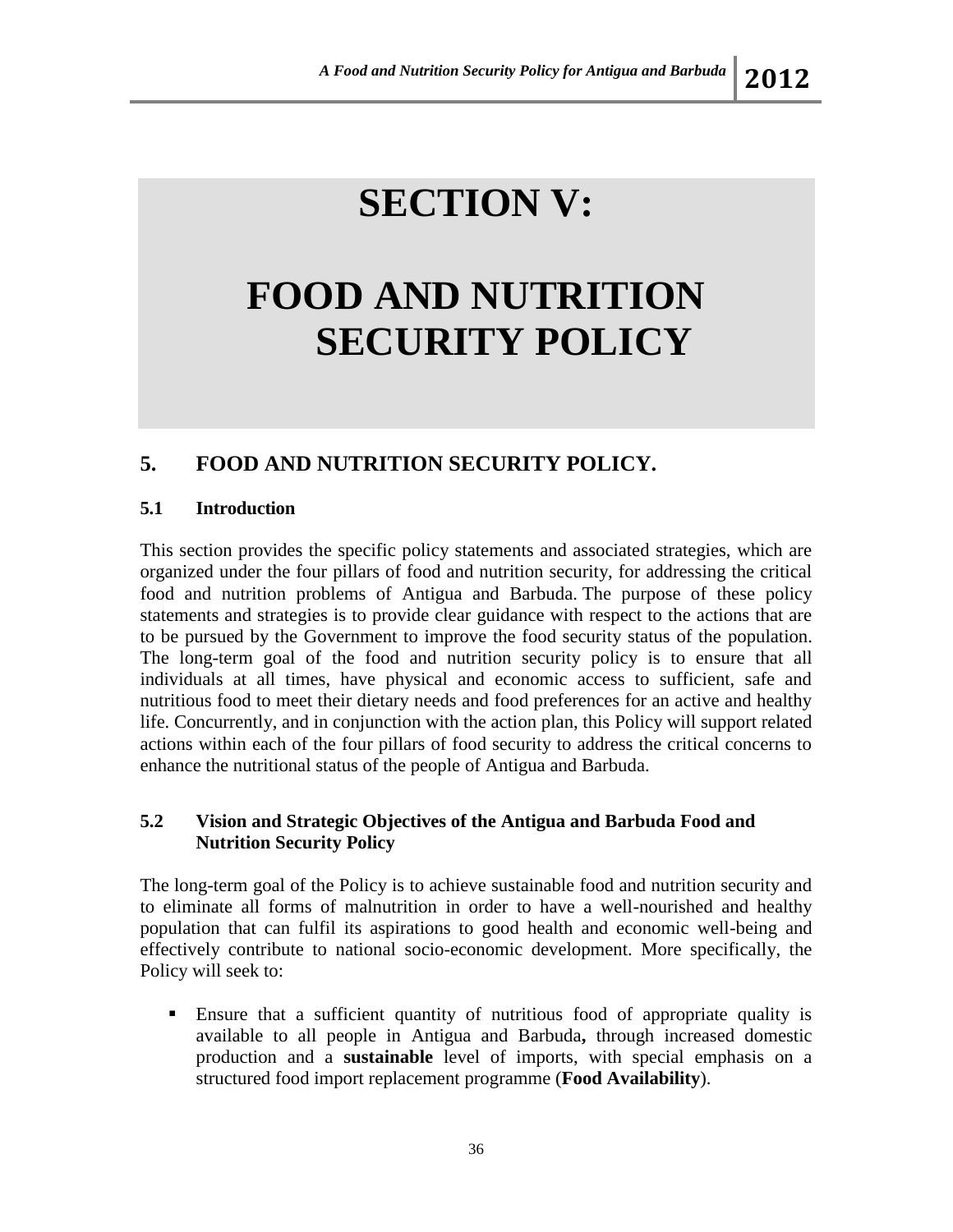# **SECTION V:**

# **FOOD AND NUTRITION SECURITY POLICY**

# **5. FOOD AND NUTRITION SECURITY POLICY.**

# **5.1 Introduction**

This section provides the specific policy statements and associated strategies, which are organized under the four pillars of food and nutrition security, for addressing the critical food and nutrition problems of Antigua and Barbuda. The purpose of these policy statements and strategies is to provide clear guidance with respect to the actions that are to be pursued by the Government to improve the food security status of the population. The long-term goal of the food and nutrition security policy is to ensure that all individuals at all times, have physical and economic access to sufficient, safe and nutritious food to meet their dietary needs and food preferences for an active and healthy life. Concurrently, and in conjunction with the action plan, this Policy will support related actions within each of the four pillars of food security to address the critical concerns to enhance the nutritional status of the people of Antigua and Barbuda.

# **5.2 Vision and Strategic Objectives of the Antigua and Barbuda Food and Nutrition Security Policy**

The long-term goal of the Policy is to achieve sustainable food and nutrition security and to eliminate all forms of malnutrition in order to have a well-nourished and healthy population that can fulfil its aspirations to good health and economic well-being and effectively contribute to national socio-economic development. More specifically, the Policy will seek to:

 Ensure that a sufficient quantity of nutritious food of appropriate quality is available to all people in Antigua and Barbuda**,** through increased domestic production and a **sustainable** level of imports, with special emphasis on a structured food import replacement programme (**Food Availability**).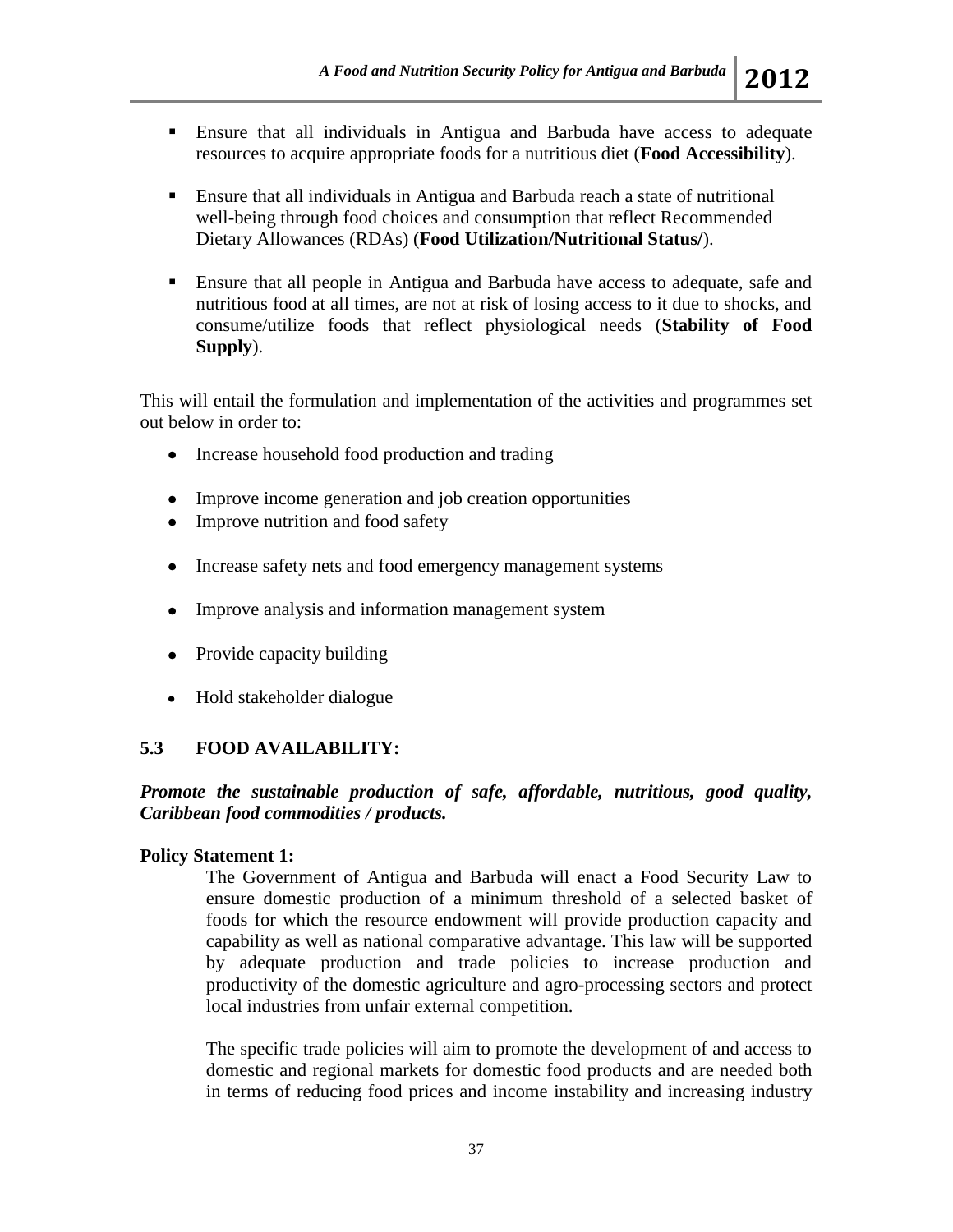- Ensure that all individuals in Antigua and Barbuda have access to adequate resources to acquire appropriate foods for a nutritious diet (**Food Accessibility**).
- Ensure that all individuals in Antigua and Barbuda reach a state of nutritional well-being through food choices and consumption that reflect Recommended Dietary Allowances (RDAs) (**Food Utilization/Nutritional Status/**).
- Ensure that all people in Antigua and Barbuda have access to adequate, safe and nutritious food at all times, are not at risk of losing access to it due to shocks, and consume/utilize foods that reflect physiological needs (**Stability of Food Supply**).

This will entail the formulation and implementation of the activities and programmes set out below in order to:

- Increase household food production and trading
- Improve income generation and job creation opportunities
- Improve nutrition and food safety
- Increase safety nets and food emergency management systems
- Improve analysis and information management system
- Provide capacity building
- $\bullet$ Hold stakeholder dialogue

# **5.3 FOOD AVAILABILITY:**

*Promote the sustainable production of safe, affordable, nutritious, good quality, Caribbean food commodities / products.*

## **Policy Statement 1:**

The Government of Antigua and Barbuda will enact a Food Security Law to ensure domestic production of a minimum threshold of a selected basket of foods for which the resource endowment will provide production capacity and capability as well as national comparative advantage. This law will be supported by adequate production and trade policies to increase production and productivity of the domestic agriculture and agro-processing sectors and protect local industries from unfair external competition.

The specific trade policies will aim to promote the development of and access to domestic and regional markets for domestic food products and are needed both in terms of reducing food prices and income instability and increasing industry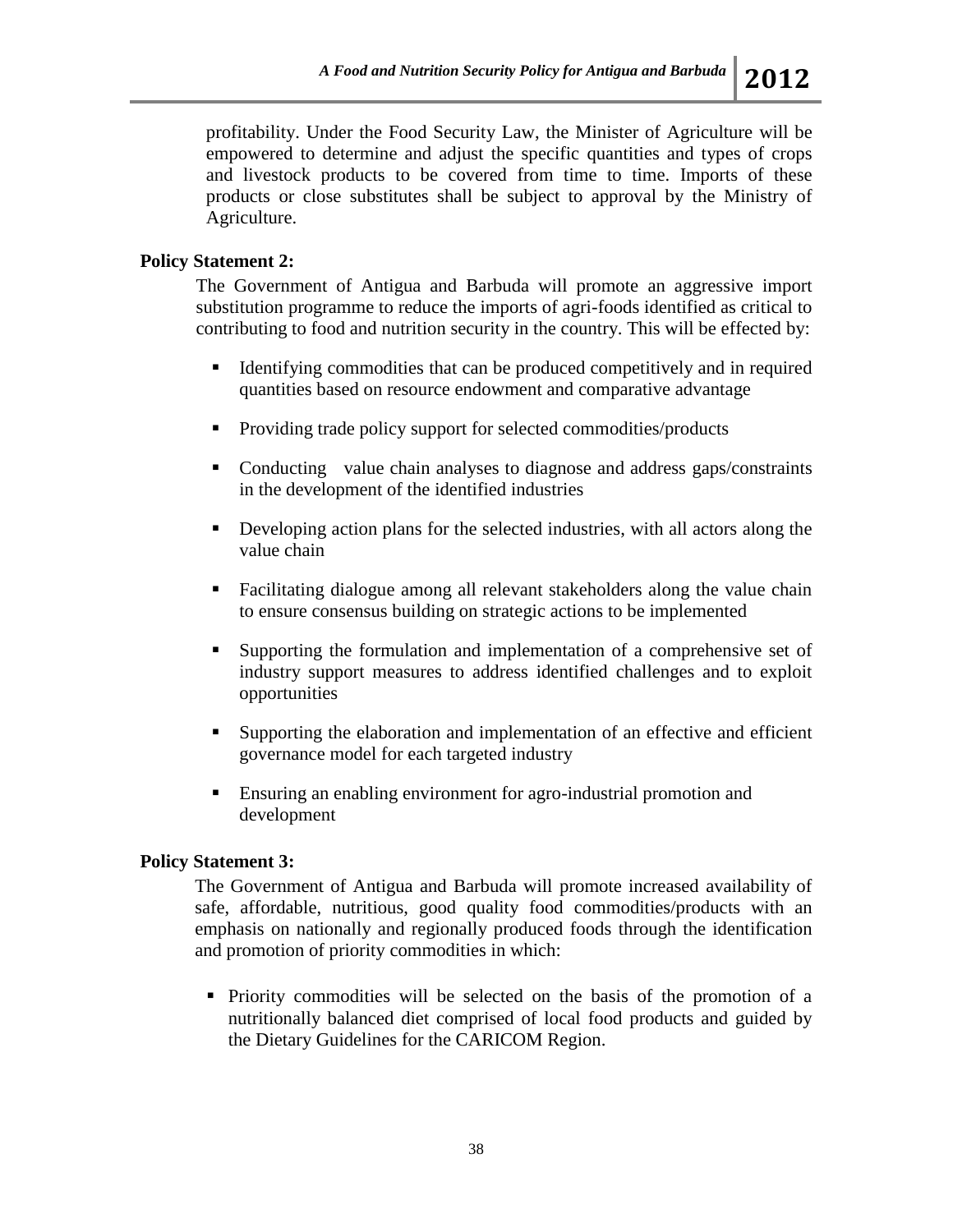profitability. Under the Food Security Law, the Minister of Agriculture will be empowered to determine and adjust the specific quantities and types of crops and livestock products to be covered from time to time. Imports of these products or close substitutes shall be subject to approval by the Ministry of Agriculture.

## **Policy Statement 2:**

The Government of Antigua and Barbuda will promote an aggressive import substitution programme to reduce the imports of agri-foods identified as critical to contributing to food and nutrition security in the country. This will be effected by:

- Identifying commodities that can be produced competitively and in required quantities based on resource endowment and comparative advantage
- Providing trade policy support for selected commodities/products
- Conducting value chain analyses to diagnose and address gaps/constraints in the development of the identified industries
- Developing action plans for the selected industries, with all actors along the value chain
- Facilitating dialogue among all relevant stakeholders along the value chain to ensure consensus building on strategic actions to be implemented
- Supporting the formulation and implementation of a comprehensive set of industry support measures to address identified challenges and to exploit opportunities
- Supporting the elaboration and implementation of an effective and efficient governance model for each targeted industry
- Ensuring an enabling environment for agro-industrial promotion and development

## **Policy Statement 3:**

The Government of Antigua and Barbuda will promote increased availability of safe, affordable, nutritious, good quality food commodities/products with an emphasis on nationally and regionally produced foods through the identification and promotion of priority commodities in which:

 Priority commodities will be selected on the basis of the promotion of a nutritionally balanced diet comprised of local food products and guided by the Dietary Guidelines for the CARICOM Region.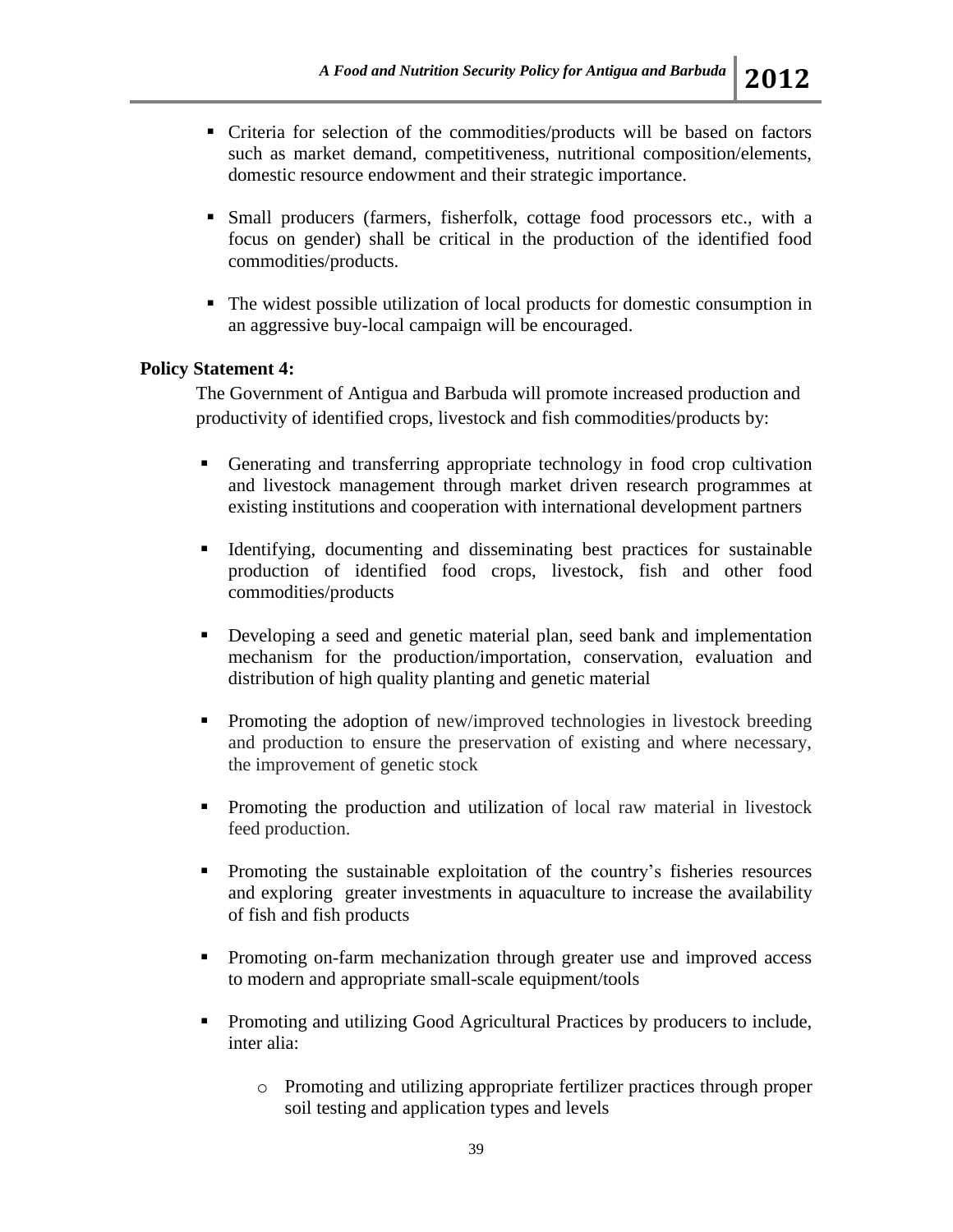- Criteria for selection of the commodities/products will be based on factors such as market demand, competitiveness, nutritional composition/elements, domestic resource endowment and their strategic importance.
- Small producers (farmers, fisherfolk, cottage food processors etc., with a focus on gender) shall be critical in the production of the identified food commodities/products.
- The widest possible utilization of local products for domestic consumption in an aggressive buy-local campaign will be encouraged.

### **Policy Statement 4:**

The Government of Antigua and Barbuda will promote increased production and productivity of identified crops, livestock and fish commodities/products by:

- Generating and transferring appropriate technology in food crop cultivation and livestock management through market driven research programmes at existing institutions and cooperation with international development partners
- Identifying, documenting and disseminating best practices for sustainable production of identified food crops, livestock, fish and other food commodities/products
- Developing a seed and genetic material plan, seed bank and implementation mechanism for the production/importation, conservation, evaluation and distribution of high quality planting and genetic material
- Promoting the adoption of new/improved technologies in livestock breeding and production to ensure the preservation of existing and where necessary, the improvement of genetic stock
- Promoting the production and utilization of local raw material in livestock feed production.
- Promoting the sustainable exploitation of the country's fisheries resources and exploring greater investments in aquaculture to increase the availability of fish and fish products
- Promoting on-farm mechanization through greater use and improved access to modern and appropriate small-scale equipment/tools
- Promoting and utilizing Good Agricultural Practices by producers to include, inter alia:
	- o Promoting and utilizing appropriate fertilizer practices through proper soil testing and application types and levels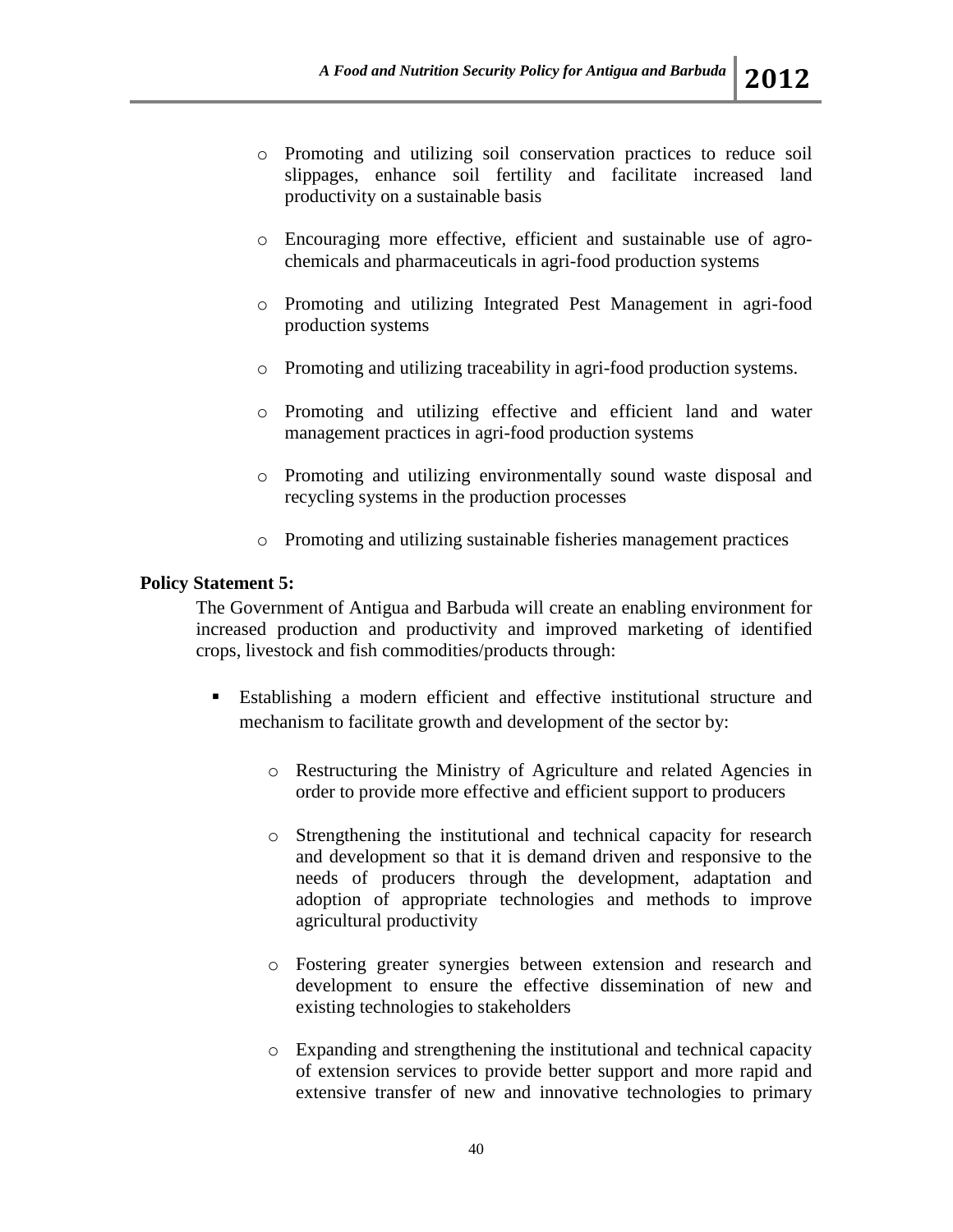- o Promoting and utilizing soil conservation practices to reduce soil slippages, enhance soil fertility and facilitate increased land productivity on a sustainable basis
- o Encouraging more effective, efficient and sustainable use of agrochemicals and pharmaceuticals in agri-food production systems
- o Promoting and utilizing Integrated Pest Management in agri-food production systems
- o Promoting and utilizing traceability in agri-food production systems.
- o Promoting and utilizing effective and efficient land and water management practices in agri-food production systems
- o Promoting and utilizing environmentally sound waste disposal and recycling systems in the production processes
- o Promoting and utilizing sustainable fisheries management practices

## **Policy Statement 5:**

The Government of Antigua and Barbuda will create an enabling environment for increased production and productivity and improved marketing of identified crops, livestock and fish commodities/products through:

- Establishing a modern efficient and effective institutional structure and mechanism to facilitate growth and development of the sector by:
	- o Restructuring the Ministry of Agriculture and related Agencies in order to provide more effective and efficient support to producers
	- o Strengthening the institutional and technical capacity for research and development so that it is demand driven and responsive to the needs of producers through the development, adaptation and adoption of appropriate technologies and methods to improve agricultural productivity
	- o Fostering greater synergies between extension and research and development to ensure the effective dissemination of new and existing technologies to stakeholders
	- o Expanding and strengthening the institutional and technical capacity of extension services to provide better support and more rapid and extensive transfer of new and innovative technologies to primary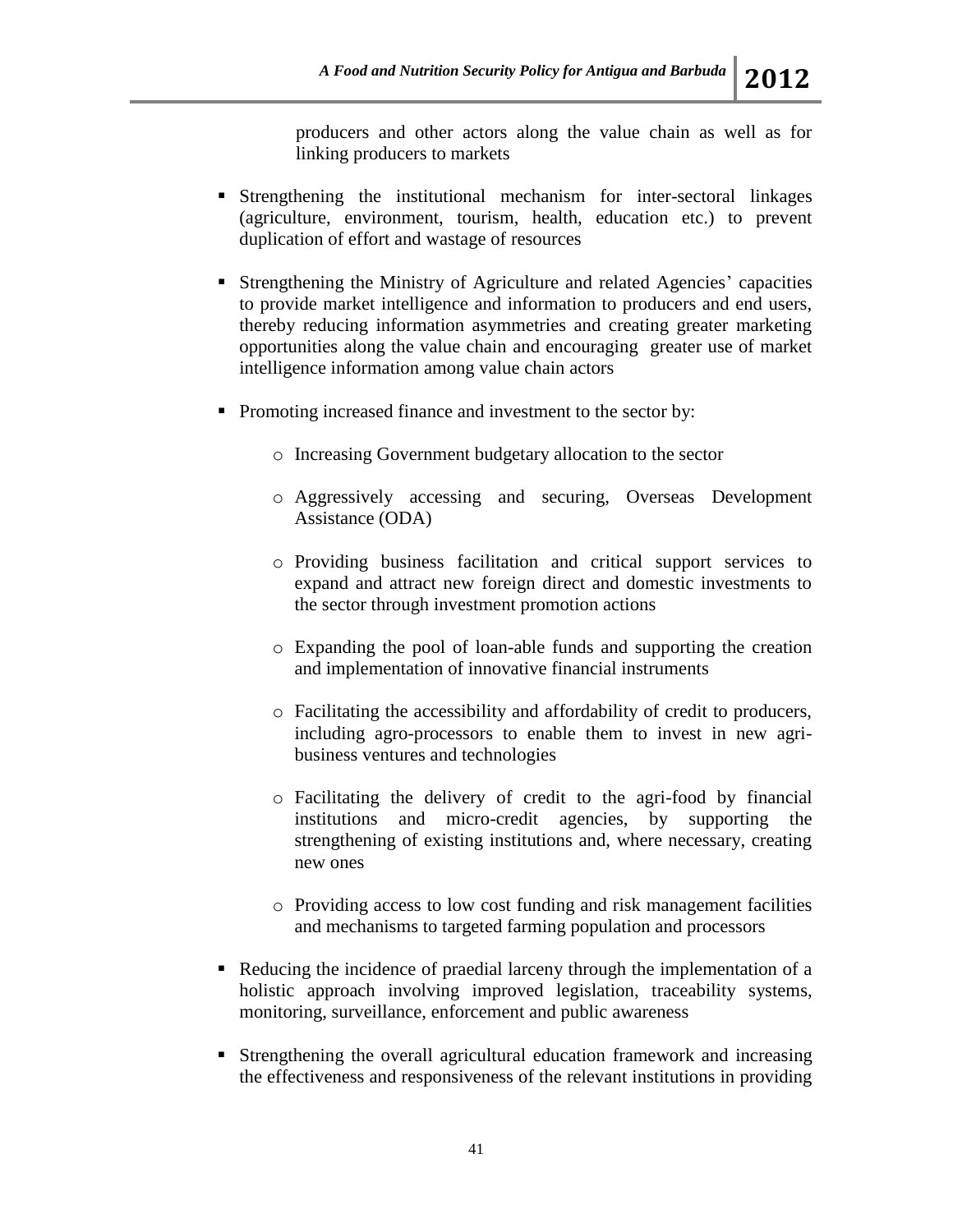producers and other actors along the value chain as well as for linking producers to markets

- Strengthening the institutional mechanism for inter-sectoral linkages (agriculture, environment, tourism, health, education etc.) to prevent duplication of effort and wastage of resources
- Strengthening the Ministry of Agriculture and related Agencies' capacities to provide market intelligence and information to producers and end users, thereby reducing information asymmetries and creating greater marketing opportunities along the value chain and encouraging greater use of market intelligence information among value chain actors
- Promoting increased finance and investment to the sector by:
	- o Increasing Government budgetary allocation to the sector
	- o Aggressively accessing and securing, Overseas Development Assistance (ODA)
	- o Providing business facilitation and critical support services to expand and attract new foreign direct and domestic investments to the sector through investment promotion actions
	- o Expanding the pool of loan-able funds and supporting the creation and implementation of innovative financial instruments
	- o Facilitating the accessibility and affordability of credit to producers, including agro-processors to enable them to invest in new agribusiness ventures and technologies
	- o Facilitating the delivery of credit to the agri-food by financial institutions and micro-credit agencies, by supporting the strengthening of existing institutions and, where necessary, creating new ones
	- o Providing access to low cost funding and risk management facilities and mechanisms to targeted farming population and processors
- Reducing the incidence of praedial larceny through the implementation of a holistic approach involving improved legislation, traceability systems, monitoring, surveillance, enforcement and public awareness
- Strengthening the overall agricultural education framework and increasing the effectiveness and responsiveness of the relevant institutions in providing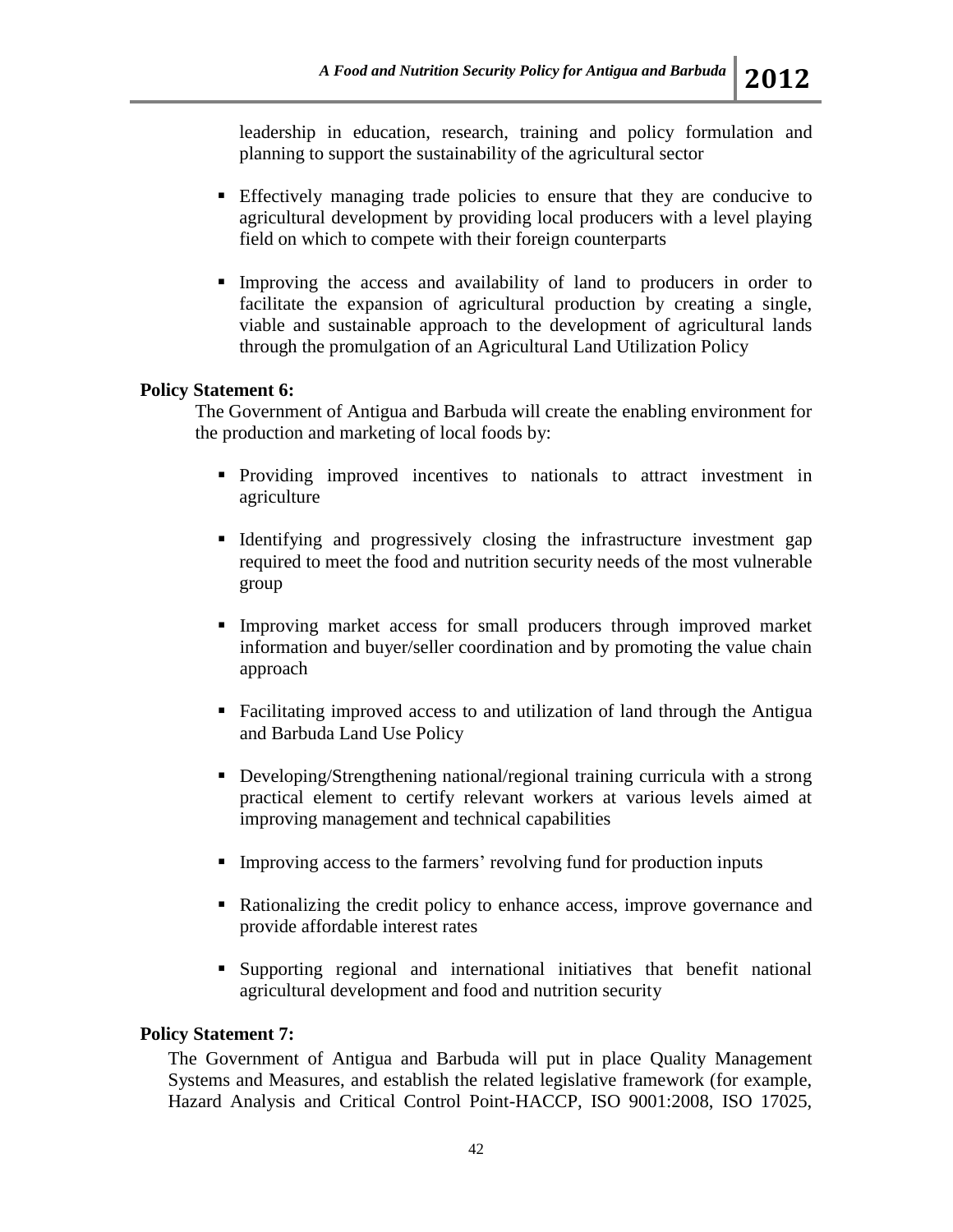leadership in education, research, training and policy formulation and planning to support the sustainability of the agricultural sector

- Effectively managing trade policies to ensure that they are conducive to agricultural development by providing local producers with a level playing field on which to compete with their foreign counterparts
- Improving the access and availability of land to producers in order to facilitate the expansion of agricultural production by creating a single, viable and sustainable approach to the development of agricultural lands through the promulgation of an Agricultural Land Utilization Policy

### **Policy Statement 6:**

The Government of Antigua and Barbuda will create the enabling environment for the production and marketing of local foods by:

- Providing improved incentives to nationals to attract investment in agriculture
- Identifying and progressively closing the infrastructure investment gap required to meet the food and nutrition security needs of the most vulnerable group
- Improving market access for small producers through improved market information and buyer/seller coordination and by promoting the value chain approach
- Facilitating improved access to and utilization of land through the Antigua and Barbuda Land Use Policy
- Developing/Strengthening national/regional training curricula with a strong practical element to certify relevant workers at various levels aimed at improving management and technical capabilities
- Improving access to the farmers' revolving fund for production inputs
- Rationalizing the credit policy to enhance access, improve governance and provide affordable interest rates
- Supporting regional and international initiatives that benefit national agricultural development and food and nutrition security

### **Policy Statement 7:**

The Government of Antigua and Barbuda will put in place Quality Management Systems and Measures, and establish the related legislative framework (for example, Hazard Analysis and Critical Control Point-HACCP, ISO 9001:2008, ISO 17025,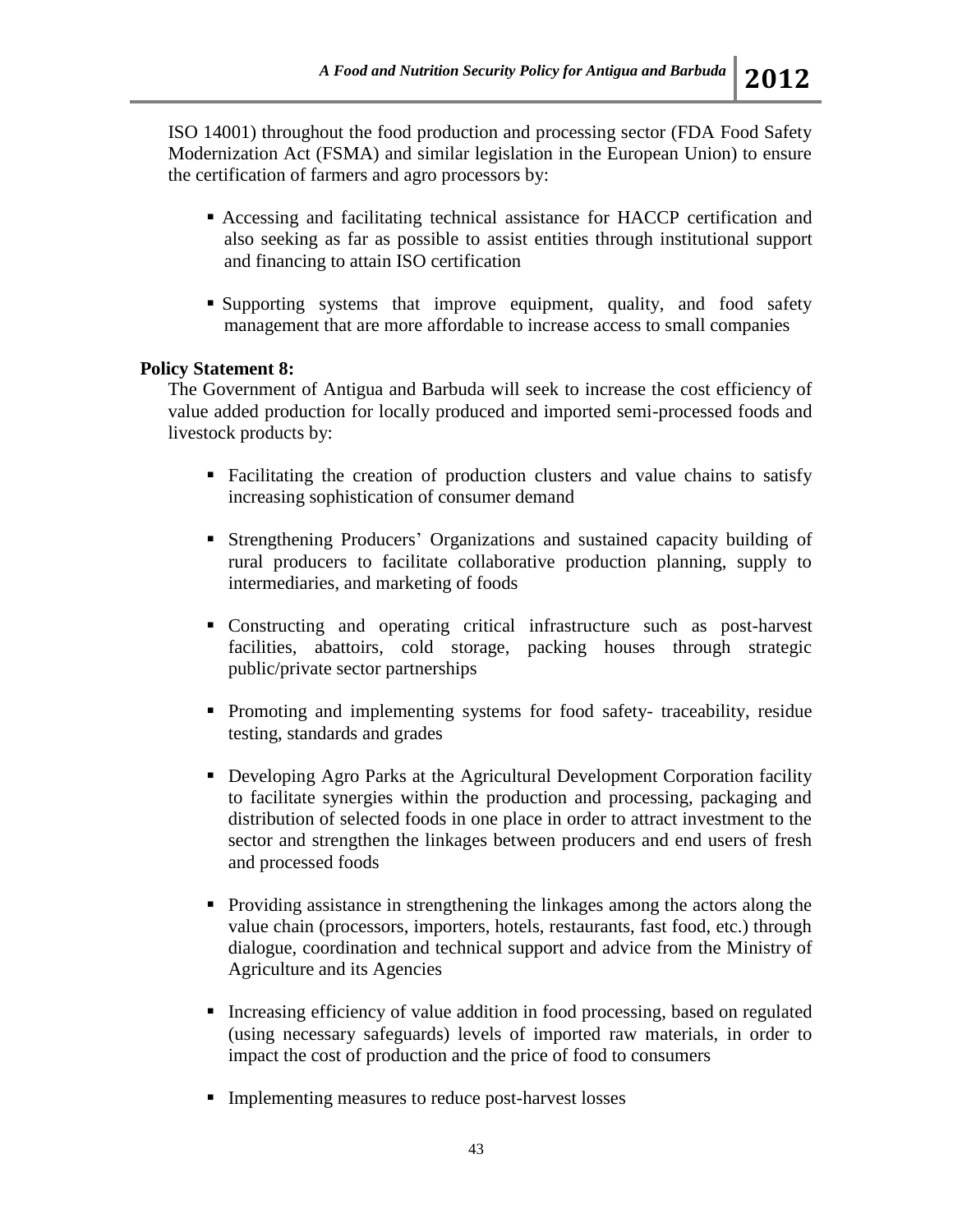ISO 14001) throughout the food production and processing sector (FDA Food Safety Modernization Act (FSMA) and similar legislation in the European Union) to ensure the certification of farmers and agro processors by:

- Accessing and facilitating technical assistance for HACCP certification and also seeking as far as possible to assist entities through institutional support and financing to attain ISO certification
- Supporting systems that improve equipment, quality, and food safety management that are more affordable to increase access to small companies

### **Policy Statement 8:**

The Government of Antigua and Barbuda will seek to increase the cost efficiency of value added production for locally produced and imported semi-processed foods and livestock products by:

- Facilitating the creation of production clusters and value chains to satisfy increasing sophistication of consumer demand
- Strengthening Producers' Organizations and sustained capacity building of rural producers to facilitate collaborative production planning, supply to intermediaries, and marketing of foods
- Constructing and operating critical infrastructure such as post-harvest facilities, abattoirs, cold storage, packing houses through strategic public/private sector partnerships
- Promoting and implementing systems for food safety- traceability, residue testing, standards and grades
- Developing Agro Parks at the Agricultural Development Corporation facility to facilitate synergies within the production and processing, packaging and distribution of selected foods in one place in order to attract investment to the sector and strengthen the linkages between producers and end users of fresh and processed foods
- **Providing assistance in strengthening the linkages among the actors along the** value chain (processors, importers, hotels, restaurants, fast food, etc.) through dialogue, coordination and technical support and advice from the Ministry of Agriculture and its Agencies
- Increasing efficiency of value addition in food processing, based on regulated (using necessary safeguards) levels of imported raw materials, in order to impact the cost of production and the price of food to consumers
- **Implementing measures to reduce post-harvest losses**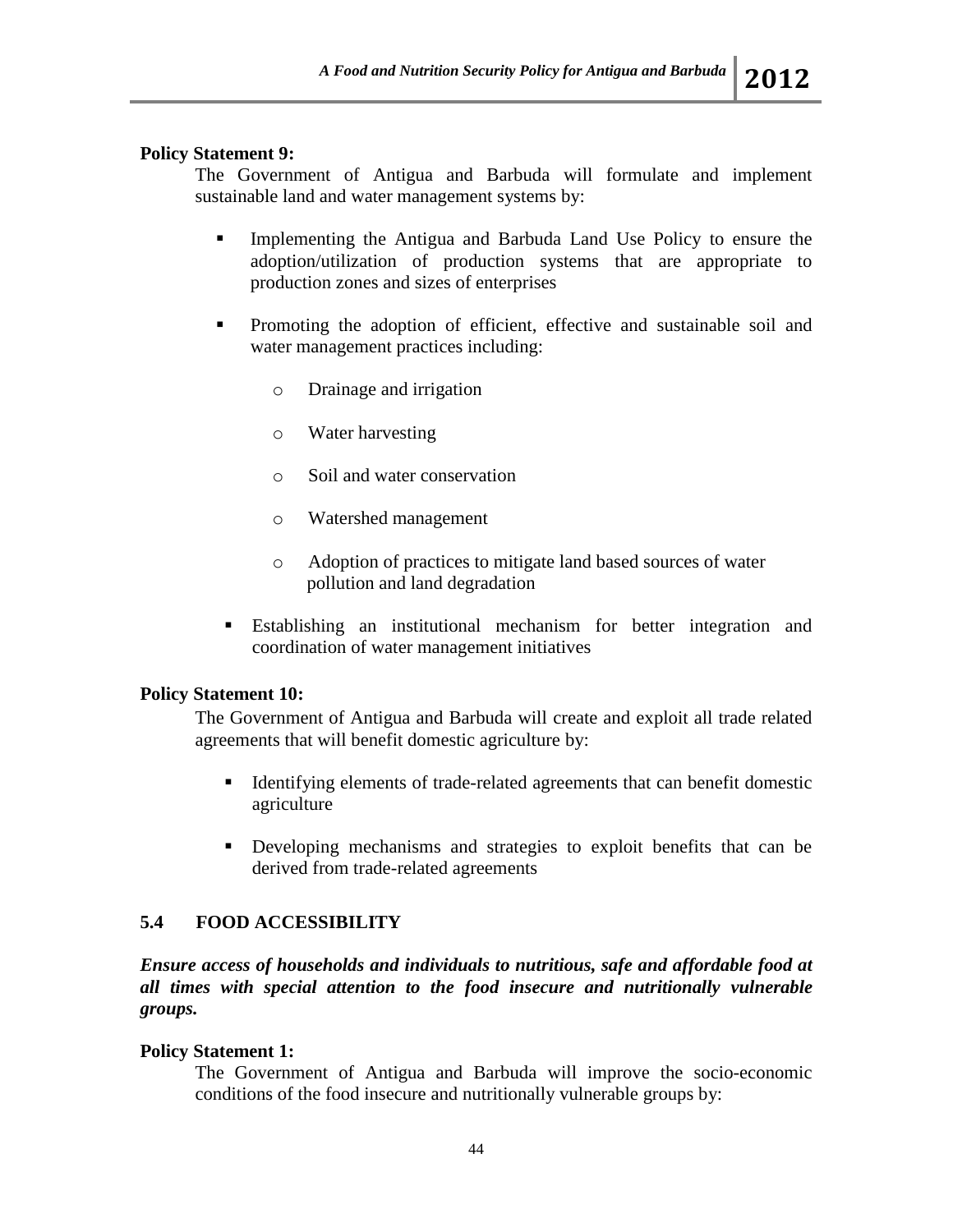# **Policy Statement 9:**

The Government of Antigua and Barbuda will formulate and implement sustainable land and water management systems by:

- Implementing the Antigua and Barbuda Land Use Policy to ensure the adoption/utilization of production systems that are appropriate to production zones and sizes of enterprises
- **Promoting the adoption of efficient, effective and sustainable soil and** water management practices including:
	- o Drainage and irrigation
	- o Water harvesting
	- o Soil and water conservation
	- o Watershed management
	- o Adoption of practices to mitigate land based sources of water pollution and land degradation
- Establishing an institutional mechanism for better integration and coordination of water management initiatives

## **Policy Statement 10:**

The Government of Antigua and Barbuda will create and exploit all trade related agreements that will benefit domestic agriculture by:

- Identifying elements of trade-related agreements that can benefit domestic agriculture
- Developing mechanisms and strategies to exploit benefits that can be derived from trade-related agreements

# **5.4 FOOD ACCESSIBILITY**

*Ensure access of households and individuals to nutritious, safe and affordable food at all times with special attention to the food insecure and nutritionally vulnerable groups.* 

## **Policy Statement 1:**

The Government of Antigua and Barbuda will improve the socio-economic conditions of the food insecure and nutritionally vulnerable groups by: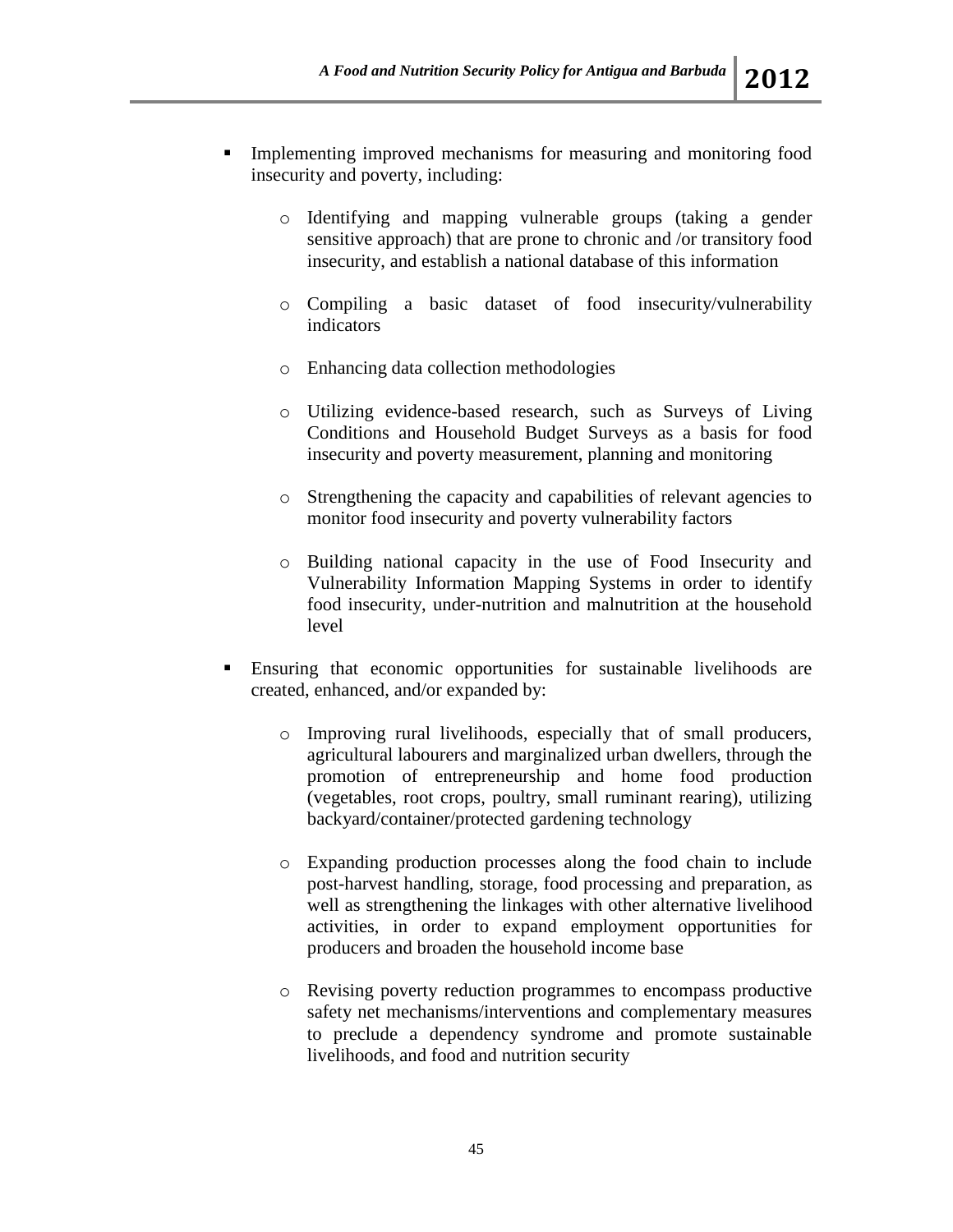- Implementing improved mechanisms for measuring and monitoring food insecurity and poverty, including:
	- o Identifying and mapping vulnerable groups (taking a gender sensitive approach) that are prone to chronic and /or transitory food insecurity, and establish a national database of this information
	- o Compiling a basic dataset of food insecurity/vulnerability indicators
	- o Enhancing data collection methodologies
	- o Utilizing evidence-based research, such as Surveys of Living Conditions and Household Budget Surveys as a basis for food insecurity and poverty measurement, planning and monitoring
	- o Strengthening the capacity and capabilities of relevant agencies to monitor food insecurity and poverty vulnerability factors
	- o Building national capacity in the use of Food Insecurity and Vulnerability Information Mapping Systems in order to identify food insecurity, under-nutrition and malnutrition at the household level
- Ensuring that economic opportunities for sustainable livelihoods are created, enhanced, and/or expanded by:
	- o Improving rural livelihoods, especially that of small producers, agricultural labourers and marginalized urban dwellers, through the promotion of entrepreneurship and home food production (vegetables, root crops, poultry, small ruminant rearing), utilizing backyard/container/protected gardening technology
	- o Expanding production processes along the food chain to include post-harvest handling, storage, food processing and preparation, as well as strengthening the linkages with other alternative livelihood activities, in order to expand employment opportunities for producers and broaden the household income base
	- o Revising poverty reduction programmes to encompass productive safety net mechanisms/interventions and complementary measures to preclude a dependency syndrome and promote sustainable livelihoods, and food and nutrition security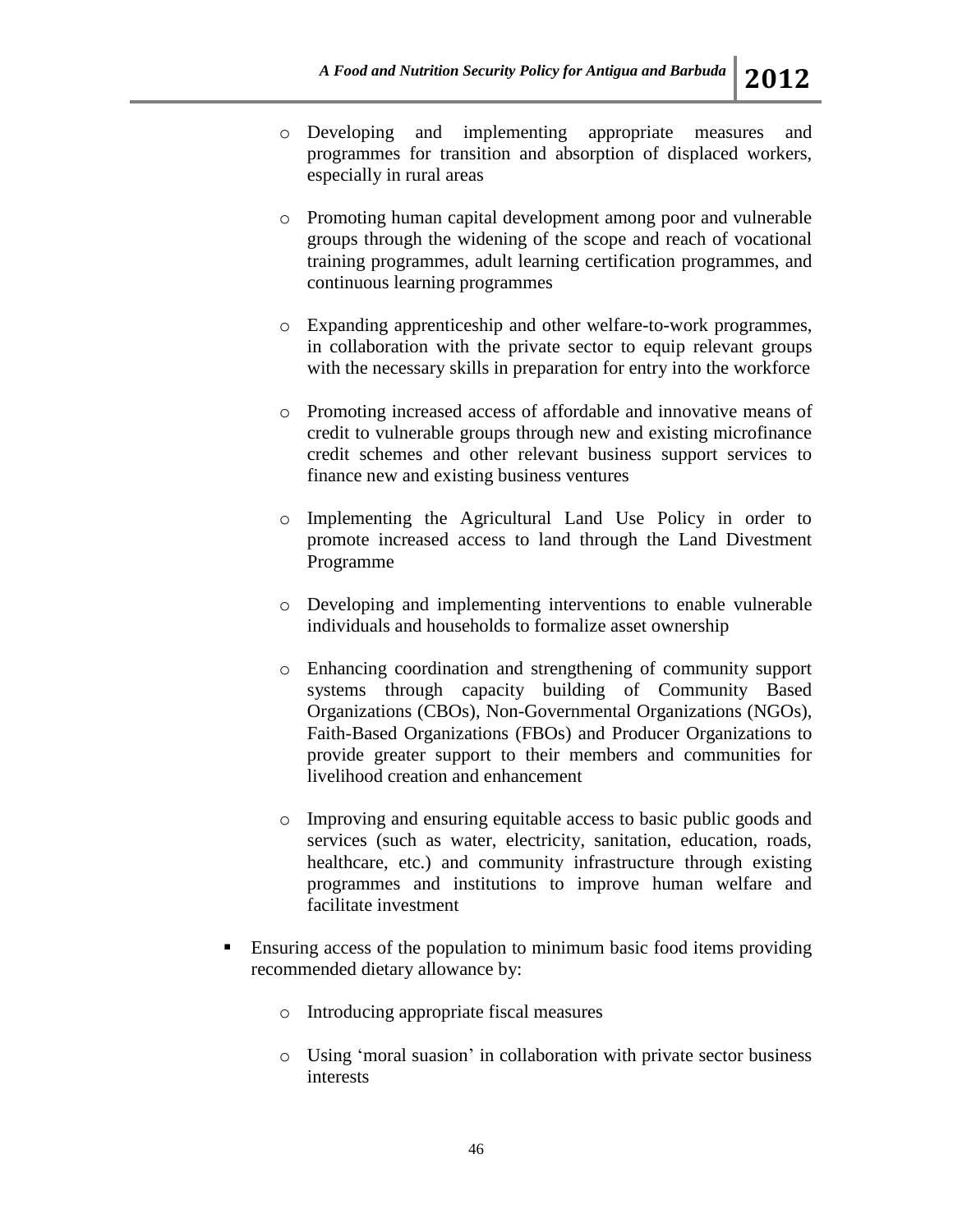- o Developing and implementing appropriate measures and programmes for transition and absorption of displaced workers, especially in rural areas
- o Promoting human capital development among poor and vulnerable groups through the widening of the scope and reach of vocational training programmes, adult learning certification programmes, and continuous learning programmes
- o Expanding apprenticeship and other welfare-to-work programmes, in collaboration with the private sector to equip relevant groups with the necessary skills in preparation for entry into the workforce
- o Promoting increased access of affordable and innovative means of credit to vulnerable groups through new and existing microfinance credit schemes and other relevant business support services to finance new and existing business ventures
- o Implementing the Agricultural Land Use Policy in order to promote increased access to land through the Land Divestment Programme
- o Developing and implementing interventions to enable vulnerable individuals and households to formalize asset ownership
- o Enhancing coordination and strengthening of community support systems through capacity building of Community Based Organizations (CBOs), Non-Governmental Organizations (NGOs), Faith-Based Organizations (FBOs) and Producer Organizations to provide greater support to their members and communities for livelihood creation and enhancement
- o Improving and ensuring equitable access to basic public goods and services (such as water, electricity, sanitation, education, roads, healthcare, etc.) and community infrastructure through existing programmes and institutions to improve human welfare and facilitate investment
- Ensuring access of the population to minimum basic food items providing recommended dietary allowance by:
	- o Introducing appropriate fiscal measures
	- o Using 'moral suasion' in collaboration with private sector business interests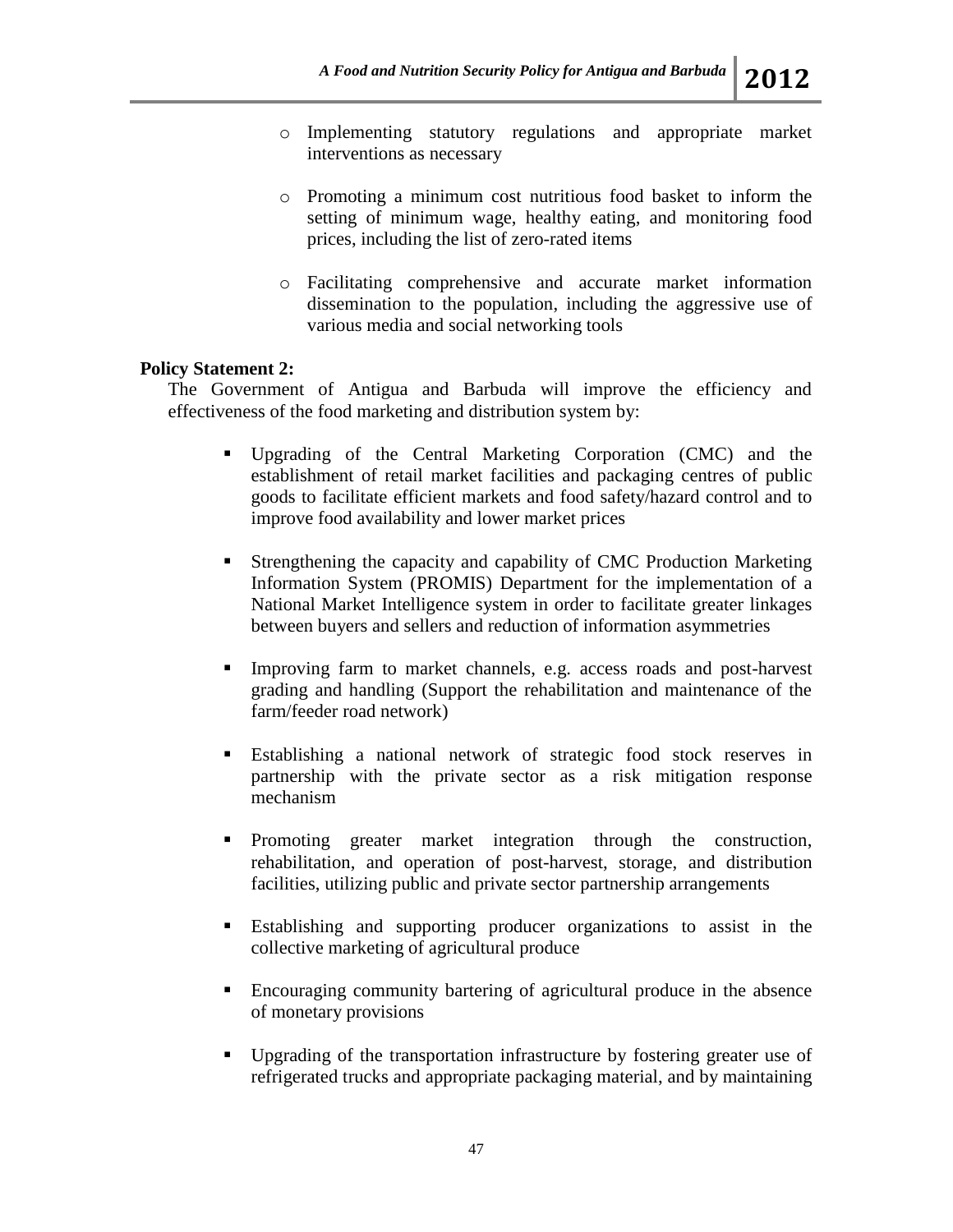- o Implementing statutory regulations and appropriate market interventions as necessary
- o Promoting a minimum cost nutritious food basket to inform the setting of minimum wage, healthy eating, and monitoring food prices, including the list of zero-rated items
- o Facilitating comprehensive and accurate market information dissemination to the population, including the aggressive use of various media and social networking tools

### **Policy Statement 2:**

The Government of Antigua and Barbuda will improve the efficiency and effectiveness of the food marketing and distribution system by:

- Upgrading of the Central Marketing Corporation (CMC) and the establishment of retail market facilities and packaging centres of public goods to facilitate efficient markets and food safety/hazard control and to improve food availability and lower market prices
- Strengthening the capacity and capability of CMC Production Marketing Information System (PROMIS) Department for the implementation of a National Market Intelligence system in order to facilitate greater linkages between buyers and sellers and reduction of information asymmetries
- Improving farm to market channels, e.g. access roads and post-harvest grading and handling (Support the rehabilitation and maintenance of the farm/feeder road network)
- Establishing a national network of strategic food stock reserves in partnership with the private sector as a risk mitigation response mechanism
- Promoting greater market integration through the construction, rehabilitation, and operation of post-harvest, storage, and distribution facilities, utilizing public and private sector partnership arrangements
- Establishing and supporting producer organizations to assist in the collective marketing of agricultural produce
- Encouraging community bartering of agricultural produce in the absence of monetary provisions
- Upgrading of the transportation infrastructure by fostering greater use of refrigerated trucks and appropriate packaging material, and by maintaining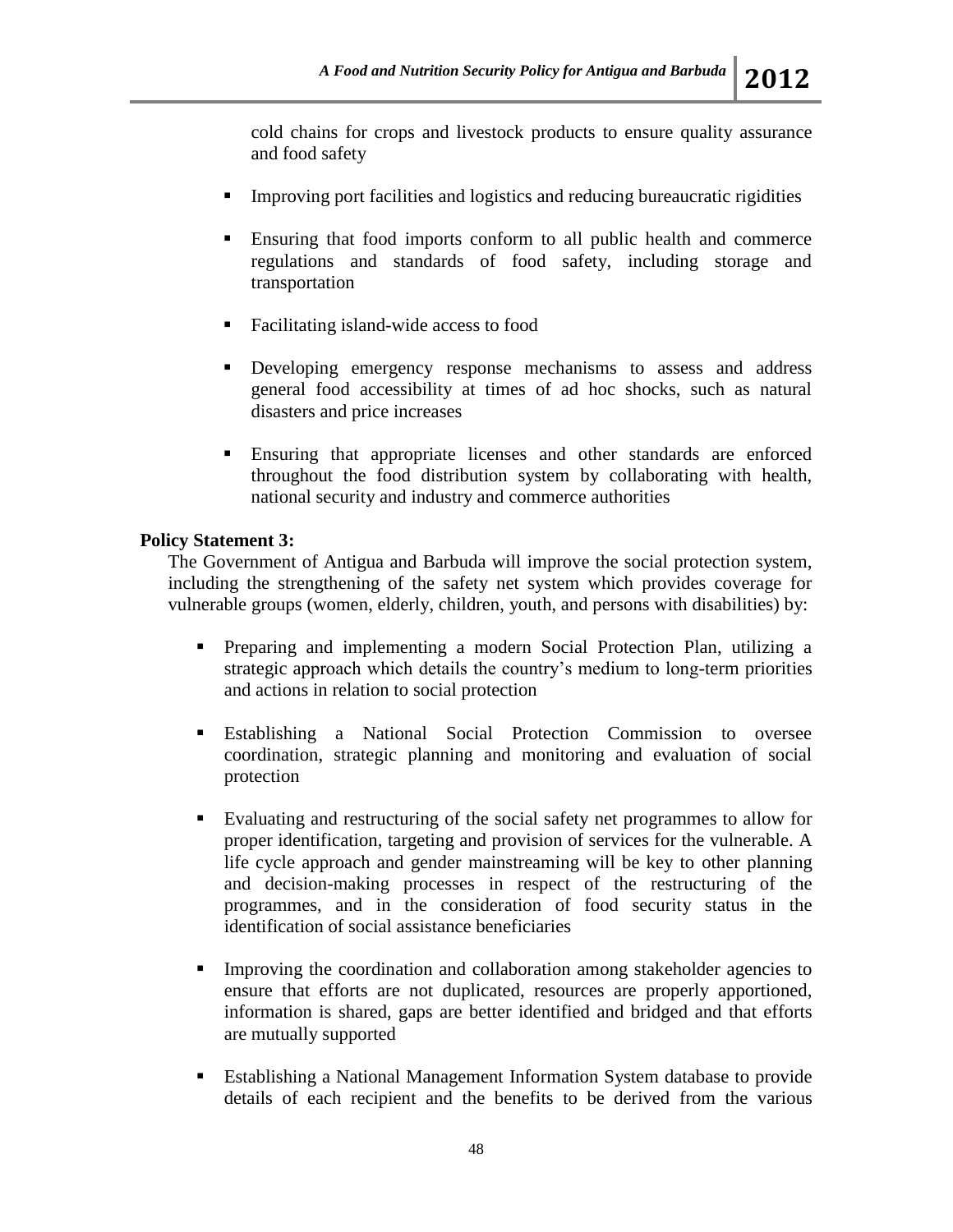- **IMPROVING PORT FACILITIES AND REDUCION** Interactive rigidities **I**
- Ensuring that food imports conform to all public health and commerce regulations and standards of food safety, including storage and transportation
- Facilitating island-wide access to food
- Developing emergency response mechanisms to assess and address general food accessibility at times of ad hoc shocks, such as natural disasters and price increases
- Ensuring that appropriate licenses and other standards are enforced throughout the food distribution system by collaborating with health, national security and industry and commerce authorities

# **Policy Statement 3:**

The Government of Antigua and Barbuda will improve the social protection system, including the strengthening of the safety net system which provides coverage for vulnerable groups (women, elderly, children, youth, and persons with disabilities) by:

- Preparing and implementing a modern Social Protection Plan, utilizing a strategic approach which details the country's medium to long-term priorities and actions in relation to social protection
- Establishing a National Social Protection Commission to oversee coordination, strategic planning and monitoring and evaluation of social protection
- Evaluating and restructuring of the social safety net programmes to allow for proper identification, targeting and provision of services for the vulnerable. A life cycle approach and gender mainstreaming will be key to other planning and decision-making processes in respect of the restructuring of the programmes, and in the consideration of food security status in the identification of social assistance beneficiaries
- Improving the coordination and collaboration among stakeholder agencies to ensure that efforts are not duplicated, resources are properly apportioned, information is shared, gaps are better identified and bridged and that efforts are mutually supported
- Establishing a National Management Information System database to provide details of each recipient and the benefits to be derived from the various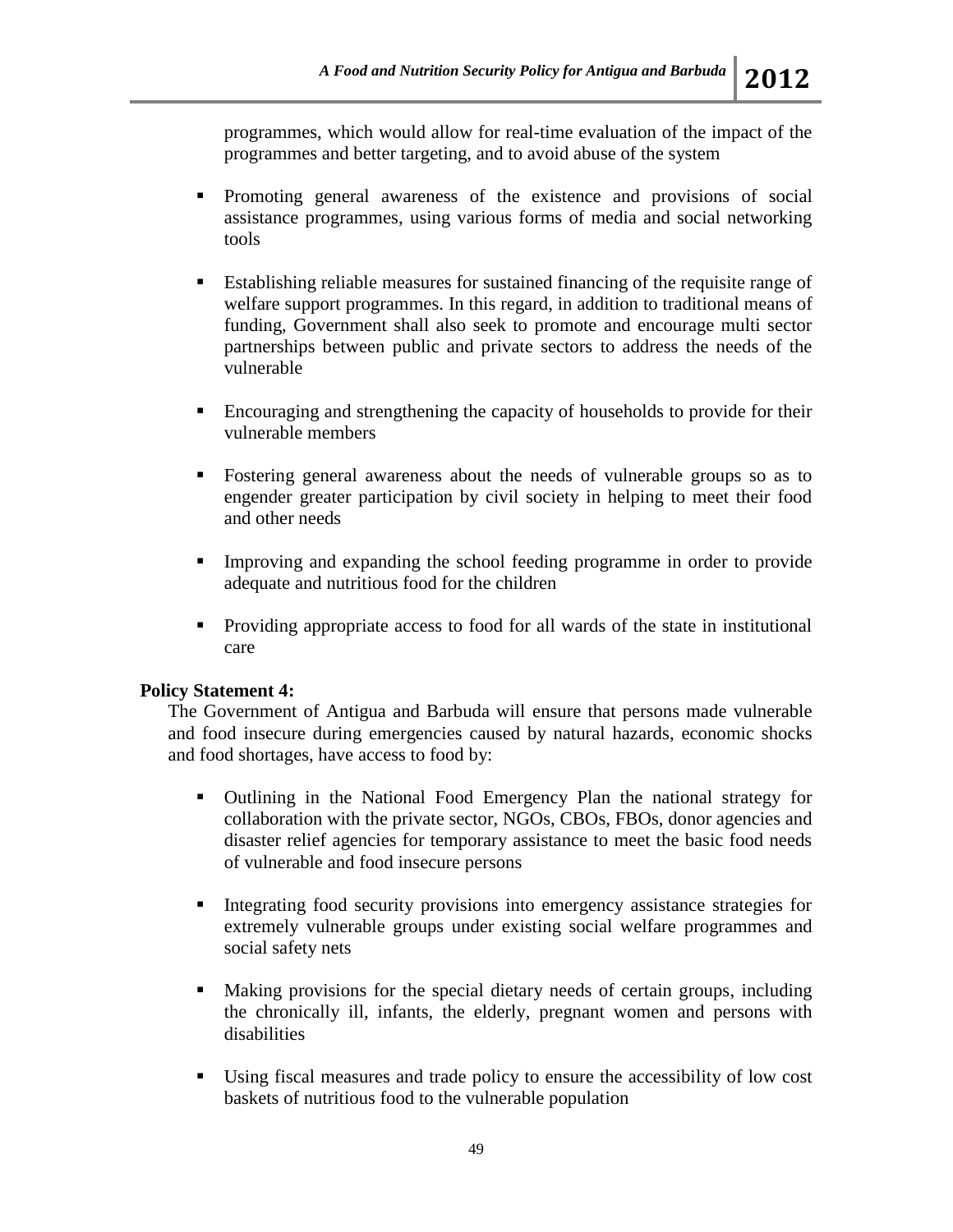programmes, which would allow for real-time evaluation of the impact of the programmes and better targeting, and to avoid abuse of the system

- Promoting general awareness of the existence and provisions of social assistance programmes, using various forms of media and social networking tools
- Establishing reliable measures for sustained financing of the requisite range of welfare support programmes. In this regard, in addition to traditional means of funding, Government shall also seek to promote and encourage multi sector partnerships between public and private sectors to address the needs of the vulnerable
- Encouraging and strengthening the capacity of households to provide for their vulnerable members
- Fostering general awareness about the needs of vulnerable groups so as to engender greater participation by civil society in helping to meet their food and other needs
- Improving and expanding the school feeding programme in order to provide adequate and nutritious food for the children
- Providing appropriate access to food for all wards of the state in institutional care

## **Policy Statement 4:**

The Government of Antigua and Barbuda will ensure that persons made vulnerable and food insecure during emergencies caused by natural hazards, economic shocks and food shortages, have access to food by:

- Outlining in the National Food Emergency Plan the national strategy for collaboration with the private sector, NGOs, CBOs, FBOs, donor agencies and disaster relief agencies for temporary assistance to meet the basic food needs of vulnerable and food insecure persons
- Integrating food security provisions into emergency assistance strategies for extremely vulnerable groups under existing social welfare programmes and social safety nets
- Making provisions for the special dietary needs of certain groups, including the chronically ill, infants, the elderly, pregnant women and persons with disabilities
- Using fiscal measures and trade policy to ensure the accessibility of low cost baskets of nutritious food to the vulnerable population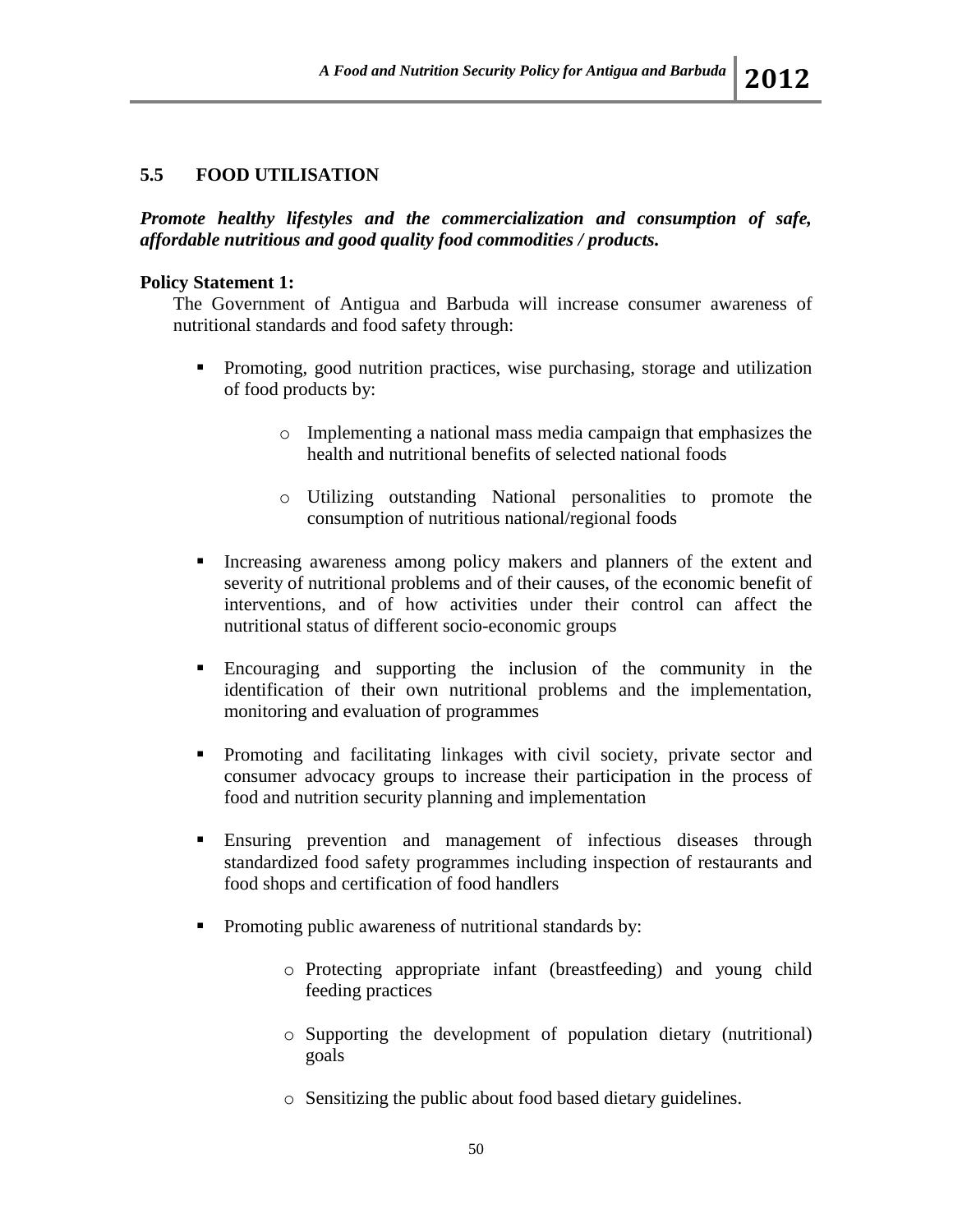### **5.5 FOOD UTILISATION**

*Promote healthy lifestyles and the commercialization and consumption of safe, affordable nutritious and good quality food commodities / products.*

### **Policy Statement 1:**

The Government of Antigua and Barbuda will increase consumer awareness of nutritional standards and food safety through:

- Promoting, good nutrition practices, wise purchasing, storage and utilization of food products by:
	- o Implementing a national mass media campaign that emphasizes the health and nutritional benefits of selected national foods
	- o Utilizing outstanding National personalities to promote the consumption of nutritious national/regional foods
- Increasing awareness among policy makers and planners of the extent and severity of nutritional problems and of their causes, of the economic benefit of interventions, and of how activities under their control can affect the nutritional status of different socio-economic groups
- Encouraging and supporting the inclusion of the community in the identification of their own nutritional problems and the implementation, monitoring and evaluation of programmes
- Promoting and facilitating linkages with civil society, private sector and consumer advocacy groups to increase their participation in the process of food and nutrition security planning and implementation
- Ensuring prevention and management of infectious diseases through standardized food safety programmes including inspection of restaurants and food shops and certification of food handlers
- Promoting public awareness of nutritional standards by:
	- o Protecting appropriate infant (breastfeeding) and young child feeding practices
	- o Supporting the development of population dietary (nutritional) goals
	- o Sensitizing the public about food based dietary guidelines.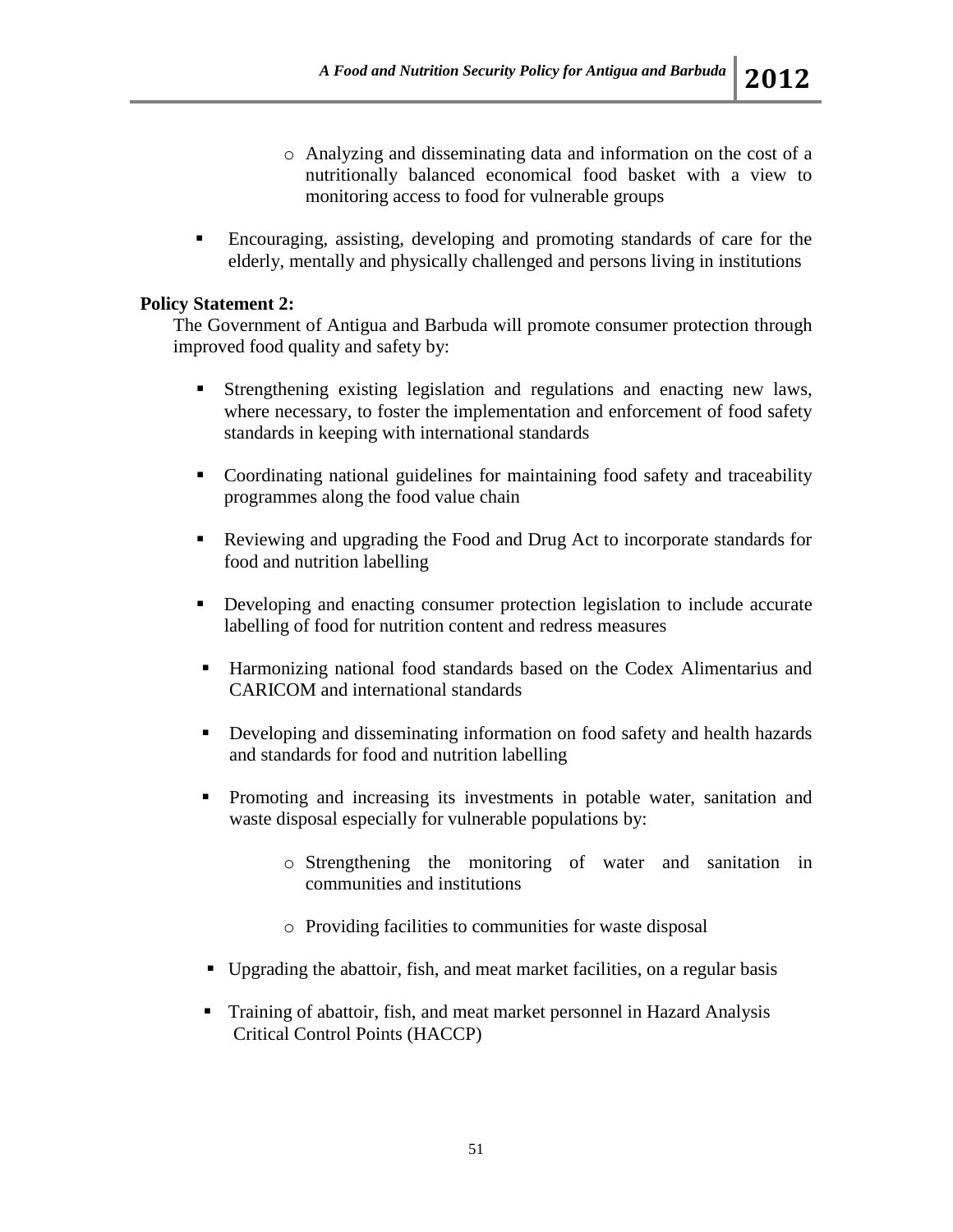- o Analyzing and disseminating data and information on the cost of a nutritionally balanced economical food basket with a view to monitoring access to food for vulnerable groups
- Encouraging, assisting, developing and promoting standards of care for the elderly, mentally and physically challenged and persons living in institutions

# **Policy Statement 2:**

The Government of Antigua and Barbuda will promote consumer protection through improved food quality and safety by:

- Strengthening existing legislation and regulations and enacting new laws, where necessary, to foster the implementation and enforcement of food safety standards in keeping with international standards
- Coordinating national guidelines for maintaining food safety and traceability programmes along the food value chain
- Reviewing and upgrading the Food and Drug Act to incorporate standards for food and nutrition labelling
- Developing and enacting consumer protection legislation to include accurate labelling of food for nutrition content and redress measures
- Harmonizing national food standards based on the Codex Alimentarius and CARICOM and international standards
- **Developing and disseminating information on food safety and health hazards** and standards for food and nutrition labelling
- Promoting and increasing its investments in potable water, sanitation and waste disposal especially for vulnerable populations by:
	- o Strengthening the monitoring of water and sanitation in communities and institutions
	- o Providing facilities to communities for waste disposal
- Upgrading the abattoir, fish, and meat market facilities, on a regular basis
- Training of abattoir, fish, and meat market personnel in Hazard Analysis Critical Control Points (HACCP)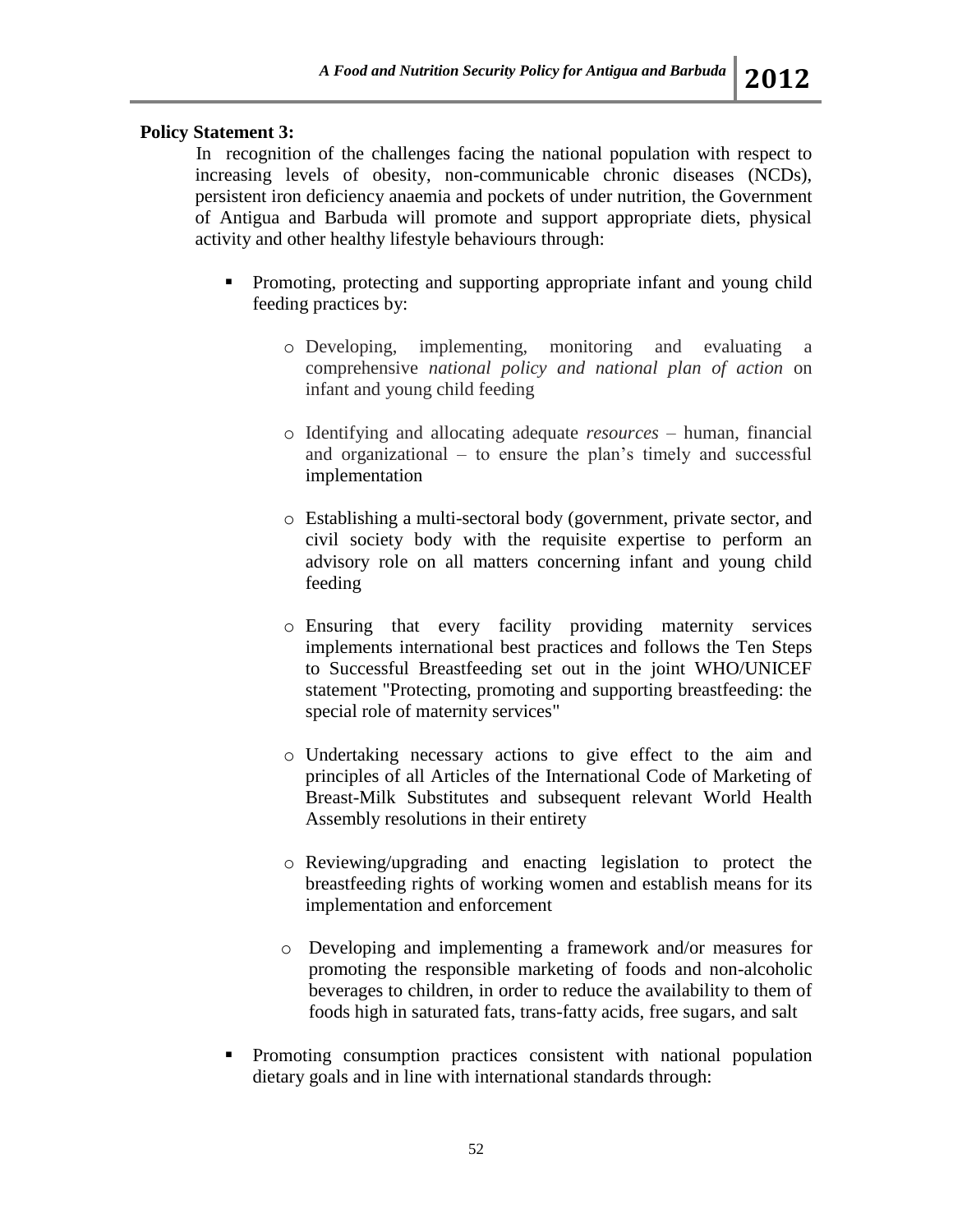# **Policy Statement 3:**

In recognition of the challenges facing the national population with respect to increasing levels of obesity, non-communicable chronic diseases (NCDs), persistent iron deficiency anaemia and pockets of under nutrition, the Government of Antigua and Barbuda will promote and support appropriate diets, physical activity and other healthy lifestyle behaviours through:

- Promoting, protecting and supporting appropriate infant and young child feeding practices by:
	- o Developing, implementing, monitoring and evaluating a comprehensive *national policy and national plan of action* on infant and young child feeding
	- o Identifying and allocating adequate *resources*  human, financial and organizational – to ensure the plan's timely and successful implementation
	- o Establishing a multi-sectoral body (government, private sector, and civil society body with the requisite expertise to perform an advisory role on all matters concerning infant and young child feeding
	- o Ensuring that every facility providing maternity services implements international best practices and follows the Ten Steps to Successful Breastfeeding set out in the joint WHO/UNICEF statement "Protecting, promoting and supporting breastfeeding: the special role of maternity services"
	- o Undertaking necessary actions to give effect to the aim and principles of all Articles of the International Code of Marketing of Breast-Milk Substitutes and subsequent relevant World Health Assembly resolutions in their entirety
	- o Reviewing/upgrading and enacting legislation to protect the breastfeeding rights of working women and establish means for its implementation and enforcement
	- o Developing and implementing a framework and/or measures for promoting the responsible marketing of foods and non-alcoholic beverages to children, in order to reduce the availability to them of foods high in saturated fats, trans-fatty acids, free sugars, and salt
- Promoting consumption practices consistent with national population dietary goals and in line with international standards through: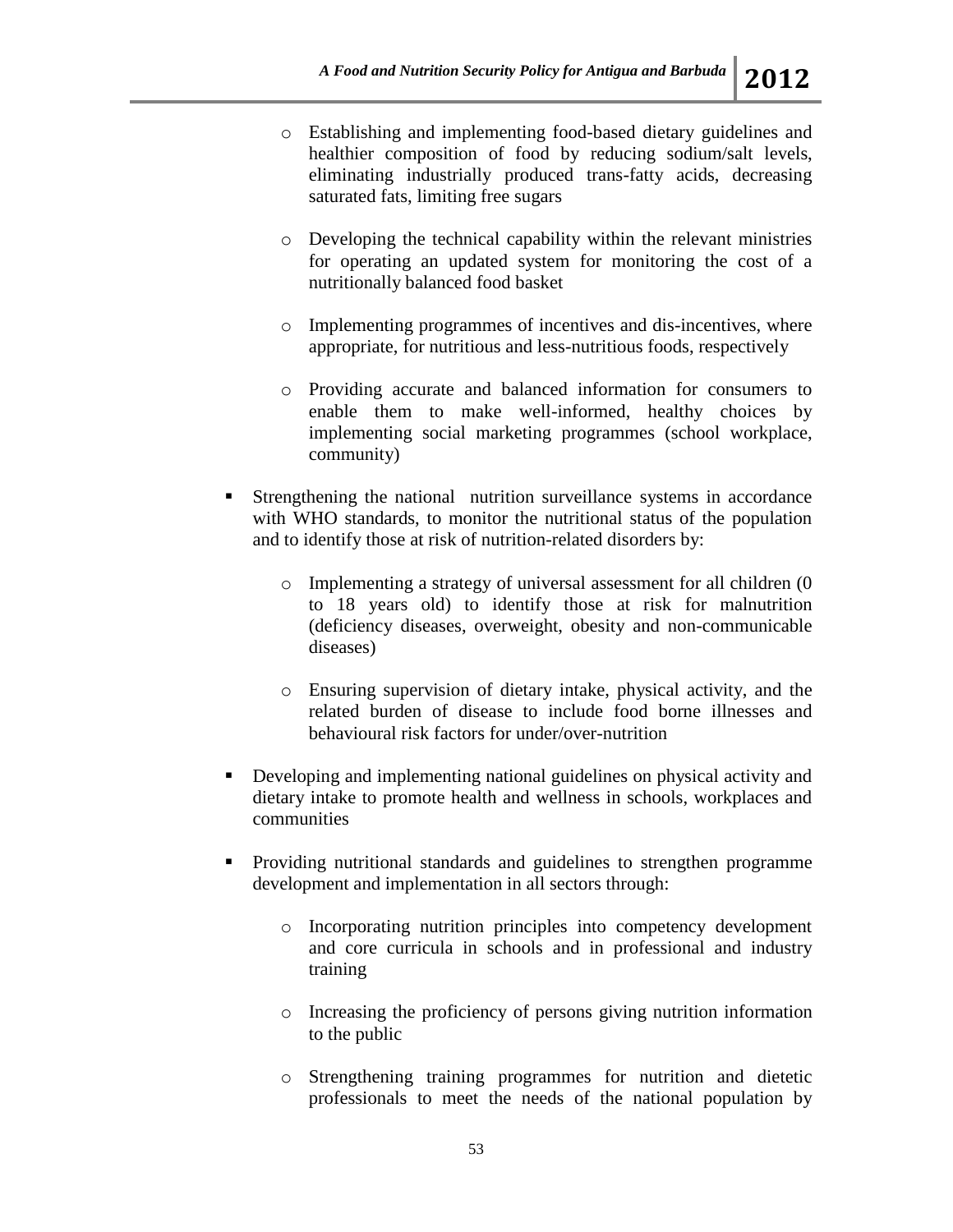- o Establishing and implementing food-based dietary guidelines and healthier composition of food by reducing sodium/salt levels, eliminating industrially produced trans-fatty acids, decreasing saturated fats, limiting free sugars
- o Developing the technical capability within the relevant ministries for operating an updated system for monitoring the cost of a nutritionally balanced food basket
- o Implementing programmes of incentives and dis-incentives, where appropriate, for nutritious and less-nutritious foods, respectively
- o Providing accurate and balanced information for consumers to enable them to make well-informed, healthy choices by implementing social marketing programmes (school workplace, community)
- Strengthening the national nutrition surveillance systems in accordance with WHO standards, to monitor the nutritional status of the population and to identify those at risk of nutrition-related disorders by:
	- o Implementing a strategy of universal assessment for all children (0 to 18 years old) to identify those at risk for malnutrition (deficiency diseases, overweight, obesity and non-communicable diseases)
	- o Ensuring supervision of dietary intake, physical activity, and the related burden of disease to include food borne illnesses and behavioural risk factors for under/over-nutrition
- Developing and implementing national guidelines on physical activity and dietary intake to promote health and wellness in schools, workplaces and communities
- **Providing nutritional standards and guidelines to strengthen programme** development and implementation in all sectors through:
	- o Incorporating nutrition principles into competency development and core curricula in schools and in professional and industry training
	- o Increasing the proficiency of persons giving nutrition information to the public
	- o Strengthening training programmes for nutrition and dietetic professionals to meet the needs of the national population by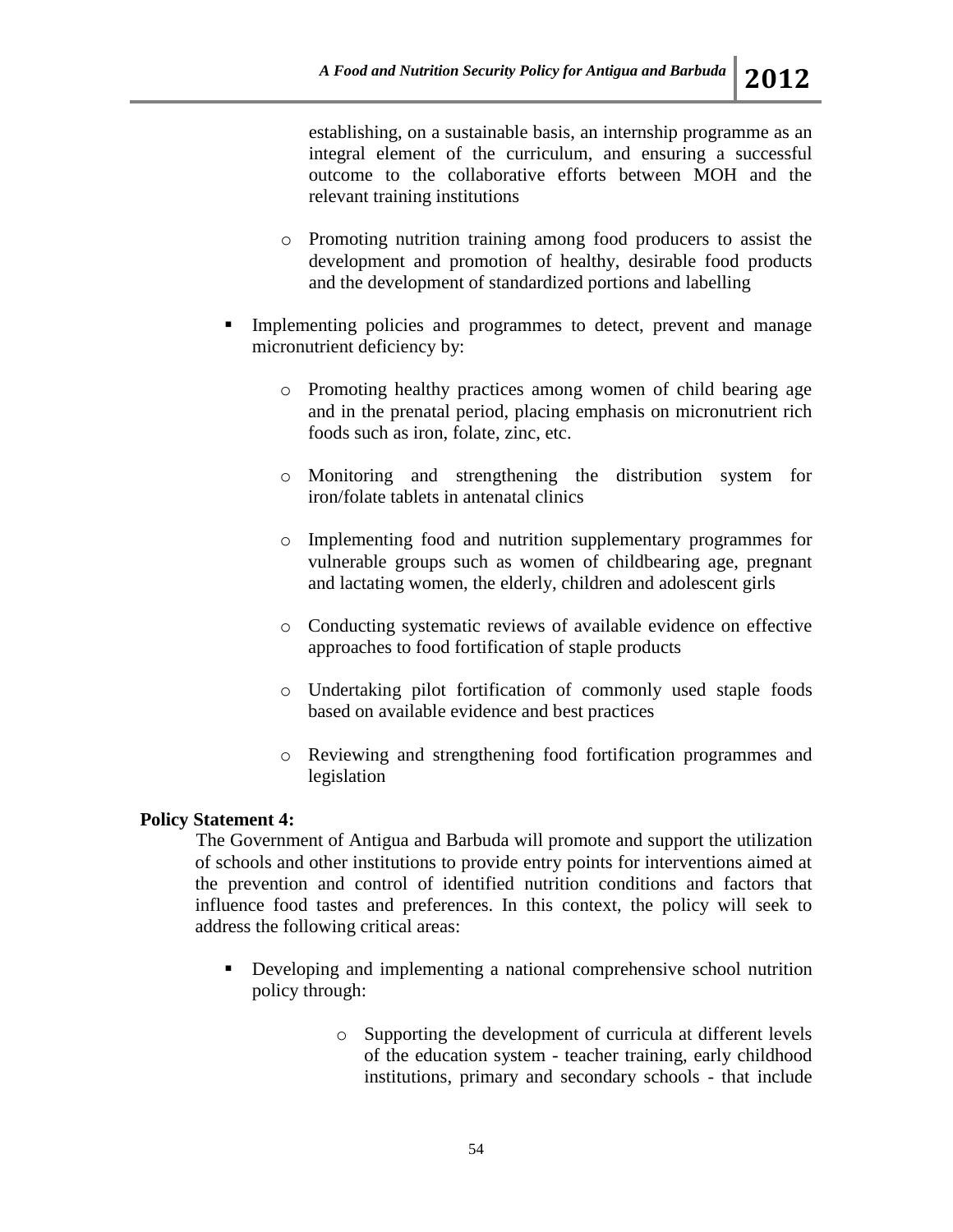establishing, on a sustainable basis, an internship programme as an integral element of the curriculum, and ensuring a successful outcome to the collaborative efforts between MOH and the relevant training institutions

- o Promoting nutrition training among food producers to assist the development and promotion of healthy, desirable food products and the development of standardized portions and labelling
- Implementing policies and programmes to detect, prevent and manage micronutrient deficiency by:
	- o Promoting healthy practices among women of child bearing age and in the prenatal period, placing emphasis on micronutrient rich foods such as iron, folate, zinc, etc.
	- o Monitoring and strengthening the distribution system for iron/folate tablets in antenatal clinics
	- o Implementing food and nutrition supplementary programmes for vulnerable groups such as women of childbearing age, pregnant and lactating women, the elderly, children and adolescent girls
	- o Conducting systematic reviews of available evidence on effective approaches to food fortification of staple products
	- o Undertaking pilot fortification of commonly used staple foods based on available evidence and best practices
	- o Reviewing and strengthening food fortification programmes and legislation

## **Policy Statement 4:**

The Government of Antigua and Barbuda will promote and support the utilization of schools and other institutions to provide entry points for interventions aimed at the prevention and control of identified nutrition conditions and factors that influence food tastes and preferences. In this context, the policy will seek to address the following critical areas:

- Developing and implementing a national comprehensive school nutrition policy through:
	- o Supporting the development of curricula at different levels of the education system - teacher training, early childhood institutions, primary and secondary schools - that include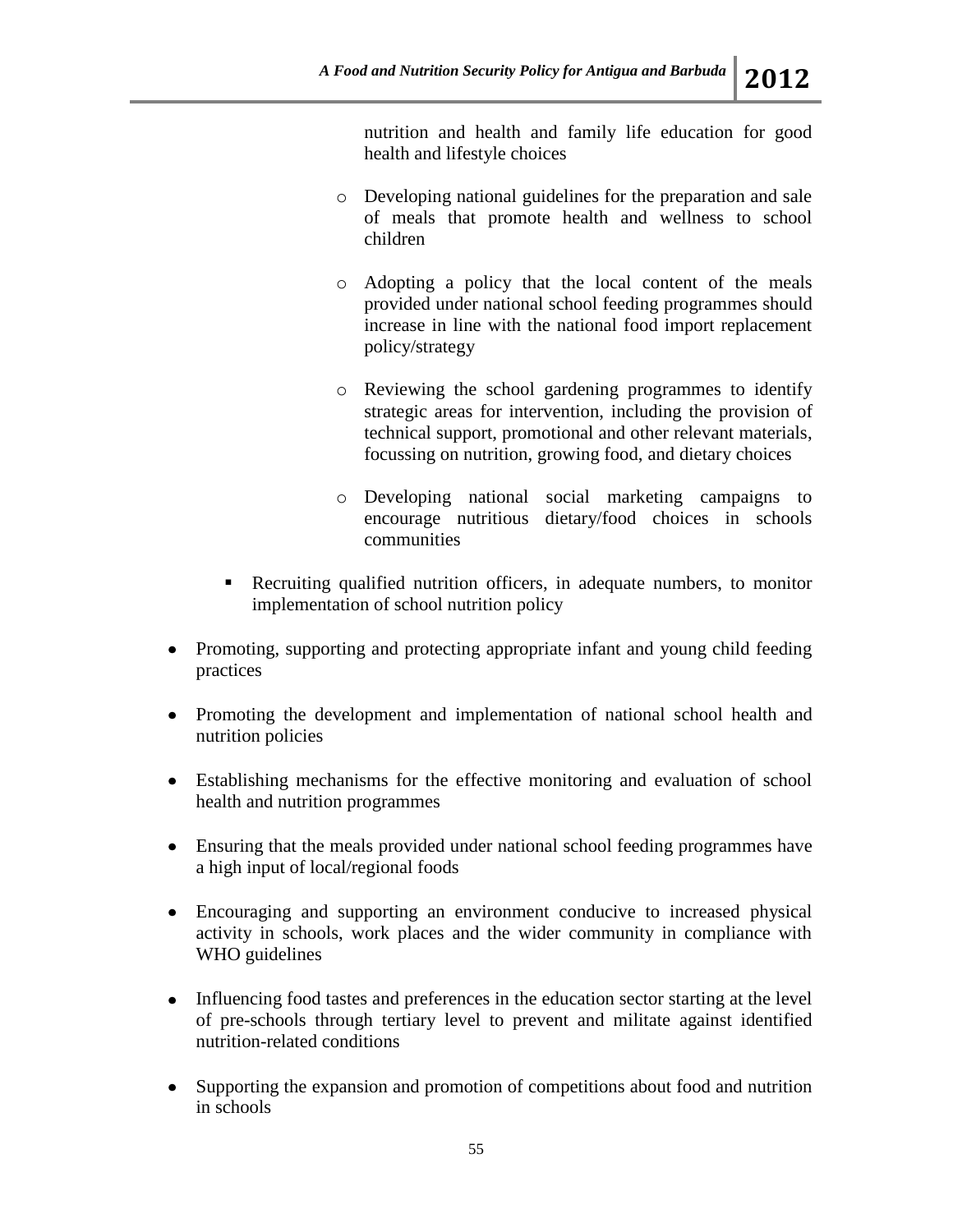nutrition and health and family life education for good health and lifestyle choices

- o Developing national guidelines for the preparation and sale of meals that promote health and wellness to school children
- o Adopting a policy that the local content of the meals provided under national school feeding programmes should increase in line with the national food import replacement policy/strategy
- o Reviewing the school gardening programmes to identify strategic areas for intervention, including the provision of technical support, promotional and other relevant materials, focussing on nutrition, growing food, and dietary choices
- o Developing national social marketing campaigns to encourage nutritious dietary/food choices in schools communities
- Recruiting qualified nutrition officers, in adequate numbers, to monitor implementation of school nutrition policy
- Promoting, supporting and protecting appropriate infant and young child feeding practices
- Promoting the development and implementation of national school health and nutrition policies
- Establishing mechanisms for the effective monitoring and evaluation of school health and nutrition programmes
- Ensuring that the meals provided under national school feeding programmes have a high input of local/regional foods
- Encouraging and supporting an environment conducive to increased physical activity in schools, work places and the wider community in compliance with WHO guidelines
- Influencing food tastes and preferences in the education sector starting at the level of pre-schools through tertiary level to prevent and militate against identified nutrition-related conditions
- Supporting the expansion and promotion of competitions about food and nutrition in schools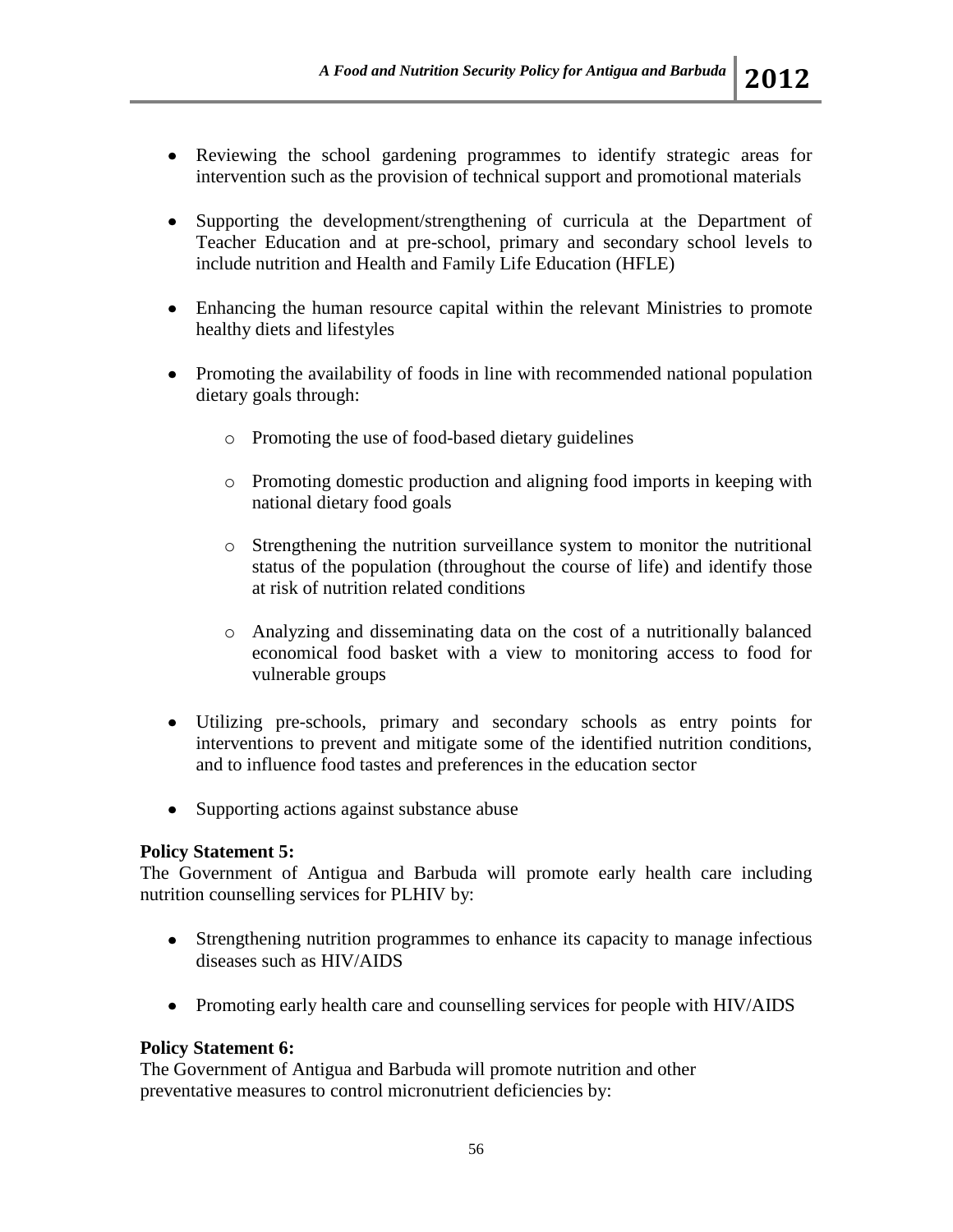- Reviewing the school gardening programmes to identify strategic areas for intervention such as the provision of technical support and promotional materials
- Supporting the development/strengthening of curricula at the Department of Teacher Education and at pre-school, primary and secondary school levels to include nutrition and Health and Family Life Education (HFLE)
- Enhancing the human resource capital within the relevant Ministries to promote healthy diets and lifestyles
- Promoting the availability of foods in line with recommended national population dietary goals through:
	- o Promoting the use of food-based dietary guidelines
	- o Promoting domestic production and aligning food imports in keeping with national dietary food goals
	- o Strengthening the nutrition surveillance system to monitor the nutritional status of the population (throughout the course of life) and identify those at risk of nutrition related conditions
	- o Analyzing and disseminating data on the cost of a nutritionally balanced economical food basket with a view to monitoring access to food for vulnerable groups
- Utilizing pre-schools, primary and secondary schools as entry points for interventions to prevent and mitigate some of the identified nutrition conditions, and to influence food tastes and preferences in the education sector
- Supporting actions against substance abuse

## **Policy Statement 5:**

The Government of Antigua and Barbuda will promote early health care including nutrition counselling services for PLHIV by:

- Strengthening nutrition programmes to enhance its capacity to manage infectious diseases such as HIV/AIDS
- Promoting early health care and counselling services for people with HIV/AIDS

## **Policy Statement 6:**

The Government of Antigua and Barbuda will promote nutrition and other preventative measures to control micronutrient deficiencies by: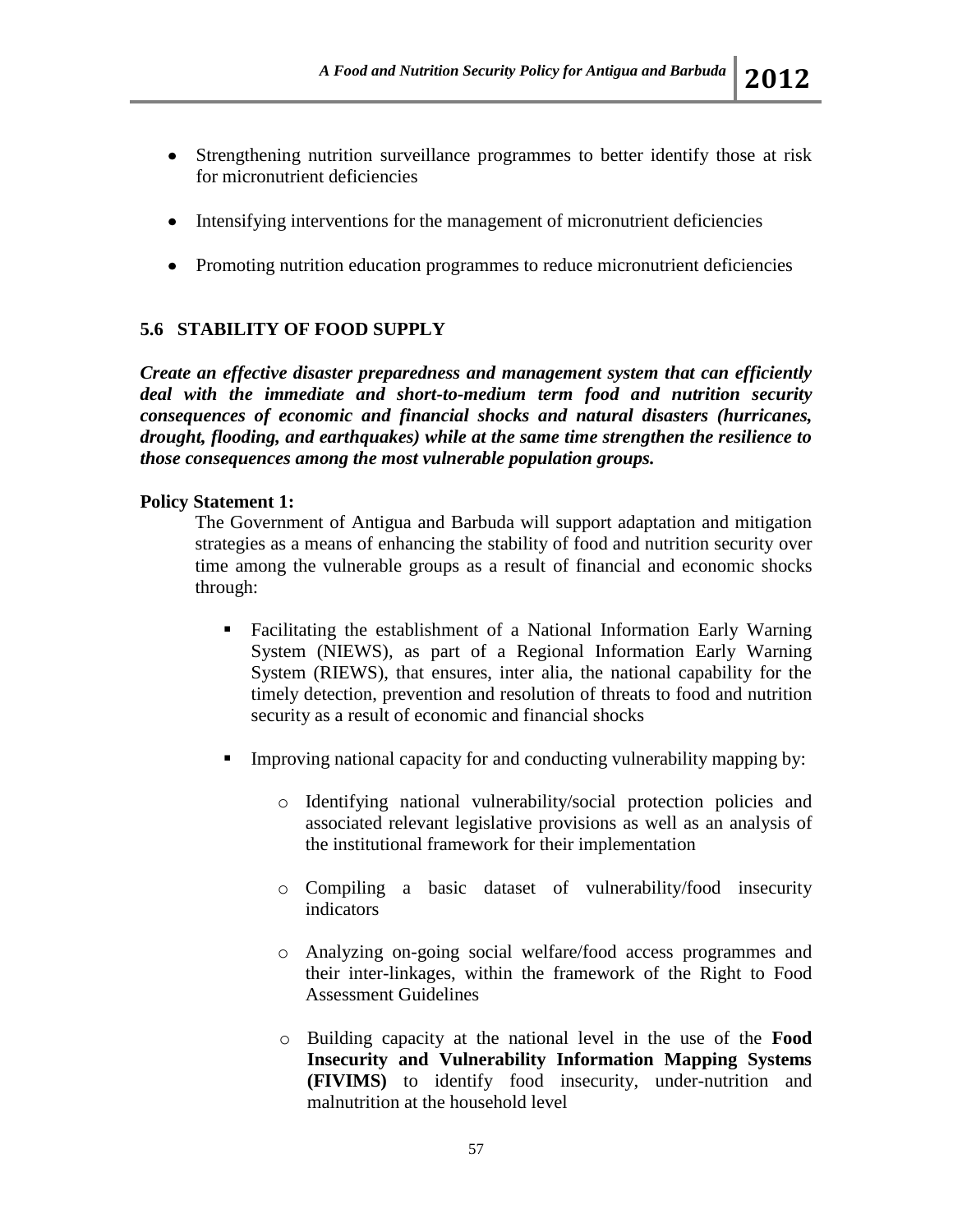- Strengthening nutrition surveillance programmes to better identify those at risk for micronutrient deficiencies
- Intensifying interventions for the management of micronutrient deficiencies
- Promoting nutrition education programmes to reduce micronutrient deficiencies

# **5.6 STABILITY OF FOOD SUPPLY**

*Create an effective disaster preparedness and management system that can efficiently deal with the immediate and short-to-medium term food and nutrition security consequences of economic and financial shocks and natural disasters (hurricanes, drought, flooding, and earthquakes) while at the same time strengthen the resilience to those consequences among the most vulnerable population groups.*

### **Policy Statement 1:**

The Government of Antigua and Barbuda will support adaptation and mitigation strategies as a means of enhancing the stability of food and nutrition security over time among the vulnerable groups as a result of financial and economic shocks through:

- Facilitating the establishment of a National Information Early Warning System (NIEWS), as part of a Regional Information Early Warning System (RIEWS), that ensures, inter alia, the national capability for the timely detection, prevention and resolution of threats to food and nutrition security as a result of economic and financial shocks
- Improving national capacity for and conducting vulnerability mapping by:
	- o Identifying national vulnerability/social protection policies and associated relevant legislative provisions as well as an analysis of the institutional framework for their implementation
	- o Compiling a basic dataset of vulnerability/food insecurity indicators
	- o Analyzing on-going social welfare/food access programmes and their inter-linkages, within the framework of the Right to Food Assessment Guidelines
	- o Building capacity at the national level in the use of the **Food Insecurity and Vulnerability Information Mapping Systems (FIVIMS)** to identify food insecurity, under-nutrition and malnutrition at the household level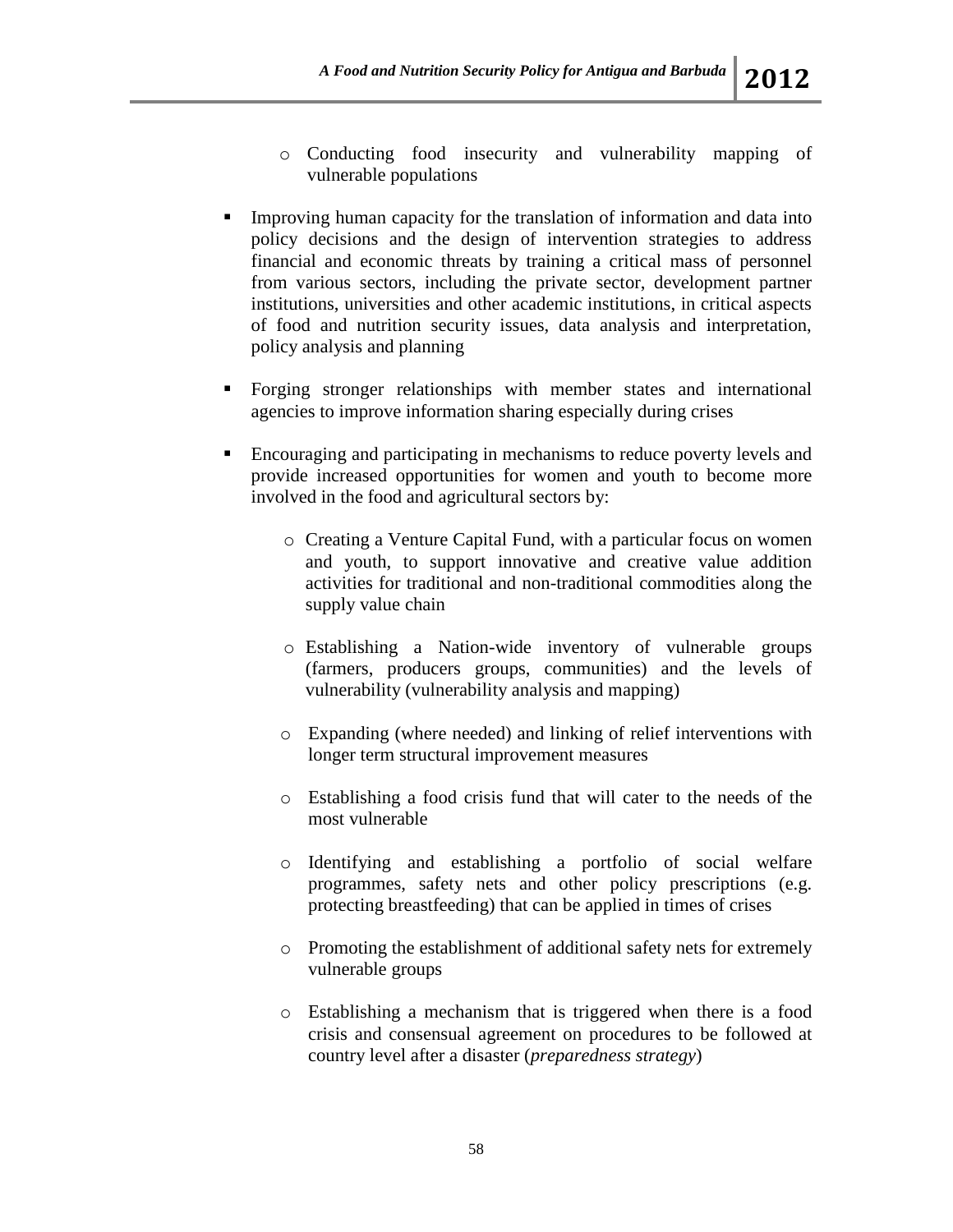- o Conducting food insecurity and vulnerability mapping of vulnerable populations
- Improving human capacity for the translation of information and data into policy decisions and the design of intervention strategies to address financial and economic threats by training a critical mass of personnel from various sectors, including the private sector, development partner institutions, universities and other academic institutions, in critical aspects of food and nutrition security issues, data analysis and interpretation, policy analysis and planning
- Forging stronger relationships with member states and international agencies to improve information sharing especially during crises
- Encouraging and participating in mechanisms to reduce poverty levels and provide increased opportunities for women and youth to become more involved in the food and agricultural sectors by:
	- o Creating a Venture Capital Fund, with a particular focus on women and youth, to support innovative and creative value addition activities for traditional and non-traditional commodities along the supply value chain
	- o Establishing a Nation-wide inventory of vulnerable groups (farmers, producers groups, communities) and the levels of vulnerability (vulnerability analysis and mapping)
	- o Expanding (where needed) and linking of relief interventions with longer term structural improvement measures
	- o Establishing a food crisis fund that will cater to the needs of the most vulnerable
	- o Identifying and establishing a portfolio of social welfare programmes, safety nets and other policy prescriptions (e.g. protecting breastfeeding) that can be applied in times of crises
	- o Promoting the establishment of additional safety nets for extremely vulnerable groups
	- o Establishing a mechanism that is triggered when there is a food crisis and consensual agreement on procedures to be followed at country level after a disaster (*preparedness strategy*)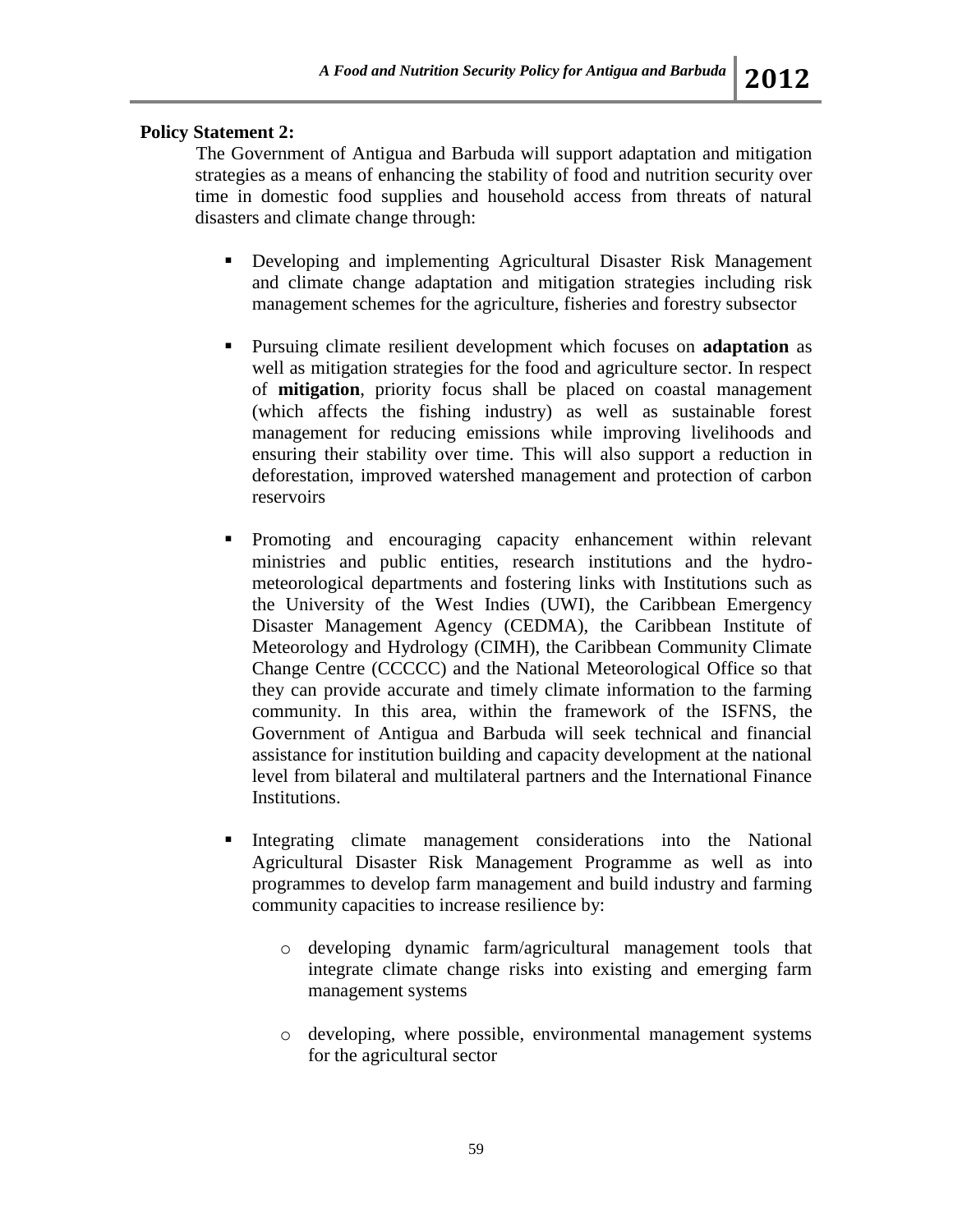# **Policy Statement 2:**

The Government of Antigua and Barbuda will support adaptation and mitigation strategies as a means of enhancing the stability of food and nutrition security over time in domestic food supplies and household access from threats of natural disasters and climate change through:

- Developing and implementing Agricultural Disaster Risk Management and climate change adaptation and mitigation strategies including risk management schemes for the agriculture, fisheries and forestry subsector
- Pursuing climate resilient development which focuses on **adaptation** as well as mitigation strategies for the food and agriculture sector. In respect of **mitigation**, priority focus shall be placed on coastal management (which affects the fishing industry) as well as sustainable forest management for reducing emissions while improving livelihoods and ensuring their stability over time. This will also support a reduction in deforestation, improved watershed management and protection of carbon reservoirs
- **Promoting and encouraging capacity enhancement within relevant** ministries and public entities, research institutions and the hydrometeorological departments and fostering links with Institutions such as the University of the West Indies (UWI), the Caribbean Emergency Disaster Management Agency (CEDMA), the Caribbean Institute of Meteorology and Hydrology (CIMH), the Caribbean Community Climate Change Centre (CCCCC) and the National Meteorological Office so that they can provide accurate and timely climate information to the farming community. In this area, within the framework of the ISFNS, the Government of Antigua and Barbuda will seek technical and financial assistance for institution building and capacity development at the national level from bilateral and multilateral partners and the International Finance Institutions.
- Integrating climate management considerations into the National Agricultural Disaster Risk Management Programme as well as into programmes to develop farm management and build industry and farming community capacities to increase resilience by:
	- o developing dynamic farm/agricultural management tools that integrate climate change risks into existing and emerging farm management systems
	- o developing, where possible, environmental management systems for the agricultural sector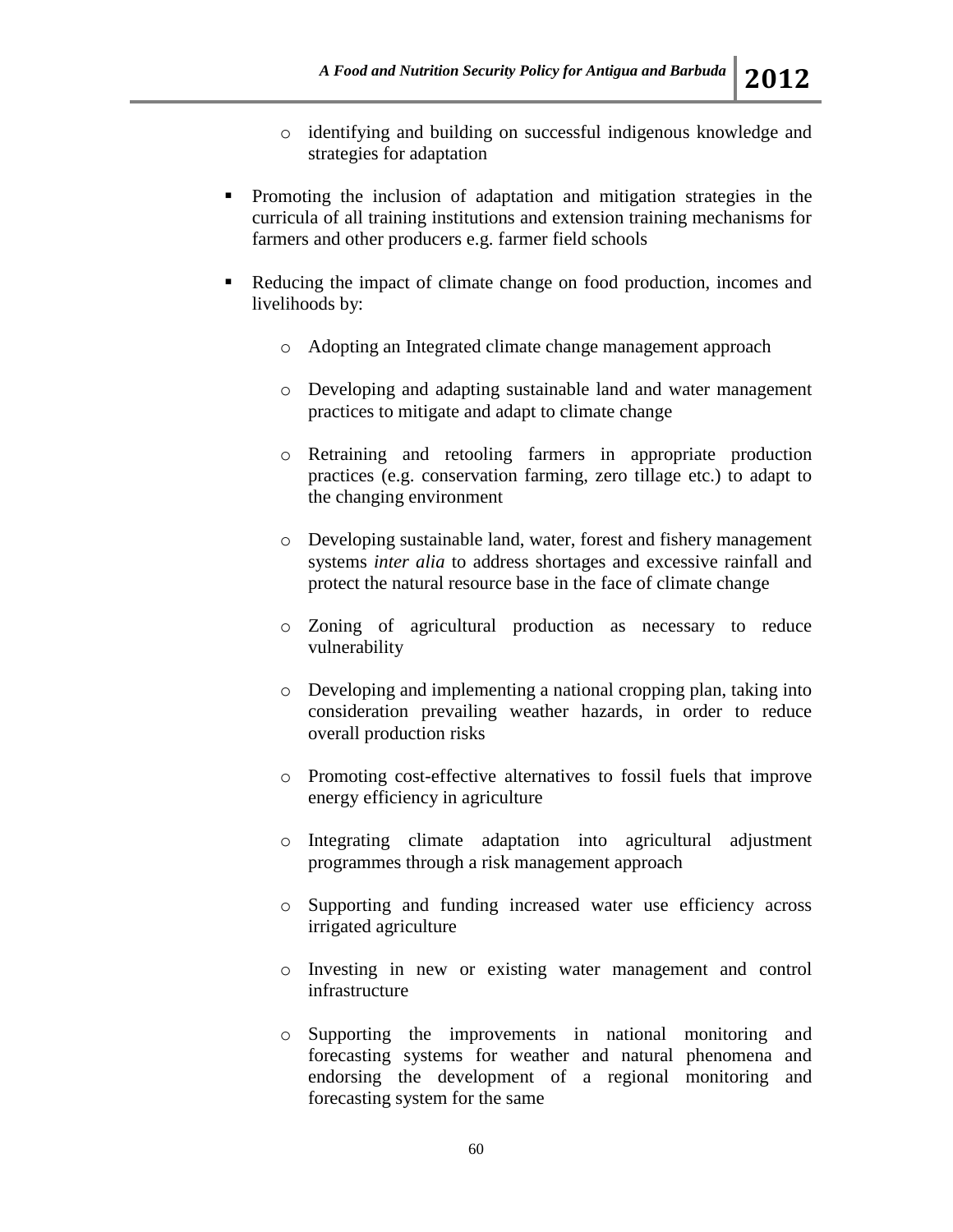- o identifying and building on successful indigenous knowledge and strategies for adaptation
- Promoting the inclusion of adaptation and mitigation strategies in the curricula of all training institutions and extension training mechanisms for farmers and other producers e.g. farmer field schools
- Reducing the impact of climate change on food production, incomes and livelihoods by:
	- o Adopting an Integrated climate change management approach
	- o Developing and adapting sustainable land and water management practices to mitigate and adapt to climate change
	- o Retraining and retooling farmers in appropriate production practices (e.g. conservation farming, zero tillage etc.) to adapt to the changing environment
	- o Developing sustainable land, water, forest and fishery management systems *inter alia* to address shortages and excessive rainfall and protect the natural resource base in the face of climate change
	- o Zoning of agricultural production as necessary to reduce vulnerability
	- o Developing and implementing a national cropping plan, taking into consideration prevailing weather hazards, in order to reduce overall production risks
	- o Promoting cost-effective alternatives to fossil fuels that improve energy efficiency in agriculture
	- o Integrating climate adaptation into agricultural adjustment programmes through a risk management approach
	- o Supporting and funding increased water use efficiency across irrigated agriculture
	- o Investing in new or existing water management and control infrastructure
	- o Supporting the improvements in national monitoring and forecasting systems for weather and natural phenomena and endorsing the development of a regional monitoring and forecasting system for the same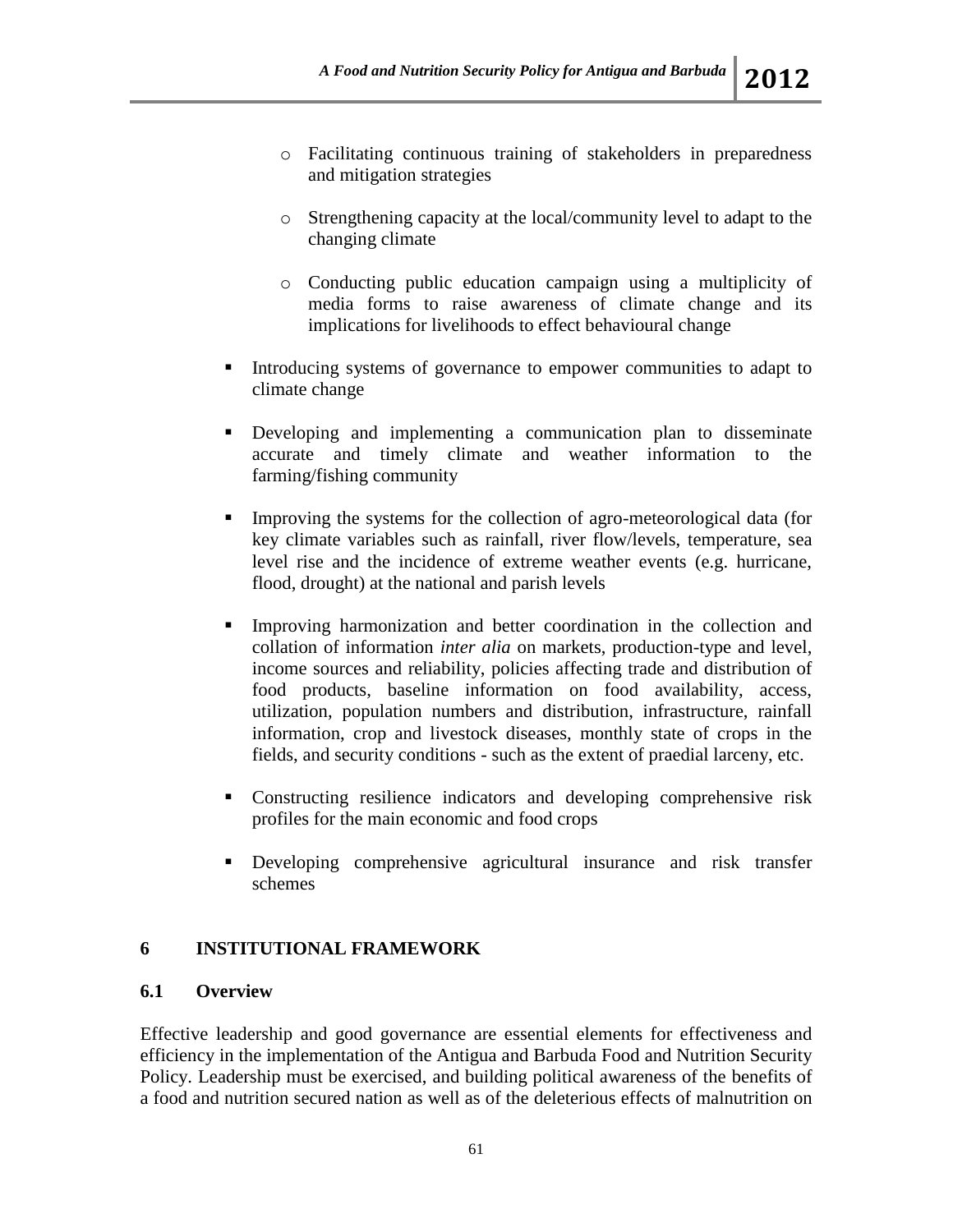- o Facilitating continuous training of stakeholders in preparedness and mitigation strategies
- o Strengthening capacity at the local/community level to adapt to the changing climate
- o Conducting public education campaign using a multiplicity of media forms to raise awareness of climate change and its implications for livelihoods to effect behavioural change
- Introducing systems of governance to empower communities to adapt to climate change
- Developing and implementing a communication plan to disseminate accurate and timely climate and weather information to the farming/fishing community
- Improving the systems for the collection of agro-meteorological data (for key climate variables such as rainfall, river flow/levels, temperature, sea level rise and the incidence of extreme weather events (e.g. hurricane, flood, drought) at the national and parish levels
- Improving harmonization and better coordination in the collection and collation of information *inter alia* on markets, production-type and level, income sources and reliability, policies affecting trade and distribution of food products, baseline information on food availability, access, utilization, population numbers and distribution, infrastructure, rainfall information, crop and livestock diseases, monthly state of crops in the fields, and security conditions - such as the extent of praedial larceny, etc.
- Constructing resilience indicators and developing comprehensive risk profiles for the main economic and food crops
- Developing comprehensive agricultural insurance and risk transfer schemes

# **6 INSTITUTIONAL FRAMEWORK**

## **6.1 Overview**

Effective leadership and good governance are essential elements for effectiveness and efficiency in the implementation of the Antigua and Barbuda Food and Nutrition Security Policy. Leadership must be exercised, and building political awareness of the benefits of a food and nutrition secured nation as well as of the deleterious effects of malnutrition on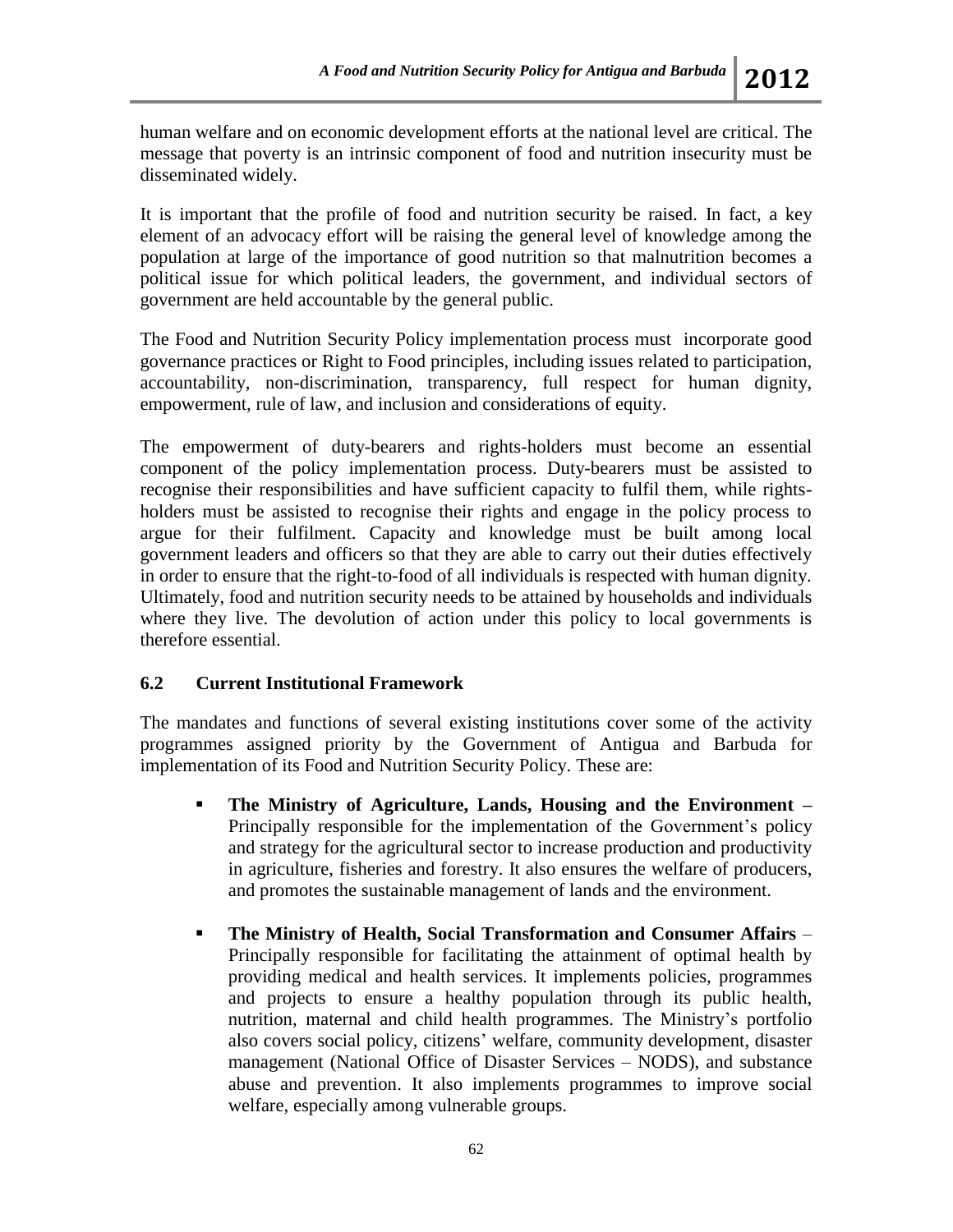human welfare and on economic development efforts at the national level are critical. The message that poverty is an intrinsic component of food and nutrition insecurity must be disseminated widely.

It is important that the profile of food and nutrition security be raised. In fact, a key element of an advocacy effort will be raising the general level of knowledge among the population at large of the importance of good nutrition so that malnutrition becomes a political issue for which political leaders, the government, and individual sectors of government are held accountable by the general public.

The Food and Nutrition Security Policy implementation process must incorporate good governance practices or Right to Food principles, including issues related to participation, accountability, non-discrimination, transparency, full respect for human dignity, empowerment, rule of law, and inclusion and considerations of equity.

The empowerment of duty-bearers and rights-holders must become an essential component of the policy implementation process. Duty-bearers must be assisted to recognise their responsibilities and have sufficient capacity to fulfil them, while rightsholders must be assisted to recognise their rights and engage in the policy process to argue for their fulfilment. Capacity and knowledge must be built among local government leaders and officers so that they are able to carry out their duties effectively in order to ensure that the right-to-food of all individuals is respected with human dignity. Ultimately, food and nutrition security needs to be attained by households and individuals where they live. The devolution of action under this policy to local governments is therefore essential.

#### **6.2 Current Institutional Framework**

The mandates and functions of several existing institutions cover some of the activity programmes assigned priority by the Government of Antigua and Barbuda for implementation of its Food and Nutrition Security Policy. These are:

- **The Ministry of Agriculture, Lands, Housing and the Environment –** Principally responsible for the implementation of the Government's policy and strategy for the agricultural sector to increase production and productivity in agriculture, fisheries and forestry. It also ensures the welfare of producers, and promotes the sustainable management of lands and the environment.
- **The Ministry of Health, Social Transformation and Consumer Affairs**  Principally responsible for facilitating the attainment of optimal health by providing medical and health services. It implements policies, programmes and projects to ensure a healthy population through its public health, nutrition, maternal and child health programmes. The Ministry's portfolio also covers social policy, citizens' welfare, community development, disaster management (National Office of Disaster Services – NODS), and substance abuse and prevention. It also implements programmes to improve social welfare, especially among vulnerable groups.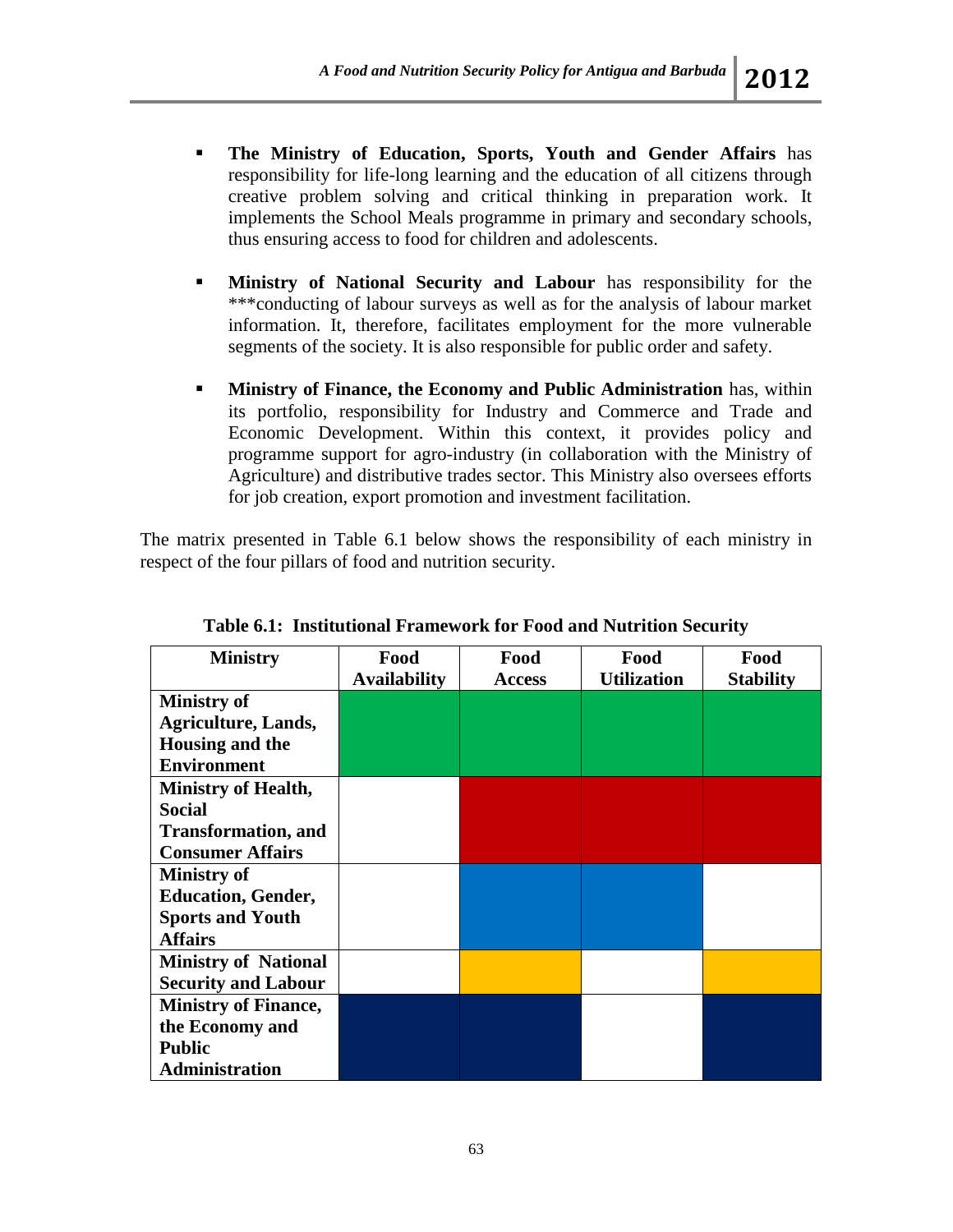- **The Ministry of Education, Sports, Youth and Gender Affairs** has responsibility for life-long learning and the education of all citizens through creative problem solving and critical thinking in preparation work. It implements the School Meals programme in primary and secondary schools, thus ensuring access to food for children and adolescents.
- **Ministry of National Security and Labour** has responsibility for the \*\*\*conducting of labour surveys as well as for the analysis of labour market information. It, therefore, facilitates employment for the more vulnerable segments of the society. It is also responsible for public order and safety.
- **Ministry of Finance, the Economy and Public Administration** has, within its portfolio, responsibility for Industry and Commerce and Trade and Economic Development. Within this context, it provides policy and programme support for agro-industry (in collaboration with the Ministry of Agriculture) and distributive trades sector. This Ministry also oversees efforts for job creation, export promotion and investment facilitation.

The matrix presented in Table 6.1 below shows the responsibility of each ministry in respect of the four pillars of food and nutrition security.

| <b>Ministry</b>             | Food                | Food          | Food               | Food             |
|-----------------------------|---------------------|---------------|--------------------|------------------|
|                             | <b>Availability</b> | <b>Access</b> | <b>Utilization</b> | <b>Stability</b> |
| <b>Ministry of</b>          |                     |               |                    |                  |
| <b>Agriculture, Lands,</b>  |                     |               |                    |                  |
| Housing and the             |                     |               |                    |                  |
| <b>Environment</b>          |                     |               |                    |                  |
| <b>Ministry of Health,</b>  |                     |               |                    |                  |
| <b>Social</b>               |                     |               |                    |                  |
| <b>Transformation</b> , and |                     |               |                    |                  |
| <b>Consumer Affairs</b>     |                     |               |                    |                  |
| <b>Ministry of</b>          |                     |               |                    |                  |
| <b>Education, Gender,</b>   |                     |               |                    |                  |
| <b>Sports and Youth</b>     |                     |               |                    |                  |
| <b>Affairs</b>              |                     |               |                    |                  |
| <b>Ministry of National</b> |                     |               |                    |                  |
| <b>Security and Labour</b>  |                     |               |                    |                  |
| <b>Ministry of Finance,</b> |                     |               |                    |                  |
| the Economy and             |                     |               |                    |                  |
| <b>Public</b>               |                     |               |                    |                  |
| <b>Administration</b>       |                     |               |                    |                  |

**Table 6.1: Institutional Framework for Food and Nutrition Security**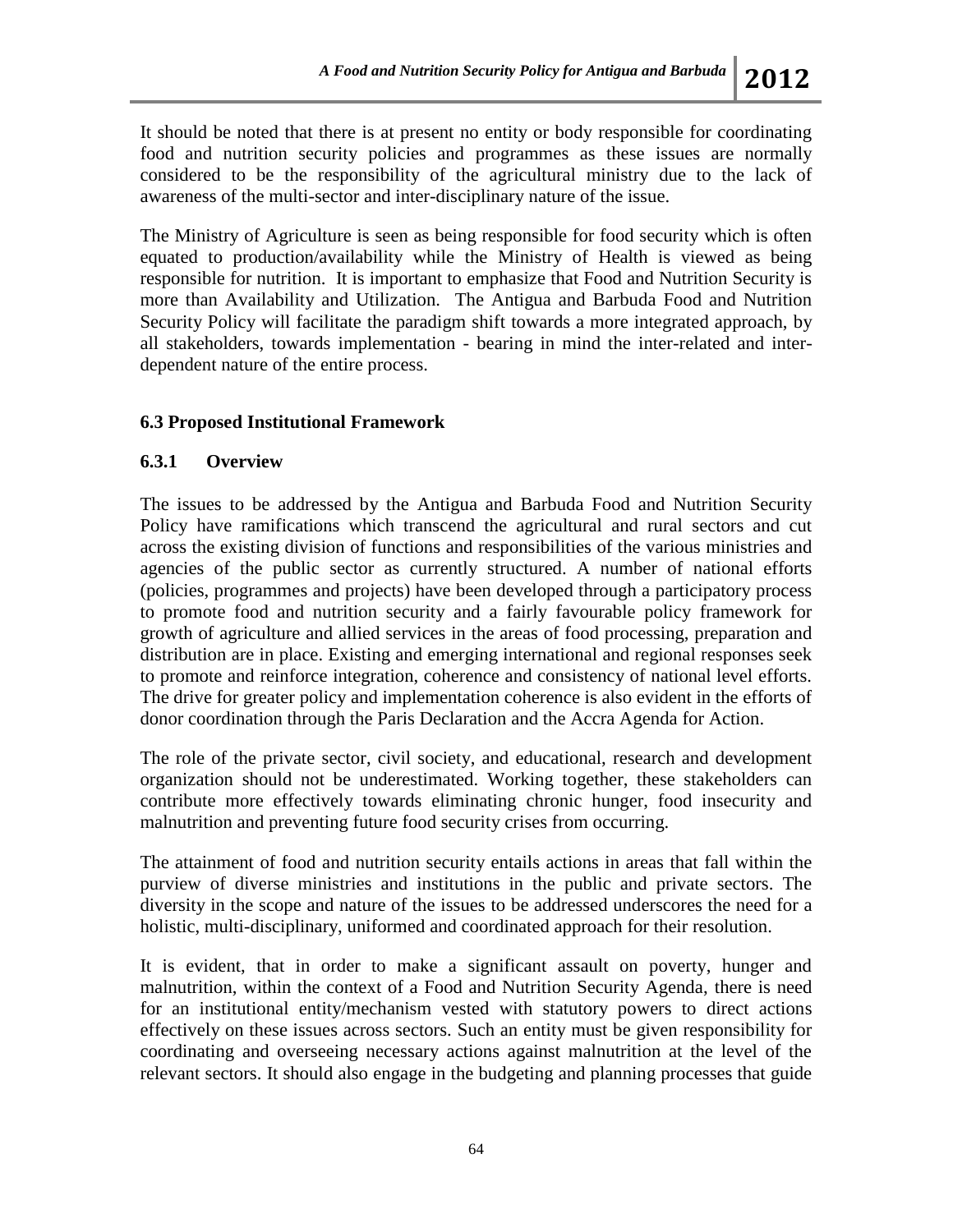It should be noted that there is at present no entity or body responsible for coordinating food and nutrition security policies and programmes as these issues are normally considered to be the responsibility of the agricultural ministry due to the lack of awareness of the multi-sector and inter-disciplinary nature of the issue.

The Ministry of Agriculture is seen as being responsible for food security which is often equated to production/availability while the Ministry of Health is viewed as being responsible for nutrition. It is important to emphasize that Food and Nutrition Security is more than Availability and Utilization. The Antigua and Barbuda Food and Nutrition Security Policy will facilitate the paradigm shift towards a more integrated approach, by all stakeholders, towards implementation - bearing in mind the inter-related and interdependent nature of the entire process.

#### **6.3 Proposed Institutional Framework**

#### **6.3.1 Overview**

The issues to be addressed by the Antigua and Barbuda Food and Nutrition Security Policy have ramifications which transcend the agricultural and rural sectors and cut across the existing division of functions and responsibilities of the various ministries and agencies of the public sector as currently structured. A number of national efforts (policies, programmes and projects) have been developed through a participatory process to promote food and nutrition security and a fairly favourable policy framework for growth of agriculture and allied services in the areas of food processing, preparation and distribution are in place. Existing and emerging international and regional responses seek to promote and reinforce integration, coherence and consistency of national level efforts. The drive for greater policy and implementation coherence is also evident in the efforts of donor coordination through the Paris Declaration and the Accra Agenda for Action.

The role of the private sector, civil society, and educational, research and development organization should not be underestimated. Working together, these stakeholders can contribute more effectively towards eliminating chronic hunger, food insecurity and malnutrition and preventing future food security crises from occurring.

The attainment of food and nutrition security entails actions in areas that fall within the purview of diverse ministries and institutions in the public and private sectors. The diversity in the scope and nature of the issues to be addressed underscores the need for a holistic, multi-disciplinary, uniformed and coordinated approach for their resolution.

It is evident, that in order to make a significant assault on poverty, hunger and malnutrition, within the context of a Food and Nutrition Security Agenda, there is need for an institutional entity/mechanism vested with statutory powers to direct actions effectively on these issues across sectors. Such an entity must be given responsibility for coordinating and overseeing necessary actions against malnutrition at the level of the relevant sectors. It should also engage in the budgeting and planning processes that guide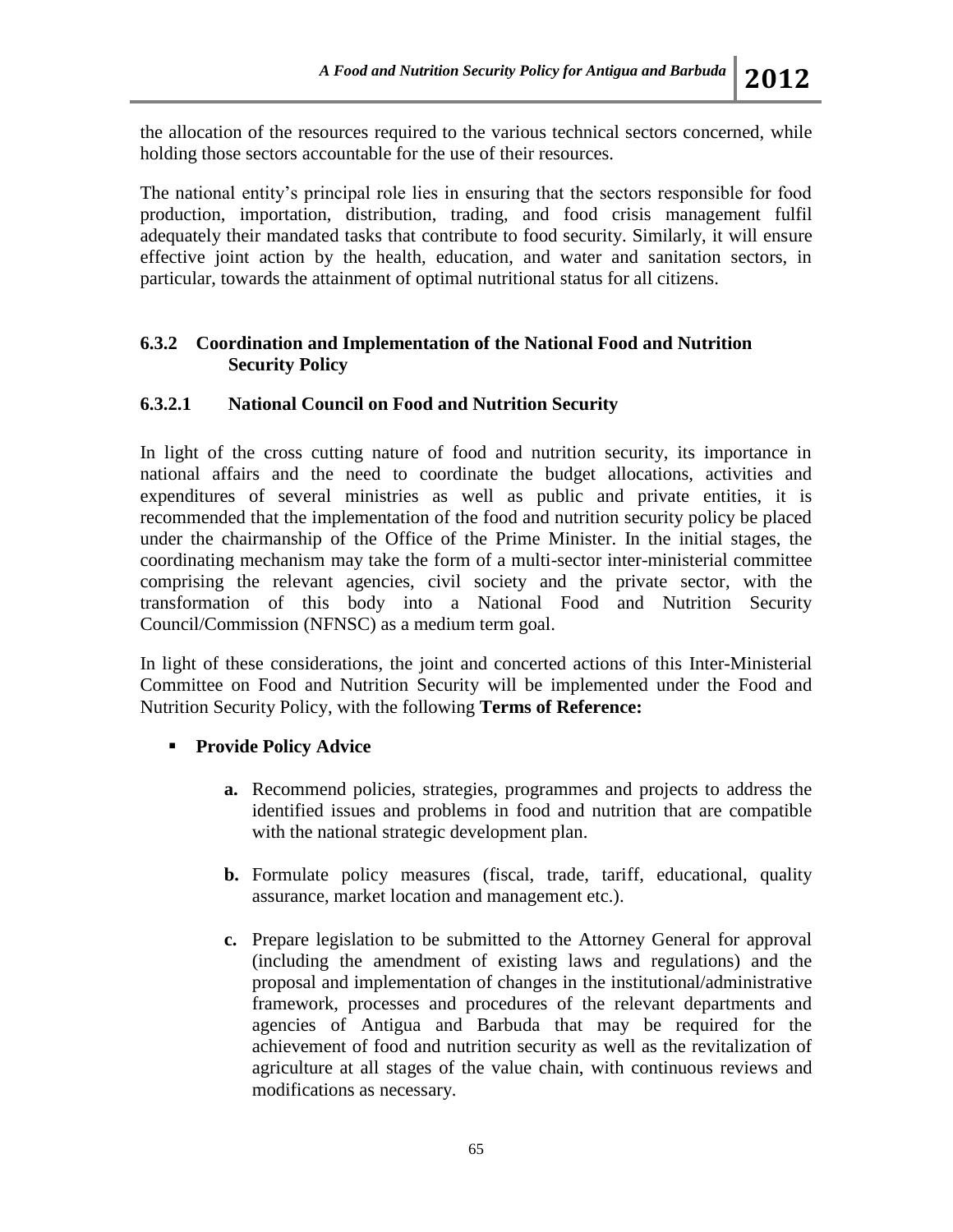the allocation of the resources required to the various technical sectors concerned, while holding those sectors accountable for the use of their resources.

The national entity's principal role lies in ensuring that the sectors responsible for food production, importation, distribution, trading, and food crisis management fulfil adequately their mandated tasks that contribute to food security. Similarly, it will ensure effective joint action by the health, education, and water and sanitation sectors, in particular, towards the attainment of optimal nutritional status for all citizens.

#### **6.3.2 Coordination and Implementation of the National Food and Nutrition Security Policy**

## **6.3.2.1 National Council on Food and Nutrition Security**

In light of the cross cutting nature of food and nutrition security, its importance in national affairs and the need to coordinate the budget allocations, activities and expenditures of several ministries as well as public and private entities, it is recommended that the implementation of the food and nutrition security policy be placed under the chairmanship of the Office of the Prime Minister. In the initial stages, the coordinating mechanism may take the form of a multi-sector inter-ministerial committee comprising the relevant agencies, civil society and the private sector, with the transformation of this body into a National Food and Nutrition Security Council/Commission (NFNSC) as a medium term goal.

In light of these considerations, the joint and concerted actions of this Inter-Ministerial Committee on Food and Nutrition Security will be implemented under the Food and Nutrition Security Policy, with the following **Terms of Reference:**

## **Provide Policy Advice**

- **a.** Recommend policies, strategies, programmes and projects to address the identified issues and problems in food and nutrition that are compatible with the national strategic development plan.
- **b.** Formulate policy measures (fiscal, trade, tariff, educational, quality assurance, market location and management etc.).
- **c.** Prepare legislation to be submitted to the Attorney General for approval (including the amendment of existing laws and regulations) and the proposal and implementation of changes in the institutional/administrative framework, processes and procedures of the relevant departments and agencies of Antigua and Barbuda that may be required for the achievement of food and nutrition security as well as the revitalization of agriculture at all stages of the value chain, with continuous reviews and modifications as necessary.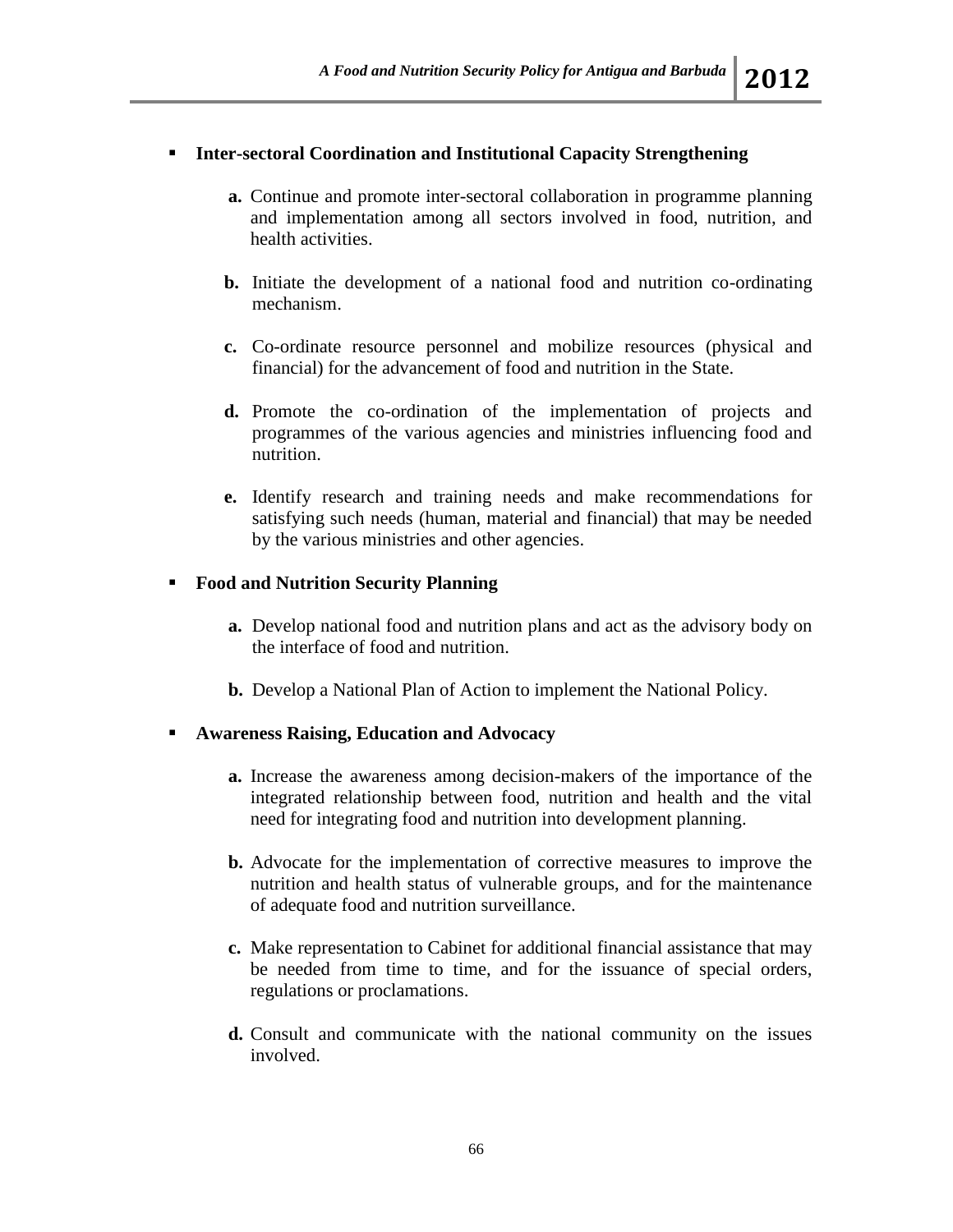# **Inter-sectoral Coordination and Institutional Capacity Strengthening**

- **a.** Continue and promote inter-sectoral collaboration in programme planning and implementation among all sectors involved in food, nutrition, and health activities.
- **b.** Initiate the development of a national food and nutrition co-ordinating mechanism.
- **c.** Co-ordinate resource personnel and mobilize resources (physical and financial) for the advancement of food and nutrition in the State.
- **d.** Promote the co-ordination of the implementation of projects and programmes of the various agencies and ministries influencing food and nutrition.
- **e.** Identify research and training needs and make recommendations for satisfying such needs (human, material and financial) that may be needed by the various ministries and other agencies.

## **Food and Nutrition Security Planning**

- **a.** Develop national food and nutrition plans and act as the advisory body on the interface of food and nutrition.
- **b.** Develop a National Plan of Action to implement the National Policy.

## **Awareness Raising, Education and Advocacy**

- **a.** Increase the awareness among decision-makers of the importance of the integrated relationship between food, nutrition and health and the vital need for integrating food and nutrition into development planning.
- **b.** Advocate for the implementation of corrective measures to improve the nutrition and health status of vulnerable groups, and for the maintenance of adequate food and nutrition surveillance.
- **c.** Make representation to Cabinet for additional financial assistance that may be needed from time to time, and for the issuance of special orders, regulations or proclamations.
- **d.** Consult and communicate with the national community on the issues involved.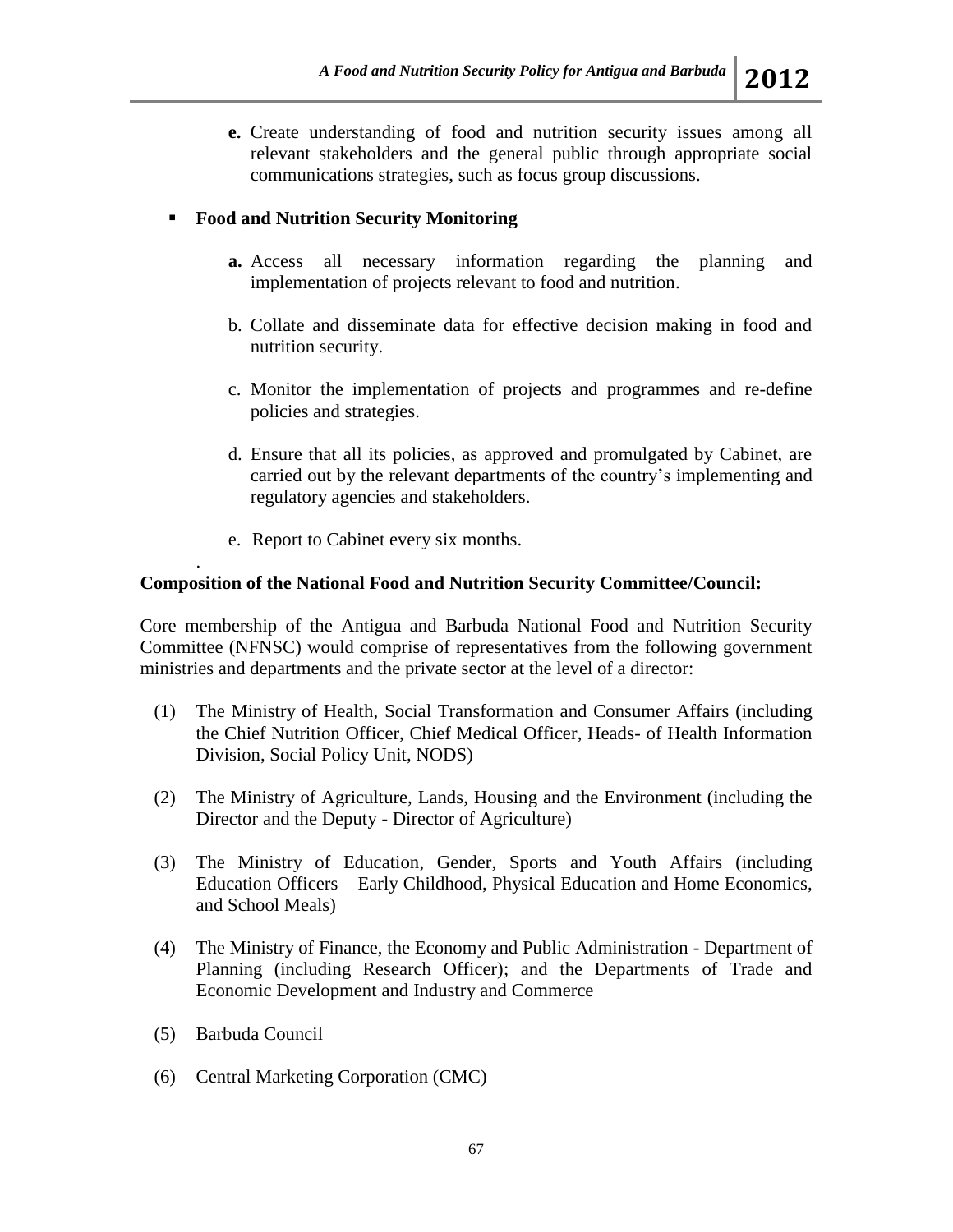**e.** Create understanding of food and nutrition security issues among all relevant stakeholders and the general public through appropriate social communications strategies, such as focus group discussions.

## **Food and Nutrition Security Monitoring**

- **a.** Access all necessary information regarding the planning and implementation of projects relevant to food and nutrition.
- b. Collate and disseminate data for effective decision making in food and nutrition security.
- c. Monitor the implementation of projects and programmes and re-define policies and strategies.
- d. Ensure that all its policies, as approved and promulgated by Cabinet, are carried out by the relevant departments of the country's implementing and regulatory agencies and stakeholders.
- e. Report to Cabinet every six months.

# **Composition of the National Food and Nutrition Security Committee/Council:**

Core membership of the Antigua and Barbuda National Food and Nutrition Security Committee (NFNSC) would comprise of representatives from the following government ministries and departments and the private sector at the level of a director:

- (1) The Ministry of Health, Social Transformation and Consumer Affairs (including the Chief Nutrition Officer, Chief Medical Officer, Heads- of Health Information Division, Social Policy Unit, NODS)
- (2) The Ministry of Agriculture, Lands, Housing and the Environment (including the Director and the Deputy - Director of Agriculture)
- (3) The Ministry of Education, Gender, Sports and Youth Affairs (including Education Officers – Early Childhood, Physical Education and Home Economics, and School Meals)
- (4) The Ministry of Finance, the Economy and Public Administration Department of Planning (including Research Officer); and the Departments of Trade and Economic Development and Industry and Commerce
- (5) Barbuda Council

.

(6) Central Marketing Corporation (CMC)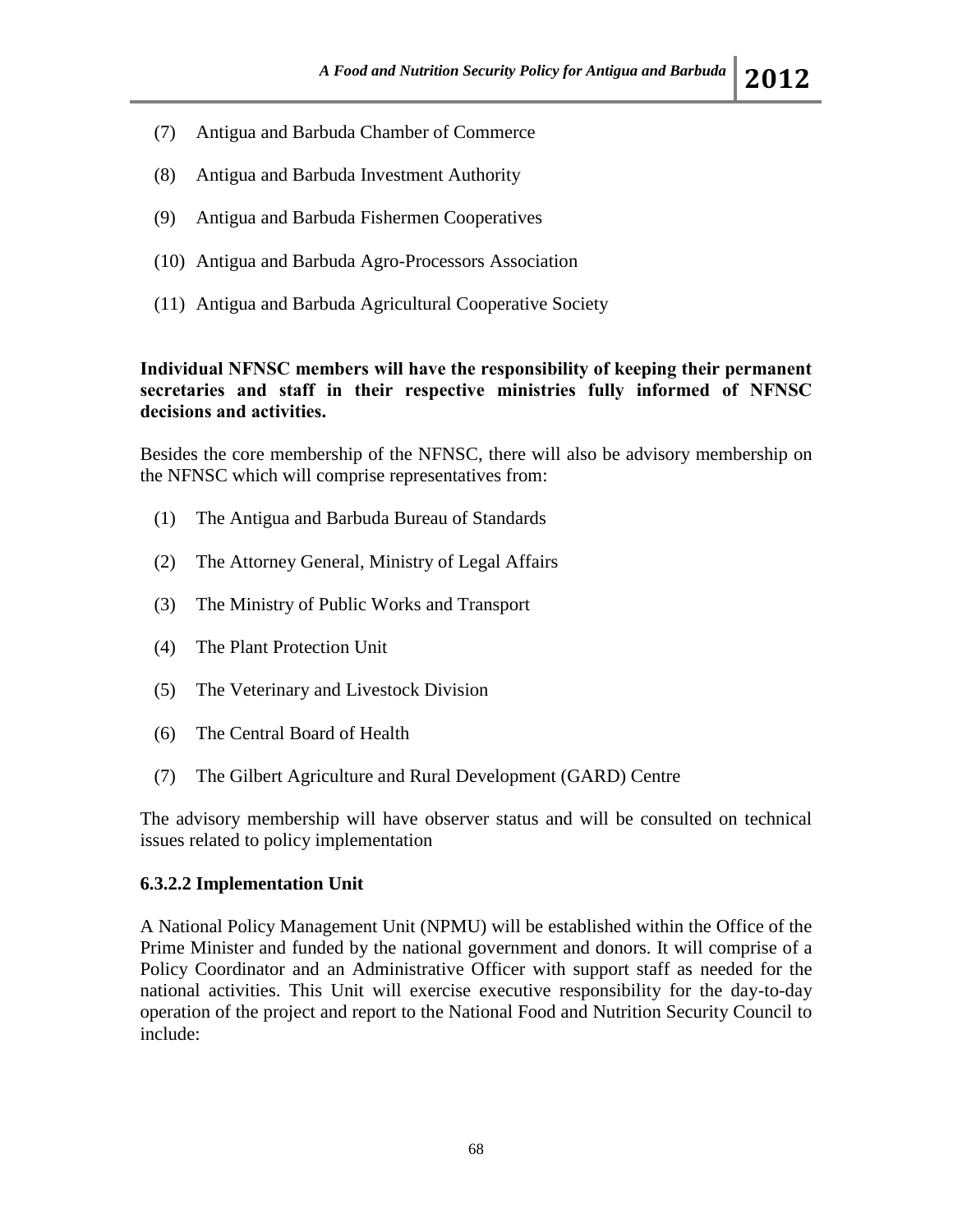- (7) Antigua and Barbuda Chamber of Commerce
- (8) Antigua and Barbuda Investment Authority
- (9) Antigua and Barbuda Fishermen Cooperatives
- (10) Antigua and Barbuda Agro-Processors Association
- (11) Antigua and Barbuda Agricultural Cooperative Society

#### **Individual NFNSC members will have the responsibility of keeping their permanent secretaries and staff in their respective ministries fully informed of NFNSC decisions and activities.**

Besides the core membership of the NFNSC, there will also be advisory membership on the NFNSC which will comprise representatives from:

- (1) The Antigua and Barbuda Bureau of Standards
- (2) The Attorney General, Ministry of Legal Affairs
- (3) The Ministry of Public Works and Transport
- (4) The Plant Protection Unit
- (5) The Veterinary and Livestock Division
- (6) The Central Board of Health
- (7) The Gilbert Agriculture and Rural Development (GARD) Centre

The advisory membership will have observer status and will be consulted on technical issues related to policy implementation

#### **6.3.2.2 Implementation Unit**

A National Policy Management Unit (NPMU) will be established within the Office of the Prime Minister and funded by the national government and donors. It will comprise of a Policy Coordinator and an Administrative Officer with support staff as needed for the national activities. This Unit will exercise executive responsibility for the day-to-day operation of the project and report to the National Food and Nutrition Security Council to include: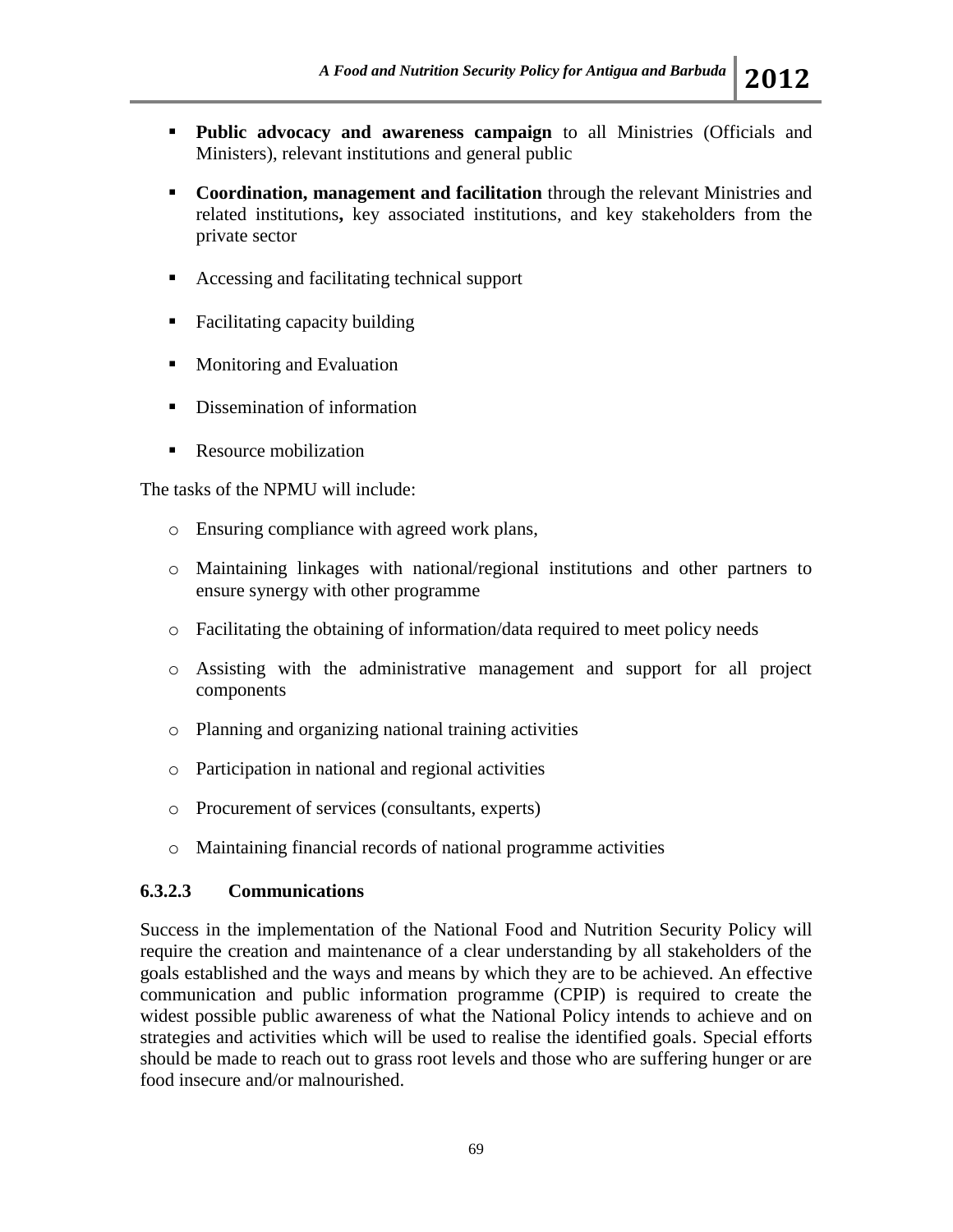- **Public advocacy and awareness campaign** to all Ministries (Officials and Ministers), relevant institutions and general public
- **Coordination, management and facilitation** through the relevant Ministries and related institutions**,** key associated institutions, and key stakeholders from the private sector
- Accessing and facilitating technical support
- Facilitating capacity building
- **Monitoring and Evaluation**
- **Dissemination of information**
- Resource mobilization

The tasks of the NPMU will include:

- o Ensuring compliance with agreed work plans,
- o Maintaining linkages with national/regional institutions and other partners to ensure synergy with other programme
- o Facilitating the obtaining of information/data required to meet policy needs
- o Assisting with the administrative management and support for all project components
- o Planning and organizing national training activities
- o Participation in national and regional activities
- o Procurement of services (consultants, experts)
- o Maintaining financial records of national programme activities

#### **6.3.2.3 Communications**

Success in the implementation of the National Food and Nutrition Security Policy will require the creation and maintenance of a clear understanding by all stakeholders of the goals established and the ways and means by which they are to be achieved. An effective communication and public information programme (CPIP) is required to create the widest possible public awareness of what the National Policy intends to achieve and on strategies and activities which will be used to realise the identified goals. Special efforts should be made to reach out to grass root levels and those who are suffering hunger or are food insecure and/or malnourished.